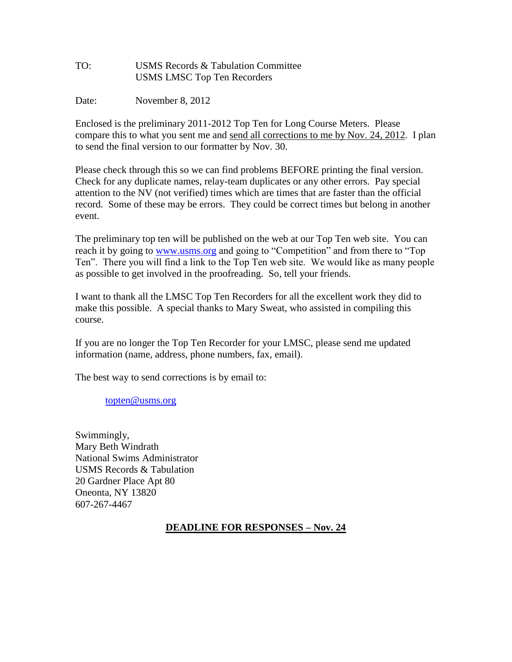| TO: | USMS Records & Tabulation Committee |
|-----|-------------------------------------|
|     | <b>USMS LMSC Top Ten Recorders</b>  |

Date: November 8, 2012

Enclosed is the preliminary 2011-2012 Top Ten for Long Course Meters. Please compare this to what you sent me and send all corrections to me by Nov. 24, 2012. I plan to send the final version to our formatter by Nov. 30.

Please check through this so we can find problems BEFORE printing the final version. Check for any duplicate names, relay-team duplicates or any other errors. Pay special attention to the NV (not verified) times which are times that are faster than the official record. Some of these may be errors. They could be correct times but belong in another event.

The preliminary top ten will be published on the web at our Top Ten web site. You can reach it by going to [www.usms.org](http://www.usms.org/) and going to "Competition" and from there to "Top Ten". There you will find a link to the Top Ten web site. We would like as many people as possible to get involved in the proofreading. So, tell your friends.

I want to thank all the LMSC Top Ten Recorders for all the excellent work they did to make this possible. A special thanks to Mary Sweat, who assisted in compiling this course.

If you are no longer the Top Ten Recorder for your LMSC, please send me updated information (name, address, phone numbers, fax, email).

The best way to send corrections is by email to:

[topten@usms.org](mailto:topten@usms.org)

Swimmingly, Mary Beth Windrath National Swims Administrator USMS Records & Tabulation 20 Gardner Place Apt 80 Oneonta, NY 13820 607-267-4467

#### **DEADLINE FOR RESPONSES – Nov. 24**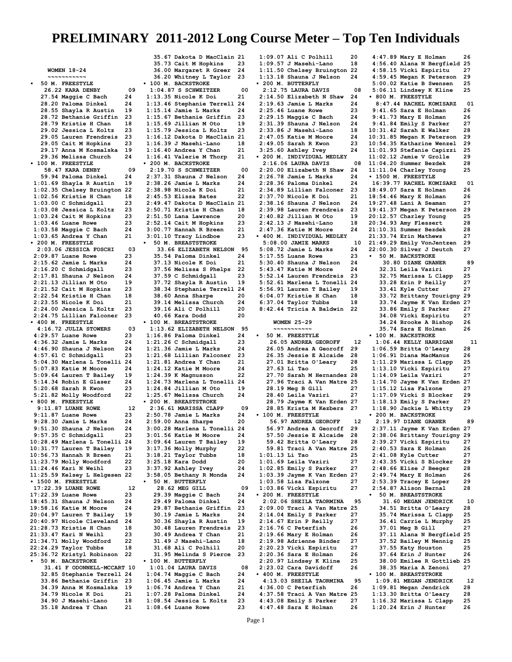**WOMEN 18-24 ~~~~~~~~~~~ • 50 M. FREESTYLE 26.22 KARA DENBY 09 27.54 Maggie C Bach 24 28.20 Paloma Dinkel 24 28.55 Shayla R Austin 19 28.72 Bethanie Griffin 23 28.79 Kristie H Chan 18 29.02 Jessica L Koltz 23 29.05 Lauren Frendreis 23 29.05 Cait M Hopkins 23 29.17 Anna M Kosmalska 19 29.36 Melissa Church 24 • 100 M. FREESTYLE 58.47 KARA DENBY 09 59.94 Paloma Dinkel 24 1:01.69 Shayla R Austin 19 1:02.35 Chelsey Bruington 22 1:02.56 Kristie H Chan 18 1:03.00 C Schmidgall 23 1:03.08 Jessica L Koltz 23 1:03.24 Cait M Hopkins 23 1:03.46 Luane Rowe 23 1:03.58 Maggie C Bach 24 1:03.65 Andrea Y Chan 21 • 200 M. FREESTYLE 2:03.06 JESSICA FOSCHI 03 2:09.87 Luane Rowe 23 2:15.62 Jamie L Marks 24 2:16.20 C Schmidgall 23 2:17.81 Shauna J Nelson 24 2:21.13 Jillian M Oto 19 2:21.52 Cait M Hopkins 23 2:22.54 Kristie H Chan 18 2:23.55 Nicole K Doi 21 2:24.00 Jessica L Koltz 23 2:24.75 Lillian Falconer 23 • 400 M. FREESTYLE 4:16.72 JULIA STOWERS 03 4:29.57 Luane Rowe 23 4:36.32 Jamie L Marks 24 4:46.90 Shauna J Nelson 24 4:57.61 C Schmidgall 23 5:04.30 Marlena L Tonelli 24 5:07.83 Katie M Moore 24 5:09.64 Lauren T Bailey 19 5:14.34 Robin E Glaser 24 5:20.68 Sarah R Kwon 23 5:21.82 Molly Woodford 22 • 800 M. FREESTYLE 9:11.87 LUANE ROWE 12**<br>**12.11.87 Luane Rowe 123 9:11.87 Luane Rowe 23 9:28.30 Jamie L Marks 24 9:51.30 Shauna J Nelson 24 9:57.35 C Schmidgall 23 10:28.49 Marlena L Tonelli 24 10:31.77 Lauren T Bailey 19 10:56.73 Hannah R Breen 21 11:23.79 Molly Woodford 22 11:24.46 Kari N Weihl 23 11:25.59 Kelsey L Helgesen 22 • 1500 M. FREESTYLE 17:22.39 LUANE ROWE 12**<br>17:22.39 Luane Rowe 23 **17:22.39 Luane Rowe 23 18:45.31 Shauna J Nelson 24 19:58.16 Katie M Moore 24 20:04.97 Lauren T Bailey 19 20:40.97 Nicole Cleveland 24 21:28.73 Kristie H Chan 18 21:33.47 Kari N Weihl 23 21:34.71 Molly Woodford 22 22:24.29 Taylor Tubbs 18 25:36.72 Kristyl Robinson 22 • 50 M. BACKSTROKE 31.41 F ODONNELL-MCCART 10 32.85 Stephanie Terrell 24 33.86 Bethanie Griffin 23 34.39 Anna M Kosmalska 19 34.79 Nicole K Doi 21 34.90 J Masehi-Lano 18 35.18 Andrea Y Chan 21**

 **35.67 Dakota D MacClain 21 35.73 Cait M Hopkins 23 36.00 Margaret R Greer 24 36.20 Whitney L Taylor 23 • 100 M. BACKSTROKE 1:04.87 S SCHWEITZER 00 1:13.35 Nicole K Doi 21 1:13.46 Stephanie Terrell 24 1:15.14 Jamie L Marks 24 1:15.67 Bethanie Griffin 23 1:15.69 Jillian M Oto 19 1:15.79 Jessica L Koltz 23 1:16.12 Dakota D MacClain 21 1:16.39 J Masehi-Lano 18 1:16.40 Andrea Y Chan 21 1:16.41 Valerie M Thorp 21 • 200 M. BACKSTROKE 2:19.70 S SCHWEITZER 00 2:37.31 Shauna J Nelson 24 2:38.26 Jamie L Marks 24 2:38.98 Nicole K Doi 21 2:45.53 Elissa Bates 22 2:49.47 Dakota D MacClain 21 2:50.71 Kristie H Chan 18 2:51.50 Lana Lawrence 20 2:52.14 Cait M Hopkins 23 3:00.77 Hannah R Breen 21 3:01.10 Tracy Lindboe 23 • 50 M. BREASTSTROKE 33.66 ELIZABETH NELSON 95 35.54 Paloma Dinkel 24 37.13 Nicole K Doi 21 37.56 Melissa S Phelps 22 37.59 C Schmidgall 23 37.72 Shayla R Austin 19 38.34 Stephanie Terrell 24 38.60 Anna Sharpe 20 39.14 Melissa Church 24 39.16 Ali C Polhill 20 40.66 Kara Dodd 20 • 100 M. BREASTSTROKE 1:13.62 ELIZABETH NELSON 95 1:16.86 Paloma Dinkel 24 1:21.26 C Schmidgall 23 1:21.36 Jamie L Marks 24 1:21.68 Lillian Falconer 23 1:21.81 Andrea Y Chan 21 1:24.12 Katie M Moore 24 1:24.39 K Magnusson 22 1:24.73 Marlena L Tonelli 24 1:24.84 Jillian M Oto 19 1:25.67 Melissa Church 24 • 200 M. BREASTSTROKE 2:36.61 MARISSA CLAPP 09 2:50.78 Jamie L Marks 24 2:59.00 Anna Sharpe 20 3:00.28 Marlena L Tonelli 24 3:01.56 Katie M Moore 24 3:09.64 Lauren T Bailey 19 3:17.36 Molly Murphy 22 3:18.21 Taylor Tubbs 18 3:25.18 Kara Dodd 20 3:37.92 Ashley Ivey 24 3:58.05 Bethany R Monda 24 • 50 M. BUTTERFLY 28.62 MEG GILL 09**<br>**29.39 Maggie C Bach 24 29.39 Maggie C Bach 24 29.49 Paloma Dinkel 24 29.87 Bethanie Griffin 23 30.19 Jamie L Marks 24 30.36 Shayla R Austin 19 30.48 Lauren Frendreis 23 30.49 Andrea Y Chan 21 31.49 J Masehi-Lano 18 31.68 Ali C Polhill 20 31.95 Melinda S Pierce 23 • 100 M. BUTTERFLY 1:01.04 LAURA DAVIS** 08<br>1:04.74 Maggie C Bach 24 **1:04.74 Maggie C Bach 24 1:06.45 Jamie L Marks 24 1:06.74 Andrea Y Chan 21 1:07.28 Paloma Dinkel 24 1:08.54 Jessica L Koltz 23**

**1:08.64 Luane Rowe 23**

**1:09.07 Ali C Polhill 20 1:09.57 J Masehi-Lano 18 1:11.50 Chelsey Bruington 22 1:13.18 Shauna J Nelson 24 • 200 M. BUTTERFLY 2:12.75 LAURA DAVIS 08 2:14.50 Elizabeth N Shaw 24 2:19.63 Jamie L Marks 24 2:25.46 Luane Rowe 23 2:29.15 Maggie C Bach 24 2:31.39 Shauna J Nelson 24 2:33.86 J Masehi-Lano 18 2:47.05 Katie M Moore 24 2:49.05 Sarah R Kwon 23 3:25.60 Ashley Ivey 24 • 200 M. INDIVIDUAL MEDLEY 2:16.06 LAURA DAVIS** 08<br>2:20.00 Elizabeth N Shaw 24 **2:20.00 Elizabeth N Shaw 24 2:26.78 Jamie L Marks 24 2:28.36 Paloma Dinkel 24 2:34.89 Lillian Falconer 23 2:37.70 Nicole K Doi 21 2:38.16 Shauna J Nelson 24 2:39.98 Lauren Frendreis 23 2:40.82 Jillian M Oto 19 2:42.13 J Masehi-Lano 18 2:47.36 Katie M Moore 24 • 400 M. INDIVIDUAL MEDLEY 5:08.00 JAMIE MARKS** 10<br>**5:08.72 Jamie L Marks** 24 **5:08.72 Jamie L Marks 24 5:17.55 Luane Rowe 23 5:30.40 Shauna J Nelson 24 5:43.47 Katie M Moore 24 5:52.14 Lauren Frendreis 23 5:52.61 Marlena L Tonelli 24 5:56.91 Lauren T Bailey 19 6:04.07 Kristie H Chan 18 6:37.04 Taylor Tubbs 18 8:42.44 Tricia A Baldwin 22 WOMEN 25-29 ~~~~~~~~~~~ • 50 M. FREESTYLE 26.05 ANDREA GEOROFF 12 26.05 Andrea A Georoff 29 26.35 Jessie E Alcaide 28 27.01 Britta O'Leary 28 27.63 Li Tao 25 27.70 Sarah M Hernandez 28 27.96 Traci A Van Matre 25 28.19 Meg B Gill 27 28.40 Leila Vaziri 27 28.79 Jayme K Van Erden 27 28.85 Krista M Kezbers 27 • 100 M. FREESTYLE 56.97 ANDREA GEOROFF 12 56.97 Andrea A Georoff 29 57.50 Jessie E Alcaide 28 59.42 Britta O'Leary 28 59.81 Traci A Van Matre 25 1:01.13 Li Tao 25 1:01.69 Leila Vaziri 27 1:02.85 Emily S Parker 27 1:03.39 Jayme K Van Erden 27 1:03.58 Lisa Falzone 27 1:03.86 Vicki Espiritu 27 • 200 M. FREESTYLE 2:02.06 SHEILA TAORMINA 95 2:09.00 Traci A Van Matre 25 2:14.04 Emily S Parker 27 2:14.67 Erin P Reilly 27 2:16.76 C Peterfish 26 2:19.66 Mary E Holman 26 2:19.98 Adrienne Binder 27 2:20.23 Vicki Espiritu 27 2:20.36 Sara E Holman 26 2:20.97 Lindsey K Kline 25 2:23.02 Cara Davidoff 26 • 400 M. FREESTYLE 4:13.03 SHEILA TAORMINA** 95<br>1:36.00 C Peterfish 26 **4:36.00 C Peterfish 26 4:37.58 Traci A Van Matre 25 4:43.08 Emily S Parker 27**

**4:47.89 Mary E Holman 26 4:56.40 Alana N Bergfield 25 4:58.15 Vicki Espiritu 27 4:59.45 Megan K Peterson 29 5:00.02 Katie B Swensen 25 5:06.11 Lindsey K Kline 25 • 800 M. FREESTYLE 8:47.44 RACHEL KOMISARZ 01 9:41.65 Sara E Holman 26 9:41.73 Mary E Holman 26 9:41.84 Emily S Parker 27 10:31.42 Sarah E Walker 28 10:31.85 Megan K Peterson 29 10:54.35 Katharine Wenzel 29 11:01.93 Stefanie Capizzi 25 11:02.12 Jamie V Grolle 29 11:04.20 Summer Bezdek 28 11:11.04 Charley Young 25 • 1500 M. FREESTYLE 16:39.77 RACHEL KOMISARZ 01 18:49.07 Sara E Holman 26 18:54.46 Mary E Holman 26 19:27.48 Lani A Seaman 27 19:41.37 Megan K Peterson 29 20:12.57 Charley Young 25 20:34.93 Amy Flessert 28 21:10.31 Summer Bezdek 28 21:33.74 Erin Mathews 27 21:49.29 Emily VonJentzen 29 22:00.30 Silver J Deutch 27 • 50 M. BACKSTROKE 30.80 DIANE GRANER** 89<br>**32.31 Leila Vaziri** 27  **32.31 Leila Vaziri 27 32.75 Marissa L Clapp 25 33.28 Erin P Reilly 27**<br>**33.41 Kyle Cutter 27 33.41 Kyle Cutter 27 33.72 Brittany Tourigny 29 33.74 Jayme K Van Erden 27 33.86 Emily S Parker 27 34.08 Vicki Espiritu 27 34.24 Brooke A Bishop 26 35.74 Sara E Holman 26 • 100 M. BACKSTROKE 1:06.44 KELLY HARRIGAN 11 1:06.59 Britta O'Leary 28 1:06.91 Diana MacManus 26 1:11.29 Marissa L Clapp 25 1:13.10 Vicki Espiritu 27 1:14.09 Leila Vaziri 27 1:14.70 Jayme K Van Erden 27 1:15.12 Lisa Falzone 27 1:17.09 Vicki S Blocker 29 1:18.13 Emily S Parker 27 1:18.90 Jackie L Whitty 29 • 200 M. BACKSTROKE 2:19.97 DIANE GRANER 89 2:37.11 Jayme K Van Erden 27 2:38.06 Brittany Tourigny 29 2:39.27 Vicki Espiritu 27 2:40.53 Sara E Holman 26 2:41.08 Kyle Cutter 27 2:43.35 Vicki S Blocker 29 2:48.66 Elise J Beeger 28 2:49.74 Mary E Holman 26 2:53.39 Tracey E Loper 29 2:54.87 Alison Bernal 28 • 50 M. BREASTSTROKE 31.60 MEGAN JENDRICK 10 34.51 Britta O'Leary 28 35.74 Marissa L Clapp 25 36.41 Carrie L Murphy 25 37.01 Meg B Gill 27 37.11 Alana N Bergfield 25 37.52 Bailey M Nennig 25 37.55 Katy Houston 25 37.64 Erin J Hunter 26 38.00 Emilee R Gottlieb 25 38.35 Maria A Zenoni 27 • 100 M. BREASTSTROKE 1:09.81 MEGAN JENDRICK 12 1:09.81 Megan Jendrick 28 1:13.30 Britta O'Leary 28 1:16.32 Marissa L Clapp 25 1:20.24 Erin J Hunter 26**

**4:47.48 Sara E Holman 26**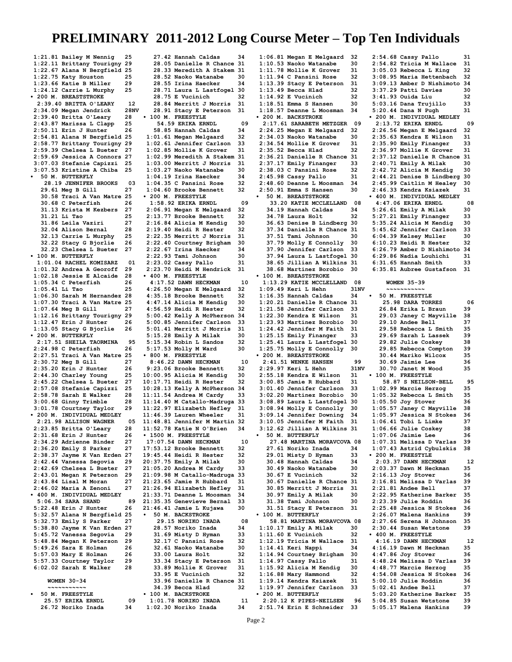**1:21.81 Bailey M Nennig 25 1:22.11 Brittany Tourigny 29 1:22.67 Alana N Bergfield 25 1:22.75 Katy Houston 25 1:23.66 Katie B Miller 29 1:24.12 Carrie L Murphy 25 • 200 M. BREASTSTROKE 2:39.40 BRITTA O'LEARY 12** 2:34.09 Megan Jendrick **2:39.40 Britta O'Leary 28 2:43.87 Marissa L Clapp 25 2:50.11 Erin J Hunter 26 2:54.81 Alana N Bergfield 25 2:58.77 Brittany Tourigny 29 2:59.39 Chelsea L Bueter 27 2:59.69 Jessica A Connors 27 3:07.03 Stefanie Capizzi 25 3:07.53 Kristine A Chiba 25 • 50 M. BUTTERFLY 28.19 JENNIFER BROOKS 03 29.61 Meg B Gill 27 30.58 Traci A Van Matre 25 30.68 C Peterfish 26 31.13 Krista M Kezbers 27 31.21 Li Tao 25 31.86 Leila Vaziri 27 32.04 Alison Bernal 28 32.13 Carrie L Murphy 25 32.22 Stacy G Bjorlie 26 32.23 Chelsea L Bueter 27 • 100 M. BUTTERFLY 1:01.04 RACHEL KOMISARZ 01 1:01.32 Andrea A Georoff 29 1:02.18 Jessie E Alcaide 28 1:05.34 C Peterfish 26 1:05.41 Li Tao 25 1:06.30 Sarah M Hernandez 28 1:07.30 Traci A Van Matre 25 1:07.64 Meg B Gill 27 1:12.16 Brittany Tourigny 29 1:12.47 Erin J Hunter 26 1:13.05 Stacy G Bjorlie 26 • 200 M. BUTTERFLY 2:17.51 SHEILA TAORMINA 95 2:24.98 C Peterfish 26 2:27.51 Traci A Van Matre 25 2:30.72 Meg B Gill 27 2:35.20 Erin J Hunter 26 2:44.30 Charley Young 25 2:45.22 Chelsea L Bueter 27 2:57.08 Stefanie Capizzi 25 2:58.78 Sarah E Walker 28 3:00.68 Ginny Trimble 28 3:01.78 Courtney Taylor 29 • 200 M. INDIVIDUAL MEDLEY 2:21.98 ALLISON WAGNER 05 2:23.85 Britta O'Leary 28** 2:31.68 Erin J Hunter 26<br>2:34.29 Adrienne Binder 27 **2:34.29 Adrienne Binder 27 2:36.20 Emily S Parker 27 2:38.37 Jayme K Van Erden 27 2:42.44 Vanessa Segovia 29 2:42.69 Chelsea L Bueter 27 2:43.01 Megan K Peterson 29 2:43.84 Lisal M Moran 27 2:46.02 Maria A Zenoni 27 • 400 M. INDIVIDUAL MEDLEY 5:06.34 SARA SHAND** 89<br>3:22.48 Erin J Hunter 26 **5:22.48 Erin J Hunter 26 5:32.57 Alana N Bergfield 25 5:32.73 Emily S Parker 27 5:38.80 Jayme K Van Erden 27 5:45.72 Vanessa Segovia 29 5:48.84 Megan K Peterson 29 5:49.26 Sara E Holman 26 5:57.03 Mary E Holman 26 5:57.33 Courtney Taylor 29 6:02.02 Sarah E Walker 28 WOMEN 30-34 ~~~~~~~~~~~ • 50 M. FREESTYLE**

 **25.57 ERIKA ERNDL 09 26.72 Noriko Inada 34**

 **27.42 Hannah Caldas 34 28.05 Danielle R Chance 31 28.33 Meredith A Stakem 31 28.52 Naoko Watanabe 30 28.55 Irina Haecker 34 28.71 Laura L Lastfogel 30 28.75 E Vucinich 32 28.84 Merritt J Morris 31 28.91 Stacy E Peterson 31 • 100 M. FREESTYLE 54.59 ERIKA ERNDL 09 58.85 Hannah Caldas 34 1:01.61 Megan Melgaard 32 1:02.61 Jennifer Carlson 33 1:02.85 Mollie K Grover 31 1:02.99 Meredith A Stakem 31 1:03.00 Merritt J Morris 31 1:03.27 Naoko Watanabe 30 1:04.19 Irina Haecker 34 1:04.35 C Pansini Rose 32 1:04.60 Brooke Bennett 32 • 200 M. FREESTYLE 1:58.92 ERIKA ERNDL 09 2:06.91 Megan E Melgaard 32 2:13.77 Brooke Bennett 32 2:16.84 Alicia M Kendig 30 2:19.40 Heidi R Hester 32 2:22.35 Merritt J Morris 31 2:22.40 Courtney Brigham 30 2:22.67 Irina Haecker 34 2:22.93 Tami Johnson 30 2:23.02 Cassy Pallo 31 2:23.70 Heidi M Hendrick 31 • 400 M. FREESTYLE 4:17.52 DAWN HECKMAN 10**<br>1:26.50 Megan E Melgaard 32 **4:26.50 Megan E Melgaard 32 4:35.18 Brooke Bennett 32 4:47.14 Alicia M Kendig 30 4:56.59 Heidi R Hester 32 5:00.42 Kelly A McPherson 34 5:00.85 Jennifer Carlson 33 5:01.41 Merritt J Morris 31 5:15.28 Emily A Milak 30 5:15.34 Robin L Sandos 32 5:17.53 Molly M Ward 30 • 800 M. FREESTYLE 8:46.22 DAWN HECKMAN 10**<br>0:23.06 Brooke Bennett 32 **9:23.06 Brooke Bennett 32 10:00.95 Alicia M Kendig 30 10:17.71 Heidi R Hester 32 10:28.13 Kelly A McPherson 34 11:11.54 Andrea M Cardy 33 11:14.40 M Catallo-Madruga 33 11:22.97 Elizabeth Hefley 31 11:46.39 Lauren Wheeler 31 11:48.81 Jennifer M Martin 32 11:52.78 Katie N O'Brien 34 • 1500 M. FREESTYLE 17:07.54 DAWN HECKMAN 10 17:53.12 Brooke Bennett 32 19:45.44 Heidi R Hester 32 20:37.75 Emily A Milak 30 21:05.20 Andrea M Cardy 33 21:09.98 M Catallo-Madruga 33 21:23.65 Jamie R Hubbard 31 21:26.94 Elizabeth Hefley 31 21:33.71 Deanne L Moosman 34 21:35.35 Genevieve Bernal 33 21:46.41 Jamie L Kujawa 30 • 50 M. BACKSTROKE 29.15 NORIKO INADA 08 28.57 Noriko Inada 34 31.69 Misty D Hyman 33 32.17 C Pansini Rose 32 32.61 Naoko Watanabe 30 33.00 Laura Holt 32 33.34 Stacy E Peterson 31 33.89 Mollie K Grover 31 33.95 E Vucinich 32 33.96 Danielle R Chance 31 34.39 Becca Hlad 32 • 100 M. BACKSTROKE 1:01.78 NORIKO INADA 11**

**1:06.81 Megan E Melgaard 32 1:10.53 Naoko Watanabe 30 1:11.78 Mollie K Grover 31 1:11.94 C Pansini Rose 32 1:13.39 Stacy E Peterson 31 1:13.49 Becca Hlad 32 1:14.92 E Vucinich 32 1:18.51 Emma S Hansen 30 1:18.57 Deanne L Moosman 34 • 200 M. BACKSTROKE 2:17.61 SARABETH METZGER 09 2:24.25 Megan E Melgaard 32 2:34.03 Naoko Watanabe 30 2:34.54 Mollie K Grover 31 2:35.52 Becca Hlad 32 2:36.21 Danielle R Chance 31 2:37.17 Emily Finanger 33 2:38.03 C Pansini Rose 32 2:45.98 Cassy Pallo 31 2:48.60 Deanne L Moosman 34 2:50.91 Emma S Hansen 30 • 50 M. BREASTSTROKE 33.20 KATIE MCCLELLAND 08 34.19 Hannah Caldas 34 34.78 Laura Holt 32 36.63 Denise B Lindberg 30 37.34 Danielle R Chance 31 37.51 Tami Johnson 30 37.79 Molly E Connolly 30 37.90 Jennifer Carlson 33 37.94 Laura L Lastfogel 30 38.65 Jillian A Wilkins 31 38.68 Martinez Borobio 30 • 100 M. BREASTSTROKE 1:13.29 KATIE MCCLELLAND 08 1:09.49 Keri L Hehn 31:**<br>**1:16.35 Hannah Caldas** 34 **1:16.35 Hannah Caldas 34 1:20.21 Danielle R Chance 31 1:21.58 Jennifer Carlson 33 1:22.30 Kendra E Wilson 31 1:23.93 Martinez Borobio 30 1:24.42 Jennifer M Faith 31 1:25.15 Emily Finanger 33 1:25.41 Laura L Lastfogel 30 1:25.75 Molly E Connolly 30 • 200 M. BREASTSTROKE 2:41.51 WENKE HANSEN 99**<br>2:29.97 Keri L Hehn 31NV **2:29.97 Keri L Hehn 31**<br>2:55.18 Kendra E Wilson 31 **2:55.18 Kendra E Wilson 31 3:00.85 Jamie R Hubbard 31 3:01.40 Jennifer Carlson 33 3:02.20 Martinez Borobio 30 3:08.89 Laura L Lastfogel 30 3:08.94 Molly E Connolly 30 3:09.14 Jennifer Downing 34 3:10.05 Jennifer M Faith 31 3:12.62 Jillian A Wilkins 31 • 50 M. BUTTERFLY 27.48 MARTINA MORAVCOVA 08 27.61 Noriko Inada 34 29.01 Misty D Hyman 33 30.48 Hannah Caldas 34 30.49 Naoko Watanabe 30 30.67 E Vucinich 32 30.67 Danielle R Chance 31 30.85 Merritt J Morris 31 30.97 Emily A Milak 30 31.38 Tami Johnson 30 31.51 Stacy E Peterson 31 • 100 M. BUTTERFLY 58.81 MARTINA MORAVCOVA 08 1:10.17 Emily A Milak 30 1:11.60 E Vucinich 32**<br>**1:12.19 Tricia M Wallace 31 1:12.19 Tricia M Wallace 31 1:14.41 Keri Nappi 34 1:14.94 Courtney Brigham 30 1:14.97 Cassy Pallo 31 1:15.92 Alicia M Kendig 30 1:16.88 Mary Hammond 32 1:19.14 Kendra Ksiazek 31 1:19.97 Jennifer Carlson 33 • 200 M. BUTTERFLY 2:20.12 K PIPES-NEILSEN 96 2:54.68 Cassy Pallo 31 2:54.82 Tricia M Wallace 31 3:05.03 Rebecca L King 32 3:08.95 Maria Hettenbach 32 3:09.13 Amber D Nishimoto 34 3:37.29 Patti Davies 30 3:41.93 Ouida Liu 32 5:03.16 Dana Trujillo 33 5:20.44 Dana N Pugh 31 • 200 M. INDIVIDUAL MEDLEY 2:13.72 ERIKA ERNDL 09 2:26.56 Megan E Melgaard 32 2:35.63 Kendra E Wilson 31 2:35.90 Emily Finanger 33 2:36.97 Mollie K Grover 31 2:37.12 Danielle R Chance 31 2:40.71 Emily A Milak 30 2:42.72 Alicia M Kendig 30 2:44.21 Denise B Lindberg 30 2:45.99 Caitlin M Healey 30 2:46.33 Kendra Ksiazek 31 • 400 M. INDIVIDUAL MEDLEY 4:47.06 ERIKA ERNDL 08 5:26.61 Emily A Milak 30 5:27.21 Emily Finanger 33 5:35.24 Alicia M Kendig 30 5:45.62 Jennifer Carlson 33 6:04.39 Kelsey Muller 30 6:10.23 Heidi R Hester 32 6:26.79 Amber D Nishimoto 34 6:29.86 Nadia Louhichi 31 6:31.65 Hannah Smith 33 6:35.81 Aubree Gustafson 31 WOMEN 35-39 ~~~~~~~~~~~ • 50 M. FREESTYLE 25.98 DARA TORRES 06 26.84 Erika L Braun 39 29.03 Janey C Mayville 38 29.10 Andee Bell** 37<br>**29.58 Rebecca L Smith** 35  **29.58 Rebecca L Smith 35 29.69 Sarah L Lassek 39 29.82 Julie Coskey 38 29.85 Rebecca Compton 39 30.44 Mariko Wilcox 35 30.69 Jaimie Lee 36<br>30.70 Janet M Wood** 35  **30.70 Janet M Wood 35 • 100 M. FREESTYLE 58.87 S NEILSON-BELL 95**<br>2.99 Marcie Herzog 35 **1:02.99 Marcie Herzog 35 1:05.32 Rebecca L Smith 35 1:05.50 Joy Stover 36 1:05.57 Janey C Mayville 38 1:05.97 Jessica N Stokes 36 1:06.41 Tobi L Limke 37 1:06.66 Julie Coskey 38 1:07.06 Jaimie Lee 36 1:07.31 Melissa D Varlas 39 1:07.43 Astrid Cybulskis 38 • 200 M. FREESTYLE 2:03.37 DAWN HECKMAN 12**<br>2:03.37 Dawn M Heckman 35 **2:03.37 Dawn M Heckman 35 2:16.13 Joy Stover 36 2:16.81 Melissa D Varlas 39 2:21.81 Andee Bell 37 2:22.95 Katherine Barker 35 2:23.39 Julie Roddin 36 2:25.48 Jessica N Stokes 36 2:26.07 Malena Hankins 39 2:27.66 Serena H Johnson 35 2:30.44 Susan Wetstone 39 • 400 M. FREESTYLE 4:16.19 DAWN HECKMAN 12 4:16.19 Dawn M Heckman 35 4:47.86 Joy Stover 36 4:48.24 Melissa D Varlas 39 4:48.77 Marcie Herzog 35 4:54.08 Jessica N Stokes 36 5:00.10 Julie Roddin 36 5:02.41 Andee Bell 37 5:03.20 Katherine Barker 35 5:04.85 Susan Wetstone 39**

**1:02.30 Noriko Inada 34 2:51.74 Erin E Schneider 33** **5:05.17 Malena Hankins 39**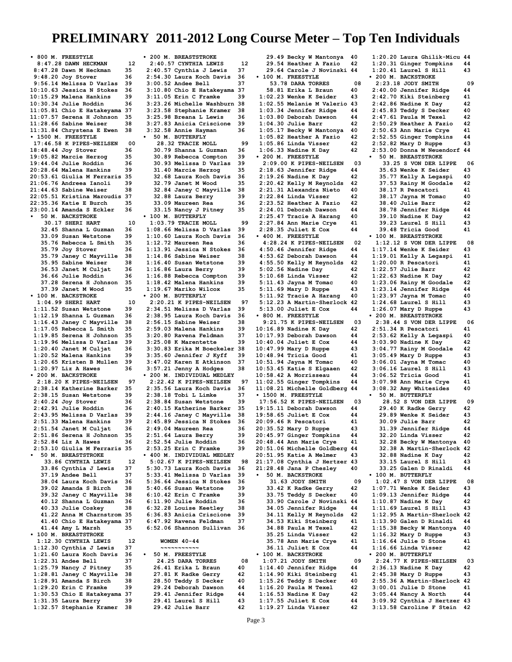**• 800 M. FREESTYLE 8:47.28 DAWN HECKMAN 12**<br>1:47.28 Dawn M Heckman 35 **8:47.28 Dawn M Heckman 35 9:48.20 Joy Stover 36 9:56.14 Melissa D Varlas 39 10:10.63 Jessica N Stokes 36 10:15.29 Malena Hankins 39 10:30.34 Julie Roddin 36 11:05.81 Chio E Hatakeyama 37 11:07.57 Serena H Johnson 35 11:28.66 Sabine Weiser 38 11:31.84 Chrystena E Ewen 38 • 1500 M. FREESTYLE 17:46.58 K PIPES-NEILSEN 00 18:48.44 Joy Stover 36 19:05.82 Marcie Herzog 35 19:44.04 Julie Roddin 36 20:28.64 Malena Hankins 39 20:53.61 Giulia M Ferraris 35 21:06.76 Andreea Ianoli 39 21:44.63 Sabine Weiser 38 22:05.51 Kristina Maroudis 37 22:35.36 Katie E Burch 35 23:00.14 Amanda S Eckler 36 • 50 M. BACKSTROKE 30.17 SHERI HART 10**<br>**32.45 Shanna L Guzman** 36  **32.45 Shanna L Guzman 36 33.09 Susan Wetstone 39 35.76 Rebecca L Smith 35 35.79 Joy Stover 36<br>35.79 Janev C Mavville 38 35.79 Janey C Mayville 38 35.95 Sabine Weiser 38 36.53 Janet M Culjat 36 36.66 Julie Roddin 36<br>37.28 Serena H Johnson 35 37.28 Serena H Johnson 35 37.39 Janet M Wood 35 • 100 M. BACKSTROKE 1:04.99 SHERI HART 10**<br>**11.52 Susan Wetstone** 39: **1:11.52 Susan Wetstone 39 1:12.19 Shanna L Guzman 36 1:16.43 Janey C Mayville 38 1:17.05 Rebecca L Smith 35 1:19.85 Serena H Johnson 35 1:19.96 Melissa D Varlas 39 1:20.40 Janet M Culjat 36 1:20.52 Malena Hankins 39 1:20.65 Kristen B Mullen 39 1:20.97 Liz A Hawes 36 • 200 M. BACKSTROKE 2:18.20 K PIPES-NEILSEN 97 2:38.14 Katherine Barker 35 2:38.15 Susan Wetstone 39 2:40.24 Joy Stover 36 2:42.91 Julie Roddin 36 2:43.95 Melissa D Varlas 39 2:51.33 Malena Hankins 39 2:51.54 Janet M Culjat 36 2:51.86 Serena H Johnson 35 2:52.84 Liz A Hawes 36 2:53.10 Giulia M Ferraris 35 • 50 M. BREASTSTROKE 33.86 CYNTHIA LEWIS** 12<br>**83.86 Cynthia J Lewis** 37  **33.86 Cynthia J Lewis 37 37.19 Andee Bell 37<br>38.04 Laura Koch Davis 36 38.04 Laura Koch Davis 36 39.02 Amanda S Birch 38 39.32 Janey C Mayville 38 40.12 Shanna L Guzman 36 40.33 Julie Coskey 38 41.22 Anna M Charnstrom 35 41.40 Chio E Hatakeyama 37 41.44 Amy L Marsh 35 • 100 M. BREASTSTROKE 1:12.30 CYNTHIA LEWIS 12 1:12.30 Cynthia J Lewis 37 1:21.60 Laura Koch Davis 36 1:22.31 Andee Bell 37 1:25.79 Nancy J Pitney 35 1:28.81 Janey C Mayville 38 1:28.91 Amanda S Birch 38 1:29.20 Erin C Framke 39 1:30.53 Chio E Hatakeyama 37 1:31.35 Laura Berry 39 1:32.57 Stephanie Kramer 38**

**• 200 M. BREASTSTROKE 2:40.57 CYNTHIA LEWIS 12 2:40.57 Cynthia J Lewis 37 2:54.30 Laura Koch Davis 36 3:00.52 Andee Bell 37<br>3:10.80 Chio E Hatakeyama 37 3:10.80 Chio E Hatakeyama 37 3:11.05 Erin C Framke 39 3:23.26 Michelle Washburn 38 3:23.58 Stephanie Kramer 38 3:25.98 Breana L Lewis 36 3:27.83 Anicia Criscione 39 3:32.58 Annie Hayman 36 • 50 M. BUTTERFLY 28.32 TRACIE MOLL 9<br>0.79 Shanna L Guzman 36 30.79 Shanna L Guzman 36 30.89 Rebecca Compton 39 30.93 Melissa D Varlas 39 31.40 Marcie Herzog 35 32.68 Laura Koch Davis 36 32.79 Janet M Wood 35 32.84 Janey C Mayville 38 32.88 Laura Berry 39 33.09 Maureen Rea 36 33.15 Nancy J Pitney 35 • 100 M. BUTTERFLY 1:03.79 TRACIE MOLL 99**<br>1:08.66 Melissa D Varlas 39 **1:08.66 Melissa D Varlas 39 1:10.60 Laura Koch Davis 36 1:12.72 Maureen Rea 36 1:13.91 Jessica N Stokes 36 1:14.86 Sabine Weiser 38 1:16.40 Susan Wetstone 39 1:16.86 Laura Berry 39 1:16.88 Rebecca Compton 39 1:18.42 Malena Hankins 39 1:19.67 Mariko Wilcox 35 • 200 M. BUTTERFLY 2:20.21 K PIPES-NEILSEN 97 2:34.51 Melissa D Varlas 39 2:38.95 Laura Koch Davis 36 2:56.15 Sabine Weiser 38 2:59.03 Malena Hankins 39 3:20.80 Ravena Feldman 37 3:25.08 K Marentette 39 3:30.83 Erika M Boeckeler 38 3:35.60 Jennifer J Kyff 39 3:47.02 Karen E Atkinson 37 3:57.21 Jenny A Hodges 38 • 200 M. INDIVIDUAL MEDLEY 2:22.42 K PIPES-NEILSEN 97 2:35.56 Laura Koch Davis 36 2:38.18 Tobi L Limke 37 2:38.84 Susan Wetstone 39 2:40.15 Katherine Barker 35 2:44.16 Janey C Mayville 38 2:45.89 Jessica N Stokes 36 2:49.04 Maureen Rea 36 2:51.64 Laura Berry 39 2:52.54 Julie Roddin 36 2:53.25 Erin C Framke 39 • 400 M. INDIVIDUAL MEDLEY 5:02.67 K PIPES-NEILSEN 98 5:30.73 Laura Koch Davis 36 5:33.41 Melissa D Varlas 39 5:36.64 Jessica N Stokes 36 5:40.66 Susan Wetstone 39 6:10.42 Erin C Framke 39 6:11.90 Julie Roddin 36 6:32.28 Louise Keetley 38 6:36.83 Anicia Criscione 39 6:47.92 Ravena Feldman 37 6:52.06 Shannon Sullivan 36 WOMEN 40-44 ~~~~~~~~~~~ • 50 M. FREESTYLE 24.25 DARA TORRES 08 26.41 Erika L Braun 40 27.81 K Radke Gerry 42 28.50 Teddy S Decker 40 29.24 Deborah Dawson 44 29.41 Jennifer Ridge 44 29.41 Laurel S Hill 43**

 **29.42 Julie Barr 42**

 **29.49 Becky W Mantonya 40 29.54 Heather A Fazio 42 29.64 Carole J Novinski 44 • 100 M. FREESTYLE 53.78 DARA TORRES** 08<br>8.81 Erika L Braun 40  **58.81 Erika L Braun 40 1:02.23 Wenke K Seider 43 1:02.55 Melanie M Valerio 43 1:03.34 Jennifer Ridge 44 1:03.80 Deborah Dawson 44 1:04.30 Julie Barr 42 1:05.17 Becky W Mantonya 40 1:05.82 Heather A Fazio 42 1:05.86 Linda Visser 42 1:06.33 Nadine K Day 42 • 200 M. FREESTYLE 2:09.00 K PIPES-NEILSEN 03 2:18.63 Jennifer Ridge 44 2:19.26 Nadine K Day 42 2:20.42 Kelly M Reynolds 42 2:21.31 Alexandra Nieto 40 2:22.84 Linda Visser 42 2:23.52 Heather A Fazio 42 2:24.01 Deborah Dawson 44 2:25.47 Tracie A Harang 40 2:27.84 Ann Marie Crye 41 2:28.35 Juliet E Cox 44 • 400 M. FREESTYLE 4:28.24 K PIPES-NEILSEN 02 4:50.46 Jennifer Ridge 44 4:53.62 Deborah Dawson 44 4:55.50 Kelly M Reynolds 42 5:02.56 Nadine Day 42 5:10.68 Linda Visser 42 5:11.43 Jayna M Tomac 40 5:11.69 Mary D Ruppe 43**<br>**5:11.92 Tracie A Harang 40 5:11.92 Tracie A Harang 40 5:12.23 A Martin-Sherlock 42 5:13.00 Juliet E Cox 44 • 800 M. FREESTYLE 9:21.75 K PIPES-NEILSEN 03 10:16.89 Nadine K Day 42 10:17.93 Deborah Dawson 44 10:40.04 Juliet E Cox 44 10:47.99 Mary D Ruppe 43 10:48.94 Tricia Good 41 10:51.94 Jayna M Tomac 40 10:53.45 Katie S Elgaaen 42 10:58.42 A Morrisseau 44 11:02.55 Ginger Tompkins 44 11:08.21 Michelle Goldberg 44 • 1500 M. FREESTYLE 17:56.52 K PIPES-NEILSEN 03 19:15.11 Deborah Dawson 44 19:58.65 Juliet E Cox 44 20:09.46 R Pescatori 41 20:35.52 Mary D Ruppe 43 20:45.97 Ginger Tompkins 44 20:48.44 Ann Marie Crye 41 20:51.06 Michelle Goldberg 44 20:51.95 Katie A Melmer 43 21:17.08 Cynthia J Hertzer 43 21:28.48 Jana P Chesley 40 • 50 M. BACKSTROKE 31.63 JODY SMITH 09 33.42 K Radke Gerry 42 33.75 Teddy S Decker 40 33.90 Carole J Novinski 44 34.05 Jennifer Ridge 44 34.11 Kelly M Reynolds 42 34.53 Kiki Steinberg 41 34.88 Paula M Texel 42 35.25 Linda Visser 42 35.78 Ann Marie Crye 41 36.11 Juliet E Cox 44 • 100 M. BACKSTROKE 1:07.21 JODY SMITH 09 1:14.40 Jennifer Ridge 44 1:14.90 Kiki Steinberg 41 1:15.26 Teddy S Decker 40 1:16.20 Paula M Texel 42 1:16.53 Nadine K Day 42 1:17.55 Juliet E Cox 44**

**1:20.20 Laura Ghilik-Micu 44 1:20.31 Ginger Tompkins 44 1:20.41 Laurel S Hill 43 • 200 M. BACKSTROKE 2:23.18 JODY SMITH** 09<br>1.40.00 Jennifer Ridge 44 **2:40.00 Jennifer Ridge 44 2:42.70 Kiki Steinberg 41 2:42.86 Nadine K Day 42 2:45.83 Teddy S Decker 40 2:47.61 Paula M Texel 42 2:50.29 Heather A Fazio 42 2:50.63 Ann Marie Crye 41 2:52.55 Ginger Tompkins 44 2:52.82 Mary D Ruppe 43 2:53.00 Donna M Neuendorf 44 • 50 M. BREASTSTROKE 33.25 S VON DER LIPPE 06 35.63 Wenke K Seider 43 35.77 Kelly A Legaspi 40 37.53 Rainy M Goodale 42 38.17 R Pescatori 41**<br>38.17 Javna M Tomac 40  **38.17 Jayna M Tomac 40 38.40 Julie Barr 42 38.78 Jennifer Ridge 44 39.10 Nadine K Day 42 39.23 Laurel S Hill 43 39.48 Tricia Good 41 • 100 M. BREASTSTROKE 1:12.12 S VON DER LIPPE 08 1:17.14 Wenke K Seider 43 1:19.01 Kelly A Legaspi 41 1:20.00 R Pescatori 41 1:22.57 Julie Barr 42 1:22.63 Nadine K Day 42 1:23.06 Rainy M Goodale 42 1:23.14 Jennifer Ridge 44 1:23.97 Jayna M Tomac 40 1:24.68 Laurel S Hill 43** 1:26.07 Mary D Ruppe **• 200 M. BREASTSTROKE 2:38.44 S VON DER LIPPE 06 2:51.34 R Pescatori 41 2:53.62 Kelly A Legaspi 40 3:03.90 Nadine K Day 42 3:04.77 Rainy M Goodale 42 3:05.49 Mary D Ruppe 43 3:06.01 Jayna M Tomac 40 3:06.16 Laurel S Hill 43 3:06.52 Tricia Good 41 3:07.98 Ann Marie Crye 41 3:08.32 Amy Whitesides 40 • 50 M. BUTTERFLY 28.52 S VON DER LIPPE 09 29.40 K Radke Gerry 42 29.89 Wenke K Seider 43 30.09 Julie Barr 42<br>31.39 Jennifer Ridge 44 31.39 Jennifer Ridge 44 32.20 Linda Visser 42 32.28 Becky W Mantonya 40 32.38 A Martin-Sherlock 42 32.88 Nadine K Day 42 33.15 Laurel S Hill 43 33.25 Galen D Rinaldi 44 • 100 M. BUTTERFLY 1:02.47 S VON DER LIPPE 08 1:07.71 Wenke K Seider 43 1:09.13 Jennifer Ridge 44 1:10.87 Nadine K Day 42 1:11.69 Laurel S Hill 43 1:12.95 A Martin-Sherlock 42 1:13.90 Galen D Rinaldi 44 1:15.38 Becky W Mantonya 40 1:16.32 Mary D Ruppe 43 1:16.64 Julie D Stone 41 1:16.66 Linda Visser 42 • 200 M. BUTTERFLY 2:24.77 K PIPES-NEILSEN 03 2:36.13 Nadine K Day 42 2:45.38 Mary D Ruppe 43 2:55.36 A Martin-Sherlock 42 3:00.01 Julie D Stone 41 3:05.44 Nancy A North 44 3:09.92 Cynthia J Hertzer 43 3:13.58 Caroline F Stein 42**

**1:19.27 Linda Visser 42**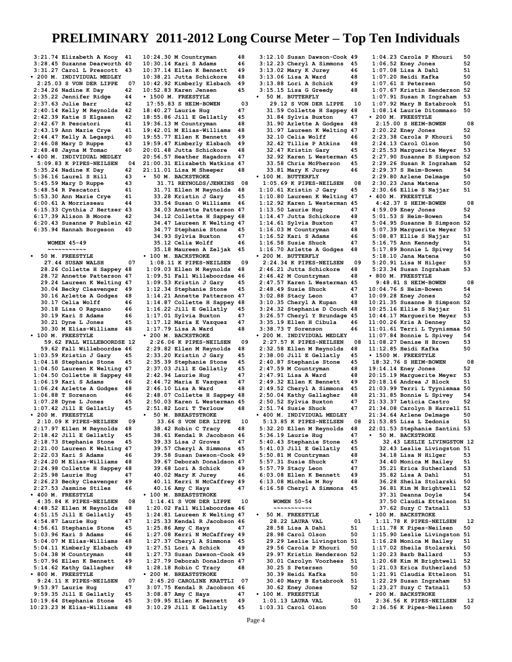**3:21.74 Elizabeth A Kooy 41 3:28.45 Suzanne Dearworth 40 3:31.27 Carol L Prescott 43 • 200 M. INDIVIDUAL MEDLEY 2:25.03 S VON DER LIPPE 07 2:34.26 Nadine K Day 42 2:35.22 Jennifer Ridge 44 2:37.63 Julie Barr 42 2:40.14 Kelly M Reynolds 42 2:42.39 Katie S Elgaaen 42 2:42.67 R Pescatori 41 2:43.19 Ann Marie Crye 41 2:44.47 Kelly A Legaspi 40 2:46.08 Mary D Ruppe 43 2:48.48 Jayna M Tomac 40 • 400 M. INDIVIDUAL MEDLEY 5:09.83 K PIPES-NEILSEN 04 5:35.24 Nadine K Day 42 5:36.16 Laurel S Hill 43 5:45.59 Mary D Ruppe 43 5:48.54 R Pescatori 41 5:53.30 Ann Marie Crye 41 6:00.61 A Morrisseau 44 6:15.33 Cynthia J Hertzer 43 6:17.39 Alison B Moore 42 6:20.43 Susanne P Rublein 42 6:35.94 Hannah Borgeson 40 WOMEN 45-49 ~~~~~~~~~~~ • 50 M. FREESTYLE 27.44 SUSAN WALSH 07 28.26 Collette H Sappey 48 28.72 Annette Patterson 47 29.24 Laureen K Welting 47 30.04 Becky Cleavenger 49 30.16 Arlette A Godges 48 30.17 Celia Wolff** 46<br>**30.18 Lisa O Rapuano** 46  **30.18 Lisa O Rapuano 46 30.19 Kari S Adams 46 30.21 Dyne L Jones 45 30.30 M Elias-Williams 48 • 100 M. FREESTYLE 59.62 FALL WILLEBOORDSE 12 59.62 Fall Willeboordse 46 1:03.59 Kristin J Gary 45 1:04.18 Stephanie Stone 45 1:04.50 Laureen K Welting 47 1:04.50 Collette H Sappey 48** 1:06.19 Kari S Adams <sup>11</sup> 46<br>1:06.24 Arlette A Godges 48 **1:06.24 Arlette A Godges 48 1:06.88 T Sorenson 46 1:07.28 Dyne L Jones 45 1:07.42 Jill E Gellatly 45 • 200 M. FREESTYLE 2:10.09 K PIPES-NEILSEN 09 2:17.97 Ellen M Reynolds 48 2:18.42 Jill E Gellatly 45 2:18.73 Stephanie Stone 45 2:21.00 Laureen K Welting 47** 2:22.03 Kari S Adams 46<br>2:24.20 M Elias-Williams 48 **2:24.20 M Elias-Williams 48 2:24.98 Collette H Sappey 48 2:25.98 Laurie Hug 47<br>2:26.23 Becky Cleavenger 49 2:26.23 Becky Cleavenger 49 2:27.53 Jasmine Stiles 46 • 400 M. FREESTYLE 4:35.84 K PIPES-NEILSEN 08 4:48.52 Ellen M Reynolds 48 4:51.15 Jill E Gellatly 45 4:54.87 Laurie Hug 47 4:56.61 Stephanie Stone 45 5:03.96 Kari S Adams 46 5:04.07 M Elias-Williams 48 5:04.11 Kimberly Elsbach 49 5:04.38 M Countryman 48 5:07.96 Ellen K Bennett 49 5:14.62 Kathy Gallagher 48 • 800 M. FREESTYLE 9:24.11 K PIPES-NEILSEN 07 9:53.97 Laurie Hug 47 9:59.35 Jill E Gellatly 45**  $10:19.64$  Stephanie Stone **10:23.23 M Elias-Williams 48**

**10:24.30 M Countryman 48 10:30.14 Kari S Adams 46 10:37.14 Ellen K Bennett 49 10:38.21 Jutta Schickore 48 10:42.92 Kimberly Elsbach 49 10:52.83 Karen Jensen 45 • 1500 M. FREESTYLE 17:55.83 S HEIM-BOWEN 03 18:40.27 Laurie Hug 47 18:55.86 Jill E Gellatly 45 19:36.13 M Countryman 48 19:42.01 M Elias-Williams 48 19:55.77 Ellen K Bennett 49 19:59.47 Kimberly Elsbach 49 20:01.48 Jutta Schickore 48 20:56.57 Heather Hagadorn 47 21:00.31 Elizabeth Watkins 47 21:11.01 Lisa M Sheeper 48 • 50 M. BACKSTROKE 31.71 REYNOLDS/JENKINS 08 31.71 Ellen M Reynolds 48 33.28 Kristin J Gary 45 33.54 Susan O Williams 46 34.03 Annette Patterson 47 34.12 Collette H Sappey 48 34.47 Laureen K Welting 47 34.77 Stephanie Stone 45 34.93 Sylvia Buxton 47 35.12 Celia Wolff 46 35.18 Maureen A Zeljak 45 • 100 M. BACKSTROKE 1:08.11 K PIPES-NEILSEN 09 1:09.03 Ellen M Reynolds 48 1:09.51 Fall Willeboordse 46 1:09.53 Kristin J Gary 45 1:12.34 Stephanie Stone 45 1:14.21 Annette Patterson 47 1:14.87 Collette H Sappey 48 1:16.22 Jill E Gellatly 45 1:17.01 Sylvia Buxton** 47<br>**1:17.12 Maria E Vazquez** 47 **1:17.12 Maria E Vazquez 47 1:17.79 Lisa A Ward 48 • 200 M. BACKSTROKE 2:26.06 K PIPES-NEILSEN 09 2:29.82 Ellen M Reynolds 48 2:33.20 Kristin J Gary 45 2:35.39 Stephanie Stone 45 2:37.03 Jill E Gellatly 45 2:42.94 Laurie Hug 47 2:44.72 Maria E Vazquez 47 2:46.10 Lisa A Ward 48 2:48.07 Collette H Sappey 48 2:50.03 Karen L Westerman 45 2:51.82 Lori T Terlouw 48 • 50 M. BREASTSTROKE 33.66 S VON DER LIPPE 10**<br>88.42 Robin C Tracy 48  **38.42 Robin C Tracy 48 38.61 Kendal R Jacobson 46 39.33 Lisa J Groves 47 39.57 Cheryl A Simmons 45 39.58 Susan Dawson-Cook 49 39.67 Deborah Donaldson 47 39.68 Lori A Schick 49 40.02 Mary K Jurey 46 40.11 Kerri N McCaffrey 49 40.16 Amy C Hays 47 • 100 M. BREASTSTROKE 1:14.41 S VON DER LIPPE 10 1:20.02 Fall Willeboordse 46 1:24.81 Laureen K Welting 47 1:25.33 Kendal R Jacobson 46 1:25.86 Amy C Hays 47 1:27.08 Kerri N McCaffrey 49 1:27.37 Cheryl A Simmons 45 1:27.51 Lori A Schick 49 1:27.73 Susan Dawson-Cook 49 1:27.79 Deborah Donaldson 47 1:28.18 Robin C Tracy 48 • 200 M. BREASTSTROKE 2:45.20 CAROLINE KRATTLI 07 3:07.75 Kendal R Jacobson 46 3:08.87 Amy C Hays** 47<br>3:09.95 Ellen K Bennett 49 **3:09.95 Ellen K Bennett 49 3:10.29 Jill E Gellatly 45 • 100 M. FREESTYLE**

**3:12.10 Susan Dawson-Cook 49 3:12.23 Cheryl A Simmons 45 3:13.02 Mary K Jurey 46**<br>**3:13.06 Lisa A Ward 48 3:13.06 Lisa A Ward 48 3:13.88 Lori A Schick 49 3:15.15 Lisa G Greedy 48 • 50 M. BUTTERFLY 29.12 S VON DER LIPPE 10 31.59 Collette H Sappey 48 31.84 Sylvia Buxton** 47<br>**31.90 Arlette A Godges** 48  **31.90 Arlette A Godges 48 31.97 Laureen K Welting 47 32.10 Celia Wolff** 46<br>**32.42 Tillie P Atkins** 48  **32.42 Tillie P Atkins 48 32.47 Kristin Gary 45 32.92 Karen L Westerman 45 33.58 Chris McPherson 45 33.81 Mary K Jurey 46 • 100 M. BUTTERFLY 1:05.69 K PIPES-NEILSEN 08 1:10.61 Kristin J Gary 45 1:10.80 Laureen K Welting 47 1:12.92 Karen L Westerman 45 1:13.50 Laurie Hug 47 1:14.47 Jutta Schickore 48 1:14.61 Sylvia Buxton 47 1:16.03 M Countryman 48 1:16.52 Kari S Adams 46 1:16.58 Susie Shuck 47 1:16.70 Arlette A Godges 48 • 200 M. BUTTERFLY 2:24.34 K PIPES-NEILSEN 09 2:46.21 Jutta Schickore 48 2:46.42 M Countryman 48 2:47.57 Karen L Westerman 45 2:48.49 Susie Shuck 47 3:02.88 Stacy Leon 47 3:10.35 Cheryl A Kupan 48 3:24.32 Stephanie D Couch 48 3:26.57 Cheryl Y Brundage 45 3:35.19 Ellen H Cibula 46 3:38.73 T Sorenson 46 • 200 M. INDIVIDUAL MEDLEY 2:27.57 K PIPES-NEILSEN 08 2:32.58 Ellen M Reynolds 48 2:38.00 Jill E Gellatly 45 2:40.87 Stephanie Stone 45 2:47.59 M Countryman 48** 2:47.91 Lisa A Ward 48<br>2:49.32 Ellen K Bennett 49 **2:49.32 Ellen K Bennett 49 2:49.52 Cheryl A Simmons 45 2:50.04 Kathy Gallagher 48 2:50.52 Sylvia Buxton 47 2:51.74 Susie Shuck 47 • 400 M. INDIVIDUAL MEDLEY 5:13.85 K PIPES-NEILSEN 08 5:32.20 Ellen M Reynolds 48 5:36.19 Laurie Hug 47 5:40.43 Stephanie Stone 45 5:41.03 Jill E Gellatly 45 5:50.81 M Countryman 48 5:57.31 Susie Shuck 47 5:57.79 Stacy Leon 47 6:03.08 Ellen K Bennett 49 6:13.08 Michele M Roy 48 6:16.58 Cheryl A Simmons 45 WOMEN 50-54 ~~~~~~~~~~~ • 50 M. FREESTYLE 28.22 LAURA VAL 01 28.58 Lisa A Dahl 51 28.98 Carol Olson 50 29.29 Leslie Livingston 51 29.56 Carola P Khouri 50 29.97 Kristin Henderson 52 30.01 Carolyn Voorhees 51 30.25 S Petersen 50**<br>**30.39 Heidi Kafka** 50  **30.39 Heidi Kafka 50 30.40 Mary B Estabrook 51 30.62 Eney Jones 52**

**1:04.23 Carola P Khouri 50 1:06.52 Eney Jones 52 1:07.08 Lisa A Dahl 51 1:07.20 Heidi Kafka 50 1:07.61 S Petersen 50**<br>**1:07.67 Kristin Henderson 52 1:07.67 Kristin Henderson 52 1:07.91 Susan R Ingraham 53 1:07.92 Mary B Estabrook 51 1:08.14 Laurie Ditommaso 50 • 200 M. FREESTYLE 2:15.00 S HEIM-BOWEN 08 2:20.22 Eney Jones 52 2:23.38 Carola P Khouri 50 2:24.13 Carol Olson 50 2:25.53 Marguerite Meyer 53 2:27.90 Susanne B Simpson 52 2:29.26 Susan R Ingraham 52 2:29.37 S Heim-Bowen 54 2:29.80 Arlene Delmage 50 2:30.23 Jana Matena 50 2:30.66 Ellie S Najjar 51 • 400 M. FREESTYLE 4:42.37 S HEIM-BOWEN 08 4:59.09 Eney Jones 52 5:01.53 S Heim-Bowen 54 5:04.95 Susanne B Simpson 52 5:07.39 Marguerite Meyer 53 5:08.87 Ellie S Najjar 51 5:16.75 Ann Kennedy 51 5:17.89 Bonnie L Spivey 54 5:18.10 Jana Matena 50 5:20.91 Lisa N Hilger 53 5:23.34 Susan Ingraham 53 • 800 M. FREESTYLE 9:48.81 S HEIM-BOWEN 08**<br>0:04.76 S Heim-Bowen 54 **10:04.76 S Heim-Bowen 54 10:09.28 Eney Jones 52 10:21.35 Susanne B Simpson 52 10:25.16 Ellie S Najjar 51 10:44.17 Marguerite Meyer 53 11:00.26 Kris A Denney 52 11:01.61 Terri L Tyynismaa 50 11:07.84 Bonnie L Spivey 11:08.27 Denise H Brown 53 11:12.85 Heidi Kafka 50 • 1500 M. FREESTYLE 18:32.76 S HEIM-BOWEN 08 19:14.14 Eney Jones** 52<br>20:15.19 Marquerite Meyer 53 **20:15.19 Marguerite Meyer 53 20:18.16 Andrea J Block 51 21:03.99 Terri L Tyynismaa 50 21:31.85 Bonnie L Spivey 54 21:33.37 Leticia Castro 52 21:34.08 Carolyn B Harrell 51 21:34.64 Arlene Delmage 50 21:53.85 Lisa L Zedonis 51 22:01.53 Stephanie Santini 53 • 50 M. BACKSTROKE 32.43 LESLIE LIVINGSTON 12 32.43 Leslie Livingston 51 34.18 Lisa N Hilger 53 34.40 Monica M Bailey 51 35.21 Erica Sutherland 53 35.82 Lisa A Dahl 51**<br>**36.28 Sheila Stolarski** 50  **36.28 Sheila Stolarski 50 36.81 Kim M Brightwell 52 37.31 Deanna Doyle 54 37.50 Claudia Ettelson 51 37.62 Suzy C Tatnall 53 • 100 M. BACKSTROKE 1:11.78 K PIPES-NEILSEN 12 1:11.78 K Pipes-Neilsen 50 1:15.90 Leslie Livingston 51 1:16.28 Monica M Bailey 51 1:17.02 Sheila Stolarski 50 1:20.23 Barb Ballard 53 1:20.68 Kim M Brightwell 52 1:21.03 Erica Sutherland 53 1:21.91 Claudia Ettelson 51 1:22.29 Susan Ingraham 53 1:23.27 Suzy C Tatnall 53 • 200 M. BACKSTROKE 2:36.56 K PIPES-NEILSEN 12 2:36.56 K Pipes-Neilsen 50**

 **1:01.13 LAURA VAL 01 1:03.31 Carol Olson 50**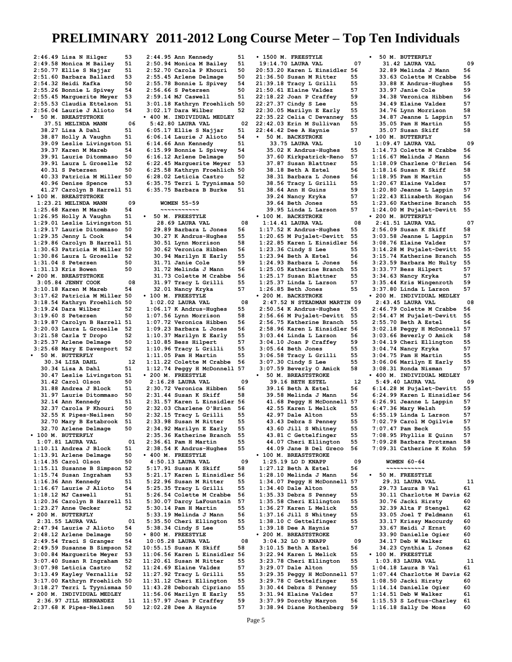**2:46.49 Lisa N Hilger 53 2:49.58 Monica M Bailey 51 2:50.77 Ellie S Najjar 51 2:51.60 Barbara Ballard 53 2:54.32 Heidi Kafka 50 2:55.26 Bonnie L Spivey 54 2:55.45 Marguerite Meyer 53 2:55.53 Claudia Ettelson 51 2:56.04 Laurie J Alioto 54 • 50 M. BREASTSTROKE 37.51 MELINDA MANN 06 38.27 Lisa A Dahl 51 38.87 Holly A Vaughn 51 39.09 Leslie Livingston 51 39.37 Karen M Mareb 54 39.91 Laurie Ditommaso 50 39.91 Laura L Groselle 52 40.31 S Petersen 50 40.33 Patricia M Miller 50 40.96 Denise Spence 53 41.27 Carolyn B Harrell 51 • 100 M. BREASTSTROKE 1:23.21 MELINDA MANN 09 1:25.68 Karen M Mareb 54 1:26.95 Holly A Vaughn 51 1:29.01 Leslie Livingston 51 1:29.17 Laurie Ditommaso 50 1:29.35 Jenny L Cook 54 1:29.86 Carolyn B Harrell 51 1:30.63 Patricia M Miller 50 1:30.86 Laura L Groselle 52 1:31.04 S Petersen 50 1:31.13 Kris Bowen 50 • 200 M. BREASTSTROKE 3:05.84 JENNY COOK 08**<br>1:10.18 Karen M Mareb 54 **3:10.18 Karen M Mareb 54 3:17.62 Patricia M Miller 50 3:18.54 Kathryn Froehlich 50 3:19.24 Dara Wilber 52 3:19.60 S Petersen 50 3:19.87 Carolyn B Harrell 51 3:20.03 Laura L Groselle 52 3:21.58 Carla T Dropo 52 3:25.37 Arlene Delmage 50 3:25.68 Mary E Davenport 52 • 50 M. BUTTERFLY 30.34 LISA DAHL 12**<br>**80.34 Lisa A Dahl 51 30.34 Lisa A Dahl 51 30.47 Leslie Livingston 51 31.42 Carol Olson** 50<br>**31.88 Andrea J Block** 51  **31.88 Andrea J Block 51 31.97 Laurie Ditommaso 50 32.14 Ann Kennedy 51 32.37 Carola P Khouri 50 32.55 K Pipes-Neilsen 50 32.70 Mary B Estabrook 51 32.70 Arlene Delmage 50 • 100 M. BUTTERFLY 1:07.81 LAURA VAL 01 1:10.11 Andrea J Block 51 1:13.91 Arlene Delmage 50 1:14.35 Carol Olson 50 1:15.11 Susanne B Simpson 52 1:15.74 Susan Ingraham 53 1:16.36 Ann Kennedy 51 1:16.67 Laurie J Alioto 54 1:18.12 MJ Caswell 51 1:20.36 Carolyn B Harrell 51 1:23.27 Anne Uecker 52 • 200 M. BUTTERFLY 2:31.55 LAURA VAL 01 2:47.94 Laurie J Alioto 54 2:48.12 Arlene Delmage 50 2:49.54 Traci S Granger 54 2:49.59 Susanne B Simpson 52 3:00.84 Marguerite Meyer 53 3:07.40 Susan R Ingraham 52 3:07.98 Leticia Castro 52 3:13.49 Kayley Vernallis 52 3:17.00 Kathryn Froehlich 50 3:18.27 Terri L Tyynismaa 50 • 200 M. INDIVIDUAL MEDLEY 2:36.97 JILL HERNANDEZ 11 2:37.68 K Pipes-Neilsen 50**

**2:44.95 Ann Kennedy 51 2:50.94 Monica M Bailey 51 2:52.70 Carola P Khouri 50 2:55.45 Arlene Delmage 50 2:55.78 Bonnie L Spivey 54 2:56.66 S Petersen 50 2:59.14 MJ Caswell 51 3:01.18 Kathryn Froehlich 50 3:02.17 Dara Wilber 52 • 400 M. INDIVIDUAL MEDLEY 5:42.80 LAURA VAL 02 6:05.17 Ellie S Najjar 51 6:06.14 Laurie J Alioto 54 6:14.66 Ann Kennedy 51 6:15.99 Bonnie L Spivey 54**  $6:16.12$  Arlene Delmage **6:22.45 Marguerite Meyer 53 6:25.58 Kathryn Froehlich 50 6:28.02 Leticia Castro 52 6:35.75 Terri L Tyynismaa 50 6:35.75 Barbara B Burke 51 WOMEN 55-59 ~~~~~~~~~~~ • 50 M. FREESTYLE 28.69 LAURA VAL 08 29.89 Barbara L Jones 56 30.27 K Andrus-Hughes 55 30.51 Lynn Morrison 58 30.62 Veronica Hibben 56 30.94 Marilyn E Early 55 31.71 Janie Cole 59**<br>**31.72 Melinda J Mann** 56  **31.72 Melinda J Mann 56 31.73 Colette M Crabbe 56 31.97 Tracy L Grilli 55 32.01 Nancy Kryka • 100 M. FREESTYLE 1:02.02 LAURA VAL 08 1:06.17 K Andrus-Hughes 55 1:07.56 Lynn Morrison 58 1:07.72 Veronica Hibben 56 1:09.23 Barbara L Jones 56**  $1:10.37$  Marilyn E Early **1:10.85 Bess Hilpert 57 1:10.96 Tracy L Grilli 55 1:11.05 Pam H Martin 55 1:11.22 Colette M Crabbe 56 1:12.74 Peggy H McDonnell 57 • 200 M. FREESTYLE 2:16.28 LAURA VAL 09 2:30.72 Veronica Hibben 56 2:31.44 Susan K Skiff 58 2:31.57 Karen L Einsidler 56 2:32.03 Charlene O'Brien 56 2:32.15 Tracy L Grilli 55 2:33.98 Susan M Ritter 55 2:34.92 Marilyn E Early 55** 2:35.36 Katherine Branch **2:36.61 Pam H Martin 55 2:38.54 K Andrus-Hughes 55 • 400 M. FREESTYLE 4:50.13 LAURA VAL 09**<br>1:17.91 Susan K Skiff 58 **5:17.91 Susan K Skiff 58 5:21.17 Karen L Einsidler 56 5:22.96 Susan M Ritter 55 5:25.35 Tracy L Grilli 55 5:26.54 Colette M Crabbe 56 5:30.07 Darcy LaFountain 57 5:30.14 Pam H Martin 55 5:33.19 Melinda J Mann 56 5:35.50 Cheri Ellington 55 5:38.34 Cindy S Lee 55 • 800 M. FREESTYLE 10:05.28 LAURA VAL 08 10:55.15 Susan K Skiff 58 11:06.56 Karen L Einsidler 56 11:20.61 Susan M Ritter 55 11:24.69 Elaine Valdez 57 11:27.92 Tracy L Grilli 55 11:31.12 Cheri Ellington 55 11:43.28 Deborah Cipriano 55 11:56.06 Marilyn E Early 55 11:57.97 Joan P Craffey 59**

**• 1500 M. FREESTYLE 19:14.70 LAURA VAL 07 20:53.20 Karen L Einsidler 56 21:36.50 Susan M Ritter 55 21:39.18 Tracy L Grilli 55 21:50.61 Elaine Valdez 57 22:18.22 Joan P Craffey 59 22:27.37 Cindy S Lee 55<br>22:30.05 Marilyn E Early 55 22:30.05 Marilyn E Early 55 22:35.22 Celia C Devanney 55 22:42.03 Erin M Sullivan 55 22:44.42 Dee A Haynie 57 • 50 M. BACKSTROKE 33.75 LAURA VAL 10**<br>15.02 K Andrus-Hughes 55  **35.02 K Andrus-Hughes 55 37.60 Kirkpatrick-Reno 57 37.87 Susan Blattner 55 38.18 Beth A Estel 56 38.31 Barbara L Jones 56 38.56 Tracy L Grilli 55 38.64 Ann H Guins 59 39.24 Nancy Kryka 57 39.64 Beth Jones 55 39.95 Linda L Larson 57 • 100 M. BACKSTROKE 1:14.41 LAURA VAL 08**<br>**1:17.52 K Andrus-Hughes** 55 **1:17.52 K Andrus-Hughes 55 1:20.65 M Pujalet-Devitt 55 1:22.85 Karen L Einsidler 56 1:23.36 Cindy S Lee 55 1:23.94 Beth A Estel 56**<br>**1:24.93 Barbara L Jones 56 1:24.93 Barbara L Jones 56 1:25.05 Katherine Branch 55 1:25.17 Susan Blattner 55 1:25.37 Linda L Larson 57 1:26.85 Beth Jones 55 • 200 M. BACKSTROKE 2:47.52 N STEADMAN MARTIN 09 2:50.54 K Andrus-Hughes 55 2:56.66 M Pujalet-Devitt 55 2:56.75 Katherine Branch 55 2:58.96 Karen L Einsidler 56 3:03.44 Linda L Larson 56 3:04.10 Joan P Craffey 59 3:05.64 Beth Jones 55 3:06.58 Tracy L Grilli 55 3:07.30 Cindy S Lee 55 3:07.59 Beverly O Amick 58 • 50 M. BREASTSTROKE 39.16 BETH ESTEL 12**<br>**39.16 Beth A Estel 56 39.16 Beth A Estel 56 39.58 Melinda J Mann 56 41.68 Peggy H McDonnell 57 42.55 Karen L Melick 55 42.97 Dale Alton 55 43.43 Debra S Penney 55 43.60 Jill S Whitney 55 43.81 C Gettelfinger 55 44.07 Cheri Ellington 55 44.09 Jane B Del Greco 56 • 100 M. BREASTSTROKE 1:25.19 LO D KNAPP 09**<br>**1:27.12 Beth A Estel 56 1:27.12 Beth A Estel 56 1:28.10 Melinda J Mann 56 1:34.07 Peggy H McDonnell 57 1:34.40 Dale Alton 55 1:35.33 Debra S Penney 55 1:35.58 Cheri Ellington 55 1:36.27 Karen L Melick 55 1:37.16 Jill S Whitney 55 1:38.10 C Gettelfinger 55 1:39.18 Dee A Haynie 57 • 200 M. BREASTSTROKE 3:04.32 LO D KNAPP** 09<br>**3:10.15 Beth A Estel** 56 **3:10.15 Beth A Estel 56 3:22.94 Karen L Melick 55 3:23.78 Cheri Ellington 55 3:29.07 Dale Alton 55 3:29.35 Peggy H McDonnell 57 3:29.78 C Gettelfinger 55 3:30.44 Debra S Penney 55 3:31.94 Elaine Valdez 57 3:37.99 Dorothy Maryon 56 • 50 M. BUTTERFLY 1:15.53 S Loftus-Charley 61**

 **31.42 LAURA VAL 09 32.89 Melinda J Mann 56 33.63 Colette M Crabbe 56 33.88 K Andrus-Hughes 55 33.97 Janie Cole 59 34.38 Veronica Hibben 56 34.49 Elaine Valdez 57 34.76 Lynn Morrison 58 34.87 Jeanne L Lappin 57 35.05 Pam H Martin 55 35.07 Susan Skiff 58 • 100 M. BUTTERFLY 1:09.47 LAURA VAL 09**<br>1:14.73 Colette M Crabbe 56 **1:14.73 Colette M Crabbe 56 1:16.67 Melinda J Mann 56 1:18.09 Charlene O'Brien 56 1:18.16 Susan K Skiff 58 1:18.95 Pam H Martin 55 1:20.67 Elaine Valdez 57 1:20.80 Jeanne L Lappin 57 1:22.43 Elizabeth Hogan 56** 1:23.60 Katherine Branch **1:24.00 M Pujalet-Devitt 55 • 200 M. BUTTERFLY 2:41.51 LAURA VAL 07**<br>2:56.09 Susan K Skiff 58 **2:56.09 Susan K Skiff 58 3:03.58 Jeanne L Lappin 57 3:08.76 Elaine Valdez 57 3:14.28 M Pujalet-Devitt 55** 3:15.74 Katherine Branch **3:23.59 Barbara Mc Nulty 55 3:33.77 Bess Hilpert 57** 3:34.63 Nancy Kryka **3:35.44 Kris Wingenroth 59 3:37.80 Linda L Larson 57 • 200 M. INDIVIDUAL MEDLEY 2:43.45 LAURA VAL 08 2:46.79 Colette M Crabbe 56 2:54.47 M Pujalet-Devitt 55 2:55.70 Beth A Estel 56**<br>**3:02.18 Peqqy H McDonnell 57 3:02.18 Peggy H McDonnell 57 3:03.66 Beverly O Amick 58 3:04.19 Cheri Ellington 55 3:04.74 Nancy Kryka 57 3:04.75 Pam H Martin 55 3:06.06 Marilyn E Early 55 3:08.31 Ronda Nisman 57 • 400 M. INDIVIDUAL MEDLEY 5:49.40 LAURA VAL 09 6:14.28 M Pujalet-Devitt 55 6:24.99 Karen L Einsidler 56 6:26.91 Jeanne L Lappin 57 6:47.36 Mary Welsh** 59<br>**6:55.19 Linda L Larson** 57 **6:55.19 Linda L Larson 57 7:02.79 Carol M Ogilvie 57 7:07.47 Pam Beck 55**<br>7:08.95 Phyllis E Ouinn 57 **7:08.95 Phyllis E Quinn 57 7:09.28 Barbara Protzman 58 7:09.31 Catherine K Kohn 59 WOMEN 60-64 ~~~~~~~~~~~ • 50 M. FREESTYLE 29.31 LAURA VAL 11 29.73 Laura B Val 61 30.11 Charlotte M Davis 62 30.76 Jacki Hirsty 60 32.39 Alta F Stengel 62 33.05 Joel T Feldmann 61 33.17 Krissy Maccurdy 60 33.67 Heidi J Ernst 60 33.90 Danielle Ogier 60 34.17 Deb W Walker 61<br>34.23 Cynthia L Jones 62 34.23 Cynthia L Jones 62 • 100 M. FREESTYLE 1:03.83 LAURA VAL 11 1:04.18 Laura B Val 61<br>1:07.44 Charlotte M Davis 62 1:07.44 Charlotte M Davis 62 1:08.50 Jacki Hirsty 60 1:14.14 Danielle Ogier 60 1:14.51 Deb W Walker 61**

**1:16.18 Sally De Moss 60**

**3:38.94 Diane Rothenberg 59**

**12:02.28 Dee A Haynie 57**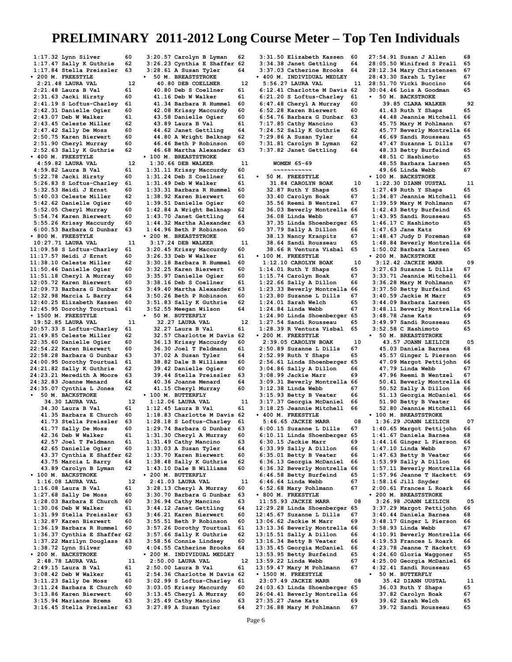**1:17.32 Lynn Silver 60**<br>**1:17.47 Sallv K Guthrie** 62 **1:17.47 Sally K Guthrie 62 1:17.84 Stella Preissler 63 • 200 M. FREESTYLE 2:21.48 LAURA VAL 12**<br>12.21.48 Laura B Val 61 **2:21.48 Laura B Val 61 2:31.63 Jacki Hirsty 60 2:41.19 S Loftus-Charley 61 2:42.31 Danielle Ogier 60 2:43.07 Deb W Walker 61 2:43.45 Celeste Miller 62 2:47.42 Sally De Moss 60 2:50.75 Karen Bierwert 60 2:51.90 Cheryl Murray 60 2:52.63 Sally K Guthrie 62 • 400 M. FREESTYLE 4:59.82 LAURA VAL 12**<br>**12 12:59.82 Laura B Val** 61:59.82 **4:59.82 Laura B Val 61 5:22.78 Jacki Hirsty 60 5:26.83 S Loftus-Charley 61 5:32.53 Heidi J Ernst 60 5:40.03 Celeste Miller 62 5:42.62 Danielle Ogier 60 5:52.05 Cheryl Murray 60 5:54.74 Karen Bierwert 60 5:55.26 Krissy Maccurdy 60 6:00.53 Barbara G Dunbar 63 • 800 M. FREESTYLE 10:27.71 LAURA VAL 11 11:09.58 S Loftus-Charley 61 11:17.57 Heidi J Ernst** 60<br>**11:38.10 Celeste Miller** 62 **11:38.10 Celeste Miller 62 11:50.46 Danielle Ogier 60 11:51.18 Cheryl A Murray 60 12:05.72 Karen Bierwert 60**<br>**12:09.73 Barbara G Dunbar 63 12:09.73 Barbara G Dunbar 63 12:32.98 Marcia L Barry 64 12:40.25 Elizabeth Kassen 60 12:45.95 Dorothy Tourtual 61 • 1500 M. FREESTYLE 19:52.85 LAURA VAL 11**<br>20:57.33 S Loftus-Charley 61 **20:57.33 S Loftus-Charley 61 21:49.85 Celeste Miller 62 22:35.60 Danielle Ogier 60 22:54.22 Karen Bierwert 60 22:58.28 Barbara G Dunbar 63 24:00.95 Dorothy Tourtual 61 24:21.82 Sally K Guthrie 62 24:23.21 Meredith A Moore 63 24:32.83 Joanne Menard 64 24:35.07 Cynthia L Jones 62 • 50 M. BACKSTROKE 34.30 LAURA VAL 12 34.30 Laura B Val 61<br>41.35 Barbara E Church 60 41.35 Barbara E Church 60 41.73 Stella Preissler 63 41.77 Sally De Moss 60**<br>**42.36 Deb W Walker 61 42.36 Deb W Walker 61 42.57 Joel T Feldmann 61 42.65 Danielle Ogier 60<br>43.37 Cynthia E Shaffer 62 43.37 Cynthia E Shaffer 62 43.75 Marcia L Barry 64 43.89 Carolyn B Lyman 62 • 100 M. BACKSTROKE 1:16.08 LAURA VAL 12 1:16.08 Laura B Val 61<br>1:27.68 Sally De Moss 60 1:27.68 Sally De Moss 60 1:28.03 Barbara E Church 60 1:30.06 Deb W Walker 61 1:31.99 Stella Preissler 63 1:32.87 Karen Bierwert 60 1:36.19 Barbara R Hummel 60 1:36.37 Cynthia E Shaffer 62 1:37.22 Marilyn Douglass 63 1:38.72 Lynn Silver 60 • 200 M. BACKSTROKE 2:48.78 LAURA VAL 11 2:49.15 Laura B Val 61**<br>**3:08.42 Deb W Walker** 61 **3:08.42 Deb W Walker 61 3:11.23 Sally De Moss 60 3:11.24 Barbara E Church 60 3:13.86 Karen Bierwert 60 3:15.94 Marianne Brems 63 3:16.45 Stella Preissler 63**

**3:20.57 Carolyn B Lyman 62 3:26.23 Cynthia E Shaffer 62 3:28.61 A Susan Tyler 64 • 50 M. BREASTSTROKE 40.80 DEB COELLNER** 12<br>**10.80 Deb S Coellner** 61  **40.80 Deb S Coellner 61 41.16 Deb W Walker 61 41.34 Barbara R Hummel 60 42.08 Krissy Maccurdy 60 43.58 Danielle Ogier 60**<br>**43.89 Laura B Val 61 43.89 Laura B Val 61 44.62 Janet Gettling 64 44.80 A Wright Belknap 62 46.46 Beth P Robinson 60 46.68 Martha Alexander 63 • 100 M. BREASTSTROKE 1:30.66 DEB WALKER** 11<br>**12.11 11 Krissy Maccurdy** 60: **1:31.11 Krissy Maccurdy 60 1:31.24 Deb S Coellner 61 1:31.49 Deb W Walker 61 1:33.31 Barbara R Hummel 60 1:38.92 Karen Bierwert 60 1:39.51 Danielle Ogier 60 1:42.84 A Wright Belknap 62** 1:43.70 Janet Gettling **1:44.32 Martha Alexander 63 1:44.96 Beth P Robinson 60 • 200 M. BREASTSTROKE 3:17.24 DEB WALKER 11 3:20.45 Krissy Maccurdy 60 3:26.33 Deb W Walker 61**<br>**3:30.18 Barbara R Hummel 60 3:30.18 Barbara R Hummel 60 3:32.25 Karen Bierwert 60 3:35.97 Danielle Ogier 60 3:38.16 Deb S Coellner 61 3:49.40 Martha Alexander 63 3:50.26 Beth P Robinson 60 3:51.83 Sally K Guthrie 62 3:52.55 Meegan Wilson 64 • 50 M. BUTTERFLY 32.27 LAURA VAL 12 32.27 Laura B Val 61<br>32.57 Charlotte M Davis 62 32.57 Charlotte M Davis 62 36.13 Krissy Maccurdy 60 36.30 Joel T Feldmann 61 37.02 A Susan Tyler 64 38.82 Dale B Williams 60 39.42 Danielle Ogier 60**<br>**39.44 Stella Preissler 63 39.44 Stella Preissler 63 40.36 Joanne Menard 64 41.15 Cheryl Murray 60 • 100 M. BUTTERFLY 1:12.06 LAURA VAL 11 1:12.45 Laura B Val 61 1:18.83 Charlotte M Davis 62 1:28.18 S Loftus-Charley 61 1:29.74 Barbara G Dunbar 63 1:31.30 Cheryl A Murray 60 1:31.49 Cathy Mancino 63 1:33.03 A Susan Tyler 64 1:33.70 Karen Bierwert 60 1:38.48 Sally K Guthrie 62 1:43.10 Dale B Williams 60 • 200 M. BUTTERFLY 2:41.03 LAURA VAL 11 3:28.13 Cheryl A Murray 60 3:30.70 Barbara G Dunbar 63 3:36.94 Cathy Mancino 63 3:44.12 Janet Gettling 64 3:46.21 Karen Bierwert 60 3:55.51 Beth P Robinson 60 3:57.26 Dorothy Tourtual 61 3:57.66 Sally K Guthrie 62 3:58.56 Connie Lindsey 60 4:04.55 Catherine Brooks 64 • 200 M. INDIVIDUAL MEDLEY 2:50.00 LAURA VAL 12 2:50.00 Laura B Val 61 2:54.36 Charlotte M Davis 62 3:02.99 S Loftus-Charley 61 3:03.05 Krissy Maccurdy 60 3:13.45 Cheryl A Murray 60 3:25.49 Cathy Mancino 63 3:27.89 A Susan Tyler 64**

**3:31.50 Elizabeth Kassen 60 3:34.38 Janet Gettling 64 3:37.03 Catherine Brooks 64 • 400 M. INDIVIDUAL MEDLEY 5:56.27 LAURA VAL 11 6:12.41 Charlotte M Davis 62 6:21.20 S Loftus-Charley 61 6:47.48 Cheryl A Murray 60 6:52.28 Karen Bierwert 60 6:54.76 Barbara G Dunbar 63 7:17.85 Cathy Mancino 63 7:24.52 Sally K Guthrie 62 7:29.86 A Susan Tyler 64 7:31.81 Carolyn B Lyman 62**  $7:37.82$  Janet Gettling  **WOMEN 65-69 ~~~~~~~~~~~ • 50 M. FREESTYLE 31.84 CAROLYN BOAK 10 32.87 Ruth Y Shaps 65 33.40 Carolyn Boak 67**<br>**35.56 Reemi B Wentzel 67 35.56 Reemi B Wentzel 67 36.03 Beverly Montrella 66 36.08 Linda Webb 67 37.35 Linda Shoenberger 65 37.79 Sally A Dillon 66 38.13 Nancy Kranpitz 67 38.64 Sandi Rousseau 65 38.66 R Ventura Visbal 65 • 100 M. FREESTYLE 1:12.10 CAROLYN BOAK 10 1:14.01 Ruth Y Shaps 65 1:15.74 Carolyn Boak 67 1:22.66 Sally A Dillon 66 1:23.33 Beverly Montrella 66 1:23.80 Suzanne L Dills 67 1:24.01 Sarah Welch 65 1:24.84 Linda Webb 67 1:24.90 Linda Shoenberger 65 1:27.54 Sandi Rousseau 65 1:28.39 R Ventura Visbal 65 • 200 M. FREESTYLE 2:39.05 CAROLYN BOAK 10 2:50.89 Suzanne L Dills 67 2:52.99 Ruth Y Shaps 65 2:56.61 Linda Shoenberger 65 3:04.86 Sally A Dillon 66 3:08.99 Jackie Marr 69 3:09.31 Beverly Montrella 66 3:12.38 Linda Webb 67 3:15.93 Betty B Veater 66 3:17.37 Georgia McDaniel 66 3:18.25 Jeannie Mitchell 66 • 400 M. FREESTYLE 5:46.65 JACKIE MARR** 08<br>**5:00.15 Suzanne L Dills** 67 **6:00.15 Suzanne L Dills 67 6:10.11 Linda Shoenberger 65 6:30.15 Jackie Marr 69 6:33.99 Sally A Dillon 66 6:35.01 Betty B Veater 66 6:36.13 Georgia McDaniel 66 6:36.32 Beverly Montrella 66 6:46.58 Betty Burfeind 65 6:46.64 Linda Webb 67 6:52.68 Mary Pohlmann 67 • 800 M. FREESTYLE 11:55.93 JACKIE MARR 08 12:29.28 Linda Shoenberger 65 12:45.67 Suzanne L Dills 67 13:06.62 Jackie M Marr 69 13:13.36 Beverly Montrella 66 13:15.51 Sally A Dillon 66 13:16.34 Betty B Veater 66 13:35.45 Georgia McDaniel 66 13:53.95 Betty Burfeind 65 13:59.22 Linda Webb 67 13:59.47 Mary M Pohlmann 67 • 1500 M. FREESTYLE 23:07.49 JACKIE MARR 08 24:03.63 Linda Shoenberger 65 26:04.41 Beverly Montrella 66 27:35.27 Jane Katz 69 27:36.88 Mary M Pohlmann 67**

**27:54.91 Susan J Allen 68 28:05.50 Winifred S Prall 65 28:12.34 Mary Christensen 67 28:43.30 Sarah L Tyler 67 28:51.70 Vicki Buccino 66 30:04.46 Lois A Goodman 65 • 50 M. BACKSTROKE 39.85 CLARA WALKER** 92<br>11.43 Ruth Y Shaps 65  **41.43 Ruth Y Shaps 65 44.48 Jeannie Mitchell 66 45.75 Mary M Pohlmann 67 45.77 Beverly Montrella 66 46.69 Sandi Rousseau 65 47.47 Suzanne L Dills 67 48.33 Betty Burfeind 65 48.51 C Hashimoto 65 48.55 Barbara Larsen 65 49.66 Linda Webb 67 • 100 M. BACKSTROKE 1:22.30 DIANN UUSTAL 11 1:27.49 Ruth Y Shaps 65 1:34.87 Jeannie Mitchell 66 1:39.59 Mary M Pohlmann 67 1:42.43 Betty Burfeind 65 1:43.95 Sandi Rousseau 65 1:46.17 C Hashimoto 65 1:47.63 Jane Katz 69 1:48.47 Judy D Foreman 68 1:48.84 Beverly Montrella 66 1:50.02 Barbara Larsen 65 • 200 M. BACKSTROKE 3:12.42 JACKIE MARR** 09<br>**8:27.63 Suzanne L Dills** 67 **3:27.63 Suzanne L Dills 67 3:33.71 Jeannie Mitchell 66 3:36.28 Mary M Pohlmann 67 3:37.50 Betty Burfeind 65 3:40.59 Jackie M Marr 69 3:44.09 Barbara Larsen 65 3:48.11 Beverly Montrella 66 3:48.78 Jane Katz 69 3:49.97 Sandi Rousseau 65 3:52.58 C Hashimoto 65 • 50 M. BREASTSTROKE 43.57 JOANN LEILICH 05 45.03 Daniela Barnea 68 45.57 Ginger L Pierson 66 47.09 Margot Pettijohn 66 47.79 Linda Webb** 67<br>**47.96 Reemi B Wentzel** 67  **47.96 Reemi B Wentzel 67 50.41 Beverly Montrella 66 50.52 Sally A Dillon 66 51.13 Georgia McDaniel 66 51.90 Betty B Veater 66 52.80 Jeannie Mitchell 66 • 100 M. BREASTSTROKE 1:36.29 JOANN LEILICH 07 1:40.65 Margot Pettijohn 66 1:41.67 Daniela Barnea 68 1:44.16 Ginger L Pierson 66 1:47.10 Linda Webb 67 1:47.63 Betty B Veater 66 1:53.99 Sally A Dillon 66 1:57.11 Beverly Montrella 66 1:57.96 Jeanne T Hackett 69 1:58.16 Jill Snyder 66 2:00.61 Frances L Roark 66 • 200 M. BREASTSTROKE 3:26.98 JOANN LEILICH 05 3:37.29 Margot Pettijohn 66 3:40.44 Daniela Barnea 68 3:48.17 Ginger L Pierson 66 3:58.93 Linda Webb 67 4:10.91 Beverly Montrella 66 4:19.53 Frances L Roark 66 4:23.78 Jeanne T Hackett 69 4:24.60 Gloria Waggoner 65 4:25.00 Georgia McDaniel 66 4:32.41 Sandi Rousseau 65 • 50 M. BUTTERFLY 35.42 DIANN UUSTAL 11 36.03 Ruth Y Shaps 65 37.82 Carolyn Boak 67 39.62 Sarah Welch 65 39.72 Sandi Rousseau 65**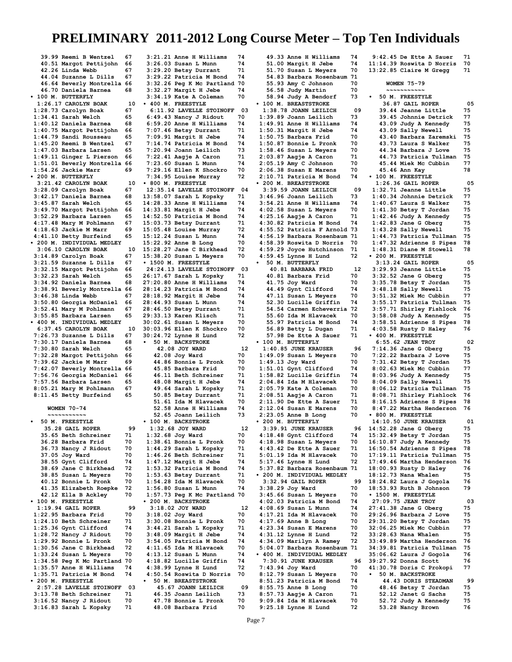**39.99 Reemi B Wentzel 67 40.51 Margot Pettijohn 66 42.26 Linda Webb 67<br>44.04 Suzanne L Dills 67 44.04 Suzanne L Dills 67 46.64 Beverly Montrella 66 46.70 Daniela Barnea 68 • 100 M. BUTTERFLY 1:26.17 CAROLYN BOAK 10**<br>**128.73 Carolyn Boak** 67 **1:28.73 Carolyn Boak 67 1:34.41 Sarah Welch 65 1:40.12 Daniela Barnea 68 1:40.75 Margot Pettijohn 66 1:44.79 Sandi Rousseau 65 1:45.20 Reemi B Wentzel 67 1:47.03 Barbara Larsen 65 1:49.11 Ginger L Pierson 66 1:51.01 Beverly Montrella 66 1:54.26 Jackie Marr 69 • 200 M. BUTTERFLY 3:21.42 CAROLYN BOAK 10**<br>**8:28.09 Carolyn Boak** 67 **3:28.09 Carolyn Boak 67 3:42.17 Daniela Barnea 68 3:45.87 Sarah Welch 65 3:49.70 Margot Pettijohn 66 3:52.29 Barbara Larsen 65 4:17.48 Mary M Pohlmann 67 4:18.63 Jackie M Marr 69 4:41.10 Betty Burfeind 65 • 200 M. INDIVIDUAL MEDLEY 3:06.10 CAROLYN BOAK 10**<br>10 14 89 Carolyn Boak 67 **3:14.89 Carolyn Boak 67**<br>**3:21.59 Suzanne L Dills 67 3:21.59 Suzanne L Dills 67 3:32.15 Margot Pettijohn 66 3:32.23 Sarah Welch 65<br>3:34.92 Daniela Barnea 68 3:34.92 Daniela Barnea 68 3:38.91 Beverly Montrella 66 3:46.38 Linda Webb 67 3:50.80 Georgia McDaniel 66 3:52.41 Mary M Pohlmann 67 3:55.85 Barbara Larsen 65 • 400 M. INDIVIDUAL MEDLEY 6:37.45 CAROLYN BOAK 10**<br>1:26.73 Suzanne L Dills 67 **7:26.73 Suzanne L Dills 67 7:30.17 Daniela Barnea 68 7:30.80 Sarah Welch 65 7:32.28 Margot Pettijohn 66 7:39.62 Jackie M Marr 69 7:42.07 Beverly Montrella 66 7:56.76 Georgia McDaniel 66 7:57.56 Barbara Larsen 65 8:05.21 Mary M Pohlmann 67 8:11.45 Betty Burfeind 65 WOMEN 70-74 ~~~~~~~~~~~ • 50 M. FREESTYLE 35.28 GAIL ROPER** 99<br>5.65 Beth Schreiner 71  **35.65 Beth Schreiner 71 36.28 Barbara Frid 70 36.73 Nancy J Ridout 70**<br>**37.05 Jov Ward 70 37.05 Joy Ward 70<br>38.55 Gynt Clifford 74 38.55 Gynt Clifford 74 38.69 Jane C Birkhead 72 38.85 Susan L Meyers 70 40.12 Bonnie L Pronk 70 41.35 Elizabeth Roepke 72 42.12 Ella B Ackley 70 • 100 M. FREESTYLE 1:19.94 GAIL ROPER 99 1:22.95 Barbara Frid 70 1:24.10 Beth Schreiner 71 1:25.36 Gynt Clifford 74 1:28.72 Nancy J Ridout 70 1:29.92 Bonnie L Pronk 70 1:30.56 Jane C Birkhead 72 1:33.24 Susan L Meyers 70 1:34.58 Peg K Mc Partland 70 1:35.57 Anne H Williams 74 1:35.71 Patricia M Bond 74 • 200 M. FREESTYLE 2:57.28 LAVELLE STOINOFF 03 3:13.78 Beth Schreiner 71 3:16.52 Nancy J Ridout 70**

**3:16.83 Sarah L Kopsky 71**

**3:21.21 Anne H Williams 74 3:26.03 Susan L Munn 74 3:29.20 Betsy Durrant 71 3:29.22 Patricia M Bond 74 3:32.26 Peg K Mc Partland 70 3:32.27 Margit H Jebe 74 3:34.19 Kate A Coleman 70 • 400 M. FREESTYLE 6:11.92 LAVELLE STOINOFF 03 6:49.43 Nancy J Ridout 70 6:59.20 Anne H Williams 74 7:07.46 Betsy Durrant 71 7:09.91 Margit H Jebe 74 7:14.74 Patricia M Bond 74 7:20.94 Joann Leilich 73 7:22.41 Aagje A Caron 71 7:23.60 Susan L Munn 74 7:29.16 Ellen K Shockro 70 7:34.95 Louise Murray 72 • 800 M. FREESTYLE 12:35.14 LAVELLE STOINOFF 04 13:58.07 Sarah L Kopsky 71 14:28.33 Anne H Williams 74 14:33.81 Margit H Jebe 74 14:52.50 Patricia M Bond 74 15:03.73 Betsy Durrant 71 15:05.48 Louise Murray 72 15:12.24 Susan L Munn 74 15:22.92 Anne B Long 70 15:28.27 Jane C Birkhead 72 15:38.20 Susan L Meyers 70 • 1500 M. FREESTYLE 24:24.13 LAVELLE STOINOFF 03 26:17.67 Sarah L Kopsky 71 27:20.80 Anne H Williams 74 28:14.23 Patricia M Bond 74 28:18.92 Margit H Jebe 74 28:44.93 Susan L Munn 74 28:46.50 Betsy Durrant 71 29:33.13 Karen Klisch 71 30:02.61 Susan L Meyers 70 30:03.96 Ellen K Shockro 70 30:24.72 Lynne H Lund 72 • 50 M. BACKSTROKE 42.08 JOY WARD 12**<br>**12.08 Joy Ward 70 42.08 Joy Ward 70<br>44.86 Bonnie L Pronk 70 44.86 Bonnie L Pronk 70 45.85 Barbara Frid 70 46.11 Beth Schreiner 71 48.08 Margit H Jebe 74 49.64 Sarah L Kopsky 71 50.85 Betsy Durrant 71 51.61 Ida M Hlavacek 70 52.58 Anne H Williams 74 52.65 Joann Leilich 73 • 100 M. BACKSTROKE 1:32.68 JOY WARD 12**<br>1:32.68 Joy Ward 70 **1:32.68 Joy Ward 70 1:38.61 Bonnie L Pronk 70 1:44.29 Sarah L Kopsky 71 1:46.26 Beth Schreiner 71 1:47.12 Margit H Jebe 74 1:53.32 Patricia M Bond 74 1:53.63 Betsy Durrant 71 1:54.28 Ida M Hlavacek 70 1:56.80 Susan L Munn 74 1:57.73 Peg K Mc Partland 70 • 200 M. BACKSTROKE 3:18.02 JOY WARD 12 3:18.02 Joy Ward 70 3:30.08 Bonnie L Pronk 70 3:44.21 Sarah L Kopsky 71 3:48.09 Margit H Jebe 74 3:54.05 Patricia M Bond 74 4:11.65 Ida M Hlavacek 70 4:13.12 Susan L Munn 74 4:18.82 Lucille Griffin 74 4:38.99 Lynne H Lund 72<br>4:50.54 Roswita D Norris 70 4:50.54 Roswita D Norris 70 • 50 M. BREASTSTROKE 45.67 JOANN LEILICH 09 46.35 Joann Leilich 73**

 **47.78 Bonnie L Pronk 70 48.08 Barbara Frid 70**

 **49.33 Anne H Williams 74 51.00 Margit H Jebe 74 51.70 Susan L Meyers 70 54.83 Barbara Rosenbaum 71 55.93 Amy C Johnson 70 56.58 Judy Martin 70 58.94 Judy A Bendorf 73 • 100 M. BREASTSTROKE 1:38.78 JOANN LEILICH 09 1:39.89 Joann Leilich 73 1:49.91 Anne H Williams 74 1:50.31 Margit H Jebe 74 1:50.75 Barbara Frid 70 1:50.87 Bonnie L Pronk 70 1:58.46 Susan L Meyers 70 2:03.87 Aagje A Caron 71 2:05.19 Amy C Johnson 70 2:06.38 Susan E Marens 70 2:10.71 Patricia M Bond 74 • 200 M. BREASTSTROKE 3:39.59 JOANN LEILICH 09**<br>**8:46.96 Joann Leilich 73 3:46.96 Joann Leilich 73 3:54.21 Anne H Williams 74 4:02.58 Susan L Meyers 70 4:25.16 Aagje A Caron 71 4:30.82 Patricia M Bond 74 4:55.52 Patricia F Arnold 73 4:56.19 Barbara Rosenbaum 71 4:58.39 Roswita D Norris 70 4:59.29 Joyce Hutchinson 71 4:59.45 Lynne H Lund 72 • 50 M. BUTTERFLY 40.81 BARBARA FRID** 12<br>0.81 Barbara Frid 70  **40.81 Barbara Frid 70 41.75 Joy Ward 70<br>44.49 Gynt Clifford 74 44.49 Gynt Clifford 74**<br>**47.11 Susan L Mevers 70 47.11 Susan L Meyers 70 52.30 Lucille Griffin 74 54.54 Carmen Echeverria 72 55.60 Ida M Hlavacek 70 55.97 Patricia M Bond 74 56.89 Betty L Dugan 71 57.98 De Ette A Sauer 71 • 100 M. BUTTERFLY 1:40.85 JUNE KRAUSER 96**<br>1:49.09 Susan L Mevers 70 **1:49.09 Susan L Meyers 70 1:49.13 Joy Ward 70**<br>**1:51.01 Gynt Clifford** 74 **1:51.01 Gynt Clifford 74 1:58.82 Lucille Griffin 74 2:04.84 Ida M Hlavacek 70 2:05.79 Kate A Coleman 70 2:08.51 Aagje A Caron 71 2:11.90 De Ette A Sauer 71 2:12.04 Susan E Marens 70 2:23.05 Anne B Long 70 • 200 M. BUTTERFLY 3:39.91 JUNE KRAUSER** 96<br>1:18.48 Gynt Clifford 74 **4:18.48 Gynt Clifford 74 4:18.98 Susan L Meyers 70 4:43.42 De Ette A Sauer 71 5:01.19 Ida M Hlavacek 70 5:17.46 Lynne H Lund 72 5:37.82 Barbara Rosenbaum 71 • 200 M. INDIVIDUAL MEDLEY 3:32.94 GAIL ROPER 99 3:38.29 Joy Ward 70<br>3:45.66 Susan L Mevers 70 3:45.66 Susan L Meyers 70 4:02.03 Patricia M Bond 74 4:08.69 Susan L Munn 74 4:17.21 Ida M Hlavacek 70 4:17.69 Anne B Long 70**<br>**4:23.34 Susan E Marens 70 4:23.34 Susan E Marens 70 4:31.12 Lynne H Lund 72 4:34.09 Marilyn A Ramey 72 5:04.07 Barbara Rosenbaum 71 • 400 M. INDIVIDUAL MEDLEY 7:30.91 JUNE KRAUSER 96 7:43.94 Joy Ward 70**<br>**8:12.79 Susan L Mevers 70 8:12.79 Susan L Meyers 70 8:51.23 Patricia M Bond 74 8:55.75 Anne B Long 70 8:57.73 Aagje A Caron 71 9:09.84 Ida M Hlavacek 70 9:42.45 De Ette A Sauer 71 11:14.39 Roswita D Norris 70 13:22.85 Claire M Gregg 71 WOMEN 75-79 ~~~~~~~~~~~ • 50 M. FREESTYLE 36.87 GAIL ROPER** 05<br>**39.44 Jeanne Little** 75  **39.44 Jeanne Little 75 39.45 Johnnie Detrick 77 43.09 Judy A Kennedy 75 43.09 Sally Newell 75<br>43.40 Barbara Zaremski 75 43.40 Barbara Zaremski 75 43.73 Laura S Walker 75 44.34 Barbara J Love 75 44.73 Patricia Tullman 75 45.44 Miek Mc Cubbin 77 45.46 Ann Kay 78 • 100 M. FREESTYLE 1:26.36 GAIL ROPER 05 1:32.71 Jeanne Little 75 1:40.34 Johnnie Detrick 77 1:40.67 Laura S Walker 75 1:41.30 Betsy T Jordan 75 1:42.46 Judy A Kennedy 75 1:42.83 Jane G Oberg 75 1:43.28 Sally Newell 75 1:44.73 Patricia Tullman 75**  $1:47.32$  Adrienne S Pipes **1:48.31 Diane M Stowell 78 • 200 M. FREESTYLE 3:13.24 GAIL ROPER** 05<br>**8:29.93 Jeanne Little** 75 **3:29.93 Jeanne Little 75 3:32.52 Jane G Oberg 75 3:35.78 Betsy T Jordan 75 3:48.18 Sally Newell 75 3:51.32 Miek Mc Cubbin 77 3:55.17 Patricia Tullman 75 3:57.71 Shirley Fishlock 76 3:58.08 Judy A Kennedy 75 3:58.51 Adrienne S Pipes 78 4:03.58 Rusty D Haley 76 • 400 M. FREESTYLE 6:55.62 JEAN TROY 02 7:14.36 Jane G Oberg 75 7:22.22 Barbara J Love 75 7:31.42 Betsy T Jordan 75 8:02.63 Miek Mc Cubbin 77 8:03.96 Judy A Kennedy 75 8:04.09 Sally Newell 75 8:06.12 Patricia Tullman 75 8:08.71 Shirley Fishlock 76 8:16.15 Adrienne S Pipes 78 8:47.22 Martha Henderson 76 • 800 M. FREESTYLE 14:10.50 JUNE KRAUSER 01 14:52.28 Jane G Oberg 75 15:32.49 Betsy T Jordan 75 16:10.87 Judy A Kennedy 75 16:50.54 Adrienne S Pipes 78 17:19.11 Patricia Tullman 75 17:49.46 Martha Henderson 76 18:00.93 Rusty D Haley 76 18:12.73 Nana Whalen 75**<br>**18:24.82 Laura J Gogola 76 18:24.82 Laura J Gogola 76 18:53.93 Ruth B Johnson 79 • 1500 M. FREESTYLE 27:09.75 JEAN TROY 03 27:41.38 Jane G Oberg 75 29:26.96 Barbara J Love 75 29:31.20 Betsy T Jordan 75 32:06.25 Miek Mc Cubbin 77 33:28.63 Nana Whalen 75 33:49.89 Martha Henderson 76 34:39.81 Patricia Tullman 75 35:06.62 Laura J Gogola 76 39:27.92 Donna Scott 76 41:30.78 Doris C Prokopi 77 • 50 M. BACKSTROKE 44.43 DORIS STEADMAN 99**<br>18.46 Betsy T Jordan 75  **48.46 Betsy T Jordan 75 52.12 Janet G Sachs 75 52.72 Judy A Kennedy 75**

**9:25.18 Lynne H Lund 72**

 **53.28 Nancy Brown 76**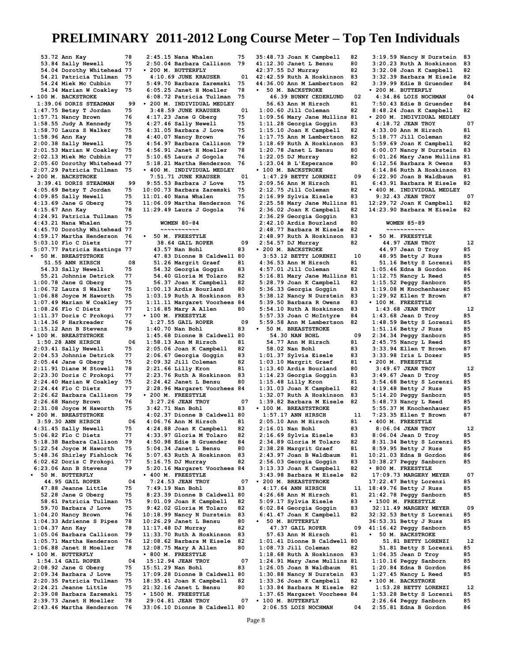**53.72 Ann Kay 78 53.84 Sally Newell 75 54.04 Dorothy Whitehead 77 54.21 Patricia Tullman 75 54.24 Miek Mc Cubbin 77 54.34 Marian W Coakley 75 • 100 M. BACKSTROKE 1:39.06 DORIS STEADMAN 99 1:47.75 Betsy T Jordan 75 1:57.71 Nancy Brown 76<br>1:58.55 Judy A Kennedy 75 1:58.55 Judy A Kennedy 75 1:58.70 Laura S Walker 75 1:58.96 Ann Kay 78 2:00.38 Sally Newell 75 2:01.53 Marian W Coakley 75 2:02.13 Miek Mc Cubbin 77 2:05.60 Dorothy Whitehead 77 2:07.29 Patricia Tullman 75 • 200 M. BACKSTROKE 3:39.41 DORIS STEADMAN 99 4:05.69 Betsy T Jordan 75 4:09.85 Sally Newell 75 4:13.69 Jane G Oberg 75 4:15.67 Ann Kay 78 4:24.91 Patricia Tullman 75 4:43.21 Nana Whalen 75 4:45.70 Dorothy Whitehead 77 4:59.17 Martha Henderson 76 5:03.10 Flo C Dietz 77 5:07.77 Patricia Hastings 77 • 50 M. BREASTSTROKE 51.55 ANN HIRSCH 08**<br>**54.33 Sally Newell 75 54.33 Sally Newell 75**<br>55.21 Johnnie Detrick 77  **55.21 Johnnie Detrick 77 1:00.78 Jane G Oberg 75 1:06.72 Laura S Walker 75 1:06.88 Joyce M Haworth 75 1:07.49 Marian W Coakley 75 1:08.26 Flo C Dietz 77 1:11.37 Doris C Prokopi 77** 1:14.36 P Harkreader 76<br>1:15.12 Ann B Stevens 79 **1:15.12 Ann B Stevens 79 • 100 M. BREASTSTROKE 1:50.28 ANN HIRSCH 06 2:03.41 Sally Newell 75 2:04.53 Johnnie Detrick 77 2:05.44 Jane G Oberg 75 2:11.91 Diane M Stowell 78 2:23.30 Doris C Prokopi 77 2:24.40 Marian W Coakley 75 2:24.44 Flo C Dietz 77 2:26.62 Barbara Callison 79 2:26.68 Nancy Brown 76 2:31.08 Joyce M Haworth 75 • 200 M. BREASTSTROKE 3:59.30 ANN HIRSCH 06**<br>**1:31.45 Sally Newell** 75 **4:31.45 Sally Newell 75**<br>5:06.82 Flo.C Dietz 77 **5:06.82 Flo C Dietz 77 5:18.38 Barbara Callison 79 5:22.54 Joyce M Haworth 75 5:48.36 Shirley Fishlock 76 6:02.62 Doris C Prokopi 77 6:23.06 Ann B Stevens 79 • 50 M. BUTTERFLY 44.95 GAIL ROPER 04 47.88 Jeanne Little 75 52.28 Jane G Oberg 75 58.61 Patricia Tullman 75 59.70 Barbara J Love 75 1:04.20 Nancy Brown 76 1:04.33 Adrienne S Pipes 78 1:04.37 Ann Kay 78 1:05.06 Barbara Callison 79 1:05.71 Martha Henderson 76 1:06.88 Janet H Moeller 78 • 100 M. BUTTERFLY 1:54.14 GAIL ROPER 04**<br>2:08.92 Jane G Oberg 75 **2:08.92 Jane G Oberg 75 2:09.34 Barbara J Love 75 2:20.35 Patricia Tullman 75 2:24.21 Jeanne Little 75 2:39.08 Barbara Zaremski 75 2:39.73 Janet H Moeller 78 2:43.46 Martha Henderson 76**

**2:45.15 Nana Whalen 75 2:50.04 Barbara Callison 79 • 200 M. BUTTERFLY 4:10.69 JUNE KRAUSER 01 5:49.70 Barbara Zaremski 75 6:05.25 Janet H Moeller 78 6:08.72 Patricia Tullman 75 • 200 M. INDIVIDUAL MEDLEY 3:48.59 JUNE KRAUSER 01 4:17.23 Jane G Oberg 75 4:27.46 Sally Newell 75 4:31.05 Barbara J Love 75 4:40.07 Nancy Brown 76 4:54.97 Barbara Callison 79 4:56.91 Janet H Moeller 78 5:10.65 Laura J Gogola 76 5:18.21 Martha Henderson 76 • 400 M. INDIVIDUAL MEDLEY 7:51.71 JUNE KRAUSER 01 9:55.53 Barbara J Love 75 10:00.73 Barbara Zaremski 75 11:01.40 Nana Whalen 75<br>11:06.09 Martha Henderson 76 11:06.09 Martha Henderson 76 11:29.49 Laura J Gogola 76 WOMEN 80-84 ~~~~~~~~~~~ • 50 M. FREESTYLE 38.64 GAIL ROPER 09 43.57 Nan Bohl 83 47.83 Dionne B Caldwell 80 51.26 Margrit Graef** 81<br>**54.32 Georgia Goggin** 83  **54.32 Georgia Goggin 83 54.40 Gloria M Tolaro 82 56.37 Joan K Campbell 82 1:00.13 Ardis Bourland 80 1:03.19 Ruth A Hoskinson 83 1:11.11 Margaret Voorhees 84 1:16.85 Mary A Allen 80 • 100 M. FREESTYLE 1:27.55 GAIL ROPER 09 1:40.70 Nan Bohl 83**<br>**1:45.68 Dionne B Caldwell 80 1:45.68 Dionne B Caldwell 80 1:58.13 Ann M Hirsch 81 2:05.06 Joan K Campbell 82 2:06.67 Georgia Goggin 83 2:09.32 Jill Coleman 82 2:21.66 Lilly Kron 81**<br>2:23.76 Ruth A Hoskinson 83 **2:23.76 Ruth A Hoskinson 83 2:24.42 Janet L Bensu 80 2:28.96 Margaret Voorhees 84 • 200 M. FREESTYLE 3:27.26 JEAN TROY 07 3:42.71 Nan Bohl 83 4:02.37 Dionne B Caldwell 80 4:06.76 Ann M Hirsch 81 4:24.88 Joan K Campbell 82 4:33.97 Gloria M Tolaro 82 4:50.98 Edie B Gruender 84 5:04.34 Janet L Bensu 80 5:07.63 Ruth A Hoskinson 83 5:16.75 DJ Murray 82 5:20.16 Margaret Voorhees 84 • 400 M. FREESTYLE 7:24.53 JEAN TROY 07 7:49.19 Nan Bohl 83**<br>8:23.39 Dionne B Caldwell 80 **8:23.39 Dionne B Caldwell 80 9:01.09 Joan K Campbell 82 9:42.02 Gloria M Tolaro 82 10:18.99 Nancy N Durstein 83 10:26.29 Janet L Bensu 80 11:17.48 DJ Murray 82 11:33.70 Ruth A Hoskinson 83 12:08.62 Barbara M Eisele 82 12:08.75 Mary A Allen 80 • 800 M. FREESTYLE 15:12.94 JEAN TROY 07 15:51.29 Nan Bohl 83 17:09.28 Dionne B Caldwell 80 18:35.41 Joan K Campbell 82 21:32.16 Janet L Bensu 80 • 1500 M. FREESTYLE 29:04.81 JEAN TROY 07**

**35:48.73 Joan K Campbell 82 41:12.30 Janet L Bensu 80 42:37.55 DJ Murray 82 42:42.59 Ruth A Hoskinson 83 44:36.00 Ann M Lambertson 82 • 50 M. BACKSTROKE 46.39 BUNNY CEDERLUND 02**<br>**6.63 Ann M Hirsch 81 56.63 Ann M Hirsch 81<br>00.60 Jill Coleman 82 1:00.60 Jill Coleman 82 1:09.56 Mary Jane Mullins 81 1:11.28 Georgia Goggin 83 1:15.10 Joan K Campbell 82 1:17.75 Ann M Lambertson 82 1:18.69 Ruth A Hoskinson 83 1:20.78 Janet L Bensu 80 1:22.05 DJ Murray 82 1:23.04 B L'Esperance 80 • 100 M. BACKSTROKE 1:47.29 BETTY LORENZI 09**<br>**1:09.56 Ann M Hirsch 81 2:09.56 Ann M Hirsch 81 2:12.75 Jill Coleman 82 2:16.99 Sylvia Eisele 83 2:25.58 Mary Jane Mullins 81 2:36.02 Joan K Campbell 82 2:36.29 Georgia Goggin 83 2:42.10 Ardis Bourland 80 2:48.77 Barbara M Eisele 82 2:48.97 Ruth A Hoskinson 83 2:54.57 DJ Murray 82 • 200 M. BACKSTROKE 3:53.12 BETTY LORENZI 10**<br>**1:36.53 Ann M Hirsch 81 4:36.53 Ann M Hirsch 81 4:57.01 Jill Coleman 82 5:16.81 Mary Jane Mullins 81 5:28.79 Joan K Campbell 82 5:36.33 Georgia Goggin 83 5:38.12 Nancy N Durstein 83 5:39.50 Barbara R Owens 83 5:54.10 Ruth A Hoskinson 83 5:57.33 Joan C McIntyre 84 5:59.58 Ann M Lambertson 82 • 50 M. BREASTSTROKE 54.30 NAN BOHL 09**<br>**14.77 Ann M Hirsch 81 54.77 Ann M Hirsch 81 58.02 Nan Bohl 83 1:01.37 Sylvia Eisele 83 1:03.10 Margrit Graef 81 1:13.40 Ardis Bourland 80 1:14.23 Georgia Goggin 83 1:15.48 Lilly Kron 81<br>1:31.03 Joan K Campbell 82 1:31.03 Joan K Campbell 82 1:32.07 Ruth A Hoskinson 83 1:39.82 Barbara M Eisele 82 • 100 M. BREASTSTROKE 1:57.17 ANN HIRSCH 11**<br>2:05.10 Ann M Hirsch 81 **2:05.10 Ann M Hirsch 81 2:16.01 Nan Bohl 83**<br>2:16.69 Sylvia Eisele 83 **2:16.69 Sylvia Eisele 83 2:34.89 Gloria M Tolaro 82 2:38.28 Margrit Graef 81 2:43.97 Joan B Waldbaum 81 2:56.03 Georgia Goggin 83 3:13.33 Joan K Campbell 82 3:43.98 Barbara M Eisele 82 • 200 M. BREASTSTROKE 4:17.64 ANN HIRSCH 11**<br>**1:26.68 Ann M Hirsch 81 4:26.68 Ann M Hirsch 81 5:09.17 Sylvia Eisele 83 6:02.84 Georgia Goggin 83 6:41.47 Joan K Campbell 82 • 50 M. BUTTERFLY 47.37 GAIL ROPER 09 57.63 Ann M Hirsch 81 1:01.41 Dionne B Caldwell 80 1:08.73 Jill Coleman 82 1:18.68 Ruth A Hoskinson 83 1:24.91 Mary Jane Mullins 81 1:26.05 Joan B Waldbaum 81 1:30.88 Nancy N Durstein 83 1:33.36 Joan K Campbell 82 1:33.84 Barbara M Eisele 82 1:37.65 Margaret Voorhees 84 • 100 M. BUTTERFLY 2:06.55 LOIS NOCHMAN 04**

**3:19.59 Nancy N Durstein 83 3:20.23 Ruth A Hoskinson 83 3:32.08 Joan K Campbell 82 3:32.39 Barbara M Eisele 82 3:39.99 Edie B Gruender 84 • 200 M. BUTTERFLY 4:34.86 LOIS NOCHMAN 04 7:50.43 Edie B Gruender 84 8:48.24 Joan K Campbell 82 • 200 M. INDIVIDUAL MEDLEY 4:18.72 JEAN TROY 07 4:33.00 Ann M Hirsch 81 5:18.77 Jill Coleman 82 5:59.69 Joan K Campbell 82 6:00.07 Nancy N Durstein 83 6:01.26 Mary Jane Mullins 81 6:12.56 Barbara R Owens 83 6:14.86 Ruth A Hoskinson 83 6:22.90 Joan B Waldbaum 81 6:43.91 Barbara M Eisele 82 • 400 M. INDIVIDUAL MEDLEY 9:32.43 JEAN TROY 07**<br>2:29.72 Joan K Campbell 82 **12:29.72 Joan K Campbell 82 14:23.90 Barbara M Eisele 82 WOMEN 85-89 ~~~~~~~~~~~ • 50 M. FREESTYLE 44.97 JEAN TROY 12 44.97 Jean D Troy 85 48.95 Betty J Russ 85<br>51.16 Betty S Lorenzi 85 51.16 Betty S Lorenzi 85 1:05.46 Edna B Gordon 86 1:12.75 Nancy L Reed 85 1:15.52 Peggy Sanborn 85 1:19.08 M Knochenhauer 85 1:29.92 Ellen T Brown 87 • 100 M. FREESTYLE 1:43.68 JEAN TROY 12 1:43.68 Jean D Troy 85 1:48.59 Betty S Lorenzi 85 1:51.16 Betty J Russ 85 2:34.34 Peggy Sanborn 85 2:45.75 Nancy L Reed 85 3:33.94 Ellen T Brown 87 3:33.98 Iris L Dozer 85 • 200 M. FREESTYLE 3:49.67 JEAN TROY 12 3:49.67 Jean D Troy 85 3:54.68 Betty S Lorenzi 85 4:19.48 Betty J Russ 85 5:14.20 Peggy Sanborn 85 5:48.73 Nancy L Reed 85 5:55.37 M Knochenhauer 85 7:23.35 Ellen T Brown 87 • 400 M. FREESTYLE 8:06.04 JEAN TROY 12 8:06.04 Jean D Troy 85 8:31.34 Betty S Lorenzi 85 8:59.95 Betty J Russ 85 10:21.03 Edna B Gordon 86 10:38.27 Peggy Sanborn 85 • 800 M. FREESTYLE 17:09.73 MARGERY MEYER** 07<br>7:22.47 Betty Lorenzi 85 **17:22.47 Betty Lorenzi 85 18:49.76 Betty J Russ 85 21:42.78 Peggy Sanborn 85 • 1500 M. FREESTYLE 32:11.49 MARGERY MEYER 09 32:32.53 Betty S Lorenzi 85 36:53.31 Betty J Russ 85 41:16.42 Peggy Sanborn 85 • 50 M. BACKSTROKE 51.81 BETTY LORENZI 12 51.81 Betty S Lorenzi 85 1:04.35 Jean D Troy 85 1:10.16 Peggy Sanborn 85 1:20.84 Edna B Gordon 86 1:27.45 Nancy L Reed 85 • 100 M. BACKSTROKE 1:53.28 BETTY LORENZI 12 1:53.28 Betty S Lorenzi 85 2:26.64 Peggy Sanborn 85 2:55.81 Edna B Gordon 86**

**33:06.10 Dionne B Caldwell 80**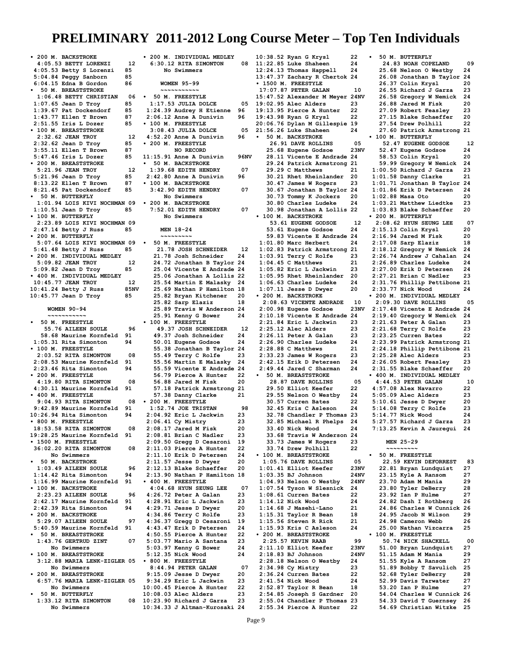**• 200 M. BACKSTROKE 4:05.53 BETTY LORENZI 12**<br>105.53 Betty S Lorenzi 85 **4:05.53 Betty S Lorenzi 85 5:04.84 Peggy Sanborn 85 6:04.15 Edna B Gordon 86 • 50 M. BREASTSTROKE 1:06.48 BETTY CHRISTIAN 06 1:07.65 Jean D Troy 85 1:39.67 Pat Dockendorf 85 1:43.77 Ellen T Brown 87 2:51.55 Iris L Dozer 85 • 100 M. BREASTSTROKE 2:32.62 JEAN TROY 12**<br>2:32.62 Jean D Troy 85 **2:32.62 Jean D Troy 85 3:55.11 Ellen T Brown 87 5:47.46 Iris L Dozer 85 • 200 M. BREASTSTROKE 5:21.96 JEAN TROY 12 5:21.96 Jean D Troy 85 8:13.22 Ellen T Brown 87 8:21.45 Pat Dockendorf 85 • 50 M. BUTTERFLY 1:01.94 LOIS KIVI NOCHMAN 09 1:10.51 Jean D Troy 85 • 100 M. BUTTERFLY 2:23.89 LOIS KIVI NOCHMAN 09 2:47.14 Betty J Russ 85 • 200 M. BUTTERFLY 5:07.64 LOIS KIVI NOCHMAN 09 5:41.48 Betty J Russ 85 • 200 M. INDIVIDUAL MEDLEY 5:09.82 JEAN TROY 12**<br>**5:09.82 Jean D Troy 185 5:09.82 Jean D Troy 85 • 400 M. INDIVIDUAL MEDLEY 10:45.77 JEAN TROY 12**<br>10:41.24 Betty J Russ 85NV **10:41.24 Betty J Russ 851<br>10:45.77 Jean D Trov 85 10:45.77 Jean D Troy 85 WOMEN 90-94 ~~~~~~~~~~~ • 50 M. FREESTYLE 55.76 AILEEN SOULE** 96<br>8.68 Maurine Kornfeld 91  **58.68 Maurine Kornfeld 91 1:05.31 Rita Simonton 94 • 100 M. FREESTYLE 2:03.52 RITA SIMONTON 08**<br>2:08.53 Maurine Kornfeld 91 **2:08.53 Maurine Kornfeld 91 2:23.46 Rita Simonton 94 • 200 M. FREESTYLE 4:19.80 RITA SIMONTON 08 4:30.11 Maurine Kornfeld 91 • 400 M. FREESTYLE 9:04.93 RITA SIMONTON 08 9:42.89 Maurine Kornfeld 91 10:26.94 Rita Simonton 94 • 800 M. FREESTYLE 18:53.58 RITA SIMONTON 08**<br>9:28.25 Maurine Kornfeld 91 **19:28.25 Maurine Kornfeld 91 • 1500 M. FREESTYLE 36:02.20 RITA SIMONTON 08 No Swimmers • 50 M. BACKSTROKE 1:03.49 AILEEN SOULE** 96<br>**114.42 Rita Simonton** 94: **1:14.42 Rita Simonton 94 1:16.99 Maurine Kornfeld 91 • 100 M. BACKSTROKE 2:23.23 AILEEN SOULE 96 2:42.17 Maurine Kornfeld 91 2:42.39 Rita Simonton 94 • 200 M. BACKSTROKE 5:29.07 AILEEN SOULE 97**<br>**1:40.59 Maurine Kornfeld 91 5:40.59 Maurine Kornfeld 91 • 50 M. BREASTSTROKE 1:43.76 GERTRUD ZINT 07 No Swimmers • 100 M. BREASTSTROKE 3:12.88 MARIA LENK-ZIGLER 05 No Swimmers • 200 M. BREASTSTROKE 6:57.76 MARIA LENK-ZIGLER 05 No Swimmers • 50 M. BUTTERFLY 1:33.12 RITA SIMONTON 08 No Swimmers 10:34.33 J Altman-Kurosaki 24**

**• 200 M. INDIVIDUAL MEDLEY 6:30.12 RITA SIMONTON 08 No Swimmers WOMEN 95-99 ~~~~~~~~~~~ • 50 M. FREESTYLE** 1:17.53 JULIA DOLCE 05<br>1:24.39 Audrey H Etienne 96 **1:24.39 Audrey H Etienne 96 2:06.12 Anne A Dunivin 96 • 100 M. FREESTYLE 3:08.43 JULIA DOLCE** 05<br>**1:52.20 Anne A Dunivin** 96 **4:52.20 Anne A Dunivin 96 • 200 M. FREESTYLE NO RECORD 11:15.91 Anne A Dunivin 96NV • 50 M. BACKSTROKE 1:39.68 EDITH HENDRY 07 2:42.80 Anne A Dunivin 96 • 100 M. BACKSTROKE 3:42.90 EDITH HENDRY 07 No Swimmers • 200 M. BACKSTROKE 7:52.01 EDITH HENDRY 07 No Swimmers MEN 18-24 ~~~~~~~~~ • 50 M. FREESTYLE 21.78 JOSH SCHNEIDER 12 21.78 Josh Schneider 24 24.72 Jonathan B Taylor 24 25.04 Vicente E Andrade 24 25.06 Jonathan A Lollis 22 25.54 Martin E Malasky 24 25.69 Nathan P Hamilton 18 25.82 Bryan Kitchener 20 25.82 Sarp Elaziz 18 25.89 Travis W Anderson 24 25.91 Kenny G Bower 24 • 100 M. FREESTYLE 49.37 JOSH SCHNEIDER 12 49.37 Josh Schneider 24 50.01 Eugene Godsoe 24 55.38 Jonathan B Taylor 24 55.49 Terry C Rolfe 23 55.56 Martin E Malasky 24 55.59 Vicente E Andrade 24 56.79 Pierce A Hunter 22 56.88 Jared M Fisk 20 57.18 Patrick Armstrong 21 57.38 Danny Clarke 21 • 200 M. FREESTYLE 1:52.74 JOE TRISTAN 98**<br>**1:04.92 Eric L Jackwin 23 2:04.92 Eric L Jackwin 23 2:06.41 Cy Mistry 23 2:08.17 Jared M Fisk 20 2:08.81 Brian C Nadler 23 2:09.50 Gregg D Cesaroni 19 2:11.03 Pierce A Hunter 22 2:11.10 Erik D Petersen 24 2:11.57 Jesse D Dwyer 20** 2:12.13 Blake Schaeffer **2:13.90 Nathan P Hamilton 18 • 400 M. FREESTYLE 4:04.68 HYUN SEUNG LEE 07 4:26.72 Peter A Galan 23 4:28.91 Eric L Jackwin 23 4:29.71 Jesse D Dwyer 20 4:34.86 Terry C Rolfe 23 4:36.37 Gregg D Cesaroni 19 4:43.47 Erik D Petersen 24 4:50.55 Pierce A Hunter 22 5:03.77 Mario A Santana 23 5:03.97 Kenny G Bower 24 5:12.35 Nick Wood 24 • 800 M. FREESTYLE 8:44.94 PETER GALAN 07**<br>1:15.09 Jesse D Dwyer 20 **9:15.09 Jesse D Dwyer 20 9:34.29 Eric L Jackwin 23 10:00.45 Pierce A Hunter 22 10:08.03 Alec Alders 23 10:23.90 Richard J Garza 23**

**10:38.52 Ryan G Krysl 22 11:22.85 Luke Shaheen 24 12:24.13 Thomas Happell 24 13:47.37 Zachary R Chertok 24 • 1500 M. FREESTYLE 17:07.87 PETER GALAN 10 15:47.52 Alexander M Meyer 24NV 19:02.95 Alec Alders 23 19:13.95 Pierce A Hunter 22 19:43.98 Ryan G Krysl 22 20:06.76 Dylan M Gillespie 19 21:56.26 Luke Shaheen 24 • 50 M. BACKSTROKE 26.91 DAVE ROLLINS 05** 25.68 Eugene Godsoe  **28.11 Vicente E Andrade 24 29.24 Patrick Armstrong 21 29.29 C Matthews 21 30.21 Rhet Rheinlander 20 30.47 James W Rogers 23 30.67 Jonathan B Taylor 24 30.73 Tommy K Jockers 20 30.80 Charles Ludeke 24 30.98 Jonathan A Lollis 22 • 100 M. BACKSTROKE 53.61 EUGENE GODSOE 12 53.61 Eugene Godsoe 24 59.83 Vicente E Andrade 24 1:01.80 Marc Herbert 24 1:02.83 Patrick Armstrong 21 1:03.91 Terry C Rolfe 23 1:04.45 C Matthews 21 1:05.82 Eric L Jackwin 23 1:05.95 Rhet Rheinlander 20 1:06.63 Charles Ludeke 24 1:07.11 Jesse D Dwyer 20 • 200 M. BACKSTROKE 2:08.63 VICENTE ANDRADE 10** 2:00.98 Eugene Godsoe **2:10.18 Vicente E Andrade 24 2:21.84 Eric L Jackwin 23 2:25.12 Alec Alders 23 2:26.11 Peter A Galan 23 2:26.90 Charles Ludeke 24 2:28.88 C Matthews 21 2:33.23 James W Rogers 23 2:42.15 Erik D Petersen 24 2:49.44 Jared C Sharman 24 • 50 M. BREASTSTROKE 28.87 DAVE ROLLINS 05 29.50 Elliot Keefer 22 29.55 Nelson O Westby 24 30.57 Curren Bates 22 32.45 Kris C Asleson 24 32.78 Chandler P Thomas 23 32.85 Michael R Phelps 24 33.40 Nick Wood 24 33.68 Travis W Anderson 24 33.73 James W Rogers 23 33.74 Drew Polhill 22 • 100 M. BREASTSTROKE 1:05.76 DAVE ROLLINS 05**<br>1:01.41 Elliot Keefer 23NV **1:01.41 Elliot Keefer 23NV 1:03.35 BJ Johnson 24NV** 1:04.93 Nelson O Westby **1:07.54 Tyson W Slesnick 24 1:08.61 Curren Bates 22 1:14.12 Nick Wood 24 1:14.68 J Masehi-Lano 21 1:15.31 Taylor R Bean 18 1:15.56 Steven R Rick 21 1:15.93 Kris C Asleson 24 • 200 M. BREASTSTROKE 2:25.57 KEVIN RAAB** 99<br>2:11.10 Elliot Keefer 23NV **2:11.10 Elliot Keefer 2:18.83 BJ Johnson 24NV 2:28.18 Nelson O Westby 24 2:34.98 Cy Mistry 23 2:36.24 Curren Bates 22 2:41.54 Nick Wood 24 2:52.87 Taylor R Bean 18 2:54.85 Joseph S Gardner 20 2:55.04 Chandler P Thomas 23 • 50 M. BUTTERFLY 24.83 NOAH COPELAND 09 25.68 Nelson O Westby 24 26.08 Jonathan B Taylor 24 26.37 Colin Krysl 20 26.55 Richard J Garza 23 26.58 Gregory W Nemick 24 26.88 Jared M Fisk 20 27.09 Robert Feasley 23 27.15 Blake Schaeffer 20 27.54 Drew Polhill 22 27.60 Patrick Armstrong 21 • 100 M. BUTTERFLY 52.47 EUGENE GODSOE 12 52.47 Eugene Godsoe 24 58.53 Colin Krysl 20 59.99 Gregory W Nemick 24 1:00.50 Richard J Garza 23 1:01.58 Danny Clarke 21 1:01.71 Jonathan B Taylor 24 1:01.86 Erik D Petersen 24 1:02.88 Masa Oto** 20<br>**1:03.21 Matthew Liedtke** 23 **1:03.21 Matthew Liedtke 23 1:03.83 Blake Schaeffer 20 • 200 M. BUTTERFLY 2:08.62 HYUN SEUNG LEE 07 2:15.13 Colin Krysl 20 2:16.94 Jared M Fisk 20 2:17.08 Sarp Elaziz 18 2:18.12 Gregory W Nemick 24 2:26.74 Andrew J Cahalan 24 2:26.89 Charles Ludeke 24 2:27.00 Erik D Petersen 24 2:27.21 Brian C Nadler 23 2:31.76 Phillip Pettibone 21 2:33.77 Nick Wood 24 • 200 M. INDIVIDUAL MEDLEY 2:09.30 DAVE ROLLINS 05 2:17.48 Vicente E Andrade 24 2:19.40 Gregory W Nemick 24 2:21.63 Peter A Galan 23 2:21.68 Terry C Rolfe 23 2:23.25 Curren Bates 22 2:23.99 Patrick Armstrong 21 2:24.18 Phillip Pettibone 21 2:25.28 Alec Alders 23 2:26.05 Robert Feasley 23 2:31.55 Blake Schaeffer 20 • 400 M. INDIVIDUAL MEDLEY 4:44.53 PETER GALAN 10 4:57.08 Alex Navarro 22 5:05.09 Alec Alders 23 5:10.61 Jesse D Dwyer 20 5:14.08 Terry C Rolfe 23 5:14.77 Nick Wood 24 5:27.57 Richard J Garza 23 7:13.25 Kevin A Jauregui 24 MEN 25-29 ~~~~~~~~~ • 50 M. FREESTYLE 22.59 KEVIN DEFORREST 83 22.81 Bryan Lundquist 27 23.15 Kyle A Ransom 27**<br>23.70 Adam M Mania 29  **23.70 Adam M Mania 29 23.80 Tyler DeBerry 28 23.92 Ian P Hulme 27 24.82 Dash I Rothberg 26 24.86 Charles W Cunnick 26 24.95 Jacob N Wilson 29 24.98 Cameron Webb 26 25.00 Nathan Vizcarra 25 • 100 M. FREESTYLE 50.74 NICK SHACKELL 00 51.00 Bryan Lundquist 27 51.15 Adam M Mania 29 51.55 Kyle A Ransom 27 51.89 Bobby T Savulich 25 52.68 Tyler DeBerry 28 52.99 Davis Tarwater 27 53.20 Ian P Hulme 27 54.04 Charles W Cunnick 26 54.33 David T Guernsey 26**

**2:55.34 Pierce A Hunter 22**

 **54.69 Christian Witzke 25**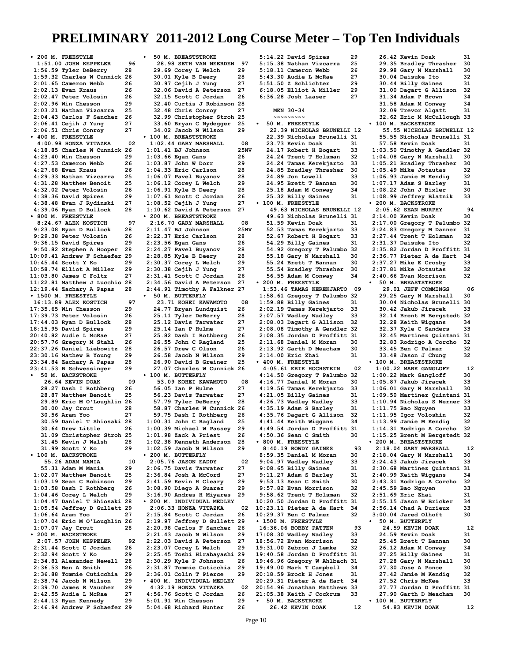**• 200 M. FREESTYLE 1:51.00 JOHN KEPPELER 96**<br>1:56.59 Tvler DeBerry 28 **1:56.59 Tyler DeBerry 28 1:59.32 Charles W Cunnick 26 2:01.65 Cameron Webb 26 2:02.13 Evan Kraus 26 2:02.47 Peter Volosin 26 2:02.96 Win Chesson 29 2:03.21 Nathan Vizcarra 25 2:04.43 Carlos F Sanchez 26 2:06.41 Cejih J Yung 27 2:06.51 Chris Conroy 27 • 400 M. FREESTYLE 4:00.98 HONZA VITAZKA 02 4:18.85 Charles W Cunnick 26 4:23.40 Win Chesson 29 4:27.53 Cameron Webb 26 4:27.68 Evan Kraus 26 4:29.33 Nathan Vizcarra 25 4:31.28 Matthew Benoit 25 4:32.02 Peter Volosin 26 4:38.36 David Spires 29 4:38.48 Evan J Rydinski 27 4:39.06 Ryan D Bullock 28 • 800 M. FREESTYLE 8:24.67 ALEX KOSTICH 9**<br>1:23.08 Rvan D Bullock 28 **9:23.08 Ryan D Bullock 28 9:29.38 Peter Volosin 26 9:36.15 David Spires 29 9:50.82 Stephen A Hooper 28 10:09.41 Andrew F Schaefer 29 10:45.44 Scott Y Ko 29 10:58.74 Elliot A Miller 29 11:03.80 James C Foltz 27 11:22.81 Matthew J Lucchio 28 12:19.44 Zachary A Papas 28 • 1500 M. FREESTYLE 16:13.89 ALEX KOSTICH 9**<br>7:35.65 Win Chesson 29 **17:35.65 Win Chesson 29 17:39.73 Peter Volosin 26 17:44.03 Ryan D Bullock 28 18:15.95 David Spires 29 20:40.82 Audie L McRae 27 20:57.76 Gregory M Stahl 26 22:37.26 Daniel Liebowitz 28 23:30.16 Mathew B Young 29 23:34.84 Zachary A Papas 28 23:41.53 B Schwessinger 29 • 50 M. BACKSTROKE 26.64 KEVIN DOAK 09**<br>28.27 Dash I Rothberg 26  **28.27 Dash I Rothberg 26 28.87 Matthew Benoit 25 29.89 Eric M O'Loughlin 26 30.00 Jay Crout 28 30.56 Aram Yoo 27 30.59 Daniel T Shiosaki 28 30.64 Drew Little 26 31.09 Christopher Stroh 25 31.45 Kevin J Walsh 28 31.99 Scott Y Ko 29 • 100 M. BACKSTROKE 55.26 ADAM MANIA 10**<br>5.31 Adam M Mania 29  **55.31 Adam M Mania 29 1:02.07 Matthew Benoit 25 1:03.19 Sean C Robinson 29 1:03.58 Dash I Rothberg 26 1:04.46 Corey L Welch 29 1:04.47 Daniel T Shiosaki 28 1:05.54 Jeffrey D Gullett 29 1:06.64 Aram Yoo 27 1:07.04 Eric M O'Loughlin 26 1:07.07 Jay Crout 28 • 200 M. BACKSTROKE 2:07.57 JOHN KEPPELER 92 2:31.44 Scott C Jordan 26 2:32.94 Scott Y Ko 29 2:34.81 Alexander Newell 28 2:36.53 Ben A Smith 26 2:36.88 Tommie Cuticchia 29 2:38.74 Jacob N Wilson 29 2:39.70 James R Vaucher 29 2:42.55 Audie L McRae 27 2:44.13 Ryan Kennedy 29 2:46.94 Andrew F Schaefer 29**

**• 50 M. BREASTSTROKE 28.98 SETH VAN NEERDEN 97**<br>29.69 Corey L. Welch 29  **29.69 Corey L Welch 29 30.01 Kyle B Deery 28 30.97 Cejih J Yung 27 32.06 David A Peterson 27 32.15 Scott C Jordan 26 32.40 Curtis J Robinson 28 32.48 Chris Conroy 27 32.99 Christopher Stroh 25 33.60 Bryan C Nydegger 25 34.02 Jacob N Wilson 29 • 100 M. BREASTSTROKE 1:02.44 GARY MARSHALL 08**<br>1:01.41 BJ Johnson 25NV **1:01.41 BJ Johnson 25:<br>1:03.66 Egan Gans 26 1:03.66 Egan Gans 26 1:03.87 John W Dorr 29 1:04.33 Eric Carlson 28 1:06.07 Pavel Buyanov 28 1:06.12 Corey L Welch 29 1:06.91 Kyle B Deery 28 1:07.61 Scott C Jordan 26 1:08.52 Cejih J Yung 27 1:10.62 David A Peterson 27 • 200 M. BREASTSTROKE 2:16.70 GARY MARSHALL 08** 2:11.47 BJ Johnson **2:22.37 Eric Carlson 28 2:23.56 Egan Gans 26 2:24.27 Pavel Buyanov 28 2:28.85 Kyle B Deery 28 2:30.37 Corey L Welch 29 2:30.38 Cejih J Yung 27 2:31.41 Scott C Jordan 26 2:34.56 David A Peterson 27 2:44.91 Timothy A Falkner 27 • 50 M. BUTTERFLY 23.71 KOHEI KAWAMOTO 08 24.77 Bryan Lundquist 26 25.11 Tyler DeBerry 28 25.12 Davis Tarwater 27 25.14 Ian P Hulme 27<br>25.82 Dash I Rothberg 26 25.82 Dash I Rothberg 26 26.55 John C Ragland 25 26.57 Drew C Olson 26 26.58 Jacob N Wilson 29 26.90 David B Greiner 25 27.07 Charles W Cunnick 26 • 100 M. BUTTERFLY 53.09 KOHEI KAWAMOTO** 08<br>**66.05 Ian P Hulme** 27  **56.05 Ian P Hulme 27 56.23 Davis Tarwater 27 57.79 Tyler DeBerry 28 58.87 Charles W Cunnick 26 59.75 Dash I Rothberg 26 1:00.31 John C Ragland 25 1:00.39 Michael W Passey 29 1:01.98 Zack A Priest 26 1:02.38 Kenneth Anderson 28 1:02.59 Jacob N Wilson 29 • 200 M. BUTTERFLY 2:05.76 JASON EADDY 02**<br>2:06.75 Davis Tarwater 27 **2:06.75 Davis Tarwater 27 2:36.84 Josh A McCord 27 2:41.59 Kevin H Cleary 29 3:08.90 Diego A Suarez 29 3:16.90 Andres H Miyares 29 • 200 M. INDIVIDUAL MEDLEY 2:06.33 HONZA VITAZKA 02 2:15.84 Scott C Jordan 26 2:19.97 Jeffrey D Gullett 29 2:20.98 Carlos F Sanchez 26 2:21.43 Jacob N Wilson 29 2:22.03 David A Peterson 27 2:23.07 Corey L Welch 29 2:25.45 Toshi Hirabayashi 29 2:30.29 Kyle P Johnson 26 2:31.87 Tommie Cuticchia 29 2:36.01 Colin T Pierce 29 • 400 M. INDIVIDUAL MEDLEY 4:32.19 HONZA VITAZKA 02 4:56.76 Scott C Jordan 26 5:01.91 Win Chesson 29 5:04.68 Richard Hunter 26**

**5:14.22 David Spires 29 5:15.38 Nathan Vizcarra 25 5:18.11 Cameron Webb 26 5:43.30 Audie L McRae 27 5:51.50 Z Schlichter 29 6:18.05 Elliot A Miller 29 6:36.28 Josh Laaser 27 MEN 30-34 ~~~~~~~~~ • 50 M. FREESTYLE 22.39 NICHOLAS BRUNELLI 12 22.39 Nicholas Brunelli 31 23.73 Kevin Doak 31 24.17 Robert H Bogart 33 24.24 Trent T Holsman 32 24.24 Tamas Kerekjarto 33 24.85 Bradley Thrasher 30 24.89 Jon Lowell 33 24.95 Brett T Bannan 30 25.18 Adam M Conway 34 25.32 Billy Gaines 31 • 100 M. FREESTYLE 49.63 NICHOLAS BRUNELLI 12 49.63 Nicholas Brunelli 31 51.59 Kevin Doak 31<br>52.53 Tamas Kerekjarto 33 52.53 Tamas Kerekjarto 33 52.67 Robert H Bogart 33 54.29 Billy Gaines 31 54.92 Gregory T Palumbo 32 55.18 Gary N Marshall 30 55.24 Brett T Bannan 30 55.54 Bradley Thrasher 30 56.55 Adam M Conway 34 • 200 M. FREESTYLE 1:53.46 TAMAS KEREKJARTO 09 1:58.61 Gregory T Palumbo 32 1:59.88 Billy Gaines 31 2:02.19 Tamas Kerekjarto 33 2:07.57 Wadley Wadley 33 2:08.03 Dagart G Allison 32 2:08.08 Timothy A Gendler 32 2:08.35 Jordan D Proffitt 31 2:11.68 Daniel M Moran 30 2:13.92 Garth D Meacham 30 2:14.00 Eric Zhai 31 • 400 M. FREESTYLE 4:05.61 ERIK HOCHSTEIN 02 4:14.50 Gregory T Palumbo 32 4:16.77 Daniel M Moran 30 4:19.56 Tamas Kerekjarto 33 4:21.05 Billy Gaines 31 4:26.73 Wadley Wadley 33 4:35.19 Adam S Barley 31 4:35.76 Dagart G Allison 32 4:41.44 Keith Wiggans 34 4:49.54 Jordan D Proffitt 31 4:50.36 Sean C Smith 30 • 800 M. FREESTYLE 8:40.19 ROWDY GAINES 93 8:59.35 Daniel M Moran 30 9:04.97 Wadley Wadley 33 9:08.65 Billy Gaines** 31<br>**9:11.27 Adam S Barley** 31 **9:11.27 Adam S Barley 31 9:53.13 Sean C Smith 30 9:57.82 Evan Morrison 32 9:58.62 Trent T Holsman 32 10:20.50 Jordan D Proffitt 31 10:23.11 Pieter A de Hart 34 10:29.37 Ben C Palmer 32 • 1500 M. FREESTYLE 16:36.06 BOBBY PATTEN 93 17:08.30 Wadley Wadley 33 18:56.72 Evan Morrison 32 19:31.00 Zebron J Lemke 32 19:40.58 Jordan D Proffitt 31 19:46.96 Gregory W Ahlbach 31 19:49.00 Mark T Campbell 34 20:18.59 Brock H Jones 31 20:29.31 Pieter A de Hart 34 20:54.96 Jonathan Matthews 33 21:05.38 Keith J Cockrum 33 • 50 M. BACKSTROKE 26.42 KEVIN DOAK 12**

 **26.42 Kevin Doak 31 29.35 Bradley Thrasher 30 29.98 Gary N Marshall 30 30.04 Daisuke Ito 32 30.44 Billy Gaines** 31<br>**31.00 Dagart G Allison** 32  **31.00 Dagart G Allison 32 31.34 Adam P Brown 34 31.58 Adam M Conway 34 32.09 Trevor Algatt 31 32.62 Eric M McCullough 33 • 100 M. BACKSTROKE 55.55 NICHOLAS BRUNELLI 12 55.55 Nicholas Brunelli 31 57.58 Kevin Doak 31 1:03.50 Timothy A Gendler 32 1:04.08 Gary N Marshall 30 1:05.21 Bradley Thrasher 30 1:05.49 Mike Jotautas 32 1:06.93 Jamie M Kendig 32 1:07.17 Adam S Barley 31 1:08.22 John J Bixler 30 1:08.99 Jeffrey Blatnik 33 • 200 M. BACKSTROKE 2:05.62 SEAN MURPHY 94**<br>2:14.00 Kevin Doak 30 **2:14.00 Kevin Doak 30 2:17.00 Gregory T Palumbo 32 2:24.83 Gregory M Danner 31 2:27.44 Trent T Holsman 32 2:31.37 Daisuke Ito 32 2:35.82 Jordan D Proffitt 31 2:36.77 Pieter A de Hart 34 2:37.27 Mike E Crosby 33 2:37.81 Mike Jotautas 32 2:40.66 Evan Morrison 32 • 50 M. BREASTSTROKE 29.01 JEFF COMMINGS 06**<br>29.25 Garv N Marshall 30  **29.25 Gary N Marshall 30 30.04 Nicholas Brunelli 30 30.42 Jakub Jiracek 33 32.14 Brent M Bergstedt 32 32.28 Keith Wiggans 34 32.37 Kyle C Sanders 33 32.45 Martinez Quintani 31 32.83 Rodrigo A Corcho 32 33.45 Ben C Palmer 32 33.48 Jason J Chung 32 • 100 M. BREASTSTROKE 1:00.22 MARK GANGLOFF 12**<br>100.22 Mark Gangloff 30 **1:00.22 Mark Gangloff 30 1:05.87 Jakub Jiracek 33 1:06.01 Gary N Marshall 30 1:09.50 Martinez Quintani 31 1:10.94 Nicholas S Werner 33 1:11.75 Bao Nguyen 33 1:11.95 Igor Voloshin 32 1:13.99 Jamie M Kendig 32 1:14.31 Rodrigo A Corcho 32 1:15.25 Brent M Bergstedt 32 • 200 M. BREASTSTROKE 2:18.04 GARY MARSHALL 12**<br>2:18.04 Gary N Marshall 30 **2:18.04 Gary N Marshall 30 2:24.43 Jakub Jiracek 33 2:30.68 Martinez Quintani 31 2:40.99 Keith Wiggans 34 2:43.31 Rodrigo A Corcho 32 2:45.59 Bao Nguyen 33 2:51.69 Eric Zhai 31 2:55.15 Jason W Bricker 34 2:56.14 Chad A Durieux 33 3:00.04 Jared Olhoft 30 • 50 M. BUTTERFLY 24.59 KEVIN DOAK 12 24.59 Kevin Doak 31 25.45 Brett T Bannan 30 26.12 Adam M Conway 34 27.25 Billy Gaines 31 27.28 Gary N Marshall 30 27.30 Jose A Ponce 30 27.42 Jamie M Kendig 32 27.52 Chris McKee 33 27.77 Jordan D Proffitt 31 27.90 Garth D Meacham 30 • 100 M. BUTTERFLY 54.83 KEVIN DOAK 12**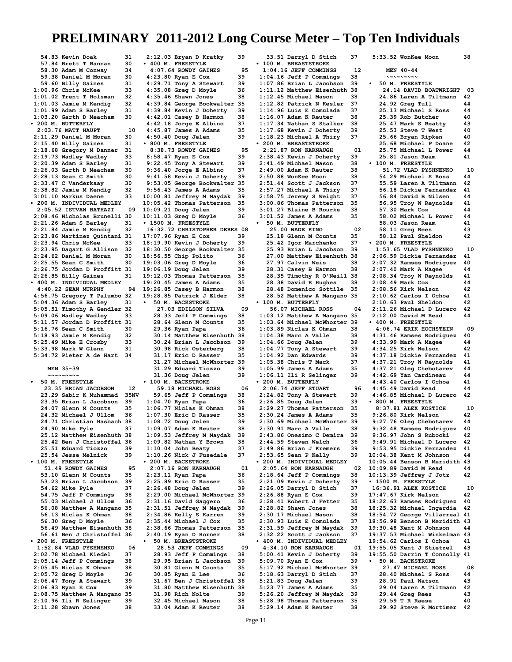**54.83 Kevin Doak 31 57.84 Brett T Bannan 30 58.30 Adam M Conway 34 59.38 Daniel M Moran 30 59.60 Billy Gaines** 31<br>00.96 Chris McKee 33 **1:00.96 Chris McKee 33 1:01.02 Trent T Holsman 32 1:01.03 Jamie M Kendig 32 1:01.99 Adam S Barley 31 1:03.20 Garth D Meacham 30 • 200 M. BUTTERFLY 2:03.76 MATT HAUPT 10**<br>**11.29 Daniel M Moran** 30 **2:11.29 Daniel M Moran 30 2:15.40 Billy Gaines 31 2:18.68 Gregory M Danner 31 2:19.73 Wadley Wadley 33 2:20.39 Adam S Barley 31 2:26.03 Garth D Meacham 30 2:28.13 Sean C Smith 30 2:33.47 C Vanderkaay 30 2:38.82 Jamie M Kendig 32 3:01.10 Markus Daene 33 • 200 M. INDIVIDUAL MEDLEY 2:05.52 ISTVAN BATHAZI 09 2:08.46 Nicholas Brunelli 30 2:21.26 Adam S Barley 31 2:21.84 Jamie M Kendig 32 2:23.86 Martinez Quintani 31 2:23.94 Chris McKee 33 2:23.95 Dagart G Allison 32 2:24.62 Daniel M Moran 30 2:25.55 Sean C Smith 30 2:26.75 Jordan D Proffitt 31 2:26.85 Billy Gaines 31 • 400 M. INDIVIDUAL MEDLEY 4:40.22 SEAN MURPHY 94 4:56.75 Gregory T Palumbo 32 5:04.36 Adam S Barley 31 5:05.51 Timothy A Gendler 32 5:09.06 Wadley Wadley 33 5:11.57 Jordan D Proffitt 31 5:16.76 Sean C Smith 30 5:18.93 Jamie M Kendig 32 5:25.49 Mike E Crosby 33 5:33.98 Mark W Glenn 31 5:34.72 Pieter A de Hart 34 MEN 35-39 ~~~~~~~~~ • 50 M. FREESTYLE 23.35 BRIAN JACOBSON 12 23.29 Sabir K Muhammad 35NV 23.35 Brian L Jacobson 39 24.07 Glenn M Counts 35 24.32 Michael J Ullom 36 24.71 Christian Hasbach 38 24.90 Mike Pyle 37 25.12 Matthew Eisenhuth 38 25.42 Ben J Christoffel 36 25.51 Eduard Tiozzo 39 25.54 Jesse Melnick 39 • 100 M. FREESTYLE 51.49 ROWDY GAINES** 95<br> **13.10 Glenn M Counts** 35 **53.10 Glenn M Counts 35**<br>**53.23 Brian L Jacobson 39 53.23 Brian L Jacobson 39 54.62 Mike Pyle 37 54.75 Jeff P Commings 38 55.03 Michael J Ullom 36 56.08 Matthew A Mangano 35 56.13 Niclas K Ohman 38 56.30 Greg D Moyle 36 56.49 Matthew Eisenhuth 38 56.61 Ben J Christoffel 36 • 200 M. FREESTYLE 1:52.84 VLAD PYSHNENKO 06 2:02.78 Michael Kiedel 37 2:05.14 Jeff P Commings 38 2:05.45 Niclas K Ohman 38 2:05.72 Greg D Moyle 36 2:06.47 Tony A Stewart 39 2:06.83 Ryan E Cox 39 2:08.75 Matthew A Mangano 35 2:10.96 Ili R Selinger 39 2:11.28 Shawn Jones 38**

**2:12.03 Bryan D Kratky 39 • 400 M. FREESTYLE 4:07.64 ROWDY GAINES** 95<br>123.80 Ryan E Cox 39 **4:23.80 Ryan E Cox 39 4:29.71 Tony A Stewart 39 4:35.08 Greg D Moyle 36 4:35.46 Shawn Jones 38 4:39.84 George Bookwalter 35 4:39.84 Kevin J Doherty 39 4:42.01 Casey B Harmon 38 4:42.18 Jorge E Albino 37 4:45.87 James A Adams 35 4:50.40 Doug Jelen 39 • 800 M. FREESTYLE 8:38.73 ROWDY GAINES** 95<br>8:58.47 Rvan E Cox 39 **8:58.47 Ryan E Cox 39 9:22.45 Tony A Stewart 39 9:36.40 Jorge E Albino 37 9:41.58 Kevin J Doherty 39 9:53.05 George Bookwalter 35 9:56.43 James A Adams 35 10:00.81 Jeffrey M Maydak 39 10:05.42 Thomas Patterson 35 10:09.21 Doug Jelen 39 10:11.03 Greg D Moyle 36 • 1500 M. FREESTYLE 16:32.72 CHRISTOPHER DERKS 08 17:07.96 Ryan E Cox 39 18:19.90 Kevin J Doherty 39 18:30.50 George Bookwalter 35 18:56.55 Chip Polito 36 19:03.06 Greg D Moyle 36 19:06.19 Doug Jelen 39 19:12.03 Thomas Patterson 35 19:20.45 James A Adams 35 19:26.85 Casey B Harmon 38 19:28.85 Patrick J Elder 38 • 50 M. BACKSTROKE 27.03 EDILSON SILVA 09 28.33 Jeff P Commings 38 28.64 Glenn M Counts 35 29.36 Ryan Papa 36 30.14 Matthew Eisenhuth 38 30.24 Brian L Jacobson 39 30.98 Rick Osterberg 38** 31.17 Eric D Rasser  **31.27 Michael McWhorter 39 31.29 Eduard Tiozzo 39 31.36 Doug Jelen 39 • 100 M. BACKSTROKE 59.18 MICHAEL ROSS 06 59.65 Jeff P Commings 38 1:04.70 Ryan Papa 36 1:06.77 Niclas K Ohman 38 1:07.30 Eric D Rasser 35 1:08.72 Doug Jelen 39 1:09.07 Adam K Reuter 38 1:09.53 Jeffrey M Maydak 39 1:09.82 Nathan Y Brown 38 1:10.04 John Beaty 37 1:10.26 Nick J Fusedale 37 • 200 M. BACKSTROKE 2:07.16 RON KARNAUGH 01 2:23.11 Ryan Papa 36<br>2:25.89 Eric D Rasser 35 2:25.89 Eric D Rasser 35 2:26.48 Doug Jelen 39 2:29.00 Michael McWhorter 39 2:31.16 David Gaggero 36 2:31.51 Jeffrey M Maydak 39 2:34.86 Kelly S Karren 39 2:35.44 Michael J Cox 35 2:38.66 Thomas Patterson 35 2:40.19 Ryan D Horner 38 • 50 M. BREASTSTROKE 28.53 JEFF COMMINGS 09 28.93 Jeff P Commings 38 29.95 Brian L Jacobson 39 30.81 Glenn M Counts** 35<br>**30.85 Ryan E Lee** 36  **30.85 Ryan E Lee 36 31.67 Ben J Christoffel 36 31.80 Matthew Eisenhuth 38 31.98 Rich Nolte 39 32.45 Michael Mason 38 33.04 Adam K Reuter 38**

 **33.51 Darryl D Stich 37 • 100 M. BREASTSTROKE 1:04.16 JEFF COMMINGS 12 1:04.16 Jeff P Commings 38 1:07.86 Brian L Jacobson 39 1:11.12 Matthew Eisenhuth 38 1:12.45 Michael Mason 38 1:12.82 Patrick N Kesler 37 1:14.96 Luis E Comulada 37 1:16.07 Adam K Reuter 38 1:17.34 Nathan S Stalker 38 1:17.68 Kevin J Doherty 39 1:18.23 Michael A Thiry 37 • 200 M. BREASTSTROKE 2:21.87 RON KARNAUGH 01**<br>2:38.43 Kevin J Doherty 39 **2:38.43 Kevin J Doherty 39 2:41.49 Michael Mason 38 2:49.00 Adam K Reuter 38 2:50.88 WonKee Moon 38 2:51.44 Scott J Jackson 37 2:57.27 Michael A Thiry 37 2:58.75 Jeremy S Weight 37 3:00.86 Thomas Patterson 35 3:01.27 Blaine B Rourke 38 3:01.52 James A Adams 35 • 50 M. BUTTERFLY 25.00 WADE KING 02**<br>25.18 Glenn M Counts 35  **25.18 Glenn M Counts 35 25.42 Igor Marchenko 37 25.93 Brian L Jacobson 39 27.00 Matthew Eisenhuth 38 27.97 Calvin Weis 38 28.31 Casey B Harmon 38 28.35 Timothy R O'Neill 38 28.38 David R Hughes 38 28.48 Domenico Sottile 35 28.52 Matthew A Mangano 35 • 100 M. BUTTERFLY 56.07 MICHAEL ROSS 04 1:03.12 Matthew A Mangano 35 1:03.64 Michael McWhorter 39 1:03.89 Niclas K Ohman 38 1:04.38 Marc A Valle 38 1:04.66 Doug Jelen 39 1:04.77 Tony A Stewart 39 1:04.92 Dan Edwards 39 1:05.38 Chris T Mack 37 1:05.99 James A Adams 35 1:06.11 Ili R Selinger 39 • 200 M. BUTTERFLY 2:06.74 JEFF STUART 96 2:24.82 Tony A Stewart 39 2:26.85 Doug Jelen 39 2:29.27 Thomas Patterson 35 2:30.24 James A Adams 35 2:30.69 Michael McWhorter 39 2:30.91 Marc A Valle 38 2:43.86 Onesimo C Demira 39 2:44.59 Steven Welch 36 2:49.86 Brian J Kremers 39 2:53.65 Sean P Kelly 39 • 200 M. INDIVIDUAL MEDLEY 2:05.64 RON KARNAUGH 02**<br>2:18.64 Jeff P Commings 38 **2:18.64 Jeff P Commings 38 2:21.09 Kevin J Doherty 39 2:26.05 Darryl D Stich 37 2:26.88 Ryan E Cox 39 2:28.41 Robert J Fetter 35 2:28.82 Shawn Jones 38 2:30.17 Michael Mason 38 2:30.93 Luis E Comulada 37 2:31.59 Jeffrey M Maydak 39 2:32.22 Scott J Jackson 37 • 400 M. INDIVIDUAL MEDLEY 4:34.10 RON KARNAUGH 01 5:00.41 Kevin J Doherty 39 5:09.70 Ryan E Cox 39 5:17.92 Michael McWhorter 39 5:18.63 Darryl D Stich 37 5:21.83 Doug Jelen 39 5:23.77 James A Adams 35 5:26.20 Jeffrey M Maydak 39 5:28.98 Thomas Patterson 35 5:29.14 Adam K Reuter 38**

**5:33.52 WonKee Moon 38 MEN 40-44 ~~~~~~~~~ • 50 M. FREESTYLE 24.14 DAVID BOATWRIGHT 03 24.86 Laren A Tiltmann 42 24.92 Greg Tull 44 25.13 Michael S Ross 44 25.39 Rob Butcher 40<br>25.47 Mark S Beatty 43 25.47 Mark S Beatty 43 25.53 Steve T West 40<br>25.66 Brvan Ripken 40 25.66 Bryan Ripken 40 25.68 Michael P Doane 42 25.75 Michael L Power 44 25.81 Jason Ream 41 • 100 M. FREESTYLE 51.72 VLAD PYSHNENKO 10 54.29 Michael S Ross 44 55.59 Laren A Tiltmann 42 56.18 Dickie Fernandez 41 56.84 David B Nilsen 44 56.95 Troy W Reynolds 41 57.30 Mark Cox 44**<br>**58.02 Michael L Power 44 58.02 Michael L Power 44 58.03 Jason Ream 41 58.11 Greg Rees 43 58.12 Paul Sheldon 42 • 200 M. FREESTYLE 1:53.65 VLAD PYSHNENKO 10 2:06.59 Dickie Fernandez 41 2:07.32 Ramses Rodriguez 40 2:07.40 Mark A Magee 44 2:08.34 Troy W Reynolds 41 2:08.49 Mark Cox 44 2:08.56 Kirk Nelson 42 2:10.62 Carlos I Ochoa 41 2:10.63 Paul Sheldon 42 2:11.26 Michael D Lucero 42 2:12.00 David M Read 44 • 400 M. FREESTYLE 4:06.74 ERIK HOCHSTEIN 09 4:31.46 Ramses Rodriguez 40 4:33.99 Mark A Magee 44 4:34.25 Kirk Nelson 42 4:37.18 Dickie Fernandez 41 4:37.21 Troy W Reynolds 41 4:37.21 Oleg Chebotarev 44 4:42.69 Yan Cardineau 44 4:43.40 Carlos I Ochoa 41 4:45.49 David Read 44 4:46.85 Michael D Lucero 42 • 800 M. FREESTYLE 8:37.81 ALEX KOSTICH 10 9:26.80 Kirk Nelson 42 9:27.76 Oleg Chebotarev 44 9:32.48 Ramses Rodriguez 40 9:36.97 John S Rubocki 42 9:49.91 Michael D Lucero 42 9:53.95 Dickie Fernandez 41 10:04.38 Kent M Johnson 44 10:05.44 Benson B Meridith 43 10:09.89 David M Read 44 10:13.39 Jeffrey J Jotz 42 • 1500 M. FREESTYLE 16:36.91 ALEX KOSTICH 10**<br>17:47.67 Kirk Nelson 42 **17:47.67 Kirk Nelson 42 18:22.63 Ramses Rodriguez 40 18:25.32 Michael Ingardia 42 18:54.72 George Villarreal 41 18:56.98 Benson B Meridith 43 19:30.48 Kent M Johnson 44 19:37.53 Michael Winkelman 43 19:54.62 Carlos I Ochoa 41 19:55.05 Kent J Stietzel 43 19:55.50 Darrin T Connolly 41 • 50 M. BACKSTROKE 27.47 MICHAEL ROSS 08 28.40 Michael S Ross 44 28.91 Paul Watson 43 29.04 Laren A Tiltmann 42 29.44 Greg Rees 43**<br>29.59 T B Baese 40  **29.59 T R Raese 40 29.92 Steve R Mortimer 42**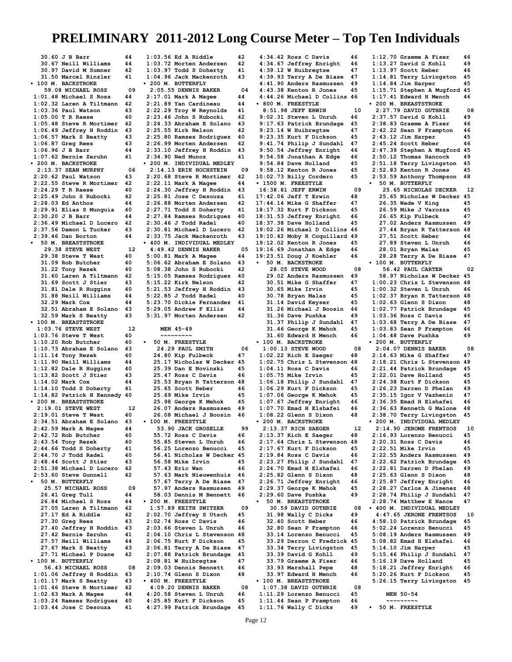**30.60 J B Barr 44**<br>**30.67 Neill Williams** 44  **30.67 Neill Williams 44 30.97 David M Sumner 42 31.50 Marcel Rinzler 41 • 100 M. BACKSTROKE 59.08 MICHAEL ROSS 09 1:01.48 Michael S Ross 44 1:02.32 Laren A Tiltmann 42 1:03.36 Paul Watson 43 1:05.00 T R Raese 40<br>1:05.48 Steve R Mortimer 42 1:05.48 Steve R Mortimer 42 1:06.49 Jeffrey H Roddin 43 1:06.57 Mark S Beatty 43 1:06.87 Greg Rees 43 1:06.96 J B Barr 44 1:07.62 Bernie Zeruhn 41 • 200 M. BACKSTROKE 2:13.37 SEAN MURPHY 06 2:20.62 Paul Watson 43 2:22.55 Steve R Mortimer 42 2:24.29 T R Raese 40 2:25.49 John S Rubocki 42 2:28.03 Ed Anthos 44 2:29.91 Elias S Munguia 40 2:30.20 J B Barr 44 2:36.49 Michael D Lucero 42 2:37.56 Damon L Tucker 43 2:39.46 Dan Borton 44 • 50 M. BREASTSTROKE 29.38 STEVE WEST** 1<br> **29.38 Steve T West** 40 **29.38 Steve T West 40<br>31.09 Rob Butcher 40 31.09 Rob Butcher 40<br>31.22 Tony Rezek 40 31.22 Tony Rezek 40 31.60 Laren A Tiltmann 42 31.69 Scott J Stier 43 31.81 Dale R Huggins 40 31.88 Neill Williams 44 32.29 Mark Cox 44 32.51 Abraham E Solano 43 32.59 Mark S Beatty 43 • 100 M. BREASTSTROKE 1:03.76 STEVE WEST** 12<br>103.76 Steve T West 40 **1:03.76 Steve T West 40<br>1:10.20 Rob Butcher 40 1:10.20 Rob Butcher 40 1:10.73 Abraham E Solano 43 1:11.14 Tony Rezek 40 1:11.90 Neill Williams 44 1:12.82 Dale R Huggins 40 1:13.82 Scott J Stier 43 1:14.02 Mark Cox 44 1:14.10 Todd S Doherty 41 1:14.82 Patrick H Kennedy 40 • 200 M. BREASTSTROKE 2:19.01 STEVE WEST** 12<br>**2:19.01 Steve T West** 40 **2:19.01 Steve T West 40 2:34.51 Abraham E Solano 43 2:42.59 Mark A Magee 44 2:42.72 Rob Butcher 40 2:43.54 Tony Rezek 40 2:44.66 Todd S Doherty 41** 2:44.70 J Todd Radel 40<br>2:48.44 Scott J Stier 43 **2:48.44 Scott J Stier 43 2:51.38 Michael D Lucero 42 2:53.60 Steve Gunnell 42 • 50 M. BUTTERFLY 25.57 MICHAEL ROSS 09 26.41 Greg Tull 44 26.84 Michael S Ross 44 27.05 Laren A Tiltmann 42 27.17 Ed A Riddle 42 27.30 Greg Rees 43 27.40 Jeffrey H Roddin 43 27.42 Bernie Zeruhn 41 27.57 Neill Williams 44 27.67 Mark S Beatty 43 27.71 Michael P Doane 42 • 100 M. BUTTERFLY 56.43 MICHAEL ROSS** 08<br>1.06 Jeffrey H Roddin 43 **1:01.06 Jeffrey H Roddin 43 1:01.17 Mark S Beatty 43 1:01.46 Steve R Mortimer 42 1:02.63 Mark A Magee 44 1:03.24 Ramses Rodriguez 40**

**1:03.44 Jose C Desouza 41**

**1:03.56 Ed A Riddle 42 1:03.72 Morten Andersen 42 1:03.97 Todd S Doherty 41 1:04.96 Jack Mackenroth 43 • 200 M. BUTTERFLY 2:05.55 DENNIS BAKER 04 2:17.01 Mark A Magee 44 2:21.89 Yan Cardineau 44 2:22.29 Troy W Reynolds 41 2:23.46 John S Rubocki 42 2:24.33 Abraham E Solano 43 2:25.55 Kirk Nelson 42 2:25.80 Ramses Rodriguez 40 2:26.99 Morten Andersen 42 2:33.10 Jeffrey H Roddin 43 2:34.90 Ned Munoz 41 • 200 M. INDIVIDUAL MEDLEY 2:14.13 ERIK HOCHSTEIN 09 2:20.68 Steve R Mortimer 42 2:22.11 Mark A Magee 44 2:24.30 Jeffrey H Roddin 43 2:25.81 Jose C Desouza 41 2:26.88 Morten Andersen 42 2:27.71 Todd S Doherty 41 2:27.84 Ramses Rodriguez 40 2:30.46 J Todd Radel 40 2:30.81 Michael D Lucero 42 2:33.75 Jack Mackenroth 43 • 400 M. INDIVIDUAL MEDLEY 4:49.42 DENNIS BAKER** 05<br>05<br>04.00.81 Mark A Mages 44 **5:00.81 Mark A Magee 44 5:06.62 Abraham E Solano 43 5:08.38 John S Rubocki 42 5:15.05 Ramses Rodriguez 40 5:15.22 Kirk Nelson 42<br>5:21.53 Jeffrey H Roddin 43 5:21.53 Jeffrey H Roddin 43 5:22.85 J Todd Radel 40 5:23.70 Dickie Fernandez 41 5:29.05 Andrew F Ellis 44 5:31.97 Morten Andersen 42 MEN 45-49 ~~~~~~~~~ • 50 M. FREESTYLE 24.29 PAUL SMITH 06 24.80 Kip Fulbeck 47 25.17 Nicholas W Decker 45 25.39 Dan E Novinski 45 25.47 Ross C Davis 46 25.53 Bryan R Tatterson 48 25.65 Scott Heber 46 25.69 Mike Irvin 45 25.98 George K Mehok 45 26.07 Anders Rasmussen 49 26.08 Michael J Boosin 46 • 100 M. FREESTYLE 53.90 JACK GROSELLE** 99<br>55.72 Ross C Davis 46  **55.72 Ross C Davis 46 55.85 Steven L Unruh 46 56.25 Lorenzo Benucci 45 56.41 Nicholas W Decker 45 56.58 Mike Irvin 45 57.43 Eric Wan 46 57.63 Mark Nieuwenhuis 46** 57.67 Terry A De Biase  **57.97 Anders Rasmussen 49 58.03 Dennis M Bennett 46 • 200 M. FREESTYLE 1:57.89 KEITH SWITZER 09 2:02.70 Jeffrey S Utsch 45 2:02.74 Ross C Davis 46 2:03.66 Steven L Unruh 46 2:04.10 Chris L Stevenson 48 2:06.75 Kurt F Dickson 45 2:06.81 Terry A De Biase 47 2:07.88 Patrick Brundage 45 2:08.81 W Huibregtse 47 2:09.03 Dennis Bennett 46 2:10.74 Glenn S Dixon 48 • 400 M. FREESTYLE 4:09.20 DENNIS BAKER 08 4:20.58 Steven L Unruh 46 4:25.85 Kurt F Dickson 45**

**4:27.99 Patrick Brundage 45**

**4:34.42 Ross C Davis 46 4:34.67 Jeffrey Enright 46 4:39.12 W Huibregtse 47**<br>**4:39.93 Terry A De Biase 47 4:39.93 Terry A De Biase 47 4:41.90 Anders Rasmussen 49 4:43.38 Kenton R Jones 45 4:44.26 Michael D Collins 46 • 800 M. FREESTYLE 8:51.98 JEFF ERWIN 10 9:02.31 Steven L Unruh 46 9:17.63 Patrick Brundage 45 9:23.14 W Huibregtse 47 9:23.35 Kurt F Dickson 45 9:41.74 Philip J Sundahl 47 9:50.54 Jeffrey Enright 46 9:54.58 Jonathan A Edge 46 9:54.84 Dave Holland 45 9:58.12 Kenton R Jones 45 10:02.73 Billy Cordero 45 • 1500 M. FREESTYLE 16:38.81 JEFF ERWIN** 09<br>17:42.06 Jeff T Erwin 48 **17:42.06 Jeff T Erwin 48 17:44.14 Mike G Shaffer 47 18:17.32 Kurt F Dickson 45 18:31.53 Jeffrey Enright 46 18:37.38 Dave Holland 45 19:02.26 Michael D Collins 46 19:10.42 Moby R Coquillard 49 19:12.02 Kenton R Jones 45 19:16.69 Jonathan A Edge 46 19:23.51 Doug J Koehler 46 • 50 M. BACKSTROKE 28.05 STEVE WOOD 08**<br>29.02 Anders Rasmussen 49  **29.02 Anders Rasmussen 49 30.51 Mike G Shaffer 47 30.65 Mike Irvin 45 30.78 Bryan Malas 45 31.14 David Keyser 45<br>31.26 Michael J Boosin 46 31.26 Michael J Boosin 46 31.36 Dave Pushka** 49<br>**31.37 Philip J Sundahl** 47  **31.37 Philip J Sundahl 47 31.46 George K Mehok 45 31.60 Edward H Mench 46 • 100 M. BACKSTROKE 1:00.13 STEVE WOOD 08**<br>**1:02.22 Rich E Saeger 48 1:02.22 Rich E Saeger 48 1:02.75 Chris L Stevenson 48 1:04.11 Ross C Davis 46 1:05.75 Mike Irvin 1:05.75 Mike Irvin** 45 **1:06.18 Philip J Sundahl 47 1:06.29 Kurt F Dickson 45 1:07.06 George K Mehok 45 1:07.67 Jeffrey Enright 46 1:07.70 Emad H Elshafei 46 1:08.22 Glenn S Dixon 48 • 200 M. BACKSTROKE 2:13.37 RICH SAEGER** 12<br>2:13.37 Rich E Saeger 48 **2:13.37 Rich E Saeger 48 2:17.64 Chris L Stevenson 48 2:17.67 Kurt F Dickson 45 2:19.84 Ross C Davis 46 2:23.27 Philip J Sundahl 47 2:24.70 Emad H Elshafei 46 2:25.82 Glenn S Dixon 48 2:26.71 Jeffrey Enright 46 2:29.37 George K Mehok 45 2:29.60 Dave Pushka 49 • 50 M. BREASTSTROKE 30.59 DAVID GUTHRIE 08 31.98 Wally C Dicks 49 32.40 Scott Heber 46 32.80 Sean P Frampton 46 33.14 Lorenzo Benucci 45 33.29 Derron C Fredrick 45 33.34 Terry Livingston 45 33.39 David G Kohll 49 33.79 Graeme A Fiser 46 33.93 Marshall Pepe 48 33.97 Edward H Mench 46 • 100 M. BREASTSTROKE 1:07.38 DAVID GUTHRIE 08 1:11.29 Lorenzo Benucci 45 1:11.44 Sean P Frampton 46**

**1:12.70 Graeme A Fiser 46 1:13.27 David G Kohll 49 1:13.97 Scott Heber 46 1:14.81 Terry Livingston 45 1:14.84 Jim Harper 45 1:15.71 Stephen A Mugford 45 1:17.41 Edward H Mench 46 • 200 M. BREASTSTROKE 2:27.79 DAVID GUTHRIE 08 2:37.57 David G Kohll 49 2:38.83 Graeme A Fiser 46 2:42.22 Sean P Frampton 46 2:43.12 Jim Harper 45 2:45.24 Scott Heber 46 2:47.39 Stephen A Mugford 45 2:50.12 Thomas Hancock 49 2:51.18 Terry Livingston 45 2:52.83 Kenton R Jones 45 2:53.59 Anthony Thompson 48 • 50 M. BUTTERFLY 25.65 NICHOLAS DECKER 12 25.65 Nicholas W Decker 45 26.35 Wade V King 45 26.59 Mike J Varozza 45 26.65 Kip Fulbeck 47 27.02 Anders Rasmussen 49 27.44 Bryan R Tatterson 48 27.51 Scott Heber 46<br>27.89 Steven L Unruh 46 27.89 Steven L Unruh 46 28.01 Bryan Malas 45 28.28 Terry A De Biase 47 • 100 M. BUTTERFLY 56.42 PAUL CARTER 02 58.97 Nicholas W Decker 45 1:00.23 Chris L Stevenson 48 1:00.32 Steven L Unruh 46 1:02.37 Bryan R Tatterson 48 1:02.63 Glenn S Dixon 48 1:02.77 Patrick Brundage 45** 1:03.36 Ross C Davis <sup>46</sup><br>1:03.68 Terrv A De Biase 47 **1:03.68 Terry A De Biase 47 1:03.83 Sean P Frampton 46 1:04.48 Dave Pushka • 200 M. BUTTERFLY 2:04.07 DENNIS BAKER 08 2:14.63 Mike G Shaffer 47 2:18.21 Chris L Stevenson 48 2:21.44 Patrick Brundage 45 2:22.01 Dave Holland 45 2:24.38 Kurt F Dickson 45 2:26.23 Darren D Phelan 49 2:35.15 Igor V Vazhenin 47 2:36.35 Emad H Elshafei 46 2:36.63 Kenneth G Malone 48 2:38.70 Terry Livingston 45 • 200 M. INDIVIDUAL MEDLEY 2:14.90 JEROME FRENTSOS 10 2:16.93 Lorenzo Benucci 45 2:20.31 Ross C Davis 46 2:22.51 Mike Irvin 45 2:22.55 Anders Rasmussen 49 2:22.62 Patrick Brundage 45 2:22.81 Darren D Phelan 49 2:25.63 Glenn S Dixon 48 2:25.87 Jeffrey Enright 46 2:28.27 Carlos A Jimenez 48 2:28.74 Philip J Sundahl 47 2:28.74 Matthew E Nance 47 • 400 M. INDIVIDUAL MEDLEY 4:47.65 JERONE FRENTSOS 10 4:58.10 Patrick Brundage 45 5:02.24 Lorenzo Benucci 45 5:08.19 Anders Rasmussen 49 5:08.82 Emad H Elshafei 46 5:14.10 Jim Harper 45 5:15.46 Philip J Sundahl 47 5:16.19 Dave Holland 45 5:18.21 Jeffrey Enright 46 5:20.26 Kurt F Dickson 45 5:26.15 Terry Livingston 45 MEN 50-54 ~~~~~~~~~ • 50 M. FREESTYLE**

**1:11.76 Wally C Dicks 49**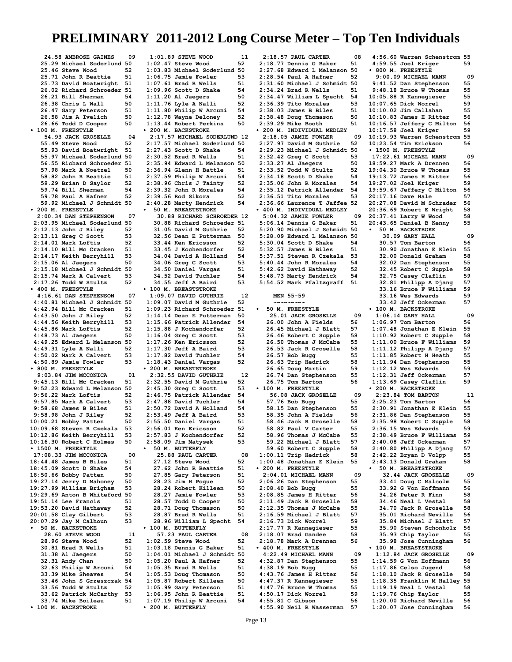**24.58 AMBROSE GAINES 09 25.29 Michael Soderlund 50 25.46 Steve Wood 52 25.71 John R Beattie 51 25.73 David Boatwright 51** 26.02 Richard Schroeder  **26.21 Bill Sherman 54 26.38 Chris L Wall 50 26.47 Gary Peterson 51 26.58 Jim A Ivelich 50 26.66 Todd D Cooper 50 • 100 M. FREESTYLE 54.93 JACK GROSELLE 04 55.49 Steve Wood 52 55.93 David Boatwright 51 55.97 Michael Soderlund 50 56.55 Richard Schroeder 51 57.98 Mark A Noetzel 50 58.82 John R Beattie 51 59.29 Brian D Saylor 52 59.74 Bill Sherman 54**<br>59.78 Paul A Hafner 52  **59.78 Paul A Hafner 52 59.92 Michael J Schmidt 50 • 200 M. FREESTYLE 2:00.34 DAN STEPHENSON 07 2:03.95 Michael Soderlund 50 2:12.13 John J Riley 52 2:13.11 Greg C Scott 53 2:14.01 Mark Loftis 52 2:14.10 Bill Mc Cracken 51 2:14.17 Keith Berryhill 53 2:15.06 Al Jaegers 50 2:15.18 Michael J Schmidt 50 2:15.74 Mark A Calvert 53 2:17.26 Todd W Stultz 52 • 400 M. FREESTYLE 4:16.61 DAN STEPHENSON 07 4:40.81 Michael J Schmidt 50 4:42.94 Bill Mc Cracken 51 4:43.50 John J Riley 52 4:44.56 Keith Berryhill 53 4:45.86 Mark Loftis 52 4:48.73 Al Jaegers 50 4:49.25 Edward L Melanson 50 4:49.31 Lyle A Nalli 52 4:50.02 Mark A Calvert 53 4:50.89 Jamie Fowler 53 • 800 M. FREESTYLE 9:03.84 JIM MCCONICA** 01<br>**9:45.13 Bill Mc Cracken** 51 **9:45.13 Bill Mc Cracken 51 9:52.23 Edward L Melanson 50 9:56.22 Mark Loftis 52 9:57.85 Mark A Calvert 53 9:58.68 James B Biles 51 9:58.98 John J Riley 52 10:00.21 Bobby Patten 50 10:09.68 Steven R Czekala 53 10:12.86 Keith Berryhill 53 10:16.30 Robert C Holmes 50 • 1500 M. FREESTYLE 17:08.33 JIM MCCONICA** 00<br>18:44.48 James B Biles 51 **18:44.48 James B Biles 51 18:45.09 Scott D Shake 54 18:50.66 Bobby Patten 50 19:27.14 Jerry D Mahoney 50 19:27.99 William Brigham 53 19:29.69 Anton B Whiteford 50 19:51.14 Lee Francis 51 19:53.20 David Hathaway 52 20:01.58 Clay Gilbert 53 20:07.29 Jay M Calhoun 53 • 50 M. BACKSTROKE 28.60 STEVE WOOD 11**<br>28.96 Steve Wood 52  **28.96 Steve Wood 52 30.81 Brad R Wells 51 31.38 Al Jaegers 50 32.31 Andy Chan** 50<br>**32.63 Philip W Arcuni** 54  **32.63 Philip W Arcuni 54 33.39 Mike Sheaves 33.46 John S Grzeszczak 54 33.56 Todd W Stultz 33.62 Patrick McCarthy 53 33.74 Mike Boileau 51 • 100 M. BACKSTROKE • 200 M. BUTTERFLY**

**1:01.89 STEVE WOOD 11**<br>1:02.47 Steve Wood 52 **1:02.47 Steve Wood 52 1:03.83 Michael Soderlund 50 1:06.75 Jamie Fowler 53 1:07.61 Brad R Wells 51** 1:09.96 Scott D Shake **1:11.20 Al Jaegers 50 1:11.76 Lyle A Nalli 52 1:11.80 Philip W Arcuni 54 1:12.78 Wayne Deloney 52 1:13.44 Robert Perkins 50 • 200 M. BACKSTROKE 2:17.57 MICHAEL SODERLUND 12 2:17.57 Michael Soderlund 50 2:27.43 Scott D Shake 54 2:30.52 Brad R Wells 51 2:35.94 Edward L Melanson 50 2:36.94 Glenn H Battle 51 2:37.59 Philip W Arcuni 54 2:38.96 Chris J Tainty 52 2:39.32 John R Morales 54 2:39.56 Rod Sikora 52 2:40.28 Marty Hendrick 54 • 50 M. BREASTSTROKE 30.88 RICHARD SCHROEDER 12 30.88 Richard Schroeder 51 31.05 David M Guthrie 52 32.56 Dean E Putterman 50 33.44 Ken Ericsson 52 33.45 J Kochendorfer 52 34.04 David A Holland 54 34.06 Greg C Scott 53 34.50 Daniel Vargas 51 34.52 David Tuchler 54 34.55 Jeff A Baird 53 • 100 M. BREASTSTROKE 1:09.07 DAVID GUTHRIE 12 1:09.07 David M Guthrie 52 1:09.23 Richard Schroeder 51 1:14.14 Dean E Putterman 50 1:15.66 Patrick Allender 54 1:15.88 J Kochendorfer 52 1:16.04 Greg C Scott 53 1:17.26 Ken Ericsson 52 1:17.30 Jeff A Baird 53 1:17.82 David Tuchler 54 1:18.43 Daniel Vargas 52 • 200 M. BREASTSTROKE 2:32.55 DAVID GUTHRIE 12 2:32.55 David M Guthrie 52 2:45.30 Greg C Scott 53 2:46.75 Patrick Allender 54 2:47.88 David Tuchler 54 2:50.72 David A Holland 54 2:53.49 Jeff A Baird 53 2:55.50 Daniel Vargas 51 2:56.01 Ken Ericsson 52 2:57.83 J Kochendorfer 52 2:58.09 Jim Matysek 53 • 50 M. BUTTERFLY 25.88 PAUL CARTER 08 27.12 Steve Wood 52 27.62 John R Beattie 51 27.85 Gary Peterson 51 28.23 Jim H Pogue 52 28.24 Robert Killeen 50 28.27 Jamie Fowler 53 28.57 Todd D Cooper 50 28.71 Doug Thomason 50 28.87 Brad R Wells 51 28.96 William L Specht 54 • 100 M. BUTTERFLY 57.23 PAUL CARTER 08 1:02.59 Steve Wood 52 1:03.18 Dennis G Baker 51 1:04.01 Michael J Schmidt 50 1:05.20 Paul A Hafner 52 1:05.35 Brad R Wells 51 1:05.53 Doug Thomason 50 1:05.87 Robert Killeen 50 1:05.99 Gary Peterson 51 1:06.95 John R Beattie 51 1:07.19 Philip W Arcuni 54**

 **2:18.57 PAUL CARTER 08 2:18.77 Dennis G Baker 51 2:27.68 Edward L Melanson 50 2:28.54 Paul A Hafner 52 2:31.60 Michael J Schmidt 50 2:34.24 Brad R Wells 51 2:34.47 William L Specht 54 2:36.39 Tito Morales 53 2:38.03 James B Biles 51 2:38.48 Doug Thomason 50 2:39.29 Mike Booth 51 • 200 M. INDIVIDUAL MEDLEY 2:18.05 JAMIE FOWLER 09 2:27.97 David M Guthrie 52 2:29.23 Michael J Schmidt 50 2:32.42 Greg C Scott 53 2:33.27 Al Jaegers 50 2:33.52 Todd W Stultz 52 2:34.18 Scott D Shake 54 2:35.06 John R Morales 54 2:35.12 Patrick Allender 54 2:36.51 Tito Morales 53 2:36.66 Laurence T Jaffee 52 • 400 M. INDIVIDUAL MEDLEY 5:04.32 JAMIE FOWLER 09 5:06.14 Dennis G Baker 51 5:20.90 Michael J Schmidt 50 5:28.09 Edward L Melanson 50 5:30.04 Scott D Shake 54 5:32.57 James B Biles 51**<br>**5:37.51 Steven R Czekala** 53 **5:37.51 Steven R Czekala 53 5:40.44 John R Morales 54 5:42.62 David Hathaway 52 5:48.73 Marty Hendrick 54 5:54.52 Mark Pfaltzgraff 51 MEN 55-59 ~~~~~~~~~ • 50 M. FREESTYLE 25.01 JACK GROSELLE 09 26.00 John A Fields 56 26.45 Michael J Blatt 57 26.46 Robert C Supple 58 26.50 Thomas J McCabe 55 26.53 Jack R Groselle 58 26.57 Bob Bugg 55 26.63 Trip Hedrick 58 26.65 Doug Martin 59** 26.74 Dan Stephenson  **26.75 Tom Barton 56 • 100 M. FREESTYLE 56.08 JACK GROSELLE 09 57.76 Bob Bugg 55 58.15 Dan Stephenson 55 58.35 John A Fields 56 58.46 Jack R Groselle 58 58.82 Paul V Carter 55 58.96 Thomas J McCabe 55 59.22 Michael J Blatt 57 59.60 Robert C Supple 58 1:00.11 Trip Hedrick 58 1:00.48 Jonathan E Klein 55 • 200 M. FREESTYLE 2:04.01 MICHAEL MANN 09**<br>09.06.26 Dan Stephenson 55 **2:06.26 Dan Stephenson 55 2:08.40 Bob Bugg 55 2:08.85 James H Ritter 56 2:11.49 Jack R Groselle 58 2:12.35 Thomas J McCabe 55 2:16.59 Michael J Blatt 57 2:16.73 Dick Worrel 59 2:17.77 R Kannegieser 55 2:18.07 Brad Gandee 58 2:18.78 Mark A Drennen 56 • 400 M. FREESTYLE 4:22.49 MICHAEL MANN 09 4:32.87 Dan Stephenson 55 4:38.19 Bob Bugg 55 4:43.76 James H Ritter 56 4:47.37 R Kannegieser 55 4:47.76 Bruce W Thomas 55 4:50.17 Dick Worrel 59 4:55.81 C Gibson 56**

**4:56.60 Warren Schenstrom 55 4:59.55 Joel Kriger 59 • 800 M. FREESTYLE 9:00.09 MICHAEL MANN 09 9:41.52 Dan Stephenson 55 9:48.18 Bruce W Thomas 55 10:05.88 R Kannegieser 55 10:07.65 Dick Worrel 59 10:10.02 Jim Callahan 55 10:10.83 James H Ritter 56 10:16.57 Jeffery C Milton 56 10:17.58 Joel Kriger 59 10:19.93 Warren Schenstrom 55 10:23.54 Tim Erickson 56 • 1500 M. FREESTYLE 17:22.61 MICHAEL MANN 09 18:59.27 Mark A Drennen 56 19:04.30 Bruce W Thomas 55 19:13.72 James H Ritter 56 19:27.02 Joel Kriger 59 19:59.67 Jeffery C Milton 56 20:17.16 Dave Hale 57<br>20:27.08 David M Schrader 56 20:27.08 David M Schrader 56 20:36.69 Robert E Wright 58 20:37.41 Larry W Wood 58 20:43.65 Daniel B Kenny 55 • 50 M. BACKSTROKE 30.09 GARY HALL 09**<br>**80.57 Tom Barton** 56  **30.57 Tom Barton 56 30.90 Jonathan E Klein 55 32.00 Donald Graham 58 32.02 Dan Stephenson 55 32.45 Robert C Supple 58 32.75 Casey Claflin 59** 32.81 Philipp A Djang  **33.16 Bruce F Williams 59 33.16 Wes Edwards 59 33.42 Jeff Ockerman 57 • 100 M. BACKSTROKE 1:06.14 GARY HALL 09** 1:06.97 Tom Barton 56<br>1:07.48 Jonathan E Klein 55 **1:07.48 Jonathan E Klein 55 1:10.92 Robert C Supple 58 1:11.00 Bruce F Williams 59 1:11.12 Philipp A Djang 57 1:11.85 Robert H Heath 55** 1:11.94 Dan Stephenson **1:12.12 Wes Edwards 59**<br>1:12.31 Jeff Ockerman 57 **1:12.31 Jeff Ockerman 57 1:13.69 Casey Claflin 59 • 200 M. BACKSTROKE 2:23.84 TOM BARTON 11 2:25.23 Tom Barton 56 2:30.91 Jonathan E Klein 55 2:31.86 Dan Stephenson 55 2:35.98 Robert C Supple 58 2:36.15 Wes Edwards** 59<br>2:38.49 Bruce F Williams 59 **2:38.49 Bruce F Williams 59 2:40.08 Jeff Ockerman 57 2:40.80 Philipp A Djang 57 2:42.22 Bryan D Volpp 55 2:43.13 Donald Graham 58 • 50 M. BREASTSTROKE 32.44 JACK GROSELLE 09 33.41 Doug C Malcolm 55 33.92 G Von Hoffmann 56 34.26 Peter R Finn 58 34.46 Neal L Vestal 58 34.70 Jack R Groselle 58 35.01 Richard Neville 56 35.84 Michael J Blatt 57 35.90 Steven Schonholz 56 35.93 Chip Taylor 55 35.98 Jose Cunningham 56 • 100 M. BREASTSTROKE 1:12.84 JACK GROSELLE 09 1:14.59 G Von Hoffmann 56 1:17.86 Celso Jugend 58 1:18.10 Jack R Groselle 58 1:18.35 Franklin M Halley 55 1:19.19 Neal L Vestal 58 1:19.76 Chip Taylor 55 1:20.00 Richard Neville 56 1:20.07 Jose Cunningham 56**

**4:55.90 Neil R Wasserman 57**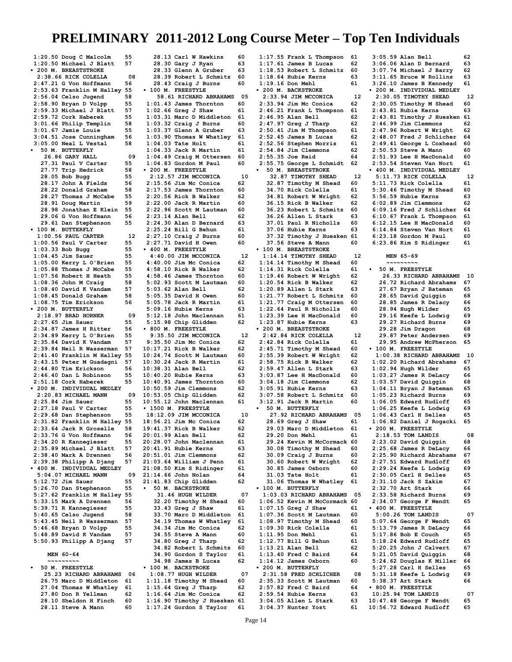**1:20.50 Doug C Malcolm 55 1:20.50 Michael J Blatt 57 • 200 M. BREASTSTROKE 2:38.66 RICK COLELLA 08 2:47.21 G Von Hoffmann 56 2:53.63 Franklin M Halley 55 2:56.04 Celso Jugend 58 2:58.90 Bryan D Volpp 55 2:59.33 Michael J Blatt 57 2:59.72 Cork Haberek 55 3:01.66 Philip Templin 58 3:01.67 Jamie Louie 55 3:04.51 Jose Cunningham 56 3:05.00 Neal L Vestal 58 • 50 M. BUTTERFLY 26.86 GARY HALL 09 27.31 Paul V Carter 55 27.77 Trip Hedrick 58 28.05 Bob Bugg 55 28.17 John A Fields 56 28.22 Donald Graham 58 28.27 Thomas J McCabe 55 28.91 Doug Martin 59 28.98 Jonathan E Klein 55 29.06 G Von Hoffmann 56 29.61 Dan Stephenson 55 • 100 M. BUTTERFLY 1:00.56 PAUL CARTER** 12<br>100.56 Paul V Carter 55. **1:00.56 Paul V Carter 55 1:03.33 Bob Bugg 55 1:04.45 Jim Sauer 55<br>1:05.00 Kerry L O'Brien 55 1:05.00 Kerry L O'Brien 55 1:05.88 Thomas J McCabe 55 1:07.56 Robert H Heath 55 1:08.36 John M Craig 58 1:08.40 David K Vandam 57 1:08.45 Donald Graham 58 1:08.75 Tim Erickson 56 • 200 M. BUTTERFLY 2:18.97 BRAD HORNER 09 2:27.65 Jim Sauer 55 2:34.87 James H Ritter 56 2:34.89 Kerry L O'Brien 55 2:35.84 David K Vandam 57 2:39.84 Neil R Wasserman 57 2:41.40 Franklin M Halley 55 2:43.15 Peter M Guadagni 57 2:44.80 Tim Erickson 56 2:46.40 Dan L Robinson 55 2:51.18 Cork Haberek 55 • 200 M. INDIVIDUAL MEDLEY 2:20.83 MICHAEL MANN 09 2:25.84 Jim Sauer 55 2:27.18 Paul V Carter 55** 2:29.68 Dan Stephenson **2:31.82 Franklin M Halley 55 2:33.64 Jack R Groselle 58 2:33.76 G Von Hoffmann 56 2:34.20 R Kannegieser 55 2:35.89 Michael J Blatt 57 2:38.40 Mark A Drennen 56 2:39.38 Philipp A Djang 57 • 400 M. INDIVIDUAL MEDLEY 5:04.07 MICHAEL MANN 09**<br>**5:12.72 Jim Sauer** 55 **5:12.72 Jim Sauer 55 5:26.70 Dan Stephenson 55 5:27.62 Franklin M Halley 55 5:33.15 Mark A Drennen 56 5:39.71 R Kannegieser 55 5:40.65 Celso Jugend 58 5:43.45 Neil R Wasserman 57 5:46.68 Bryan D Volpp 55 5:48.89 David K Vandam 57 5:50.93 Philipp A Djang 57 MEN 60-64 ~~~~~~~~~ • 50 M. FREESTYLE 25.23 RICHARD ABRAHAMS 06 26.75 Marc D Middleton 61 27.04 Thomas W Whatley 61**

 **27.80 Don R Yellman 62 28.10 Sheldon H Finch 60 28.11 Steve A Mann 60**

 **28.13 Carl W Hawkins 60 28.30 Gary J Ryan 63 28.33 Glenn A Gruber 63 28.39 Robert L Schmitz 60 28.43 Craig J Burns 60 • 100 M. FREESTYLE 58.61 RICHARD ABRAHAMS 05 1:01.43 James Thornton 60 1:02.66 Greg J Shaw 61 1:03.31 Marc D Middleton 61 1:03.32 Craig J Burns 60 1:03.37 Glenn A Gruber 63 1:03.90 Thomas W Whatley 61 1:04.03 Tate Holt** 61<br>**1:04.33 Jack R Martin** 61 **1:04.33 Jack R Martin 61 1:04.49 Craig M Ottersen 60 1:04.83 Gordon M Paul 60 • 200 M. FREESTYLE 2:12.57 JIM MCCONICA** 10<br>2:15.56 Jim Mc Conica 62 **2:15.56 Jim Mc Conica 62 2:17.53 James Thornton 60 2:20.56 Rick B Walker 62 2:22.00 Jack R Martin 60 2:22.96 Scott M Lautman 60 2:23.14 Alan Bell 62 2:24.30 Alan D Bernard 63 2:25.24 Bill G Behun 61 2:27.10 Craig J Burns 60 2:27.71 David H Owen 60 • 400 M. FREESTYLE 4:40.00 JIM MCCONICA** 12<br>**140.00 Jim Mc Conica** 62: **4:40.00 Jim Mc Conica 62 4:58.10 Rick B Walker 62 4:58.46 James Thornton 60 5:02.93 Scott M Lautman 60 5:03.62 Alan Bell 62**<br>**5:05.35 David H Owen 60 5:05.35 David H Owen 60 5:05.78 Jack R Martin 61 5:09.16 Hubie Kerns 63 5:12.18 John Maclennan 61 5:15.98 Chip Glidden 62 • 800 M. FREESTYLE 9:35.50 JIM MCCONICA 12 9:35.50 Jim Mc Conica 62 10:17.21 Rick B Walker 62 10:24.74 Scott M Lautman 60 10:30.24 Jack R Martin 61 10:38.31 Alan Bell 62**<br>**10:40.20 Hubie Kerns** 63 **10:40.20 Hubie Kerns 63 10:40.91 James Thornton 60 10:50.59 Jim Clemmons 62 10:53.05 Chip Glidden 62 10:55.12 John Maclennan 61 • 1500 M. FREESTYLE 18:12.09 JIM MCCONICA 10 18:56.21 Jim Mc Conica 62 19:41.37 Rick B Walker 62 20:01.99 Alan Bell 62 20:28.07 John Maclennan 61 20:41.91 Hubie Kerns 63 20:51.01 Jim Clemmons 62 21:03.64 William J Penn 61 21:08.50 Kim S Ridinger 61 21:14.66 John Nolan 64 21:41.83 Chip Glidden 62 • 50 M. BACKSTROKE 31.46 HUGH WILDER 07 32.20 Timothy M Shead 60 33.43 Greg J Shaw 61 33.70 Marc D Middleton 61 34.19 Thomas W Whatley 61 34.34 Jim Mc Conica 62 34.55 Steve A Mann 60 34.80 Greg J Tharp 62 34.82 Robert L Schmitz 60 34.90 Gordon S Taylor 61 34.98 James B Lucas 62 • 100 M. BACKSTROKE 1:08.77 HUGH WILDER 07 1:11.18 Timothy M Shead 60 1:15.64 Greg J Tharp 62 1:16.64 Jim Mc Conica 62 1:16.90 Timothy J Huesken 61**

**1:17.24 Gordon S Taylor 61**

**1:17.55 Frank L Thompson 61 1:17.61 James B Lucas 62 1:18.53 Robert L Schmitz 60 1:18.64 Hubie Kerns 63 1:19.16 Don Mehl 61 • 200 M. BACKSTROKE 2:33.94 JIM MCCONICA 12 2:33.94 Jim Mc Conica 62 2:46.21 Frank L Thompson 61** 2:46.95 Alan Bell 62<br>2:47.97 Greg J Tharp 62 **2:47.97 Greg J Tharp 62 2:50.41 Jim M Thompson 61 2:52.45 James B Lucas 62 2:52.56 Stephen Morris 61 2:54.84 Jim Clemmons 62 2:55.35 Joe Reid 64 2:55.75 George L Schmidt 62 • 50 M. BREASTSTROKE 32.87 TIMOTHY SHEAD** 12<br>**82.87 Timothv M Shead** 60  **32.87 Timothy M Shead 60 34.70 Rick Colella 61**<br>**34.81 Robert W Wright** 62  **34.81 Robert W Wright 62 36.15 Rick B Walker 36.23 Robert L Schmitz 60 36.26 Allen L Stark 63 37.01 Paul R Nicholls 60 37.06 Hubie Kerns 63 37.32 Timothy J Huesken 61 37.56 Steve A Mann 60 • 100 M. BREASTSTROKE 1:14.14 TIMOTHY SHEAD** 12<br>**114.14 Timothy M Shead** 60: **1:14.14 Timothy M Shead 60 1:14.31 Rick Colella 61 1:19.46 Robert W Wright 62 1:20.54 Rick B Walker 62 1:20.89 Allen L Stark 63 1:21.77 Robert L Schmitz 60 1:21.77 Craig M Ottersen 60 1:22.64 Paul R Nicholls 60 1:23.39 Lee H MacDonald 60 1:23.87 Hubie Kerns 63 • 200 M. BREASTSTROKE 2:42.84 RICK COLELLA 12 2:42.84 Rick Colella 61 2:45.71 Timothy M Shead 60 2:55.39 Robert W Wright 62 2:58.75 Rick B Walker 62 2:59.47 Allen L Stark 63 3:03.87 Lee H MacDonald 60 3:04.18 Jim Clemmons 62 3:05.91 Hubie Kerns 63 3:07.58 Robert L Schmitz 60 3:12.91 Jack R Martin 60 • 50 M. BUTTERFLY 27.92 RICHARD ABRAHAMS** 05<br>28.69 Greg J Shaw 61  **28.69 Greg J Shaw 61 29.03 Marc D Middleton 61 29.20 Don Mehl 61 29.24 Kevin M McCormack 60 30.08 Timothy M Shead 60 30.09 Craig J Burns 60 30.60 Robert W Wright 62 30.85 James Osborn** 60<br>**31.03 Tate Holt** 61 **31.03 Tate Holt** 61<br>**31.06 Thomas W Whatley** 61  **31.06 Thomas W Whatley 61 • 100 M. BUTTERFLY 1:03.03 RICHARD ABRAHAMS 05 1:06.52 Kevin M McCormack 60 1:07.15 Greg J Shaw 61 1:07.36 Scott M Lautman 60 1:08.97 Timothy M Shead 60 1:09.30 Rick Colella 61 1:11.95 Don Mehl 61 1:12.77 Bill G Behun 61 1:13.21 Alan Bell 62 1:13.40 Fred C Baird 64 1:14.12 James Osborn 60 • 200 M. BUTTERFLY 2:31.58 FRED SCHLICHER 08 2:35.33 Scott M Lautman 60 2:57.82 Fred C Baird 64 2:59.54 Hubie Kerns 63 3:04.05 Allen L Stark 63**

**3:05.59 Alan Bell 62**<br>**3:06.06 Alan D Bernard** 63 **3:06.06 Alan D Bernard 63 3:07.74 Michael J Barry 62 3:11.65 Bruce W Rollins 63 3:26.10 James B Kennedy 61 • 200 M. INDIVIDUAL MEDLEY 2:30.05 TIMOTHY SHEAD 12 2:30.05 Timothy M Shead 60 2:43.81 Hubie Kerns 63 2:43.81 Timothy J Huesken 61 2:46.99 Jim Clemmons 62 2:47.96 Robert W Wright 62 2:48.07 Fred J Schlicher 64 2:49.41 George L Coxhead 60 2:50.53 Steve A Mann 60 2:51.93 Lee H MacDonald 60 2:53.54 Steven Van Nort 61 • 400 M. INDIVIDUAL MEDLEY 5:11.73 RICK COLELLA** 12<br>**5:11.73 Rick Colella** 61 **5:11.73 Rick Colella 61 5:30.46 Timothy M Shead 60 5:56.59 Hubie Kerns 63 6:02.89 Jim Clemmons 62 6:09.16 Fred J Schlicher 64 6:10.67 Frank L Thompson 61 6:12.15 Lee H MacDonald 60 6:14.84 Steven Van Nort 61 6:23.18 Gordon M Paul 60 6:23.86 Kim S Ridinger 61 MEN 65-69 ~~~~~~~~~ • 50 M. FREESTYLE 26.33 RICHARD ABRAHAMS 10 26.72 Richard Abrahams 67 27.67 Bryan J Bateman 65 28.65 David Quiggin 68 28.85 James R Delacy 66 28.94 Hugh Wilder 65 29.16 Keefe L Lodwig 69 29.27 Richard Burns 69 29.28 Jim Dragon 68 29.87 Peter Andersen 69 29.95 Andrew McPherson 65 • 100 M. FREESTYLE 1:00.38 RICHARD ABRAHAMS 10 1:02.20 Richard Abrahams 67 1:02.94 Hugh Wilder 65 1:03.27 James R DeLacy 66 1:03.57 David Quiggin 68 1:04.11 Bryan J Bateman 65 1:05.23 Richard Burns 69 1:06.05 Edward Rudloff 65 1:06.25 Keefe L Lodwig 69 1:06.43 Carl H Selles 65 1:06.82 Daniel J Rogacki 65 • 200 M. FREESTYLE 2:18.53 TOM LANDIS 08 2:23.02 David Quiggin 68 2:25.68 James R DeLacy 66 2:25.90 Richard Abrahams 67 2:27.51 Edward Rudloff 65 2:29.24 Keefe L Lodwig 69 2:30.05 Carl H Selles 65 2:31.10 Jack S Zakim 67 2:32.70 Art Stark 66 2:33.58 Richard Burns 69 2:34.07 George F Wendt 65 • 400 M. FREESTYLE 5:00.26 TOM LANDIS 07 5:07.64 George F Wendt 65 5:13.79 James R DeLacy 66 5:17.86 Bob E Couch 65 5:18.24 Edward Rudloff 65 5:20.25 John J Calvert 67 5:21.05 David Quiggin 68 5:24.62 Douglas K Miller 66 5:27.28 Carl H Selles 65 5:31.18 Keefe L Lodwig 69 5:38.37 Art Stark 66 • 800 M. FREESTYLE 10:25.94 TOM LANDIS 07 10:47.48 George F Wendt 65 10:56.72 Edward Rudloff 65**

**3:04.37 Hunter Yost 61**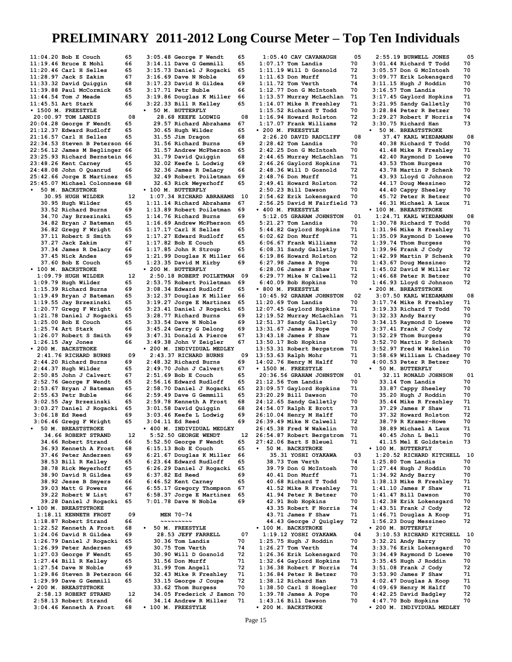**11:04.20 Bob E Couch 65<br>11:19.46 Bruce E Mohl 66 11:19.46 Bruce E Mohl 66**<br>**11:20.46 Carl H Selles 65 11:20.46 Carl H Selles 65 11:28.97 Jack S Zakim 67 11:33.32 David Quiggin 68 11:39.88 Paul McCormick 65 11:44.54 Tom J Meade 65 11:45.51 Art Stark 66 • 1500 M. FREESTYLE 20:00.97 TOM LANDIS** 08<br>20:04.28 George F Wendt 65 **20:04.28 George F Wendt 65 21:12.37 Edward Rudloff 65 21:16.57 Carl H Selles 65 22:34.53 Steven B Peterson 66 22:56.12 James M Beglinger 66 23:25.93 Richard Bernstein 66 23:48.26 Kent Carney 65 24:48.08 John O Quanrud 66 25:42.66 Jorge E Martinez 65 25:45.07 Michael Colonnese 68 • 50 M. BACKSTROKE 30.95 HUGH WILDER 12 30.95 Hugh Wilder 65 33.52 Richard Burns 69 34.70 Jay Brzezinski 65 34.82 Bryan J Bateman 65 36.82 Gregg F Wright 65 37.11 Robert S Smith 69 37.27 Jack Zakim 67 37.34 James R Delacy 66 37.45 Nick Andes** 69<br>**37.60 Bob E Couch** 65  **37.60 Bob E Couch 65 • 100 M. BACKSTROKE 1:09.79 HUGH WILDER 12 1:09.79 Hugh Wilder 65 1:15.39 Richard Burns 69 1:19.49 Bryan J Bateman 65 1:19.55 Jay Brzezinski 65 1:20.77 Gregg F Wright 65 1:21.78 Daniel J Rogacki 65 1:25.00 Bob E Couch** 65<br>**1:25.74 Art Stark** 66 **1:25.74 Art Stark 66**<br>**1:26.07 Robert S Smith 69 1:26.07 Robert S Smith 69 1:26.15 Jay Jones 66 • 200 M. BACKSTROKE 2:41.76 RICHARD BURNS 09 2:44.20 Richard Burns 69 2:44.37 Hugh Wilder 65 2:50.85 John J Calvert 67 2:52.76 George F Wendt 65 2:53.67 Bryan J Bateman 65 2:55.63 Petr Buble 66 3:02.55 Jay Brzezinski 65 3:03.27 Daniel J Rogacki 65 3:06.18 Ed Reed 69<br>3:06.46 Gregg F Wright 65 3:06.46 Gregg F Wright 65 • 50 M. BREASTSTROKE 34.66 ROBERT STRAND 12 34.66 Robert Strand 66 36.93 Kenneth A Frost 68 37.46 Peter Andersen 38.53 Bill R Kelley 65 38.78 Rick Meyerhoff 65 38.90 David R Gildea 69 38.92 Jesse B Smyers 66 39.03 Matt G Powers 66 39.22 Robert W List 67 39.28 Daniel J Rogacki 65 • 100 M. BREASTSTROKE 1:18.11 KENNETH FROST 09 1:18.87 Robert Strand 66 1:22.52 Kenneth A Frost 68 1:24.06 David R Gildea 69 1:26.79 Daniel J Rogacki 65 1:26.99 Peter Andersen 69 1:27.03 George F Wendt 65 1:27.44 Bill R Kelley 65 1:27.54 Dave N Noble 69 1:29.86 Steven B Peterson 66 1:29.99 Dave G Gemmill 65 • 200 M. BREASTSTROKE 2:58.13 ROBERT STRAND 12**<br>1:58.13 Robert Strand 66 **2:58.13 Robert Strand 66 3:04.46 Kenneth A Frost 68**

**3:05.48 George F Wendt 65 3:14.11 Dave G Gemmill 65 3:15.73 Daniel J Rogacki 65 3:16.69 Dave N Noble 69 3:17.23 David R Gildea 69 3:17.71 Petr Buble 66 3:19.86 Douglas K Miller 66 3:22.33 Bill R Kelley 65 • 50 M. BUTTERFLY** 28.68 KEEFE LODWIG 08<br>29.57 Richard Abrahams 67  **29.57 Richard Abrahams 67 30.65 Hugh Wilder 65 31.55 Jim Dragon 68 31.56 Richard Burns 69 31.57 Andrew McPherson 65 31.79 David Quiggin 68 32.02 Keefe L Lodwig 69 32.36 James R DeLacy 66 32.49 Robert Poiletman 69 32.63 Rick Meyerhoff 65 • 100 M. BUTTERFLY 1:07.34 RICHARD ABRAHAMS 10 1:11.14 Richard Abrahams 67 1:13.89 Robert Poiletman 69** 1:14.76 Richard Burns **1:16.69 Andrew McPherson 65 1:17.17 Carl H Selles 65 1:17.27 Edward Rudloff 65**  $1:17.82$  Bob E Couch **1:17.85 John R Stroup 65 1:21.99 Douglas K Miller 66 1:23.35 David M Kirby 69 • 200 M. BUTTERFLY 2:50.18 ROBERT POILETMAN 09 2:53.75 Robert Poiletman 69 3:08.34 Edward Rudloff 65 3:12.37 Douglas K Miller 66 3:19.27 Jorge E Martinez 65 3:23.41 Daniel J Rogacki 65 3:28.77 Richard Burns 69 3:33.54 Dave N Noble 69 3:45.24 Gerry G Delong 69 3:47.31 Donald A Pierce 67 3:49.38 John V Zeigler 67 • 200 M. INDIVIDUAL MEDLEY 2:43.37 RICHARD BURNS** 09<br>2:48.32 Richard Burns 69 **2:48.32 Richard Burns 69 2:49.70 John J Calvert 67 2:51.69 Bob E Couch 65 2:56.16 Edward Rudloff 65 2:58.70 Daniel J Rogacki 65 2:59.49 Dave G Gemmill 65 2:59.78 Kenneth A Frost 68 3:01.58 David Quiggin 68 3:03.46 Keefe L Lodwig 69 3:04.11 Ed Reed 69 • 400 M. INDIVIDUAL MEDLEY 5:52.50 GEORGE WENDT 12 5:52.50 George F Wendt 65 6:15.13 Bob E Couch 65 6:21.67 Douglas K Miller 66 6:23.64 Edward Rudloff 65 6:26.29 Daniel J Rogacki 65 6:37.82 Ed Reed 69**<br>**6:46.52 Kent Carney** 65 **6:46.52 Kent Carney 65 6:55.17 Gregory Thompson 67 6:58.37 Jorge E Martinez 65 7:01.78 Dave N Noble 69 MEN 70-74 ~~~~~~~~~ • 50 M. FREESTYLE 28.53 JEFF FARRELL 07**<br>0.36 Tom Landis 10  **30.36 Tom Landis 70 30.75 Tom Verth 74<br><b>30.90 Will D Gosnold** 72  **30.90 Will D Gosnold 72 31.56 Don Murff 71 31.99 Tom Angell 72 32.43 Mike R Freshley 71 33.15 George J Coupe 72 33.62 Thom Burgess 70 34.05 Frederick J Zamon 70 34.14 Andrew R Miller 71 • 100 M. FREESTYLE**

**1:05.40 CAV CAVANAUGH 05**<br>**.:07.17 Tom Landis** 70 **1:07.17 Tom Landis 70<br>1:11.19 Will D Gosnold 72 1:11.19 Will D Gosnold 72 1:11.63 Don Murff 71 1:11.72 Tom Verth 74**<br>**1:12.77 Don G McIntosh 70 1:12.77 Don G McIntosh 70 1:13.57 Murray McLachlan 71 1:14.07 Mike R Freshley 71 1:15.52 Richard T Todd 70 1:16.94 Howard Rolston 72 1:17.07 Frank Williams 72 • 200 M. FREESTYLE 2:26.20 DAVID RADCLIFF 08 2:28.42 Tom Landis 70 2:42.25 Don G McIntosh 70 2:44.65 Murray McLachlan 71 2:46.26 Gaylord Hopkins 71 2:48.36 Will D Gosnold 72 2:48.76 Don Murff 71 2:49.41 Howard Rolston 72 2:50.23 Bill Dawson 70**<br>2:54.62 Erik Lokensgard 70 **2:54.62 Erik Lokensgard 70 2:56.25 David M Fairfield 73 • 400 M. FREESTYLE 5:12.05 GRAHAM JOHNSTON 01 5:21.27 Tom Landis 70 5:44.82 Gaylord Hopkins 71 6:02.62 Don Murff 71 6:06.67 Frank Williams 72 6:08.31 Sandy Galletly 70 6:19.86 Howard Rolston 72 6:27.98 James A Pope 70 6:28.06 James F Shaw 71 6:29.77 Mike N Calwell 72 6:40.09 Bob Hopkins 70 • 800 M. FREESTYLE 10:45.92 GRAHAM JOHNSTON 02 11:20.69 Tom Landis 70<br>12:07.45 Gavlord Hopkins 71 12:07.45 Gaylord Hopkins 71 12:19.52 Murray McLachlan 71 12:51.37 Sandy Galletly 70 13:31.67 James A Pope 70 13:43.18 James F Shaw 71 13:50.17 Bob Hopkins 70 13:53.31 Robert Bergstrom 71 13:53.63 Ralph Mohr 71<br>14:02.76 Henry M Halff 70 14:02.76 Henry M Halff 70 • 1500 M. FREESTYLE 20:36.56 GRAHAM JOHNSTON 01 21:12.56 Tom Landis 70 23:09.57 Gaylord Hopkins 71 23:20.29 Bill Dawson 70**<br>**24:12.65 Sandy Galletly 70 24:12.65 Sandy Galletly 70 24:54.07 Ralph E Brott 73 26:10.04 Henry M Halff 70**<br>26:39.49 Mike N Calwell 72 **26:39.49 Mike N Calwell 72 26:45.38 Fred W Wakelin 70 26:54.87 Robert Bergstrom 71 27:42.06 Bart S Bleuel 71 • 50 M. BACKSTROKE 35.31 YOSHI OYAKAWA** 03<br>**88.73 Tom Verth** 74 **38.73 Tom Verth 74**<br>**39.79 Don G McIntosh 70 39.79 Don G McIntosh 70 40.41 Don Murff 71**<br>**40.68 Richard T Todd** 70  **40.68 Richard T Todd 70 41.52 Mike R Freshley 71 41.94 Peter R Betzer 42.91 Bob Hopkins 70<br>43.35 Robert F Norris 74 43.35 Robert F Norris 74 43.71 James F Shaw 71 44.43 George J Quigley 72 • 100 M. BACKSTROKE 1:19.12 YOSHI OYAKAWA 04 1:25.75 Hugh J Roddin 70 1:26.27 Tom Verth 74 1:26.36 Erik Lokensgard 70 1:32.64 Gaylord Hopkins 71 1:36.38 Robert F Norris 74 1:36.84 Peter R Betzer 70 1:38.12 Richard Han 73 1:38.50 Carl S Hoegler 70 1:39.78 James A Pope 70 1:43.16 Bill Dawson 70**

 **2:55.19 BURWELL JONES 05 3:01.44 Richard T Todd 70 3:05.57 Don G McIntosh 70 3:09.77 Erik Lokensgard 70 3:11.15 Hugh J Roddin 70 3:16.57 Tom Landis 70 3:17.45 Gaylord Hopkins 71 3:21.95 Sandy Galletly 70 3:28.84 Peter R Betzer 70 3:29.27 Robert F Norris 74 3:30.75 Richard Han 73 • 50 M. BREASTSTROKE 37.47 KARL WIEDAMANN 08 40.38 Richard T Todd 70 41.48 Mike R Freshley 71 42.40 Raymond D Loewe 70 43.53 Thom Burgess 70 43.78 Martin P Schenk 70 43.93 Lloyd G Johnson 72 44.17 Doug Messineo 72 44.40 Cappy Sheeley 70 45.72 Peter R Betzer 70 46.31 Michael A Laux 71 • 100 M. BREASTSTROKE 1:24.71 KARL WIEDAMANN 08 1:30.78 Richard T Todd 70 1:31.96 Mike R Freshley 71 1:35.09 Raymond D Loewe 70 1:39.74 Thom Burgess 70 1:39.96 Frank J Cody 72 1:42.99 Martin P Schenk 70 1:43.67 Doug Messineo 72 1:45.02 David W Miller 72 1:46.68 Peter R Betzer 70 1:46.93 Lloyd G Johnson 72 • 200 M. BREASTSTROKE 3:07.50 KARL WIEDAMANN 08 3:17.74 Mike R Freshley 71 3:19.33 Richard T Todd 70 3:32.33 Andy Barry 70<br>3:34.15 Ravmond D Loewe 70 3:34.15 Raymond D Loewe 70 3:37.41 Frank J Cody 72 3:52.29 Thom Burgess 70 3:52.70 Martin P Schenk 70 3:52.97 Fred W Wakelin 70 3:58.69 William L Chadsey 70 4:00.53 Peter R Betzer 70 • 50 M. BUTTERFLY 32.11 RONALD JOHNSON 01**<br>**33.14 Tom Landis** 70  **33.14 Tom Landis 70 33.87 Cappy Sheeley 70 35.20 Hugh J Roddin 70 35.44 Mike R Freshley 71 37.29 James F Shaw** 71<br>**37.32 Howard Rolston** 72  **37.32 Howard Rolston 72 38.79 R Kramer-Howe 70 38.89 Michael A Laux 71 40.45 John L Bell 70 41.15 Mel E Goldstein 73 • 100 M. BUTTERFLY 1:20.52 RICHARD KITCHELL 10 1:25.80 Tom Landis 70**<br>**1:27.44 Hugh J Roddin 70 1:27.44 Hugh J Roddin 70 1:34.92 Andy Barry 70**<br>**1:38.13 Mike R Freshley 71 1:38.13 Mike R Freshley 71 1:41.10 James F Shaw 71 1:41.47 Bill Dawson 70 1:42.38 Erik Lokensgard 70 1:43.51 Frank J Cody 72**  $1:46.71$  Douglas A Koop **1:56.23 Doug Messineo 72 • 200 M. BUTTERFLY 3:10.53 RICHARD KITCHELL 10 3:32.21 Andy Barry 70 3:33.76 Erik Lokensgard 70 3:34.49 Raymond D Loewe 70 3:35.45 Hugh J Roddin 70 3:51.08 Frank J Cody 72 3:53.90 James F Shaw 71 4:02.47 Douglas A Koop 71 4:09.69 Henry M Halff 70 4:42.25 David Badgley 72**<br>**4:47 70 Bob Hopkins** 70 **4:47.70 Bob Hopkins 70 • 200 M. INDIVIDUAL MEDLEY**

**• 200 M. BACKSTROKE**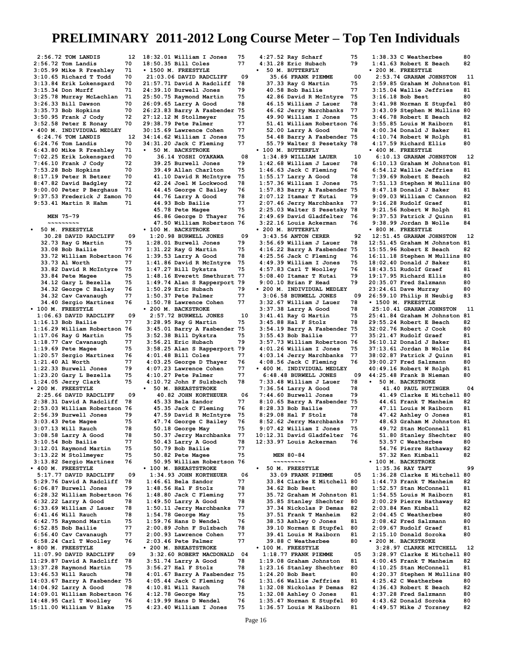**2:56.72 TOM LANDIS** 12<br>2:56.72 Tom Landis 70 **2:56.72 Tom Landis 70<br>3:05.99 Mike R Freshlev 71 3:05.99 Mike R Freshley 71 3:10.65 Richard T Todd 70 3:13.84 Erik Lokensgard 70 3:15.34 Don Murff 71 3:25.78 Murray McLachlan 71 3:26.33 Bill Dawson 70 3:35.73 Bob Hopkins 70 3:50.95 Frank J Cody 72 3:52.58 Peter E Ronay 70 • 400 M. INDIVIDUAL MEDLEY 6:24.76 TOM LANDIS** 12<br> **12.24.76 Tom Landis** 70 **6:24.76 Tom Landis 70 6:43.80 Mike R Freshley 71 7:02.25 Erik Lokensgard 70 7:46.10 Frank J Cody 72 7:53.28 Bob Hopkins 70 8:17.19 Peter R Betzer 70 8:47.82 David Badgley 72 9:00.00 Peter P Berghaus 71 9:37.53 Frederick J Zamon 70 9:53.41 Martin R Hahm 71 MEN 75-79 ~~~~~~~~~ • 50 M. FREESTYLE 30.28 DAVID RADCLIFF 09**<br>**32.73 Rav G Martin 75 32.73 Ray G Martin 75 33.08 Bob Bailie 77<br>33.72 William Robertson 76 33.72 William Robertson 76 33.73 Al Worth 77<br>
<b>33.82 David R McIntyre 75 33.82 David R McIntyre 75 33.84 Pete Magee 75<br>34.12 Garv L Bezella 75 34.12 Gary L Bezella 75 34.32 George C Bailey 76 34.32 Cav Cavanaugh 77 34.40 Sergio Martinez 76 • 100 M. FREESTYLE 1:06.63 DAVID RADCLIFF 09 1:16.13 Bob Bailie 77 1:16.29 William Robertson 76 1:17.06 Ray G Martin 75 1:18.77 Cav Cavanaugh 77 1:19.69 Pete Magee 75 1:20.57 Sergio Martinez 76 1:21.40 Al Worth 77**<br>**1:22.33 Burwell Jones 79 1:22.33 Burwell Jones 79 1:23.20 Gary L Bezella 75 1:24.05 Jerry Clark 75 • 200 M. FREESTYLE 2:25.66 DAVID RADCLIFF 09 2:38.31 David A Radcliff 78 2:53.03 William Robertson 76 2:56.39 Burwell Jones 79 3:03.43 Pete Magee 75 3:07.13 Will Rauch 78**<br>**3:08.58 Larry A Good 78 3:08.58 Larry A Good 78 3:10.54 Bob Bailie 77 3:12.01 Raymond Martin 75 3:13.22 M Stollmeyer 75 3:13.82 Sergio Martinez 76 • 400 M. FREESTYLE 5:17.77 DAVID RADCLIFF 09**<br>**5:29.76 David A Radcliff 78 5:29.76 David A Radcliff 78 6:06.87 Burwell Jones 79 6:28.32 William Robertson 76 6:32.22 Larry A Good 78 6:33.69 William J Lauer 78 6:41.46 Will Rauch 78 6:42.75 Raymond Martin 75 6:52.85 Bob Bailie 77 6:56.40 Cav Cavanaugh 77 6:58.24 Carl T Woolley 76 • 800 M. FREESTYLE 11:07.90 DAVID RADCLIFF 09 11:29.87 David A Radcliff 78 13:37.28 Raymond Martin 75 13:46.53 Will Rauch 78 14:03.67 Barry A Fasbender 75 14:04.92 Larry A Good 78 14:09.01 William Robertson 76 14:48.95 Carl T Woolley 76 15:11.00 William V Blake 75**

**18:32.01 William I Jones 75 18:50.35 Bill Coles 77 • 1500 M. FREESTYLE 21:03.06 DAVID RADCLIFF 09 21:57.71 David A Radcliff 78 24:39.10 Burwell Jones 79 25:50.75 Raymond Martin 75 26:09.65 Larry A Good 78 26:23.83 Barry A Fasbender 75 27:12.12 M Stollmeyer 75 29:38.79 Pete Palmer 77 30:15.69 Lawrence Cohen 77 34:14.62 William I Jones 75 34:31.20 Jack C Fleming 77 • 50 M. BACKSTROKE 36.14 YOSHI OYAKAWA 08 39.25 Burwell Jones 79 39.49 Allan Charlton 75 41.10 David R McIntyre 75 42.24 Joel M Lockwood 78 44.45 George C Bailey 76 44.76 Larry A Good 78**<br>**44.93 Bob Bailie 77 44.93 Bob Bailie 77 45.78 Pete Magee 75<br>46.86 George D Thaver 76 46.86 George D Thayer 76 47.50 William Robertson 76 • 100 M. BACKSTROKE 1:20.98 BURWELL JONES** 09<br>1:28.01 Burwell Jones 79 **1:28.01 Burwell Jones 79 1:31.22 Ray G Martin 75 1:39.53 Larry A Good 78**<br>**1:41.86 David R McIntvre 75 1:41.86 David R McIntyre 75 1:47.27 Bill Dykstra 75 1:48.16 Everett Smethurst 77 1:49.74 Alan S Rapperport 79 1:50.29 Eric Hubach 79 1:50.37 Pete Palmer 77 1:50.78 Lawrence Cohen 77 • 200 M. BACKSTROKE 2:57.72 BURWELL JONES** 10<br>3:28.95 Rav G Martin 75 **3:28.95 Ray G Martin 75 3:45.01 Barry A Fasbender 75 3:52.38 Bill Dykstra 75 3:56.21 Eric Hubach 79 3:58.25 Alan S Rapperport 79 4:01.48 Bill Coles 77**<br>**4:03.25 George D Thaver 76 4:03.25 George D Thayer 76 4:07.23 Lawrence Cohen 77 4:10.27 Pete Palmer 77<br>4:10.72 John F Sulzbach 78 4:10.72 John F Sulzbach 78 • 50 M. BREASTSTROKE 40.82 JOHN KORTHEUER 06 45.33 Bela Sandor 77 45.35 Jack C Fleming 76 47.59 David R McIntyre 75 47.74 George C Bailey 76 50.18 George May 75**<br>**50.37 Jerry Marchbanks** 77  **50.37 Jerry Marchbanks 77 50.43 Larry A Good 78 50.79 Bob Bailie 77 50.82 Pete Magee 75 50.95 William Robertson 76 • 100 M. BREASTSTROKE 1:34.93 JOHN KORTHEUER 06**<br>146.61 Bela Sandor 77 **1:46.61 Bela Sandor 77 1:48.56 Hal F Stolz 78 1:48.80 Jack C Fleming 77 1:49.50 Larry A Good 78 1:50.11 Jerry Marchbanks 77 1:54.78 George May 75 1:59.76 Hans D Wendel 76 2:00.89 John F Sulzbach 78 2:00.93 Lawrence Cohen 77 2:03.46 Pete Palmer 77 • 200 M. BREASTSTROKE 3:32.60 ROBERT MACDONALD 04**<br>3:51.74 Larry A Good 78 **3:51.74 Larry A Good 78 3:56.27 Hal F Stolz 78 4:01.67 Barry A Fasbender 75 4:05.44 Jack C Fleming 76 4:10.81 Will Rauch 78 4:12.78 George May 75**<br>**4:19.99 Hans D Wendel 76 4:19.99 Hans D Wendel 76 4:23.40 William I Jones 75**

**4:27.52 Ray Scharf 75 4:31.28 Eric Hubach 79 • 50 M. BUTTERFLY 35.66 FRANK PIEMME 00 37.33 Ray G Martin 75 40.58 Bob Bailie 77 42.86 David R McIntyre 75 46.15 William J Lauer 78 46.62 Jerry Marchbanks 77 49.90 William I Jones 75 51.41 William Robertson 76 52.00 Larry A Good 78 54.48 Barry A Fasbender 75 55.79 Walter S Pesetsky 78 • 100 M. BUTTERFLY 1:34.89 WILLIAM LAUER 10 1:42.68 William J Lauer 78 1:46.63 Jack C Fleming 76 1:55.17 Larry A Good 78 1:57.36 William I Jones 75 1:57.83 Barry A Fasbender 75 2:07.12 Itamar T Kutai 79 2:07.46 Jerry Marchbanks 77 2:25.03 Walter S Pesetsky 78 2:49.69 David Gladfelter 76 3:22.16 Louis Ackerman 76 • 200 M. BUTTERFLY 3:43.56 ANTON CERER** 92<br>3:56.69 William J Lauer 78 **3:56.69 William J Lauer 78 4:16.22 Barry A Fasbender 75 4:25.56 Jack C Fleming 76 4:49.39 William I Jones 75 4:57.83 Carl T Woolley 76 5:08.40 Itamar T Kutai 79 9:00.10 Brian F Head 79 • 200 M. INDIVIDUAL MEDLEY 3:06.58 BURWELL JONES 09 3:32.67 William J Lauer 78 3:37.38 Larry A Good 78 3:41.41 Ray G Martin 75 3:45.88 Hal F Stolz 78 3:54.19 Barry A Fasbender 75 3:55.43 Bob Bailie 77 3:57.73 William Robertson 76 4:01.26 William I Jones 75 4:03.14 Jerry Marchbanks 77 4:08.56 Jack C Fleming 76 • 400 M. INDIVIDUAL MEDLEY 6:48.48 BURWELL JONES** 09<br>1:33.48 William J Lauer 78 **7:33.48 William J Lauer 78 7:36.54 Larry A Good 78 7:44.60 Burwell Jones 79 8:10.65 Barry A Fasbender 75 8:28.33 Bob Bailie 77 8:29.08 Hal F Stolz 78 8:52.62 Jerry Marchbanks 77 9:07.42 William I Jones 75 10:12.31 David Gladfelter 76 12:33.97 Louis Ackerman 76 MEN 80-84 ~~~~~~~~~ • 50 M. FREESTYLE 33.09 FRANK PIEMME 05 33.84 Clarke E Mitchell 80 34.62 Bob Best 80 35.72 Graham M Johnston 81 35.85 Stanley Shechter 80 37.34 Nickolas P Demas 82 37.51 Frank T Manheim 82 38.53 Ashley O Jones 81 39.10 Norman E Stupfel 80 39.41 Louis M Raiborn 81 39.88 C Weatherbee 80 • 100 M. FREESTYLE 1:18.77 FRANK PIEMME 05**<br>1:19.08 Graham Johnston 81 **1:19.08 Graham Johnston 81 1:23.16 Stanley Shechter 80 1:24.20 Bob Best 80 1:31.66 Wallie Jeffries 81 1:32.08 Nickolas P Demas 82 1:32.08 Ashley O Jones 81**  $1:35.47$  Norman E Stupfel

**1:38.33 C Weatherbee 80<br>1:41.63 Robert E Beach 82 1:41.63 Robert E Beach 82 • 200 M. FREESTYLE 2:53.74 GRAHAM JOHNSTON 11 2:59.85 Graham M Johnston 81 3:15.04 Wallie Jeffries 81 3:16.18 Bob Best 80 3:41.98 Norman E Stupfel 80 3:43.09 Stephen M Mullins 80 3:46.78 Robert E Beach 82 3:55.85 Louis M Raiborn 81 4:00.34 Donald J Baker 81 4:10.74 Robert W Rolph 81 4:17.59 Richard Ellis 80 • 400 M. FREESTYLE 6:10.13 GRAHAM JOHNSTON 12 6:10.13 Graham M Johnston 81 6:54.12 Wallie Jeffries 81 7:39.69 Robert E Beach 82**<br>**7:51.13 Stephen M Mullins 80 7:51.13 Stephen M Mullins 80 8:47.18 Donald J Baker 81 9:09.03 William C Cannon 82 9:16.28 Rudolf Graef 81 9:21.56 Robert W Rolph 81 9:37.53 Patrick J Quinn 81 9:38.99 Jordan B Wolle 84 • 800 M. FREESTYLE 12:51.45 GRAHAM JOHNSTON 12 12:51.45 Graham M Johnston 81 15:55.96 Robert E Beach 82**<br>**16:11.18 Stephen M Mullins 80 16:11.18 Stephen M Mullins 80 18:02.40 Donald J Baker 81 18:43.51 Rudolf Graef 81 19:17.95 Richard Ellis 80 20:35.07 Fred Salzmann 80 23:24.61 Dave Murray 80 26:59.10 Philip H Neubig 83 • 1500 M. FREESTYLE 25:10.41 GRAHAM JOHNSTON 11 25:41.84 Graham M Johnston 81 29:55.24 Robert E Beach 82 32:02.76 Robert J Cook 80 35:21.47 Rudolf Graef 81 36:10.12 Donald J Baker 81 37:13.61 Jordan B Wolle 84 38:02.87 Patrick J Quinn 81 39:00.27 Fred Salzmann 80 40:49.16 Robert W Rolph 81 44:25.48 Frank B Nieman 80 • 50 M. BACKSTROKE 41.40 PAUL HUTINGER 04 41.49 Clarke E Mitchell 80 44.61 Frank T Manheim 82 47.11 Louis M Raiborn 81 47.42 Ashley O Jones 81 48.63 Graham M Johnston 81 49.72 Stan McConnell 81** 51.80 Stanley Shechter  **53.57 C Weatherbee 80 54.76 Pierre Hathaway 82 57.32 Ken Kimball 82 • 100 M. BACKSTROKE 1:35.36 RAY TAFT 99 1:36.28 Clarke E Mitchell 80 1:44.73 Frank T Manheim 82 1:52.57 Stan McConnell 81 1:54.55 Louis M Raiborn 81 2:00.29 Pierre Hathaway 82 2:03.84 Ken Kimball 82 2:04.45 C Weatherbee 80 2:08.42 Fred Salzmann 80 2:09.67 Rudolf Graef 81 2:15.10 Donald Soroka 80 • 200 M. BACKSTROKE 3:28.97 CLARKE MITCHELL 12 3:28.97 Clarke E Mitchell 80 4:00.45 Frank T Manheim 82 4:10.25 Stan McConnell 81 4:20.37 Stephen M Mullins 80 4:25.42 C Weatherbee 80 4:36.43 Robert E Beach 82 4:37.28 Fred Salzmann 80 4:43.62 Donald Soroka 80 4:49.57 Mike J Torsney 82**

**1:36.57 Louis M Raiborn 81**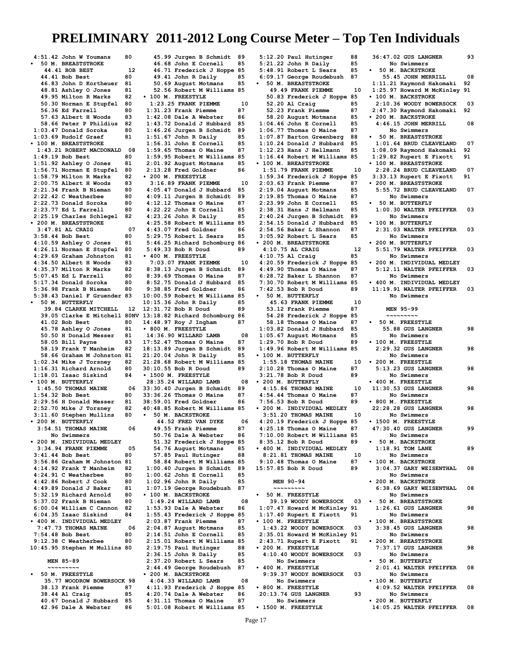**4:51.42 John W Youmans 80 • 50 M. BREASTSTROKE 44.41 BOB BEST** 12<br>**4.41 Bob Best** 80  **44.41 Bob Best 80 46.83 John D Kortheuer 81 48.81 Ashley O Jones 81 49.95 Milton R Marks 82 50.30 Norman E Stupfel 80 56.36 Ed Farrell 80 57.63 Albert H Woods 83**<br>**58.66 Peter P Phildius 82 58.66 Peter P Phildius 82 1:03.47 Donald Soroka 80 1:03.69 Rudolf Graef 81 • 100 M. BREASTSTROKE 1:43.21 ROBERT MACDONALD 08 1:49.19 Bob Best 80 1:51.92 Ashley O Jones 81 1:56.71 Norman E Stupfel 80 1:58.79 Milton R Marks 82 2:00.75 Albert H Woods 83 2:21.34 Frank B Nieman 80 2:22.42 C Weatherbee 80 2:22.73 Donald Soroka 80** 2:23.77 Ed L Farrell 80<br>2:25.19 Charles Schlegel 82 **2:25.19 Charles Schlegel 82 • 200 M. BREASTSTROKE 3:47.81 AL CRAIG 07 3:58.44 Bob Best 80<br>4:10.59 Ashlev O Jones 81 4:10.59 Ashley O Jones 81 4:26.11 Norman E Stupfel 80 4:29.69 Graham Johnston 81 4:34.50 Albert H Woods 83 4:35.37 Milton R Marks 82 5:07.45 Ed L Farrell 80**<br>**5:17.34 Donald Soroka** 80 **5:17.34 Donald Soroka 80 5:36.98 Frank B Nieman 80 5:38.43 Daniel F Gruender 83 • 50 M. BUTTERFLY 39.84 CLARKE MITCHELL 12 39.05 Clarke E Mitchell 80NV 41.02 Bob Best 80<br>45.78 Ashley O Jones 81 45.78 Ashley O Jones 81 50.50 H Donald Messer 81 58.05 Bill Payne 83 58.19 Frank T Manheim 82 58.66 Graham M Johnston 81 1:02.34 Mike J Torsney 82 1:16.31 Richard Arnold 80 1:18.01 Isaac Siskind 84 • 100 M. BUTTERFLY 1:45.50 THOMAS MAINE 06 1:54.32 Bob Best 80<br>2:29.56 H Donald Messer 81 2:29.56 H Donald Messer 81 2:52.70 Mike J Torsney 82 3:11.60 Stephen Mullins 80 • 200 M. BUTTERFLY 3:54.51 THOMAS MAINE 06 No Swimmers • 200 M. INDIVIDUAL MEDLEY 3:34.94 FRANK PIEMME 05 3:41.44 Bob Best 80 3:56.86 Graham M Johnston 81 4:14.92 Frank T Manheim 82 4:24.91 C Weatherbee 80 4:42.86 Robert J Cook 80 4:49.89 Donald J Baker 81 5:32.19 Richard Arnold 80 5:37.02 Frank B Nieman 80 6:00.04 William C Cannon 82 6:04.35 Isaac Siskind 84 • 400 M. INDIVIDUAL MEDLEY 7:47.73 THOMAS MAINE 06 7:54.48 Bob Best 80 9:12.38 C Weatherbee 80 10:45.95 Stephen M Mullins 80 MEN 85-89 ~~~~~~~~~ • 50 M. FREESTYLE 35.77 WOODROW BOWERSOCK 98 38.13 Frank Piemme 87 38.44 Al Craig 85<br>40.67 Donald J Hubbard 85** 

 **40.67 Donald J Hubbard 85 42.96 Dale A Webster 86**

 **45.99 Jurgen B Schmidt 89 46.68 John E Cornell 85 46.71 Frederick J Hoppe 85 49.41 John R Daily 85 50.69 August Motmans 85 52.56 Robert M Williams 85 • 100 M. FREESTYLE 1:23.25 FRANK PIEMME 10**<br>**123.23 Frank Piemme** 87. **1:31.23 Frank Piemme 87 1:42.08 Dale A Webster 86 1:43.72 Donald J Hubbard 85 1:46.26 Jurgen B Schmidt 89 1:51.67 John R Daily 85 1:56.31 John E Cornell 85**  $1:59.65$  Thomas O Maine **1:59.95 Robert M Williams 85 2:01.92 August Motmans 85 2:13.28 Fred Goldner 86 • 200 M. FREESTYLE 3:16.89 FRANK PIEMME 10 4:05.47 Donald J Hubbard 85 4:09.11 Jurgen B Schmidt 89 4:12.12 Thomas O Maine 87 4:22.22 John E Cornell 85 4:23.26 John R Daily 85 4:25.58 Robert M Williams 85 4:43.07 Fred Goldner 86 5:29.75 Robert L Sears 85 5:46.25 Richard Schomburg 86 5:49.33 Bob R Doud 89 • 400 M. FREESTYLE 7:03.07 FRANK PIEMME 10 8:38.13 Jurgen B Schmidt 89 8:39.69 Thomas O Maine 87 8:52.75 Donald J Hubbard 85 9:38.85 Fred Goldner 86**<br>0:00.59 Robert M Williams 85 **10:00.59 Robert M Williams 85 10:15.36 John R Daily 85 12:31.72 Bob R Doud 89 13:18.82 Richard Schomburg 86 14:48.97 Roy J Ingham 87 • 800 M. FREESTYLE 14:36.90 WILLARD LAMB 08 17:52.47 Thomas O Maine 87 18:13.89 Jurgen B Schmidt 89 21:20.04 John R Daily 85 21:28.68 Robert M Williams 85 30:10.55 Bob R Doud 89 • 1500 M. FREESTYLE 28:35.24 WILLARD LAMB 08 33:30.40 Jurgen B Schmidt 89 33:36.26 Thomas O Maine 87 38:59.01 Fred Goldner 86 40:48.85 Robert M Williams 85 • 50 M. BACKSTROKE 44.52 FRED VAN DYKE 06**<br>19.55 Frank Piemme 87 **49.55 Frank Piemme 87<br>50.76 Dale A Webster 86** 50.76 Dale A Webster  **51.32 Frederick J Hoppe 85 54.76 August Motmans 85 57.85 Paul Hutinger 88 58.84 Robert M Williams 85 1:00.40 Jurgen B Schmidt 89 1:00.62 John E Cornell 85 1:02.96 John R Daily 85 1:07.19 George Roudebush 87 • 100 M. BACKSTROKE 1:49.24 WILLARD LAMB 08 1:53.93 Dale A Webster 86 1:55.43 Frederick J Hoppe 85 2:03.87 Frank Piemme 87 2:04.87 August Motmans 85 2:14.51 John E Cornell 85 2:15.01 Robert M Williams 85 2:19.75 Paul Hutinger 88 2:36.15 John R Daily 85 2:37.20 Robert L Sears 85 2:44.49 George Roudebush 87 • 200 M. BACKSTROKE 4:04.33 WILLARD LAMB 08 4:11.93 Frederick J Hoppe 85 4:20.74 Dale A Webster 86 4:31.11 Thomas O Maine 87 5:01.08 Robert M Williams 85 • 1500 M. FREESTYLE**

**5:12.20 Paul Hutinger 88 5:21.22 John R Daily 85 5:48.91 Robert L Sears 85 6:09.17 George Roudebush 87 • 50 M. BREASTSTROKE 49.49 FRANK PIEMME 10 50.83 Frederick J Hoppe 85 52.20 Al Craig 65<br>
<b>52.23 Frank Piemme** 87  **52.23 Frank Piemme 87 58.20 August Motmans 85 1:04.46 John E Cornell 85 1:06.77 Thomas O Maine 87 1:07.87 Barton Greenberg 88 1:10.24 Donald J Hubbard 85 1:12.23 Hans J Hellmann 85 1:16.44 Robert M Williams 85 • 100 M. BREASTSTROKE 1:51.79 FRANK PIEMME 10 1:59.34 Frederick J Hoppe 85** 2:03.63 Frank Piemme 87<br>2:19.04 August Motmans 85 **2:19.04 August Motmans 85 2:19.85 Thomas O Maine 87 2:23.99 John E Cornell 85 2:38.31 Hans J Hellmann 85 2:40.24 Jurgen B Schmidt 89 2:54.15 Donald J Hubbard 85 2:54.56 Baker L Shannon 87 3:05.92 Robert L Sears 85 • 200 M. BREASTSTROKE 4:10.75 AL CRAIG** 1<br>1.10.75 Al Craig 1.85 **4:10.75 Al Craig 85 4:20.59 Frederick J Hoppe 85 4:49.90 Thomas O Maine 87 6:28.72 Baker L Shannon 87 7:30.70 Robert M Williams 85 7:42.53 Bob R Doud 89 • 50 M. BUTTERFLY 45.63 FRANK PIEMME 10**<br>**53.12 Frank Piemme** 87  **53.12 Frank Piemme 87 54.28 Frederick J Hoppe 85 58.18 Thomas O Maine 87<br>03.82 Donald J Hubbard 85 1:03.82 Donald J Hubbard 85 1:05.67 August Motmans 85 1:29.70 Bob R Doud 89 1:49.96 Robert M Williams 85 • 100 M. BUTTERFLY 1:55.18 THOMAS MAINE 10**<br>1:10.28 Thomas O Maine 87 **2:10.28 Thomas O Maine 87** 3:21.78 Bob R Doud **• 200 M. BUTTERFLY 4:15.86 THOMAS MAINE 10 4:54.44 Thomas O Maine 87 7:56.53 Bob R Doud 89 • 200 M. INDIVIDUAL MEDLEY 3:51.20 THOMAS MAINE 10 4:20.19 Frederick J Hoppe 85 4:25.18 Thomas O Maine 87 7:10.00 Robert M Williams 85 8:35.12 Bob R Doud 89 • 400 M. INDIVIDUAL MEDLEY 8:21.81 THOMAS MAINE 10**<br>0:10.48 Thomas O Maine 87 **9:10.48 Thomas O Maine 87**<br>5:57.85 Bob B Doud 89 **15:57.85 Bob R Doud 89 MEN 90-94 ~~~~~~~~~ • 50 M. FREESTYLE 39.19 WOODY BOWERSOCK 03 1:07.47 Howard M McKinley 91 1:17.40 Rupert E Fixott 91 • 100 M. FREESTYLE 1:43.22 WOODY BOWERSOCK 03 2:35.01 Howard M McKinley 91 2:43.71 Rupert E Fixott 91 • 200 M. FREESTYLE 4:10.40 WOODY BOWERSOCK 03 No Swimmers • 400 M. FREESTYLE 9:39.37 WOODY BOWERSOCK 03 No Swimmers • 800 M. FREESTYLE 20:13.74 GUS LANGNER 93 No Swimmers**

**36:47.02 GUS LANGNER 93 No Swimmers • 50 M. BACKSTROKE 55.45 JOHN MERRILL 08 1:11.21 Raymond Hakomaki 92 1:25.97 Howard M McKinley 91 • 100 M. BACKSTROKE 2:10.36 WOODY BOWERSOCK 03 2:47.30 Raymond Hakomaki 92 • 200 M. BACKSTROKE 4:46.15 JOHN MERRILL 08 No Swimmers • 50 M. BREASTSTROKE 1:01.64 BRUD CLEAVELAND 07**<br>1:08.09 Ravmond Hakomaki 92. **1:08.09 Raymond Hakomaki 92 1:29.82 Rupert E Fixott 91 • 100 M. BREASTSTROKE 2:28.24 BRUD CLEAVELAND 07 3:33.13 Rupert E Fixott 91 • 200 M. BREASTSTROKE 5:55.72 BRUD CLEAVELAND 07 No Swimmers • 50 M. BUTTERFLY 1:00.30 WALTER PFEIFFER 03 No Swimmers • 100 M. BUTTERFLY 2:31.03 WALTER PFEIFFER 03 No Swimmers • 200 M. BUTTERFLY 5:51.79 WALTER PFEIFFER 03 No Swimmers • 200 M. INDIVIDUAL MEDLEY 5:12.11 WALTER PFEIFFER 03 No Swimmers • 400 M. INDIVIDUAL MEDLEY 11:19.91 WALTER PFEIFFER 03 No Swimmers MEN 95-99 ~~~~~~~~~ • 50 M. FREESTYLE 55.88 GUS LANGNER 98 No Swimmers • 100 M. FREESTYLE 2:29.32 GUS LANGNER 98 No Swimmers • 200 M. FREESTYLE 5:13.23 GUS LANGNER 98 No Swimmers • 400 M. FREESTYLE 11:30.53 GUS LANGNER 98 No Swimmers • 800 M. FREESTYLE 22:28.28 GUS LANGNER 98 No Swimmers • 1500 M. FREESTYLE 47:30.40 GUS LANGNER 99 No Swimmers • 50 M. BACKSTROKE 1:18.91 TOM LANE 89 No Swimmers • 100 M. BACKSTROKE 3:04.37 GARY WEISENTHAL 08 No Swimmers • 200 M. BACKSTROKE 6:38.69 GARY WEISENTHAL 08 No Swimmers • 50 M. BREASTSTROKE 1:26.61 GUS LANGNER 98 No Swimmers • 100 M. BREASTSTROKE 3:38.45 GUS LANGNER 98 No Swimmers • 200 M. BREASTSTROKE 7:37.17 GUS LANGNER 98 No Swimmers • 50 M. BUTTERFLY 2:01.41 WALTER PFEIFFER 08 No Swimmers • 100 M. BUTTERFLY 4:09.52 WALTER PFEIFFER 08 No Swimmers • 200 M. BUTTERFLY 14:05.25 WALTER PFEIFFER 08**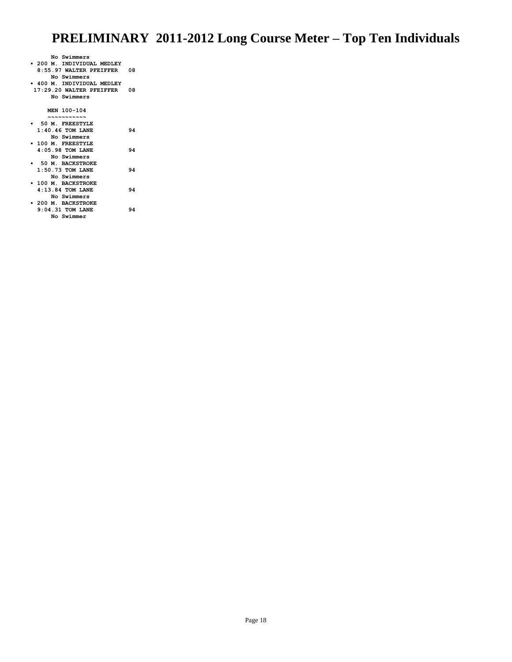| No Swimmers                 |    |
|-----------------------------|----|
| • 200 M. INDIVIDUAL MEDLEY  |    |
| 8:55.97 WALTER PFEIFFER 08  |    |
| No Swimmers                 |    |
| • 400 M. INDIVIDUAL MEDLEY  |    |
| 17:29.20 WALTER PFEIFFER 08 |    |
| No Swimmers                 |    |
|                             |    |
| MEN 100-104                 |    |
| ~~~~~~~~~~                  |    |
| • 50 M. FREESTYLE           |    |
| $1:40.46$ TOM LANE          | 94 |
| No Swimmers                 |    |
| 100 M. FREESTYLE            |    |
| 4:05.98 TOM LANE            | 94 |
| No Swimmers                 |    |
| 50 M. BACKSTROKE            |    |
|                             | 94 |
| $1:50.73$ TOM LANE          |    |
| No Swimmers                 |    |
| 100 M. BACKSTROKE           |    |
| $4:13.84$ TOM LANE          | 94 |
| No Swimmers                 |    |
| • 200 M. BACKSTROKE         |    |
| $9:04.31$ TOM LANE          | 94 |

 **No Swimmer**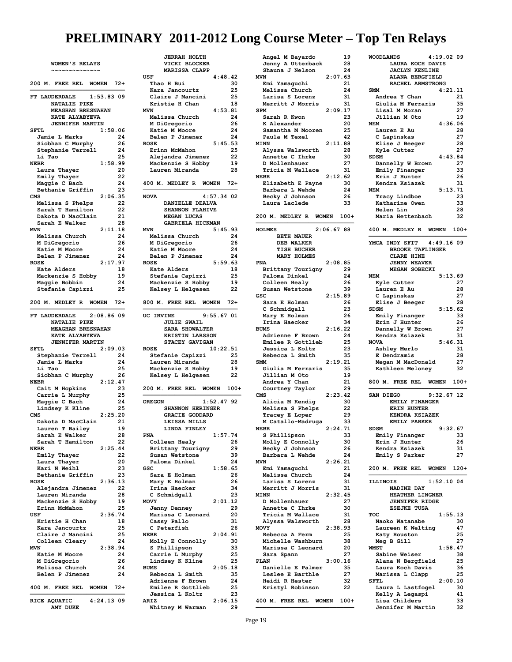| WOMEN'S RELAYS<br>$\sim$ $\sim$ $\sim$ $\sim$   |
|-------------------------------------------------|
| 200 M. FREE REL WOMEN<br>-72+                   |
| FT LAUDERDALE<br>1:53.83.09                     |
| NATALIE PIKE                                    |
| <b>MEAGHAN BRESNAHAN</b><br>KATE ALYABYEVA      |
| <b>JENNIFER MARTIN</b>                          |
| 1:58.06<br><b>SFTL</b>                          |
| 24<br>Jamie L Marks                             |
| 26<br>Siobhan C Murphy                          |
| Stephanie Terrell<br>24<br>25<br>Li Tao         |
| <b>NEBR</b><br>1:58.99                          |
| Laura Thayer<br>20                              |
| Emily Thayer<br>22                              |
| 24<br>Maggie C Bach                             |
| Bethanie Griffin<br>23<br><b>CMS</b><br>2:06.35 |
| 22<br>Melissa S Phelps                          |
| Sarah T Hamilton<br>22                          |
| Dakota D MacClain<br>21                         |
| Sarah E Walker<br>28                            |
| <b>MVN</b><br>2:11.18<br>24<br>Melissa Church   |
| M DiGregorio<br>26                              |
| 24<br>Katie M Moore                             |
| Belen P Jimenez<br>24                           |
| <b>ROSE</b><br>2:17.97                          |
| Kate Alders<br>18<br>Mackenzie S Hobby<br>19    |
| Maggie Bobbin<br>24                             |
| Stefanie Capizzi<br>25                          |
| 200 M. MEDLEY R WOMEN<br>$72+$                  |
|                                                 |
| FT LAUDERDALE<br>2:08.86 09                     |
| <b>NATALIE PIKE</b><br>MEAGHAN BRESNAHAN        |
| KATE ALYABYEVA                                  |
| <b>JENNIFER MARTIN</b>                          |
| 2:09.03<br>SFTL                                 |
| Stephanie Terrell<br>24                         |
| Jamie L Marks<br>24<br>Li Tao<br>25             |
| Siobhan C Murphy<br>26                          |
| <b>NEBR</b><br>2:12.47                          |
| 23<br>Cait M Hopkins                            |
| Carrie L Murphy<br>25                           |
| Maggie C Bach<br>24<br>Lindsey K Kline<br>25    |
| 2:25.20<br>CMS                                  |
| Dakota D MacClain<br>21                         |
| Lauren T Bailey<br>19                           |
| Sarah E Walker<br>28                            |
| Sarah T Hamilton<br>22                          |
| 2:25.44<br><b>NEBR</b><br>22<br>Emily Thayer    |
| Laura Thayer<br>20                              |
| Kari N Weihl<br>23                              |
| Bethanie Griffin<br>23                          |
| 2:36.13<br><b>ROSE</b>                          |
| Alejandra Jimenez<br>22<br>Lauren Miranda<br>28 |
| Mackenzie S Hobby<br>19                         |
| Erinn McMahon<br>25                             |
| 2:36.74<br>USF                                  |
| Kristie H Chan<br>18                            |
| 25<br>Kara Jancourtz<br>Claire J Mancini<br>25  |
| Colleen Cleary<br>24                            |
| 2:38.94<br>MVN                                  |
| 24<br>Katie M Moore                             |
| M DiGregorio<br>26                              |
| Melissa Church<br>24<br>Belen P Jimenez         |
| 24                                              |
| 400 M. FREE REL WOMEN<br>$72+$                  |
| RICE AQUATIC<br>$4:24.13$ 09                    |
| AMY DUKE                                        |

| <b>JERRAH HOLTH</b>        |              |    |
|----------------------------|--------------|----|
|                            |              |    |
| VICKI BLOCKER              |              |    |
| MARISSA CLAPP              |              |    |
| USF                        | 4:48.42      |    |
| Thao H Bui                 |              | 30 |
| Kara Jancourtz             |              | 25 |
| Claire J Mancini           |              | 25 |
| Kristie H Chan             |              | 18 |
| MVN                        | 4:53.81      |    |
| Melissa Church             |              | 24 |
| M DiGregorio               |              | 26 |
|                            |              | 24 |
| Katie M Moore              |              |    |
| Belen P Jimenez            |              | 24 |
| <b>ROSE</b>                | 5:45.53      |    |
| Erinn McMahon              |              | 25 |
| Alejandra Jimenez          |              | 22 |
| Mackenzie S Hobby          |              | 19 |
| Lauren Miranda             |              | 28 |
|                            |              |    |
| 400 M. MEDLEY R WOMEN 72+  |              |    |
|                            |              |    |
| <b>NOVA</b>                | 4:57.34 02   |    |
| DANIELLE DEALVA            |              |    |
| SHANNON FLAHIVE            |              |    |
| MEGAN LUCAS                |              |    |
| GABRIELA HICKMAN           |              |    |
| MVN                        | 5:45.93      |    |
|                            |              | 24 |
| Melissa Church             |              |    |
| M DiGregorio               |              | 26 |
| Katie M Moore              |              | 24 |
| Belen P Jimenez            |              | 24 |
| <b>ROSE</b>                | 5:59.63      |    |
| Kate Alders                |              | 18 |
| Stefanie Capizzi           |              | 25 |
| Mackenzie S Hobby          |              | 19 |
| Kelsey L Helgesen          |              | 22 |
|                            |              |    |
| 800 M. FREE REL WOMEN 72+  |              |    |
|                            |              |    |
| UC IRVINE                  | 9:55.67.01   |    |
| <b>JULIE SWAIL</b>         |              |    |
|                            |              |    |
| SARA SHOWALTER             |              |    |
| KRISTIN LARSSON            |              |    |
|                            |              |    |
| STACEY GAVIGAN             |              |    |
| <b>ROSE</b>                | 10:22.51     |    |
| Stefanie Capizzi           |              | 25 |
| Lauren Miranda             |              | 28 |
| Mackenzie S Hobby          |              | 19 |
| Kelsey L Helgesen          |              | 22 |
|                            |              |    |
|                            |              |    |
| 200 M. FREE REL WOMEN 100+ |              |    |
|                            |              |    |
| <b>OREGON</b>              | $1:52.47$ 92 |    |
| SHANNON HERINGER           |              |    |
| GRACIE GODDARD             |              |    |
| LEISSA MILLS               |              |    |
| LINDA FINLEY               |              |    |
| <b>PNA</b>                 | 1:57.74      |    |
| Colleen Healy              |              | 26 |
| Brittany Tourigny          |              | 29 |
| Susan Wetstone             |              | 39 |
| Paloma Dinkel              |              | 24 |
| GSC                        | 1:58.65      |    |
| Sara E Holman              |              | 26 |
| Mary E Holman              |              | 26 |
| Irina Haecker              |              | 34 |
| C Schmidgall               |              | 23 |
| <b>MOVY</b>                | 2:01.12      |    |
|                            |              | 29 |
| Jenny Denney               |              |    |
| Marissa C Leonard          |              | 20 |
| Cassy Pallo                |              | 31 |
| C Peterfish                |              | 26 |
| NEBR                       | 2:04.91      |    |
| Molly E Connolly           |              | 30 |
| S Phillipson               |              | 33 |
| Carrie L Murphy            |              | 25 |
| Lindsey K Kline            |              | 25 |
| BUMS                       | 2:05.18      |    |
| Rebecca L Smith            |              | 35 |
|                            |              | 24 |
| Adrienne F Brown           |              |    |
| Emilee R Gottlieb          |              | 25 |
| Jessica L Koltz            |              | 23 |
| ARIZ<br>Whitney M Warman   | 2:06.15      | 29 |

| Angel M Bayardo                      |           | 19       |
|--------------------------------------|-----------|----------|
| Jenny A Utterback                    |           | 28       |
| Shauna J Nelson                      |           | 24       |
| <b>MVN</b>                           | 2:07.63   |          |
| Emi Yamaguchi                        |           | 21       |
| Melissa Church                       |           | 24       |
| Larisa S Lorenz                      |           | 31       |
| Merritt J Morris<br><b>SPM</b>       | 2:09.17   | 31       |
| Sarah R Kwon                         |           | 23       |
| K Alexander                          |           | 20       |
| Samantha M Mooren                    |           | 25       |
| Paula M Texel                        |           | 42       |
| <b>MINN</b>                          | 2:11.88   |          |
| Alyssa Walsworth                     |           | 28       |
| Annette C Ihrke                      |           | 30       |
| D Mollenhauer                        |           | 27       |
| Tricia M Wallace                     |           | 31       |
| <b>NEBR</b>                          | 2:12.62   |          |
| Elizabeth E Payne                    |           | 30       |
| Barbara L Wehde<br>Becky J Johnson   |           | 24<br>26 |
| Laura Laclede                        |           | 33       |
|                                      |           |          |
| 200 M. MEDLEY R WOMEN                |           | $100+$   |
|                                      |           |          |
| <b>HOLMES</b>                        | 2:06.6788 |          |
| <b>BETH MAUER</b>                    |           |          |
| DEB WALKER                           |           |          |
| <b>TISH BUCHER</b>                   |           |          |
| <b>MARY HOLMES</b><br><b>PNA</b>     | 2:08.85   |          |
| Brittany Tourigny                    |           | 29       |
| Paloma Dinkel                        |           | 24       |
| Colleen Healy                        |           | 26       |
| Susan Wetstone                       |           | 39       |
| GSC                                  | 2:15.89   |          |
| Sara E Holman                        |           | 26       |
| C Schmidgall                         |           | 23       |
| Mary E Holman                        |           | 26       |
| Irina Haecker                        |           | 34       |
| <b>BUMS</b>                          | 2:16.22   |          |
| Adrienne F Brown                     |           | 24       |
| Emilee R Gottlieb                    |           | 25       |
| Jessica L Koltz<br>Rebecca L Smith   |           | 23<br>35 |
| <b>SMM</b>                           | 2:19.21   |          |
| Giulia M Ferraris                    |           | 35       |
| Jillian M Oto                        |           | 19       |
| Andrea Y Chan                        |           | 21       |
| Courtney Taylor                      |           | 29       |
| CMS                                  | 2:23.42   |          |
| Alicia M Kendig                      |           | 30       |
| Melissa S Phelps                     |           | 22       |
| Tracey E Loper                       |           | 29       |
| M Catallo-Madruga                    |           | 33       |
| <b>NEBR</b>                          | 2:24.71   |          |
| S Phillipson<br>Molly E Connolly     |           | 33<br>30 |
| Becky J Johnson                      |           | 26       |
| Barbara L Wehde                      |           | 24       |
| <b>MVN</b>                           | 2:26.21   |          |
| Emi Yamaguchi                        |           | 21       |
| Melissa Church                       |           | 24       |
| Larisa S Lorenz                      |           | 31       |
| Merritt J Morris                     |           | 31       |
| <b>MINN</b>                          | 2:32.45   |          |
| D Mollenhauer                        |           | 27       |
| Annette C Ihrke                      |           | 30<br>31 |
| Tricia M Wallace<br>Alyssa Walsworth |           | 28       |
| MOVY                                 | 2:38.93   |          |
| Rebecca A Ferm                       |           | 25       |
| Michelle Washburn                    |           | 38       |
| Marissa C Leonard                    |           | 20       |
| Sara Spann                           |           | 27       |
| PLAN                                 | 3:00.16   |          |
| Danielle E Palmer                    |           | 35       |
| Leslee E Barthle                     |           | 27       |
| Heidi R Hester                       |           | 32       |
| Kristyl Robinson                     |           | 22       |
|                                      |           |          |
| 400 M. FREE REL WOMEN 100+           |           |          |

| <b>WOODLANDS</b>                     | 4:19.0209     |
|--------------------------------------|---------------|
| LAURA KOCH DAVIS                     |               |
| <b>JACLYN KENLINE</b>                |               |
| <b>ALANA BERGFIELD</b>               |               |
| RACHEL ARMSTRONG                     |               |
| SMM<br>Andrea Y Chan                 | 4:21.11<br>21 |
| Giulia M Ferraris                    | 35            |
| Lisal M Moran                        | 27            |
| Jillian M Oto                        | 19            |
| <b>NEM</b>                           | 4:36.06       |
| Lauren E Au                          | 28            |
| C Lapinskas                          | 27            |
| Elise J Beeger                       | 28            |
| Kyle Cutter<br><b>SDSM</b>           | 27<br>4:43.84 |
| Dannelly W Brown                     | 27            |
| Emily Finanger                       | 33            |
| Erin J Hunter                        | 26            |
| Kendra Ksiazek                       | 31            |
| <b>NEM</b>                           | 5:13.71       |
| Tracy Lindboe                        | 23            |
| Katharine Owen<br>Helen Lin          | 33<br>28      |
| Maria Hettenbach                     | 32            |
|                                      |               |
| 400 M. MEDLEY R WOMEN                | 100+          |
|                                      |               |
| YMCA<br>INDY SFIT                    | $4:49.16$ 09  |
| <b>BROOKE TAFLINGER</b>              |               |
| CLARE HINE                           |               |
| <b>JENNY WEAVER</b><br>MEGAN SOBECKI |               |
| <b>NEM</b>                           | 5:13.69       |
| Kyle Cutter                          | 27            |
| Lauren E Au                          | 28            |
| C Lapinskas                          | 27            |
| Elise J Beeger                       | 28            |
| SDSM                                 | 5:15.62       |
| Emily Finanger                       | 33            |
| Erin J Hunter                        | 26            |
|                                      |               |
| Dannelly W Brown                     | 27            |
| Kendra Ksiazek                       | 31            |
| <b>NOVA</b>                          | 5:46.31<br>31 |
| Ashley Merlo<br>E Dendramis          | 28            |
| Megan M MacDonald                    | 27            |
| Kathleen Meloney                     | 32            |
|                                      |               |
| 800 M. FREE REL WOMEN                | $100+$        |
|                                      |               |
| SAN DIEGO                            | $9:32.67$ 12  |
| EMILY FINANGER<br>ERIN HUNTER        |               |
| KENDRA KSIAZEK                       |               |
| <b>EMILY PARKER</b>                  |               |
| SDSM                                 | 9:32.67       |
| Emily Finanger                       | 33            |
| Erin J Hunter                        | 26            |
| Kendra Ksiazek                       | 31            |
| Emily S Parker                       | 27            |
| 200 M. FREE REL WOMEN                | $120+$        |
|                                      |               |
| <b>ILLINOIS</b>                      | $1:52.10$ 04  |
| NADINE DAY                           |               |
| HEATHER LINGNER                      |               |
| <b>JENNIFER RIDGE</b>                |               |
| ZSEJKE TUSA<br><b>TOC</b>            |               |
| Naoko Watanabe                       | 1:55.13<br>30 |
| Laureen K Welting                    | 47            |
| Katy Houston                         | 25            |
| Meg B Gill                           | 27            |
| <b>WMST</b>                          | 1:58.47       |
| Sabine Weiser                        | 38            |
| Alana N Bergfield                    | 25            |
| Laura Koch Davis                     | 36<br>25      |
| Marissa L Clapp<br><b>SFTL</b>       | 2:00.10       |
| Laura L Lastfogel                    | 30            |
| Kelly A Legaspi                      | 41            |
| Lisa Childers<br>Jennifer M Martin   | 33<br>32      |

**————————————————————————————**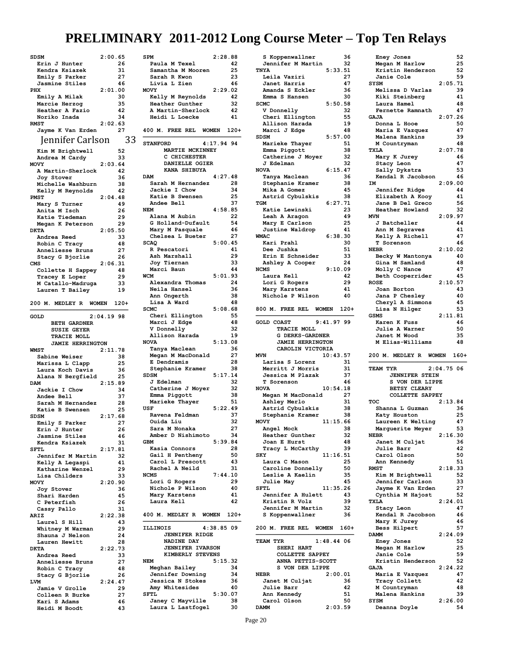| SDSM                          | 2:00.65      |          |
|-------------------------------|--------------|----------|
| Erin J Hunter                 |              | 26       |
| Kendra Ksiazek                |              | 31       |
|                               |              | 27       |
| Emily S Parker                |              | 46       |
| Jasmine Stiles                |              |          |
| PHX                           | 2:01.00      | 30       |
| Emily A Milak                 |              |          |
| Marcie Herzog                 |              | 35       |
| Heather A Fazio               |              | 42       |
| Noriko Inada                  |              | 34       |
| <b>RMST</b>                   | 2:02.63      |          |
| Jayme K Van Erden             |              | 27       |
| Jennifer Carlson              |              | 33       |
|                               |              |          |
| Kim M Brightwell              |              | 52       |
| Andrea M Cardy                |              | 33       |
| <b>MOVY</b>                   | 2:03.64      |          |
| A Martin-Sherlock             |              | 42       |
| Joy Stover                    |              | 36       |
| Michelle Washburn             |              | 38       |
| Kelly M Reynolds              |              | 42       |
| <b>PMST</b>                   | 2:04.48      |          |
| Mary S Turner                 |              | 49       |
| Anita M Isch                  |              | 26       |
| Katie Tiedeman                |              | 29       |
| Megan K Peterson              |              | 29       |
|                               |              |          |
| <b>DKTA</b>                   | 2:05.50      |          |
| Andrea Reed                   |              | 33       |
| Robin C Tracy                 |              | 48       |
| Anneliesse Bruns              |              | 27       |
| Stacy G Bjorlie               |              | 26       |
| CMS                           | 2:06.31      |          |
| Collette H Sappey             |              | 48       |
| Tracey E Loper                |              | 29       |
| M Catallo-Madruga             |              | 33       |
| Lauren T Bailey               |              | 19       |
|                               |              |          |
| 200 M. MEDLEY R WOMEN         |              | $120+$   |
|                               |              |          |
| GOLD                          | $2:04.19$ 98 |          |
| <b>BETH GARDNER</b>           |              |          |
|                               |              |          |
| <b>SUSIE GEYER</b>            |              |          |
| TRACIE MOLL                   |              |          |
| <b>JAMIE HERRINGTON</b>       |              |          |
| <b>WMST</b>                   | 2:11.78      |          |
|                               |              | 38       |
| Sabine Weiser                 |              |          |
| Marissa L Clapp               |              | 25       |
| Laura Koch Davis              |              | 36<br>25 |
| Alana N Bergfield             |              |          |
| <b>DAM</b>                    | 2:15.89      |          |
| Jackie I Chow                 |              | 34       |
| Andee Bell                    |              | 37       |
| Sarah M Hernandez             |              | 28       |
| Katie B Swensen               |              | 25       |
| <b>SDSM</b>                   | 2:17.68      |          |
| Emily S Parker                |              | 27       |
| Erin J Hunter                 |              | 26       |
| Jasmine Stiles                |              | 46       |
| Kendra Ksiazek                |              | 31       |
| SFTL                          | 2:17.81      |          |
| Jennifer M Martin             |              | 32       |
| Kelly A Legaspi               |              | 41       |
| Katharine Wenzel              |              | 29       |
| Lisa Childers                 |              | 33       |
| <b>MOVY</b>                   | 2:20.90      |          |
| Joy Stover                    |              | 36       |
| Shari Harden                  |              | 45       |
| C Peterfish                   |              | 26       |
| Cassy Pallo                   |              | 31       |
| ARIZ                          | 2:22.38      |          |
| Laurel S Hill                 |              | 43       |
| Whitney M Warman              |              | 29       |
| Shauna J Nelson               |              | 24       |
| Lauren Hewitt                 |              | 28       |
| <b>DKTA</b>                   | 2:22.73      |          |
| Andrea Reed                   |              | 33       |
| Anneliesse Bruns              |              | 27       |
| Robin C Tracy                 |              | 48       |
| Stacy G Bjorlie               |              | 26       |
| LVM                           | 2:24.47      |          |
| Jamie V Grolle                |              | 29       |
| Colleen R Burke               |              | 27       |
| Kari S Adams<br>Heidi M Boodt |              | 46<br>43 |

| <b>SPM</b>                            | 2:28.88                |
|---------------------------------------|------------------------|
| Paula M Texel                         | 42                     |
| Samantha M Mooren<br>Sarah R Kwon     | 25<br>23               |
| Livia L Zien                          | 46                     |
| MOVY                                  | 2:29.02                |
| Kelly M Reynolds                      | 42                     |
| Heather Gunther                       | 32                     |
| A Martin-Sherlock                     | 42<br>41               |
| Heidi L Loecke                        |                        |
| 400 M. FREE REL WOMEN 120+            |                        |
| <b>STANFORD</b>                       | 4:17.94.94             |
| MARTIE MCKINNEY                       |                        |
| C CHICHESTER<br>DANIELLE OGIER        |                        |
| KANA SHIBUYA                          |                        |
| <b>DAM</b>                            | 4:27.48                |
| Sarah M Hernandez                     | 28                     |
| Jackie I Chow                         | 34                     |
| Katie B Swensen<br>Andee Bell         | 25<br>37               |
| <b>NEM</b>                            | 4:58.85                |
| Alana M Aubin                         | 22                     |
| G Holland-Dufault                     | 54                     |
| Mary M Pasquale                       | 46                     |
| Chelsea L Bueter                      | 27                     |
| <b>SCAQ</b><br>R Pescatori            | 5:00.45<br>41          |
| Ash Marshall                          | 29                     |
| Joy Tiernan                           | 33                     |
| Marci Baun                            | 44                     |
| <b>WCM</b>                            | 5:01.93                |
| Alexandra Thomas                      | 24                     |
| Neila Hansel<br>Ann Ongerth           | 36<br>38               |
| Lisa A Ward                           | 48                     |
| <b>SCMC</b>                           | 5:08.68                |
| Cheri Ellington                       | 55                     |
| Marci J Edge                          | 48                     |
| V Donnelly<br>Allison Harada          | 32<br>19               |
| <b>NOVA</b>                           | 5:13.08                |
| Tanya Maclean                         | 36                     |
| Megan M MacDonald                     | 27                     |
| E Dendramis                           | 28                     |
| Stephanie Kramer                      | 38                     |
| <b>SDSM</b><br>J Edelman              | 5:17.14<br>32          |
| Catherine J Moyer                     | 32                     |
| Emma Piggott                          | 38                     |
| Marieke Thayer                        | 51                     |
| USF                                   | 5:22.49                |
| Ravena Feldman<br>Ouida Liu           | 37<br>32               |
| Sara M Nonaka                         | $\mathbf{27}$          |
| Amber D Nishimoto                     | 34                     |
| GBM                                   | 5:39.84                |
| Kasia Connors                         | 28                     |
| Gail H Pentheny<br>Carol L Prescott   | 50<br>43               |
| Rachel A Neild                        | 31                     |
| <b>NCMS</b>                           | 7:44.10                |
| Lori G Rogers                         | 29                     |
| Nichole P Wilson                      | 40                     |
| Mary Karstens<br>Laura Kell           | 41<br>42               |
|                                       |                        |
| 400 M. MEDLEY R                       | <b>WOMEN</b><br>$120+$ |
| ILLINOIS                              | 4:38.85 09             |
| <b>JENNIFER RIDGE</b>                 |                        |
| NADINE DAY                            |                        |
| <b>JENNIFER IVARSON</b>               |                        |
| KIMBERLY STEVENS<br><b>NEM</b>        |                        |
| Meghan Bailey                         |                        |
|                                       | 5:15.32<br>34          |
| Jennifer Downing                      | 34                     |
| Jessica N Stokes                      | 36                     |
| Amy Whitesides                        | 40                     |
| <b>SFTL</b>                           | 5:30.07                |
| Janey C Mayville<br>Laura L Lastfogel | 38<br>30               |

| S Koppenwallner                              | 36       |
|----------------------------------------------|----------|
| Jennifer M Martin                            | 32       |
| 5:33.51<br>TNYA                              |          |
| Leila Vaziri                                 | 27       |
| Janet Harris                                 | 47       |
| Amanda S Eckler                              | 36       |
| Emma S Hansen<br>SCMC<br>5:50.58             | 30       |
| V Donnelly                                   | 32       |
| Cheri Ellington                              | 55       |
|                                              | 19       |
| Allison Harada<br>Marci J Edge               | 48       |
| 5:57.00<br>SDSM                              |          |
| Marieke Thayer                               | 51       |
| Emma Piggott                                 | 38       |
| Catherine J Moyer                            | 32       |
| J Edelman<br><b>NOVA</b><br>6:15.47          | 32       |
| Tanya Maclean                                | 36       |
| Stephanie Kramer                             | 38       |
| Mika A Gomez                                 | 45       |
| Astrid Cybulskis                             | 38       |
| 6:27.71<br>TGM                               |          |
| Katie Lewinski                               | 23       |
| Leah A Aragon                                | 49       |
| Mary E Carlson                               | 25       |
| Justine Waldrop                              | 41       |
| 6:38.30<br><b>WMAC</b>                       |          |
| Kari Prahl                                   | 30       |
| Dee Jushka<br>Erin E Schneider               | 51<br>33 |
| Ashley A Cooper                              | 24       |
| <b>NCMS</b><br>9:10.09                       |          |
| Laura Kell                                   | 42       |
| Lori G Rogers                                | 29       |
| Mary Karstens                                | 41       |
| Nichole P Wilson                             | 40       |
|                                              |          |
| FREE REL<br>800 M.<br>WOMEN                  | $120+$   |
| 9:41.97<br><b>GOLD COAST</b>                 | 99       |
| TRACIE MOLL                                  |          |
|                                              |          |
|                                              |          |
| <b>G DERKS-GARDNER</b>                       |          |
| <b>JAMIE HERRINGTON</b><br>CAROLIN VICTORIA  |          |
| 10:43.57<br><b>MVN</b>                       |          |
| Larisa S Lorenz                              | 31       |
| Merritt J Morris                             | 31       |
| Jessica M Plazak                             | 37       |
| T Sorenson                                   | 46       |
| 10:54.18<br><b>NOVA</b>                      |          |
| Megan M MacDonald                            | 27       |
| Ashley Merlo                                 | 31       |
| Astrid Cybulskis                             | 38<br>38 |
| Stephanie Kramer                             |          |
| <b>MOVY</b><br>11:15.66                      | 38       |
| Angel Mock<br>Heather Gunther                | 32       |
| Joan E Hurst                                 | 48       |
| Tracy L McCarthy                             | 39       |
| 11:16.51<br>SKY                              |          |
| Laura C Mason                                | 25       |
| Caroline Donnelly                            | 50       |
| Leslie A Kaelin                              | 35       |
| Julie May                                    | 45       |
| 11:35.26<br><b>SFTL</b><br>Jennifer A Hulett | 43       |
| Kristin R Volz                               | 39       |
| Jennifer M Martin                            | 32       |
| S Koppenwallner                              | 36       |
|                                              |          |
| 200 M. FREE REL WOMEN                        | $160+$   |
| TEAM TYR<br>$1:48.44$ 06                     |          |
| SHERI HART                                   |          |
| COLLETTE SAPPEY                              |          |
| ANNA PETTIS-SCOTT                            |          |
| S VON DER LIPPE                              |          |
| 2:00.01<br><b>NEBR</b>                       |          |
| Janet M Culjat                               | 36       |
| <b>Julie Barr</b>                            | 42       |
| Ann Kennedy<br>Carol Olson                   | 51<br>50 |

| Eney Jones                            |            | 52       |
|---------------------------------------|------------|----------|
| Megan M Harlow                        |            | 25       |
| Kristin Henderson                     |            | 52       |
| Janie Cole                            |            | 59       |
| <b>SYSM</b>                           | 2:05.71    |          |
| Melissa D Varlas                      |            | 39       |
| Kiki Steinberg                        |            | 41       |
| Laura Hamel                           |            | 48       |
| Fernette Ramnath                      |            | 47       |
| <b>GAJA</b><br>Donna L Hooe           | 2:07.26    | 50       |
| Maria E Vazquez                       |            | 47       |
| Malena Hankins                        |            | 39       |
| M Countryman                          |            | 48       |
| <b>TXLA</b>                           | 2:07.78    |          |
| Mary K Jurey                          |            | 46       |
| Stacy Leon                            |            | 47       |
| Sally Dykstra                         |            | 53       |
| Kendal R Jacobson                     |            | 46       |
| IΜ                                    | 2:09.00    |          |
| Jennifer Ridge                        |            | 44       |
| Elizabeth A Kooy                      |            | 41       |
| Jane B Del Greco                      |            | 56       |
| Heather Howland                       |            | 32       |
| MVN                                   | 2:09.97    |          |
| J Batcheller                          |            | 44       |
| Ann M Segraves                        |            | 41       |
| Kelly A Richell                       |            | 47       |
| T Sorenson                            |            | 46       |
| <b>NEBR</b>                           | 2:10.02    |          |
| Becky W Mantonya<br>Gina M Samland    |            | 40<br>48 |
| Molly C Nance                         |            | 47       |
|                                       |            | 45       |
| Beth Cooperrider<br><b>ROSE</b>       | 2:10.57    |          |
| Joan Borton                           |            | 43       |
| Jana P Chesley                        |            | 40       |
| Cheryl A Simmons                      |            | 45       |
| Lisa N Hilger                         |            | 53       |
| GSMS                                  | 2:11.81    |          |
| Karen K<br>Fuss                       |            | 46       |
| Julie A Warner                        |            | 50       |
|                                       |            |          |
|                                       |            | 35       |
| Janet M Wood<br>M Elias-Williams      |            | 48       |
|                                       |            |          |
| 200 M. MEDLEY R WOMEN 160+            |            |          |
|                                       |            |          |
| TEAM TYR                              | 2:04.75.06 |          |
| <b>JENNIFER STEIN</b>                 |            |          |
| S VON DER LIPPE                       |            |          |
| <b>BETSY CLEARY</b>                   |            |          |
| COLLETTE SAPPEY                       |            |          |
| TOC                                   | 2:13.84    |          |
| Shanna L Guzman                       |            | 36       |
| Katy Houston                          |            | 25       |
| Laureen K Welting                     |            | 47       |
| Marguerite Meyer                      |            | 53       |
| <b>NEBR</b>                           | 2:16.30    |          |
| Janet M Culjat                        |            | 36<br>42 |
| <b>Julie Barr</b>                     |            |          |
| Carol Olson                           |            | 50<br>51 |
| Ann Kennedy<br><b>RMST</b>            | 2:18.33    |          |
| Kim M Brightwell                      |            | 52       |
| Jennifer Carlson                      |            | 33       |
|                                       |            | 27       |
| Jayme K Van Erden<br>Cynthia M Hajost |            | 52       |
| TXLA                                  | 2:24.01    |          |
| Stacy Leon                            |            | 47       |
| Kendal R Jacobson                     |            | 46       |
| Mary K Jurey                          |            | 46       |
| Bess Hilpert                          |            | 57       |
| <b>DAMM</b>                           | 2:24.09    |          |
| Eney Jones                            |            | 52       |
| Megan M Harlow                        |            | 25       |
| Janie Cole                            |            | 59       |
| Kristin Henderson                     |            | 52       |
| GAJA                                  | 2:24.22    |          |
| Maria E Vazquez                       |            | 47       |
| Tracy Collett                         |            | 42       |
| M Countryman                          |            | 48       |
| Malena Hankins                        |            | 39       |
| SYSM<br>Deanna Doyle                  | 2:26.00    | 54       |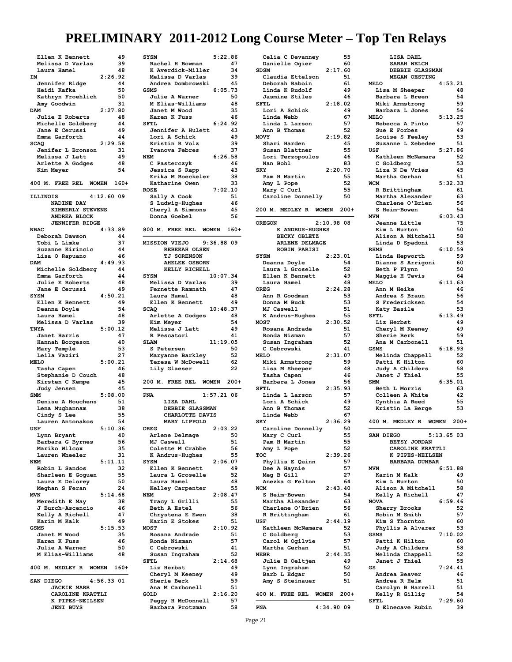| Ellen K Bennett                     | 49           |
|-------------------------------------|--------------|
| Melissa D Varlas                    | 39           |
| Laura Hamel                         | 48           |
| IМ                                  | 2:26.92      |
| Jennifer Ridge                      | 44           |
| Heidi Kafka                         | 50           |
| Kathryn Froehlich                   | 50           |
| Amy Goodwin                         | 31           |
| DAM                                 | 2:27.80      |
| Julie E Roberts                     | 48           |
| Michelle Goldberg                   | 44           |
| Jane E Cerussi                      | 49           |
| Emma Garforth                       | 44           |
| <b>SCAO</b>                         | 2:29.58      |
| Jenifer L Bronson                   | 31           |
| Melissa J Latt                      | 49           |
| Arlette A Godges                    | 48           |
| Kim Meyer                           | 54           |
|                                     |              |
| 400 M. FREE REL WOMEN               | 160+         |
|                                     |              |
| <b>ILLINOIS</b>                     | $4:12.60$ 09 |
| NADINE DAY                          |              |
| KIMBERLY STEVENS                    |              |
|                                     |              |
| <b>ANDREA BLOCK</b>                 |              |
| <b>JENNIFER RIDGE</b>               |              |
| <b>NBAC</b>                         | 4:33.89      |
| Deborah Dawson                      | 44           |
| Tobi L Limke                        | 37           |
| Suzanne Kirincic                    | 44           |
| Lisa O Rapuano                      | 46           |
| <b>DAM</b>                          | 4:49.93      |
| Michelle Goldberg                   | 44           |
| Emma Garforth                       | 44           |
| Julie E Roberts                     | 48           |
| <b>Jane E Cerussi</b>               | 49           |
| <b>SYSM</b>                         | 4:50.21      |
| Ellen K Bennett                     | 49           |
| Deanna Doyle                        | 54           |
| Laura Hamel                         | 48           |
| Melissa D Varlas                    | 39           |
| TNYA                                | 5:00.12      |
| Janet Harris                        | 47           |
|                                     |              |
|                                     |              |
| Hannah Borgeson                     | 40           |
| Mary Temple                         | 53           |
| Leila Vaziri                        | 27           |
| <b>MELO</b>                         | 5:00.21      |
| Tasha Capen                         | 46           |
| Stephanie D Couch                   | 48           |
| Kirsten C Kempe                     | 45           |
| Judy Jensen                         | 45           |
| <b>SMM</b>                          | 5:08.00      |
| Denise A Houchens                   | 51           |
| Lena Mughannam                      | 38           |
| Cindy S Lee                         | 55           |
| Lauren Antonakos                    | 54           |
| USF                                 | 5:10.36      |
| Lynn Bryant                         | 40           |
| Barbara G Byrnes                    | 56           |
| Mariko Wilcox                       | 35           |
| Lauren Wheeler                      | 31           |
| <b>NEM</b>                          | 5:11.11      |
| Robin L Sandos                      | 32           |
| Sharleen E Goguen                   | 55           |
| Laura E Delorey                     | 50           |
| Meghan S Feran                      | 24           |
| <b>MVN</b>                          | 5:14.68      |
| Meredith E May                      | 38           |
|                                     | 46           |
| J Burch-Ascencio<br>Kelly A Richell | 47           |
| Karin M Kalk                        | 49           |
| <b>GSMS</b>                         | 5:15.53      |
| Janet M Wood                        | 35           |
| Karen K Fuss                        | 46           |
| Julie A Warner                      | 50           |
| M Elias-Williams                    | 48           |
|                                     |              |
| 400 M.<br>MEDLEY R<br><b>WOMEN</b>  | $160+$       |
|                                     |              |
| SAN DIEGO                           | $4:56.33$ 01 |
| <b>JACKIE MARR</b>                  |              |
| CAROLINE KRATTLI                    |              |
| PIPES-NEILSEN<br>к                  |              |

| <b>SYSM</b>                           | 5:22.86        |
|---------------------------------------|----------------|
| Rachel H Bowman                       | 47             |
| K Averdick-Miller                     | 34             |
| Melissa D Varlas                      | 39<br>45       |
| Andrea Dombrowski<br>GSMS             | 6:05.<br>73    |
| <b>Julie A Warner</b>                 | 50             |
| M Elias-Williams                      | 48             |
| Janet M Wood                          | 35             |
| Karen K Fuss                          | 46             |
| <b>SFTL</b>                           | 6:24.92        |
| Jennifer A Hulett                     | 43             |
| Lori A Schick                         | 49             |
| Kristin R Volz                        | 39             |
| Ivanova Febres<br><b>NEM</b>          | 37             |
| C Pasterczyk                          | 6:26.58<br>46  |
| Jessica S Rapp                        | 43             |
| Erika M Boeckeler                     | 38             |
| Katharine Owen                        | 33             |
| <b>ROSE</b>                           | 7:02.10        |
| Sally A Cook                          | 51             |
| S Ludwig-Hughes                       | 46             |
| Cheryl A Simmons                      | 45             |
| Donna Goebel                          | 56             |
| 800 M. FREE REL WOMEN 160+            |                |
|                                       |                |
| <b>MISSION VIEJO</b>                  | 9:36.88 09     |
| REBEKAH OLSEN                         |                |
| <b>TJ SORENSON</b>                    |                |
| <b>AHELEE OSBORN</b>                  |                |
| KELLY RICHELL                         |                |
| <b>SYSM</b>                           | 10:07.34       |
| Melissa D Varlas                      | 39             |
| Fernette Ramnath                      | 47             |
| Laura Hamel                           | 48             |
| Ellen K Bennett                       | 49             |
| <b>SCAQ</b>                           | 10:48.37<br>48 |
| Arlette A Godges<br>Kim Meyer         | 54             |
|                                       |                |
|                                       |                |
| Melissa J Latt                        | 49             |
| R Pescatori                           | 41             |
| <b>SLAM</b><br>S Petersen             | 11:19.05<br>50 |
| Maryanne Barkley                      | 52             |
| Teresa W McDowell                     | 62             |
| Lily Glaeser                          | 22             |
|                                       |                |
| 200 M. FREE REL WOMEN 200+            |                |
|                                       |                |
| PNA                                   | $1:57.21$ 06   |
| LISA DAHL<br>DEBBIE GLASSMAN          |                |
| CHARLOTTE DAVIS                       |                |
| MARY LIPPOLD                          |                |
| OREG                                  | 2:03.22        |
| Arlene Delmage                        | 50             |
| MJ Caswell                            | 51             |
| Colette M Crabbe                      | 56             |
| K Andrus-Hughes                       | 55             |
| <b>SYSM</b>                           | 2:06.07        |
| Ellen K Bennett                       | 49             |
| Laura L Groselle<br>Laura Hamel       | 52<br>48       |
| Kelley Carpenter                      | 55             |
| <b>NEM</b>                            | 2:08.47        |
| Tracy L Grilli                        | 55             |
| Beth A Estel                          | 56             |
| Chrystena E Ewen                      | 38             |
| Karin E Stokes                        | 51             |
| <b>MOST</b>                           | 2:10.92        |
| Rosana Andrade                        | 51             |
| Ronda Nisman                          | 57             |
| C Cebrowski                           | 41<br>52       |
| Susan Ingraham<br>SFTL                | 2:14.68        |
| Liz Herbst                            | 49             |
| Cheryl M Keeney                       | 49             |
| Sherie Berk                           | 59             |
| Ana M Carbonell                       | 51             |
| <b>GOLD</b>                           | 2:16.20        |
| Peggy H McDonnell<br>Barbara Protzman | 57<br>58       |

| Celia C Devanney                              | 55       |
|-----------------------------------------------|----------|
| Danielle Ogier<br><b>SDSM</b>                 | 60       |
| 2:17.60<br>Claudia Ettelson                   | 51       |
| Deborah Raboin                                | 61       |
| Linda K Rudolf                                | 49       |
| Jasmine Stiles<br><b>SFTL</b>                 | 46       |
| 2:18.02<br>Lori A Schick                      | 49       |
| Linda Webb                                    | 67       |
| Linda L Larson                                | 57       |
| Ann B Thomas<br><b>MOVY</b><br>2:19.82        | 52       |
| Shari Harden                                  | 45       |
| Susan Blattner                                | 55       |
| Lori Terzopoulos                              | 46       |
| Nan Bohl<br>2:20.70<br><b>SKY</b>             | 83       |
| Pam H Martin                                  | 55       |
| Amy L Pope                                    | 52       |
| Mary C Curl                                   | 55       |
| Caroline Donnelly                             | 50       |
| 200 M. MEDLEY R WOMEN 200+                    |          |
|                                               |          |
| 2:10.9808<br><b>OREGON</b><br>K ANDRUS-HUGHES |          |
| BECKY OBLETZ                                  |          |
| ARLENE DELMAGE                                |          |
| <b>ROBIN PARISI</b>                           |          |
| 2:23.01<br>SYSM                               | 54       |
| Deanna Doyle<br>Laura L Groselle              | 52       |
| Ellen K Bennett                               | 49       |
| Laura Hamel                                   | 48       |
| 2:24.28<br>OREG                               |          |
| Ann R Goodman<br>Donna M Buck                 | 53<br>53 |
| MJ Caswell                                    | 51       |
| K Andrus-Hughes                               | 55       |
| <b>MOST</b><br>2:30.52<br>Rosana Andrade      | 51       |
| Ronda Nisman                                  | 57       |
| Susan Ingraham                                | 52       |
| C Cebrowski                                   | 41       |
| <b>MELO</b><br>2:31.07                        | 59       |
| Miki Armstrong<br>Lisa M Sheeper              | 48       |
| Tasha Capen                                   | 46       |
| Barbara L Jones                               | 56       |
| <b>SFTL</b><br>2:35.93<br>Linda L Larson      | 57       |
| Lori A Schick                                 | 49       |
| Ann B<br>Thomas                               | 52       |
| Linda Webb                                    | 67       |
| 2:36.29<br><b>SKY</b><br>Caroline Donnelly    | 50       |
| Mary C Curl                                   | 55       |
| Pam H Martin                                  | 55       |
| Amy L Pope<br>2:39.26<br>TOC                  | 52       |
| Phyllis E Quinn                               | 57       |
| Dee A Haynie                                  | 57       |
| Meg B Gill                                    | 27       |
| Anezka G Felton                               | 64       |
| 2:43.40<br>WCM<br>S Heim-Bowen                | 54       |
| Martha Alexander                              | 63       |
| Charlene O'Brien                              | 56       |
| R Brittingham<br>USF<br>2:44.19               | 61       |
| Kathleen McNamara                             | 52       |
| C Goldberg                                    | 53       |
| Carol M Ogilvie                               | 57       |
| Martha Gerhan<br>2:44.35<br><b>NEBR</b>       | 51       |
| Julie B Oeltjen                               | 49       |
| Lynn Ingraham                                 |          |
|                                               | 52       |
| Barb L Edgar                                  | 50       |
| Amy S Steinauer                               | 51       |
| 400 M. FREE REL WOMEN                         | $200+$   |
| PNA<br>4:34.90 09                             |          |

| LISA DAHL                                  |          |
|--------------------------------------------|----------|
| <b>SARAH WELCH</b>                         |          |
| DEBBIE GLASSMAN                            |          |
| MEGAN OESTING                              |          |
| <b>MELO</b><br>4:53.21<br>Lisa M Sheeper   | 48       |
| Barbara L Breen                            | 54       |
| Miki Armstrong                             | 59       |
| Barbara L Jones                            | 56       |
| 5:13.25<br><b>MELO</b>                     |          |
| Rebecca A Pinto                            | 57       |
| Sue E Forbes                               | 49       |
| Louise S Feeley                            | 53       |
| Suzanne L Zebedee                          | 51       |
| USF<br>5:27.86                             |          |
| Kathleen McNamara                          | 52<br>53 |
| C Goldberg<br>Liza N De Vries              | 45       |
| Martha Gerhan                              | 51       |
| 5:32.33<br>WCM                             |          |
| R Brittingham                              | 61       |
| Martha Alexander                           | 63       |
| Charlene O'Brien                           | 56       |
| S Heim-Bowen                               | 54       |
| <b>MVN</b><br>6:03.43                      |          |
| Jeanne Little                              | 75       |
| Kim L Burton                               | 50       |
| Alison A Mitchell                          | 58       |
| Linda D Spadoni                            | 53       |
| 6:10.59<br><b>RHMS</b><br>Linda Hepworth   | 59       |
| Dianne S Arrigoni                          | 60       |
| Beth P Flynn                               | 50       |
| Maggie H Tevis                             | 64       |
| <b>MELO</b><br>6:11.63                     |          |
| Ann M Heike                                | 46       |
| Andrea S Braun                             | 56       |
| S Fredericksen                             | 54       |
| Katy Basile                                | 53       |
| 6:13.49<br>SFTL                            |          |
| Liz Herbst                                 | 49       |
| Cheryl M Keeney                            | 49       |
| Sherie Berk                                | 59       |
|                                            |          |
| Ana M Carbonell                            | 51       |
| 6:18.93<br><b>GSMS</b>                     |          |
| Melinda Chappell                           | 52       |
| Patti K Hilton                             | 60       |
| Judy A Childers                            | 58       |
| Janet J Thiel<br><b>SMM</b>                | 55       |
| 6:35.01                                    | 63       |
| Beth L Morris<br>Colleen A White           | 42       |
| Cynthia A Reed                             | 55       |
| Kristin La Berge                           | 53       |
|                                            |          |
| 400 M. MEDLEY R WOMEN 200+                 |          |
|                                            |          |
| $5:13.65$ 03<br>SAN DIEGO                  |          |
| BETSY JORDAN                               |          |
| CAROLINE KRATTLI                           |          |
| K PIPES-NEILSEN                            |          |
| <b>BARBARA DUNBAR</b><br><b>MVN</b>        |          |
| 6:51.88<br>Karin M Kalk                    | 49       |
| Kim L Burton                               | 50       |
| Alison A Mitchell                          | 58       |
| Kelly A Richell                            | 47       |
| 6:59.46<br><b>NOVA</b>                     |          |
| Sherry Brooks                              | 52       |
| Robin M Smith                              | 57       |
| Kim S Thornton                             | 60       |
| Phyllis A Alvarez                          | 53       |
| 7:10.02<br><b>GSMS</b>                     |          |
| Patti K Hilton                             | 60       |
| Judy A Childers                            | 58       |
| Melinda Chappell                           | 52<br>55 |
| Janet J Thiel<br>7:24.41<br>GS             |          |
| Andrea Beaver                              | 46       |
| Andrea R Helm                              | 51       |
| Carolyn B Harrell                          | 51       |
| Kelly R Gillig                             | 54       |
| 7:29.60<br><b>SFTL</b><br>D Elnecave Rubin | 39       |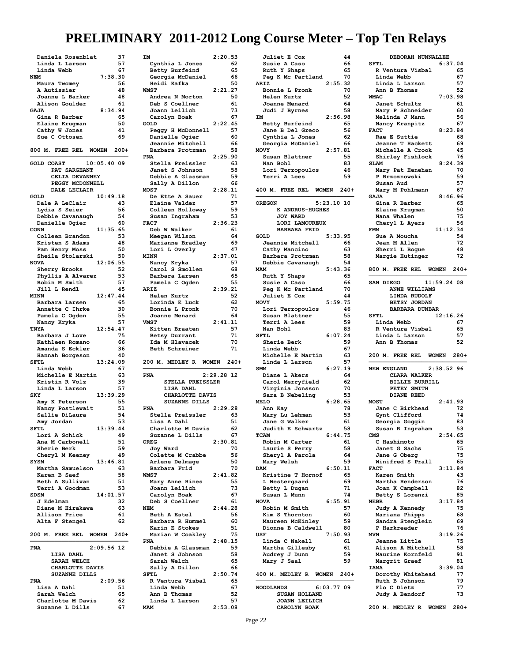|                                      | 37<br>IΜ              |
|--------------------------------------|-----------------------|
| Linda L Larson                       | 57<br>Cy              |
| Linda Webb                           | 67<br>Be              |
| 7:38.30<br><b>NEM</b>                | Ge                    |
| Maura Twomey                         | 56<br>He              |
| A Autissier                          | 48<br><b>WMST</b>     |
| Joanne L Barker                      | 48<br>Ar              |
| Alison Goulder                       | 61<br>De              |
| 8:34.94<br><b>GAJA</b>               | Jc                    |
| Gina R Barber                        | 65<br>Ca              |
| Elaine Krugman                       | 50<br>GOLD            |
| Cathy W Jones                        | 41<br>Pe              |
| Sue C Ottosen                        | 69<br>Da              |
|                                      | Je                    |
| 800 M. FREE REL<br><b>WOMEN</b>      | $200+$<br>Ba          |
|                                      | <b>PNA</b>            |
| 10:05.4009<br><b>GOLD COAST</b>      | St                    |
| PAT SARGEANT                         | Ja                    |
| CELIA DEVANNEY                       | De                    |
| PEGGY MCDONNELL                      | Sa                    |
| DALE LECLAIR                         | <b>MOST</b>           |
| 10:49.18<br>GOLD                     | De                    |
| Dale A LeClair                       | E1<br>43              |
| Lydia S Seier                        | 56<br>Cc              |
| Debbie Cavanaugh                     | 54<br>Su              |
| Danielle Ogier                       | 60<br><b>FACT</b>     |
| 11:35.65<br><b>CONN</b>              | De                    |
| Colleen Brandon                      | 53<br>Me              |
| Kristen S Adams                      | 48<br>Ma              |
| Pam Henry Moss                       | 50<br>Lc              |
| Sheila Stolarski                     | 50<br>MINN            |
| 12:06.55<br><b>NOVA</b>              | Na                    |
| Sherry Brooks                        | 52<br>Ca              |
| Phyllis A Alvarez                    | 53<br>Ba              |
| Robin M Smith                        | 57<br>Pa              |
| Jill L Rendl                         | 45                    |
| <b>MINN</b>                          | <b>ARIZ</b>           |
| 12:47.44                             | He<br>65              |
| Barbara Larsen                       | Lc                    |
| Annette C Ihrke                      | 30<br>Bc              |
| Pamela C Ogden                       | 55<br>Jc              |
| Nancy Kryka                          | 57<br><b>VMST</b>     |
| TNYA<br>12:54.47                     | Ki                    |
| Barbara J Love                       | 75<br>Be              |
| Kathleen Romano                      | 66<br>Ιć              |
| Amanda S Eckler                      | 36<br>Be              |
| Hannah Borgeson                      | 40                    |
| <b>SFTL</b><br>13:24.09              | 200                   |
|                                      |                       |
| Linda Webb                           | 67                    |
| Michelle E Martin                    | PNA<br>63             |
| Kristin R Volz                       | 39                    |
| Linda L Larson                       | 57                    |
| 13:39.29<br><b>SKY</b>               |                       |
| Amy K Peterson                       | 55                    |
| Nancy Postlewait                     | 51<br>PNA             |
| Sallie DiLaura                       | 54<br>St              |
| Amy Jordan                           | 53<br>Li              |
| 13:39.44<br><b>SFTL</b>              | Ch                    |
| Lori A Schick                        | 49<br>Su              |
| Ana M Carbonell                      | 51<br>OREG            |
| Sherie Berk                          | 59<br>Jc              |
| Cheryl M Keeney                      | 49<br>Cc              |
| <b>SYSM</b><br>13:46.81              | Ar                    |
| Martha Samuelson                     | 63<br>Ba              |
| Karen B Saef                         | 58<br><b>WMST</b>     |
| Beth A Sullivan                      | 51<br>Ma              |
|                                      | 53<br>Jc              |
| Terri A Goodman<br>SDSM<br>14:01.57  | Ca                    |
| J Edelman                            | 32<br>De              |
| Diane M Hirakawa                     | 63<br>NEM             |
| Allison Price                        | 61<br>Be              |
|                                      | 62<br>Ba              |
| Alta F Stengel                       | Ka                    |
| 200 M. FREE REL WOMEN                | $240+$<br>Ma          |
|                                      |                       |
|                                      | PNA                   |
| $2:09.56$ 12<br>PNA                  | De                    |
| LISA DAHL                            | Ja                    |
| SARAH WELCH                          | Sa                    |
| CHARLOTTE DAVIS                      | Sa                    |
| SUZANNE DILLS                        | SFTI                  |
| 2:09.56<br>PNA                       | R                     |
| Lisa A Dahl                          | 51<br>Li              |
| Sarah Welch                          | 65<br>Ar              |
| Charlotte M Davis<br>Suzanne L Dills | 62<br>Li<br>67<br>MAM |

| IΜ                | 2:20.53 |        |
|-------------------|---------|--------|
| Cynthia L Jones   |         | 62     |
| Betty Burfeind    |         | 65     |
|                   |         |        |
| Georgia McDaniel  |         | 66     |
| Heidi Kafka       |         | 50     |
| <b>WMST</b>       | 2:21.27 |        |
| Andrea N Morton   |         | 50     |
| Deb S Coellner    |         | 61     |
|                   |         |        |
| Joann Leilich     |         | 73     |
| Carolyn Boak      |         | 67     |
| GOLD              | 2:22.45 |        |
|                   |         |        |
| Peggy H McDonnell |         | 57     |
| Danielle Ogier    |         | 60     |
| Jeannie Mitchell  |         | 66     |
| Barbara Protzman  |         | 58     |
| <b>PNA</b>        |         |        |
|                   | 2:25.90 |        |
| Stella Preissler  |         | 63     |
| Janet S Johnson   |         | 58     |
| Debbie A Glassman |         | 59     |
|                   |         |        |
| Sally A Dillon    |         | 66     |
| <b>MOST</b>       | 2:28.11 |        |
| De Ette A Sauer   |         | 71     |
| Elaine Valdez     |         | 57     |
|                   |         |        |
| Colleen Holloway  |         | 59     |
| Susan Ingraham    |         | 53     |
| <b>FACT</b>       | 2:36.23 |        |
| Deb W Walker      |         | 61     |
|                   |         |        |
| Meegan Wilson     |         | 64     |
| Marianne Bradley  |         | 69     |
| Lori L Overly     |         | 47     |
| <b>MINN</b>       | 2:37.01 |        |
|                   |         |        |
| Nancy Kryka       |         | 57     |
| Carol S Smollen   |         | 68     |
| Barbara Larsen    |         | 65     |
| Pamela C Ogden    |         | 55     |
|                   |         |        |
| ARIZ              | 2:39.21 |        |
| Helen Kurtz       |         | 52     |
| Lorinda E Luck    |         | 62     |
|                   |         | 70     |
| Bonnie L Pronk    |         |        |
| Joanne Menard     |         | 64     |
| <b>VMST</b>       | 2:41.11 |        |
| Kitten Braaten    |         | 57     |
|                   |         |        |
|                   |         |        |
| Betsy Durrant     |         | 71     |
| Ida M Hlavacek    |         | 70     |
| Beth Schreiner    |         | 71     |
|                   |         |        |
| 200 M. MEDLEY R   | WOMEN   | $240+$ |
|                   |         |        |
| <b>PNA</b>        | 2:29.28 | 12     |
|                   |         |        |
| STELLA PREISSLER  |         |        |
| LISA DAHL         |         |        |
| CHARLOTTE DAVIS   |         |        |
| SUZANNE DILLS     |         |        |
|                   |         |        |
| <b>PNA</b>        | 2:29.28 |        |
| Stella Preissler  |         | 63     |
| Lisa A Dahl       |         | 51     |
|                   |         |        |
| Charlotte M Davis |         | 62     |
| Suzanne L Dills   |         | 67     |
| <b>OREG</b>       | 2:30.81 |        |
| Joy Ward          |         | 70     |
|                   |         |        |
| Colette M Crabbe  |         | 56     |
| Arlene Delmage    |         | 50     |
| Barbara Frid      |         | 70     |
| <b>WMST</b>       | 2:41.82 |        |
|                   |         |        |
| Mary Anne Hines   |         | 55     |
| Joann Leilich     |         | 73     |
| Carolyn Boak      |         | 67     |
| Deb S Coellner    |         | 61     |
|                   |         |        |
| <b>NEM</b>        | 2:44.28 |        |
| Beth A Estel      |         | 56     |
| Barbara R Hummel  |         | 60     |
| Karin E Stokes    |         | 51     |
|                   |         |        |
| Marian W Coakley  |         | 75     |
| <b>PNA</b>        | 2:48.15 |        |
| Debbie A Glassman |         | 59     |
| Janet S Johnson   |         | 58     |
|                   |         |        |
| Sarah Welch       |         | 65     |
| Sally A Dillon    |         | 66     |
| SFTL              | 2:50.74 |        |
| R Ventura Visbal  |         | 65     |
|                   |         |        |
| Linda Webb        |         | 67     |
| Ann B Thomas      |         | 52     |
| Linda L Larson    |         | 57     |

| <b>Juliet E Cox</b>                  | 44           |
|--------------------------------------|--------------|
| Susie A Caso                         | 66           |
| Ruth Y Shaps                         | 65           |
| Peg K Mc Partland                    | 70           |
| ARIZ                                 | 2:55.32      |
|                                      | 70           |
| Bonnie L Pronk                       |              |
| Helen Kurtz                          | 52           |
| Joanne Menard                        | 64           |
| Judi J Byrnes                        | 58           |
| IΜ                                   | 2:56.98      |
| Betty Burfeind                       | 65           |
| Jane B Del Greco                     | 56           |
|                                      |              |
| Cynthia L Jones                      | 62           |
| Georgia McDaniel                     | 66           |
| MOVY                                 | 2:57.81      |
| Susan Blattner                       | 55           |
| Nan Bohl                             | 83           |
| Lori Terzopoulos                     | 46           |
|                                      | 59           |
| Terri A Lees                         |              |
|                                      |              |
| 400 M. FREE REL<br><b>WOMEN</b>      | $240+$       |
|                                      |              |
| <b>OREGON</b>                        | $5:23.10$ 10 |
| K ANDRUS-HUGHES                      |              |
|                                      |              |
| <b>JOY WARD</b>                      |              |
| LORI LAMOUREUX                       |              |
| <b>BARBARA FRID</b>                  |              |
| <b>GOLD</b>                          | 5:33.95      |
| Jeannie Mitchell                     | 66           |
| Cathy Mancino                        | 63           |
|                                      | 58           |
| Barbara Protzman                     |              |
| Debbie Cavanaugh                     | 54           |
| <b>MAM</b>                           | 5:43.36      |
| Ruth Y Shaps                         | 65           |
| Susie A Caso                         | 66           |
| Peg K Mc Partland                    | 70           |
|                                      | 44           |
| <b>Juliet E Cox</b>                  |              |
| <b>MOVY</b>                          | 5:59.75      |
| Lori Terzopoulos                     | 46           |
| Susan Blattner                       | 55           |
| Terri A Lees                         | 59           |
| Nan Bohl                             | 83           |
| <b>SFTL</b>                          | 6:07.24      |
|                                      |              |
|                                      |              |
| Sherie Berk                          | 59           |
| Linda Webb                           | 67           |
| Michelle E Martin                    | 63           |
|                                      |              |
| Linda L Larson                       | 57           |
| <b>SMM</b>                           | 6:27.19      |
| Diane L Akers                        | 64           |
| Carol Merryfield                     | 62           |
| Virginia Jonsson                     | 70           |
| Sara B Nebeling                      | 53           |
| <b>MELO</b>                          | 6:28.65      |
| Ann Kay                              | 78           |
|                                      |              |
| Mary Lu Lehman                       | 53           |
| Jane G Walker                        | 61           |
| Judith E Schwartz                    | 58           |
| TCAM                                 | 6:44.75      |
| Robin M Carter                       | 61           |
| Laurie S Perry                       | 58           |
|                                      |              |
| Sheryl A Parola                      | 64           |
| Mary Welsh                           | 59           |
| <b>DAM</b>                           | 6:50.11      |
| Kristine T Hornof                    | 65           |
| L Westergaard                        | 69           |
| Betty L Dugan                        | 71           |
| Susan L Munn                         | 74           |
|                                      |              |
| <b>NOVA</b>                          | 6:55.91      |
| Robin M Smith                        | 57           |
| Kim S Thornton                       | 60           |
| Maureen McKinley                     | 59           |
| Dionne B Caldwell                    | 80           |
| USF                                  | 7:50.93      |
|                                      | 61           |
| Linda C Nakell                       |              |
| Martha Gillesby                      | 61           |
| Audrey J Dunn                        | 59           |
| Mary J Saal                          | 59           |
|                                      |              |
| 400 M. MEDLEY R WOMEN 240+           |              |
|                                      |              |
| <b>WOODLANDS</b>                     | 6:03.7709    |
| SUSAN HOLLAND                        |              |
|                                      |              |
| <b>JOANN LEILICH</b><br>CAROLYN BOAK |              |

| DEBORAH NUNNALLEE                                |          |
|--------------------------------------------------|----------|
| <b>SFTL</b><br>6:37.04                           |          |
| R Ventura Visbal<br>Linda Webb                   | 65<br>67 |
| Linda L Larson                                   | 57       |
| Ann B Thomas                                     | 52       |
| 7:03.98<br><b>WMAC</b>                           |          |
| Janet Schultz                                    | 61       |
| Mary P Schneider                                 | 60       |
| Melinda J Mann<br>Nancy Kranpitz                 | 56<br>67 |
| 8:23.84<br><b>FACT</b>                           |          |
| Rae E Suttie                                     | 68       |
| Jeanne T Hackett                                 | 69       |
| Michelle A Crook                                 | 45       |
| Shirley Fishlock<br>8:24.39<br><b>SLAM</b>       | 76       |
| Mary Pat Henehan                                 | 70       |
| P Brzoznowski                                    | 59       |
| Susan Aud                                        | 57       |
| Mary M Pohlmann                                  | 67       |
| <b>GAJA</b><br>8:46.96<br>Gina R Barber          | 65       |
| Elaine Krugman                                   | 50       |
| Nana Whalen                                      | 75       |
| Cheryl L Ayers                                   | 56       |
| <b>FMM</b><br>11:12.34                           | 54       |
| Sue A Moucha<br>Jean M Allen                     | 72       |
| Sherri L Bogue                                   | 48       |
| Margie Hutinger                                  | 72       |
|                                                  |          |
| 800 M. FREE REL WOMEN 240+                       |          |
| 11:59.24 08<br>SAN DIEGO                         |          |
| ANNE WILLIAMS                                    |          |
| LINDA RUDOLF                                     |          |
| BETSY JORDAN                                     |          |
| <b>BARBARA DUNBAR</b><br><b>SFTL</b><br>12:16.26 |          |
| Linda Webb                                       | 67       |
|                                                  |          |
| R Ventura Visbal                                 | 65       |
| Linda L Larson                                   | 57       |
| Ann B Thomas                                     | 52       |
| 200 M. FREE REL WOMEN 280+                       |          |
| <b>NEW ENGLAND</b>                               |          |
| $2:38.52$ 96<br>CLARA WALKER                     |          |
| <b>BILLIE BURRILL</b>                            |          |
| PETEY SMITH                                      |          |
| DIANE REED                                       |          |
| 2:41.93<br><b>MOST</b><br>Jane C Birkhead        | 72       |
| Gynt Clifford                                    | 74       |
| Georgia Goggin                                   | 83       |
| Susan R Ingraham                                 | 53       |
| 2:54.65<br>CMS                                   |          |
| C Hashimoto                                      | 65<br>75 |
| Janet G Sachs<br>Jane G Oberg                    | 75       |
| Winifred S Prall                                 | 65       |
| 3:11.84<br><b>FACT</b>                           |          |
| Karen Smith                                      | 43       |
| Martha Henderson<br>Joan K Campbell              | 76<br>82 |
| Betty S Lorenzi                                  | 85       |
| 3:17.84<br><b>NEBR</b>                           |          |
| Judy A Kennedy                                   | 75       |
| Mariana Phipps                                   | 68<br>69 |
| Sandra Stenglein<br>P Harkreader                 | 76       |
| 3:19.26<br><b>MVN</b>                            |          |
| Jeanne Little                                    | 75       |
| Alison A Mitchell                                | 58       |
| Maurine Kornfeld                                 | 91       |
| Margrit Graef<br>3:39.04<br><b>TAMA</b>          | 81       |
| Dorothy Whitehead                                | 77       |
| Ruth B Johnson                                   | 79       |
| Flo C Dietz                                      | 77       |
| Judy A Bendorf                                   | 73       |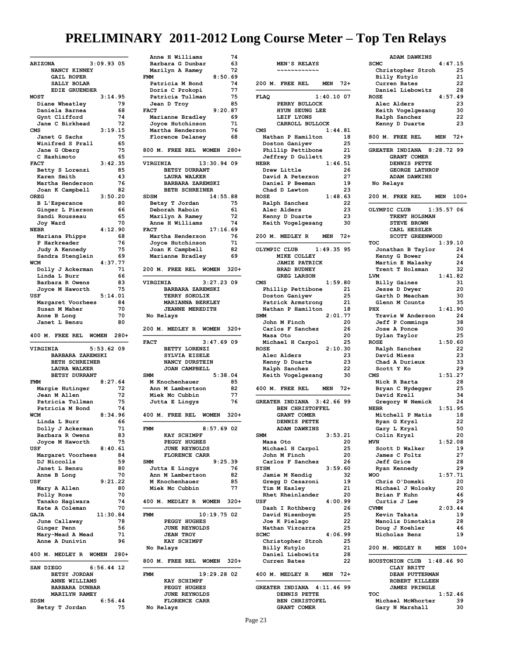| 3:09.9305<br><b>ARIZONA</b>                                |
|------------------------------------------------------------|
| NANCY KINNEY                                               |
|                                                            |
| <b>GAIL ROPER</b>                                          |
| SALLY BOLAR                                                |
| EDIE GRUENDER                                              |
| 3:14.95<br><b>MOST</b>                                     |
| 79<br>Diane Wheatley                                       |
| Daniela Barnea<br>68                                       |
|                                                            |
| Gynt Clifford<br>74                                        |
| 72<br>Jane C Birkhead                                      |
| 3:19.15<br>CMS                                             |
| Janet G Sachs<br>75                                        |
| Winifred S Prall<br>65                                     |
|                                                            |
| Jane G Oberg<br>75                                         |
| C Hashimoto<br>65                                          |
| 3:42.35<br><b>FACT</b>                                     |
| 85<br>Betty S Lorenzi                                      |
| Karen Smith<br>43                                          |
|                                                            |
| Martha Henderson<br>76                                     |
| Joan K Campbell<br>82                                      |
| 3:50.20<br><b>OREG</b>                                     |
| 80<br><b>B</b> L'Esperance                                 |
| Ginger L Pierson<br>66                                     |
|                                                            |
| 65<br>Sandi Rousseau                                       |
| 70<br>Joy Ward                                             |
| <b>NEBR</b><br>4:12.90                                     |
| 68<br>Mariana Phipps                                       |
|                                                            |
| P Harkreader<br>76                                         |
| Judy A Kennedy<br>75                                       |
| Sandra Stenglein<br>69                                     |
| 77<br>4:37.<br>WCM                                         |
| Dolly J Ackerman<br>71                                     |
|                                                            |
| Linda L Burr<br>66                                         |
| Barbara R Owens<br>83                                      |
| 75<br>Joyce M Haworth                                      |
| USF<br>5:14.01                                             |
|                                                            |
| Margaret Voorhees<br>84                                    |
| 70<br>Susan M Maher                                        |
| 70<br>Anne B Long                                          |
| Janet L Bensu<br>80                                        |
|                                                            |
| 400 M. FREE REL<br><b>WOMEN</b><br>$280+$                  |
| $5:53.62$ 09<br><b>VIRGINIA</b><br><b>BARBARA ZAREMSKI</b> |
|                                                            |
| BETH SCHREINER                                             |
| <b>LAURA WALKER</b>                                        |
| BETSY DURRANT                                              |
| 8:27.64<br><b>FMM</b>                                      |
| 72<br>Margie Hutinger                                      |
| Jean M Allen<br>72                                         |
|                                                            |
| Patricia Tullman<br>75                                     |
| Patricia M Bond<br>74                                      |
| <b>WCM</b><br>8:34.96                                      |
| 66<br>Linda L Burr                                         |
|                                                            |
| Dolly J Ackerman<br>71                                     |
| Barbara R Owens<br>83                                      |
| 75<br>Joyce M Haworth                                      |
| USF<br>8:40.61                                             |
| Margaret Voorhees<br>84                                    |
|                                                            |
| DJ Niccolls<br>59                                          |
| Janet L Bensu<br>80                                        |
| 70<br>Anne B Long                                          |
| 9:21.22<br>USF                                             |
| 80                                                         |
| Mary A Allen<br>70                                         |
| Polly Rose                                                 |
| Tanako Hagiwara<br>74                                      |
| Kate A Coleman<br>70                                       |
| 11:30.84<br><b>GAJA</b>                                    |
| 78<br>June Callaway                                        |
|                                                            |
| Ginger Penn<br>56                                          |
| 71<br>Mary-Mead A Mead                                     |
| Anne A Dunivin<br>96                                       |
|                                                            |
| $280+$                                                     |
| 400 M. MEDLEY R WOMEN                                      |
|                                                            |
| SAN DIEGO<br>$6:56.44$ 12                                  |
| <b>BETSY JORDAN</b>                                        |
| ANNE WILLIAMS                                              |
| <b>BARBARA DUNBAR</b>                                      |
|                                                            |
| MARILYN RAMEY                                              |
| 6:56.44<br><b>SDSM</b><br>75<br>Betsy T Jordan             |

|                 | Anne H Williams                                          |               | 74       |
|-----------------|----------------------------------------------------------|---------------|----------|
|                 | Barbara G Dunbar                                         |               | 63       |
|                 | Marilyn A Ramey                                          |               | 72       |
| FMM             |                                                          | 8:50.69       |          |
|                 | Patricia M Bond                                          |               | 74       |
|                 | Doris C Prokopi                                          |               | 77       |
|                 | Patricia Tullman                                         |               | 75       |
|                 | Jean D Troy                                              |               | 85       |
| <b>FACT</b>     |                                                          | 9:20.87       |          |
|                 | Marianne Bradley<br>Joyce Hutchinson                     |               | 69<br>71 |
|                 | Martha Henderson                                         |               | 76       |
|                 | Florence Delaney                                         |               | 68       |
|                 |                                                          |               |          |
|                 | 800 M. FREE REL WOMEN                                    |               | $280+$   |
|                 |                                                          |               |          |
| <b>VIRGINIA</b> | BETSY DURRANT<br><b>LAURA WALKER</b><br>BARBARA ZAREMSKI | 13:30.94 09   |          |
|                 | BETH SCHREINER                                           |               |          |
| SDSM            |                                                          | 14:55.88      |          |
|                 | Betsy T Jordan                                           |               | 75       |
|                 | Deborah Raboin                                           |               | 61       |
|                 | Marilyn A Ramey                                          |               | 72       |
|                 | Anne H Williams                                          |               | 74       |
| <b>FACT</b>     |                                                          | 17:16.69      |          |
|                 | Martha Henderson                                         |               | 76       |
|                 | Joyce Hutchinson                                         |               | 71       |
|                 | Joan K Campbell                                          |               | 82       |
|                 | Marianne Bradley                                         |               | 69       |
|                 | 200 M. FREE REL WOMEN 320+                               |               |          |
| <b>VIRGINIA</b> |                                                          | 3:27.23.09    |          |
|                 | BARBARA ZAREMSKI                                         |               |          |
|                 | TERRY SOKOLIK                                            |               |          |
|                 | MARIANNA BERKLEY                                         |               |          |
|                 | <b>JEANNE MEREDITH</b>                                   |               |          |
|                 | No Relays                                                |               |          |
|                 | 200 M. MEDLEY R WOMEN 320+                               |               |          |
| <b>FACT</b>     |                                                          | $3:47.69$ 09  |          |
|                 | BETTY LORENZI                                            |               |          |
|                 |                                                          |               |          |
|                 | SYLVIA EISELE                                            |               |          |
|                 | NANCY DURSTEIN                                           |               |          |
|                 | JOAN CAMPBELL                                            |               |          |
| SMM             |                                                          | 5:38.04       |          |
|                 | M Knochenhauer                                           |               | 85       |
|                 | Ann M Lambertson                                         |               | 82       |
|                 | Miek Mc Cubbin                                           |               | 77       |
|                 | Jutta E Lingys                                           |               | 76       |
|                 |                                                          |               |          |
|                 | 400 M. FREE REL WOMEN 320+                               |               |          |
|                 |                                                          |               |          |
| FMM             |                                                          | $8:57.69$ 02  |          |
|                 | KAY SCHIMPF                                              |               |          |
|                 | PEGGY HUGHES<br><b>JUNE REYNOLDS</b>                     |               |          |
|                 | <b>FLORENCE CARR</b>                                     |               |          |
| SMM             |                                                          | 9:25.39       |          |
|                 | Jutta E Lingys                                           |               | 76       |
|                 | Ann M Lambertson                                         |               | 82       |
|                 | M Knochenhauer                                           |               | 85       |
|                 | Miek Mc Cubbin                                           |               | 77       |
|                 | 400 M. MEDLEY R WOMEN                                    |               | $320+$   |
|                 |                                                          |               |          |
| FMM             |                                                          | $10:19.75$ 02 |          |
|                 | PEGGY HUGHES                                             |               |          |
|                 | <b>JUNE REYNOLDS</b>                                     |               |          |
|                 | <b>JEAN TROY</b>                                         |               |          |
|                 | <b>KAY SCHIMPF</b>                                       |               |          |
|                 | No Relays                                                |               |          |
|                 | 800 M. FREE REL WOMEN                                    |               | $320+$   |
| FMM             |                                                          | 19:29.28 02   |          |
|                 | KAY SCHIMPF                                              |               |          |
|                 | PEGGY HUGHES                                             |               |          |
|                 | <b>JUNE REYNOLDS</b>                                     |               |          |
|                 | <b>FLORENCE CARR</b>                                     |               |          |

| MEN'S RELAYS                               |               |
|--------------------------------------------|---------------|
|                                            |               |
| 200 M. FREE REL                            | MEN<br>$72+$  |
| <b>FLAQ</b>                                | $1:40.10$ 07  |
| PERRY BULLOCK                              |               |
| HYUN SEUNG LEE                             |               |
| LEIF LYONS<br>CARROLL BULLOCK              |               |
| CMS                                        | 1:44.81       |
| Nathan P Hamilton                          | 18            |
| Doston Ganiyev                             | 25            |
| Phillip Pettibone                          | 21            |
| Jeffrey D Gullett<br><b>NEBR</b>           | 29            |
| Drew Little                                | 1:46.51<br>26 |
| David A Peterson                           | 27            |
| Daniel P Beeman                            | 19            |
| Chad D Lawton                              | 23            |
| <b>ROSE</b>                                | 1:48.63       |
| Ralph Sanchez<br>Alec Alders               | 22<br>23      |
| Kenny D Duarte                             | 23            |
| Keith Vogelgesang                          | 30            |
| 200 M. MEDLEY R                            | MEN 72+       |
| OLYMPIC CLUB                               | $1:49.35$ 95  |
| MIKE COLLEY                                |               |
| <b>JAMIE PATRICK</b><br><b>BRAD BUDNEY</b> |               |
| <b>GREG LARSON</b>                         |               |
| CMS                                        | 1:59.80       |
| Phillip Pettibone                          | 21            |
| Doston Ganiyev                             | 25            |
| Patrick Armstrong                          | 21            |
| Nathan P Hamilton<br>SMM                   | 18<br>2:01.77 |
| John M Finch                               | 20            |
| Carlos F Sanchez                           | 26            |
| Masa Oto                                   | 20            |
| Michael H Carpol                           | 25            |
| <b>ROSE</b>                                | 2:10.30       |
| Alec Alders<br>Kenny D Duarte              | 23<br>23      |
| Ralph Sanchez                              | 22            |
| Keith Vogelgesang                          | 30            |
| 400 M. FREE REL                            | MEN 72+       |
| GREATER INDIANA 3:42.66 99                 |               |
| BEN CHRISTOFFEL                            |               |
| GRANT COMER                                |               |
| DENNIS PETTE                               |               |
| ADAM DAWKINS                               |               |
| SMM                                        | 3:53.21<br>20 |
| Masa Oto<br>Michael H Carpol               | 25            |
| John M Finch                               | 20            |
| Carlos F Sanchez                           | 26            |
| SYSM                                       | 3:59.60       |
| Jamie M Kendig                             | 32            |
| Gregg D Cesaroni<br>Tim M Easley           | 19<br>21      |
| Rhet Rheinlander                           | 20            |
| USF                                        | 4:00.99       |
| Dash I Rothberg                            | 26            |
| David Nisenboym                            | 25            |
| Joe K Pielago<br>Nathan Vizcarra           | 22<br>25      |
| SCMC                                       | 4:06.99       |
| Christopher Stroh                          | 25            |
| Billy Kutylo                               | 21            |
| Daniel Liebowitz                           |               |
|                                            | 28            |
| Curren Bates                               | 22            |
| 400 M. MEDLEY R                            | MEN<br>72+    |
| GREATER INDIANA 4:11.46 99                 |               |
| DENNIS PETTE                               |               |
| <b>BEN CHRISTOFEL</b><br>GRANT COMER       |               |

| <b>SCMC</b>                                                                  | ADAM DAWKINS |          |
|------------------------------------------------------------------------------|--------------|----------|
|                                                                              | 4:47.15      |          |
| Christopher Stroh                                                            |              | 25       |
| Billy Kutylo                                                                 |              | 21       |
| Curren Bates                                                                 |              | 22       |
|                                                                              |              |          |
| Daniel Liebowitz                                                             |              | 28       |
| <b>ROSE</b>                                                                  | 4:57.49      |          |
| Alec Alders                                                                  |              | 23       |
| Keith Vogelgesang                                                            |              | 30       |
| Ralph Sanchez                                                                |              | 22       |
| Kenny D Duarte                                                               |              | 23       |
| 800 M. FREE REL                                                              | MEN          | $72+$    |
|                                                                              |              |          |
| GREATER INDIANA 8:28.72 99<br>GRANT COMER                                    |              |          |
| DENNIS PETTE                                                                 |              |          |
| GEORGE LATHROP                                                               |              |          |
| <b>ADAM DAWKINS</b>                                                          |              |          |
|                                                                              |              |          |
| No Relays                                                                    |              |          |
| 200 M. FREE REL                                                              | MEN          | $100+$   |
| OLYMPIC CLUB                                                                 | 1:35.5706    |          |
| TRENT HOLSMAN                                                                |              |          |
| STEVE BROWN                                                                  |              |          |
|                                                                              |              |          |
| CARL HESSLER                                                                 |              |          |
| SCOTT GREENWOOD                                                              |              |          |
| TOC                                                                          | 1:39.10      |          |
| Jonathan B Taylor                                                            |              | 24       |
| Kenny G Bower                                                                |              | 24       |
| Martin E Malasky                                                             |              | 24       |
| Trent T Holsman                                                              |              | 32       |
|                                                                              |              |          |
| <b>LVM</b>                                                                   | 1:41.82      |          |
| <b>Billy Gaines</b>                                                          |              | 31       |
| Jesse D Dwyer                                                                |              | 20       |
| Garth D Meacham                                                              |              | 30       |
| Glenn M Counts                                                               |              | 35       |
| PHX                                                                          | 1:41.90      |          |
|                                                                              |              |          |
| Travis W Anderson                                                            |              | 24       |
| <b>Jeff P Commings</b>                                                       |              | 38       |
| Jose A Ponce                                                                 |              | 30       |
| Dylan Taylor                                                                 |              | 25       |
| <b>ROSE</b>                                                                  | 1:50.60      |          |
| Ralph Sanchez                                                                |              | 22       |
| David Miess                                                                  |              | 23       |
|                                                                              |              | 33       |
| Chad A Durieux                                                               |              |          |
|                                                                              |              |          |
| Scott Y Ko                                                                   |              | 29       |
|                                                                              | 1:51.27      |          |
| Nick R Barta                                                                 |              | 28       |
|                                                                              |              |          |
| Bryan C Nydegger                                                             |              | 25       |
| David Krell                                                                  |              | 34       |
| Gregory W Nemick                                                             |              | 24       |
|                                                                              | 1:51.95      |          |
| Mitchell P Matis                                                             |              | 18       |
| Ryan G Krysl                                                                 |              | 22       |
|                                                                              |              |          |
| Gary L Krysl                                                                 |              | 50       |
| Colin Krysl                                                                  |              | 20       |
|                                                                              | 1:52.08      |          |
| Scott D Walker                                                               |              | 19       |
| James C Foltz                                                                |              | 27       |
| <b>Jeff Grice</b>                                                            |              | 28       |
| Ryan Kennedy                                                                 |              | 29       |
|                                                                              |              |          |
|                                                                              | 1:57.71      |          |
| Chris O'Domski                                                               |              | 20       |
| Michael J Wolosky                                                            |              | 20       |
| Brian F Kuhn                                                                 |              | 46       |
| Curtis J Lee                                                                 |              | 29       |
|                                                                              | 2:03.44      |          |
| Kevin Takata                                                                 |              | 19       |
| Manolis Dimotakis                                                            |              | 28       |
| CMS<br><b>CVMM</b>                                                           |              |          |
| Doug J Koehler<br>Nicholas Benz                                              |              | 46<br>19 |
|                                                                              |              |          |
|                                                                              | MEN 100+     |          |
| 200 M. MEDLEY R                                                              | $1:48.46$ 90 |          |
| CLAY BRITT                                                                   |              |          |
| <b>NEBR</b><br><b>MVN</b><br><b>WOO</b><br>HOUSTONION CLUB<br>DEAN PUTTERMAN |              |          |
| ROBERT KILLEEN                                                               |              |          |
| <b>JAMES PRINGLE</b>                                                         |              |          |
|                                                                              |              |          |
|                                                                              | 1:52.46      |          |
| TOC<br>Michael McWhorter<br>Gary N Marshall                                  |              | 39<br>30 |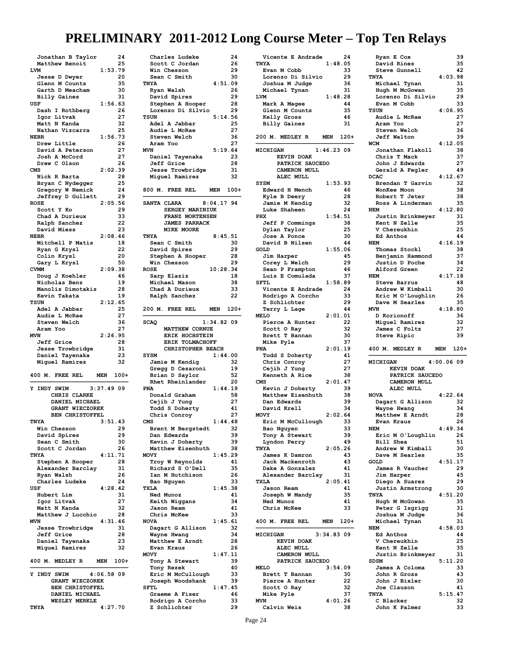| Jonathan B Taylor                          | 24       |
|--------------------------------------------|----------|
| Matthew Benoit                             | 25       |
| 1:53.79<br>LVM                             |          |
| Jesse D Dwyer<br>Glenn M Counts            | 20<br>35 |
| Garth D Meacham                            | 30       |
| <b>Billy Gaines</b>                        | 31       |
| 1:56.63<br>USF                             |          |
| Dash I Rothberg                            | 26       |
| Igor Litvak                                | 27       |
| Matt N Kanda                               | 32       |
| Nathan Vizcarra                            | 25       |
| <b>NEBR</b><br>1:56.73                     |          |
| Drew Little<br>David A Peterson            | 26<br>27 |
| Josh A McCord                              | 27       |
| Drew C Olson                               | 26       |
| 2:02.39<br>CMS                             |          |
| Nick R Barta                               | 28       |
| Bryan C Nydegger                           | 25       |
| Gregory W Nemick                           | 24       |
| Jeffrey D Gullett                          | 29       |
| 2:05.56<br><b>ROSE</b>                     |          |
| Scott Y Ko                                 | 29       |
| Chad A Durieux<br>Ralph Sanchez            | 33<br>22 |
| David Miess                                | 23       |
| 2:08.46<br><b>NEBR</b>                     |          |
| Mitchell P Matis                           | 18       |
| Ryan G Krysl                               | 22       |
| Colin Krysl                                | 20       |
| Gary L Krysl                               | 50       |
| <b>CVMM</b><br>2:09.38                     |          |
| Doug J Koehler                             | 46       |
| Nicholas Benz                              | 19       |
| Manolis Dimotakis                          | 28<br>19 |
| Kevin Takata<br><b>TSUN</b><br>2:12.65     |          |
| Adel A Jabbar                              | 25       |
| Audie L McRae                              | 27       |
| Steven Welch                               | 36       |
|                                            |          |
| Aram Yoo                                   | 27       |
| <b>MVN</b><br>2:26.95                      |          |
| <b>Jeff Grice</b>                          | 28       |
| Jesse Trowbridge                           | 31       |
| Daniel Tayenaka                            | 23       |
| Miguel Ramirez                             | 32       |
|                                            |          |
| 400 M. FREE REL<br><b>MEN</b>              | $100+$   |
| 3:37.49 09<br>INDY SWIM<br>Y               |          |
| CHRIS CLARKE                               |          |
| DANIEL MICHAEL                             |          |
| <b>GRANT WIECZOREK</b>                     |          |
| BEN CHRISTOFFEL                            |          |
| TNYA<br>3:51.43                            |          |
| Win<br>Che<br>iS.<br>son                   | 29       |
| David Spires                               | 29       |
| Sean C Smith<br>Scott C Jordan             | 30<br>26 |
| 4:11.71<br>TNYA                            |          |
| Stephen A Hooper                           | 28       |
| Alexander Barclay                          | 31       |
| Ryan Walsh                                 | 26       |
| Charles Ludeke                             | 24       |
| 4:28.42<br>USF                             |          |
| Hubert Lim                                 | 31       |
| Igor Litvak                                | 27       |
| Matt N Kanda                               | 32       |
| Matthew J Lucchio<br>4:31.46<br><b>MVN</b> | 28       |
| Jesse Trowbridge                           | 31       |
| <b>Jeff Grice</b>                          | 28       |
| Daniel Tayenaka                            | 23       |
| Miguel Ramirez                             | 32       |
|                                            |          |
| 400 M. MEDLEY R<br>MEN                     | $100+$   |
| INDY SWIM<br>Y                             |          |
| 4:06.5809<br><b>GRANT WIECZOREK</b>        |          |
| BEN CHRISTOFFEL                            |          |
| DANIEL MICHAEL                             |          |
| <b>WESLEY MERKLE</b><br>4:27.70<br>TNYA    |          |

| Charles Ludeke                   |              | 24       |
|----------------------------------|--------------|----------|
| Scott C Jordan                   |              | 26       |
| Win Chesson                      |              | 29       |
| Sean C Smith                     |              | 30       |
| TNYA                             | 4:51.09      |          |
| Ryan Walsh                       |              | 26       |
| David Spires                     |              | 29       |
| Stephen A Hooper                 |              | 28       |
| Lorenzo Di Silvio                |              | 29       |
| <b>TSUN</b>                      | 5:14.56      |          |
| Adel A Jabbar                    |              | 25       |
| Audie L McRae                    |              | 27       |
| Steven Welch                     |              | 36       |
| Aram Yoo                         |              | 27       |
| <b>MVN</b>                       | 5:19.64      |          |
|                                  |              | 23       |
| Daniel Tayenaka                  |              |          |
| <b>Jeff Grice</b>                |              | 28       |
| <b>Jesse Trowbridge</b>          |              | 31       |
| Miguel Ramirez                   |              | 32       |
|                                  |              |          |
| 800 M. FREE REL                  | MEN 100+     |          |
|                                  |              |          |
| SANTA CLARA                      | $8:04.17$ 94 |          |
| SERGEY MARINIUK                  |              |          |
| FRANZ MORTENSEN                  |              |          |
| <b>JAMES PARRACK</b>             |              |          |
| MIKE MOORE                       |              |          |
| TNYA                             | 8:45.51      |          |
| Sean C Smith                     |              | 30       |
| David Spires                     |              | 29       |
| Stephen A Hooper                 |              | 28       |
| Win Chesson                      |              | 29       |
| <b>ROSE</b>                      | 10:28.34     |          |
|                                  |              |          |
| Sarp Elaziz                      |              | 18       |
| Michael Mason                    |              | 38       |
| Chad A Durieux                   |              | 33       |
| Ralph Sanchez                    |              | 22       |
|                                  |              |          |
| 200 M. FREE REL                  | <b>MEN</b>   | $120+$   |
|                                  |              |          |
| <b>SCAQ</b>                      | $1:34.82$ 09 |          |
| <b>MATTHEW CORNUE</b>            |              |          |
|                                  |              |          |
|                                  |              |          |
| ERIK HOCHSTEIN                   |              |          |
| ERIK TOLMACHOFF                  |              |          |
| CHRISTOPHER BEACH                |              |          |
| SYSM                             | 1:44.00      |          |
| Jamie M Kendig                   |              | 32       |
| Gregg D Cesaroni                 |              | 19       |
| Brian D Saylor                   |              | 52       |
| Rhet Rheinlander                 |              | 20       |
| <b>PNA</b>                       | 1:44.19      |          |
| Donald Graham                    |              | 58       |
| Cejih J Yung                     |              | 27       |
| Todd S Doherty                   |              | 41       |
| Chris Conroy                     |              | 27       |
| CMS                              | 1:44.48      |          |
| <b>Brent M Bergstedt</b>         | 32           |          |
| Dan Edwards                      |              | 39       |
| Kevin J Doherty                  |              | 39       |
|                                  |              | 38       |
| Matthew Eisenhuth<br>MOVY        |              |          |
|                                  | 1:45.29      |          |
| Troy W Reynolds                  |              | 41       |
| Richard S O'Dell                 |              | 35       |
| Ian M Hutchison                  |              | 26       |
| Bao Nguyen                       |              | 33       |
| <b>TXLA</b>                      | 1:45.38      |          |
| Ned Munoz                        |              | 41       |
| Keith Wiggans                    |              | 34       |
| Jason Ream                       |              | 41       |
| Chris McKee                      |              | 33       |
| <b>NOVA</b>                      | 1:45.61      |          |
| Dagart G Allison                 |              | 32       |
| Wayne Hwang                      |              | 34       |
| Matthew E Arndt                  |              | 28       |
| Evan Kraus                       |              | 26       |
| MOVY                             | 1:47.11      |          |
| Tony A Stewart                   |              | 39       |
|                                  |              | 40       |
| Tony Rezek                       |              | 33       |
| Eric M McCullough                |              |          |
| Joseph Woodshank                 |              | 39       |
| SFTL                             | 1:47.45      |          |
| Graeme A Fiser                   |              | 46       |
| Rodrigo A Corcho<br>Z Schlichter |              | 33<br>29 |

| 1:48.05<br>TNYA                      | 24       |
|--------------------------------------|----------|
|                                      |          |
| Evan M Cobb                          | 33       |
| Lorenzo Di Silvio                    | 29       |
| Joshua M Judge                       | 36       |
| Michael Tynan<br>LVM<br>1:48.28      | 31       |
| Mark A Magee                         | 44       |
| Glenn M Counts                       | 35       |
| Kelly Gross                          | 46       |
| <b>Billy Gaines</b>                  | 31       |
|                                      |          |
| 200 M. MEDLEY R<br><b>MEN</b>        | 120+     |
|                                      |          |
| $1:46.23$ 09<br>MICHIGAN             |          |
| <b>KEVIN DOAK</b>                    |          |
| PATRICK SAUCEDO<br>CAMERON MULL      |          |
| ALEC MULL                            |          |
| SYSM<br>1:53.93                      |          |
| Edward H Mench                       | 46       |
| Kyle B Deery                         | 28       |
| Jamie M Kendig                       | 32       |
| Luke Shaheen                         | 24       |
| 1:54.51<br>PHX                       |          |
| <b>Jeff P Commings</b>               | 38       |
| Dylan Taylor                         | 25       |
| Jose A Ponce                         | 30       |
| David B Nilsen                       | 44       |
| 1:55.06<br>GOLD                      | 45       |
| Jim Harper<br>Corey L Welch          | 29       |
| Sean P Frampton                      | 46       |
| Luis E Comulada                      | 37       |
| SFTL<br>1:58.89                      |          |
| Vicente E Andrade                    | 24       |
| Rodrigo A Corcho                     | 33       |
| Z Schlichter                         | 29       |
| Terry L Lage                         | 44       |
| <b>MELO</b><br>2:01.01               |          |
| Pierce A Hunter                      | 22       |
| Scott 0 Ray                          | 32       |
| Brett T Bannan                       | 30       |
|                                      |          |
| Mike Pyle                            | 37       |
| 2:01.19<br><b>PNA</b>                |          |
| Todd S Doherty                       | 41       |
| Chris Conroy                         | 27       |
| Cejih J Yung                         | 27       |
| Kenneth A Rice<br><b>CMS</b>         | 38       |
| 2:01.47<br>Kevin J Doherty           | 39       |
| Matthew Eisenhuth                    | 38       |
| Dan Edwards                          | 39       |
| David Krell                          | 34       |
| 2:02.64<br><b>MOVY</b>               |          |
| Eric M McCullough                    | 33       |
| Bao Nguyen                           | 33       |
| Tony A Stewart                       | 39       |
| Lyndon Perry                         | 49       |
| TNYA<br>2:05.26                      |          |
| James K Damron                       | 43       |
| Jack Mackenroth                      | 43       |
| Dake A Gonzalez                      | 41<br>31 |
| Alexander Barclay<br>2:05.41<br>TXLA |          |
| Jason Ream                           | 41       |
| Joseph W Mandy                       | 35       |
| Ned Munoz                            | 41       |
| Chris McKee                          | 33       |
|                                      |          |
| 400 M. FREE REL<br><b>MEN</b>        | 120+     |
| 3:34.83.09<br>MICHIGAN               |          |
| KEVIN DOAK                           |          |
| <b>ALEC MULL</b>                     |          |
| CAMERON MULL                         |          |
| PATRICK SAUCEDO                      |          |
| 3:54.09<br><b>MELO</b>               |          |
| Brett T Bannan                       | 30       |
| Pierce A Hunter                      | 22       |
| Scott 0 Ray                          | 32       |
| Mike Pyle<br>4:01.26<br><b>MVN</b>   | 37       |

| Ryan E Cox                 |           | 39       |
|----------------------------|-----------|----------|
| David Rines                |           | 35       |
|                            |           | 42       |
| Steve Gunnell              |           |          |
| TNYA                       | 4:03.98   |          |
| Michael Tynan              |           | 31       |
| Hugh M McGowan             |           | 35       |
| Lorenzo Di Silvio          |           | 29       |
| Evan M Cobb                |           | 33       |
| <b>TSUN</b>                | 4:06.95   |          |
| Audie L McRae              |           | 27       |
| Aram Yoo                   |           | 27       |
| Steven Welch               |           | 36       |
| <b>Jeff Walton</b>         |           | 39       |
|                            |           |          |
| <b>WCM</b>                 | 4:12.05   |          |
| Jonathan Flakoll           |           | 38       |
| Chris T Mack               |           | 37       |
| John J Edwards             |           | 27       |
| Gerald A Fegler            |           | 49       |
| <b>DCAC</b>                | 4:12.67   |          |
| Brendan T Garvin           |           | 32       |
| WonKee Moon                |           | 38       |
| Robert T Jeter             |           | 38       |
|                            |           |          |
| Ross A Linderman           |           | 35       |
| <b>NEM</b>                 | 4:12.80   |          |
| Justin Brinkmeyer          |           | 31       |
| Kent N Zelle               |           | 35       |
| V Chereukhin               |           | 25       |
| Ed Anthos                  |           | 44       |
| <b>NEM</b>                 | 4:16.19   |          |
|                            |           |          |
| Thomas Stockl              |           | 38       |
| Benjamin Hammond           |           | 37       |
| Justin D Poche             |           | 34       |
| Alford Green               |           | 22       |
| <b>NEM</b>                 | 4:17.18   |          |
| <b>Steve Barrus</b>        |           | 48       |
| Andrew W Kimball           |           | 30       |
|                            |           |          |
| Eric M O'Loughlin          |           | 26       |
| Dave M Searles             |           | 35       |
| <b>MVN</b>                 | 4:18.80   |          |
| D Korionoff                |           | 36       |
| Miguel Ramirez             |           | 32       |
|                            |           |          |
|                            |           |          |
| James C Foltz              |           | 27       |
| Steve Ripic                |           | 39       |
|                            |           |          |
| 400 M. MEDLEY R            | MEN       | $120+$   |
|                            |           |          |
| MICHIGAN                   | 4:00.0609 |          |
| <b>KEVIN DOAK</b>          |           |          |
| PATRICK SAUCEDO            |           |          |
| CAMERON MULL               |           |          |
|                            |           |          |
| ALEC MULL                  |           |          |
| <b>NOVA</b>                | 4:22.64   |          |
| Dagart G Allison           |           | 32       |
| Wayne Hwang                |           | 34       |
| Matthew E Arndt            |           | 28       |
| Evan Kraus                 |           | 26       |
| NEM                        | 4:49.34   |          |
| Eric M O'Loughlin          |           | 26       |
| Bill Shea                  |           | 51       |
|                            |           |          |
| Andrew W Kimball           |           | 30       |
| Dave M Searles             |           | 35       |
| <b>GOLD</b>                | 4:51.17   |          |
| James R Vaucher            |           | 29       |
| Jim Harper                 |           | 45       |
| Diego A Suarez             |           | 29       |
|                            |           | 30       |
| Justin Armstrong           |           |          |
| TNYA                       | 4:51.20   |          |
| Hugh M McGowan             |           | 35       |
| Peter G Isgrigg            |           | 31       |
| Joshua M Judge             |           | 36       |
| Michael Tynan              |           | 31       |
| <b>NEM</b>                 | 4:58.03   |          |
| Ed Anthos                  |           | 44       |
|                            |           |          |
| V Chereukhin               |           | 25       |
| Kent N Zelle               |           | 35       |
| Justin Brinkmeyer          |           | 31       |
| <b>SDSM</b>                | 5:11.20   |          |
| James A Coloma             |           | 33       |
| John R Gross               |           | 43       |
|                            |           |          |
| John J Bixler              |           | 30       |
| Joe Clauson                |           | 41       |
| TNYA                       | 5:15.47   |          |
| C Blacker<br>John K Palmer |           | 32<br>33 |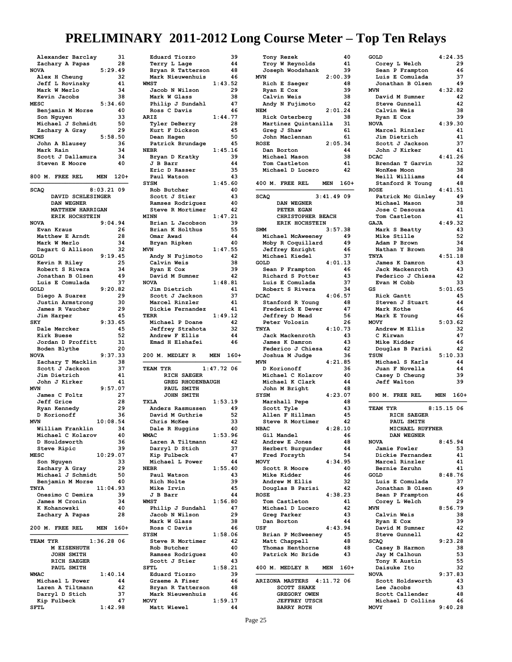| Alexander Barclay                         | 31       |
|-------------------------------------------|----------|
| Zachary A Papas<br>5:29.49<br><b>NOVA</b> | 28       |
| Alex H Cheung                             | 32       |
| Jeff L Rovinsky                           | 41       |
| Mark W Merlo<br>Kevin Jacobs              | 34<br>38 |
| <b>MESC</b><br>5:34.60                    |          |
| Benjamin M Morse                          | 40       |
| Son Nguyen                                | 33       |
| Michael J Schmidt<br>Zachary A Gray       | 50<br>29 |
| <b>NCMS</b><br>5:58.50                    |          |
| John A Blausey                            | 36       |
| Mark Rain<br>Scott J Dallamura            | 34<br>34 |
| <b>Steven E Moore</b>                     | 40       |
| 800 M. FREE REL<br>MEN 120+               |          |
| $8:03.21$ 09<br><b>SCAQ</b>               |          |
| DAVID SCHLESINGER                         |          |
| DAN WEGNER<br><b>MATTHEW HARRIGAN</b>     |          |
| ERIK HOCHSTEIN                            |          |
| <b>NOVA</b><br>9:04.94                    |          |
| Evan Kraus<br>Matthew E Arndt             | 26<br>28 |
| Mark W Merlo                              | 34       |
| Dagart G Allison                          | 32       |
| GOLD<br>9:19.45<br>Kevin R Riley          | 25       |
| Robert S Rivera                           | 34       |
| Jonathan B Olsen                          | 49       |
| Luis E Comulada<br>9:20.82<br>GOLD        | 37       |
| Diego A Suarez                            | 29       |
| Justin Armstrong                          | 30       |
| James R Vaucher<br>Jim Harper             | 29<br>45 |
| 9:33.65<br>SKY                            |          |
| Dale Mercker                              | 45       |
| Kirk Buese<br>Jordan D Proffitt           | 52<br>31 |
| Boden Blythe                              | 20       |
| 9:37.33<br><b>NOVA</b>                    |          |
| Zachary T Macklin<br>Scott J Jackson      | 38<br>37 |
| Jim Dietrich                              | 41       |
| John J Kirker                             | 41       |
| 9:57.07<br><b>MVN</b><br>James C Foltz    | 27       |
| Jeff Grice                                | 28       |
| Ryan Kennedy                              | 29       |
| D Korionoff<br>10:08.54<br><b>MVN</b>     | 36       |
| William Frankli                           | 34       |
| Michael C Kolarov                         | 40       |
| D Houldsworth<br>Steve Ripic              | 36<br>39 |
| 10:29.07<br><b>MESC</b>                   |          |
| Son Nguyen                                | 33       |
| Zachary A Gray<br>Michael J Schmidt       | 29<br>50 |
| Benjamin M Morse                          |          |
| 11:04.93<br>TNYA                          | 40       |
|                                           |          |
| Onesimo C Demira                          | 39       |
| James M Cronin<br>K Kohanowski            | 34<br>40 |
| Zachary A Papas                           | 28       |
| 200 M. FREE REL<br>MEN                    | $160+$   |
| TEAM TYR<br>1:36.28 06                    |          |
| M EISENHUTH                               |          |
| JOHN SMITH                                |          |
| RICH SAEGER<br>PAUL SMITH                 |          |
| <b>WMAC</b><br>1:40.14                    |          |
| Michael L Power                           | 44       |
| Laren A Tiltmann<br>Darryl D Stich        | 42<br>37 |
| Kip Fulbeck<br>1:42.98<br>SFTL            | 47       |

| Eduard Tiozzo           | 39                   |
|-------------------------|----------------------|
| Terry L Lage            | 44                   |
| Bryan R Tatterson       | 48                   |
| Mark Nieuwenhuis        | 46                   |
| <b>WMST</b>             | 1:43.52              |
|                         |                      |
| Jacob N Wilson          | 29                   |
| Mark W Glass            | 38                   |
| Philip J Sundahl        | 47                   |
| Ross C Davis            | 46                   |
|                         |                      |
| ARIZ                    | 1:44.77              |
| Tyler DeBerry           | 28                   |
| Kurt F Dickson          | 45                   |
|                         | 50                   |
| Dean Hagen              |                      |
| Patrick Brundage        | 45                   |
| <b>NEBR</b>             | 1:45.16              |
| Bryan D Kratky          | 39                   |
|                         | 44                   |
| J B Barr                |                      |
| Eric D Rasser           | 35                   |
| Paul Watson             | 43                   |
| <b>SYSM</b>             | 1:45.60              |
|                         |                      |
| Rob Butcher             | 40                   |
| Scott J Stier           | 43                   |
| Ramses Rodriguez        | 40                   |
| Steve R Mortimer        | 42                   |
|                         |                      |
| <b>MINN</b>             | 1:47.21              |
| Brian L Jacobson        | 39                   |
| Brian K Holthus         | 55                   |
| Omar Awad               | 44                   |
|                         |                      |
| Bryan Ripken            | 40                   |
| <b>MVN</b>              | 1:47.55              |
| Andy N Fujimoto         | 42                   |
|                         |                      |
| Calvin Weis             | 38                   |
| Ryan E Cox              | 39                   |
| David M Sumner          | 42                   |
| <b>NOVA</b>             |                      |
|                         | 1:48.81              |
| Jim Dietrich            | 41                   |
| Scott J Jackson         | 37                   |
| Marcel Rinzler          | 41                   |
|                         |                      |
| Dickie Fernandez        | 41                   |
| <b>TERR</b>             | 1:49.12              |
| Michael P Doane         | 42                   |
| Jeffrey Strahota        | 32                   |
|                         |                      |
|                         |                      |
| Andrew F Ellis          | 44                   |
| Emad H Elshafei         | 46                   |
|                         |                      |
|                         |                      |
| 200 M. MEDLEY R         | <b>MEN</b><br>$160+$ |
|                         |                      |
| TEAM TYR                | $1:47.72$ 06         |
|                         |                      |
| RICH SAEGER             |                      |
| <b>GREG RHODENBAUGH</b> |                      |
| PAUL SMITH              |                      |
| JOHN SMITH              |                      |
|                         |                      |
| <b>TXLA</b>             | 1:53.19              |
| Anders Rasmussen        | 49                   |
| David M Guthrie         | 52                   |
| Chris McKee             | 33                   |
|                         |                      |
| Dale R Huggins          | 40                   |
| <b>WMAC</b>             | 1:53.96              |
| Laren A Tiltmann        | 42                   |
| Darryl D Stich          | 37                   |
|                         |                      |
| Kip Fulbeck             | 47                   |
| Michael L Power         | 44                   |
| <b>NEBR</b>             | 1:55.40              |
|                         | 43                   |
| Paul Watson             |                      |
| Rich Nolte              | 39                   |
| Mike Irvin              | 45                   |
| J B Barr                | 44                   |
| <b>WMST</b>             | 1:56.80              |
|                         |                      |
| Philip J Sundahl        | 47                   |
| Jacob N Wilson          | 29                   |
| Mark W Glass            | 38                   |
| Ross C Davis            | 46                   |
|                         |                      |
| <b>SYSM</b>             | 1:58.06              |
| Steve R Mortimer        | 42                   |
| Rob Butcher             | 40                   |
|                         |                      |
| Ramses Rodriguez        | 40                   |
| Scott J Stier           | 43                   |
| SFTL                    | 1:58.21              |
| Eduard Tiozzo           | 39                   |
|                         |                      |
| Graeme A Fiser          | 46                   |
| Bryan R Tatterson       | 48                   |
| Mark Nieuwenhuis        | 46                   |
| MOVY                    | 1:59.17              |
| Matt Wiewel             | 44                   |

| Tony Rezek                                | 40                   |  |
|-------------------------------------------|----------------------|--|
| Troy W Reynolds                           | 41                   |  |
|                                           | 39                   |  |
| Joseph Woodshank                          |                      |  |
| <b>MVN</b>                                | 2:00.39              |  |
| Rich E Saeger                             | 48                   |  |
| Ryan E Cox                                | 39                   |  |
| Calvin Weis                               | 38                   |  |
|                                           |                      |  |
| Andy N Fujimoto                           | 42                   |  |
| <b>NEM</b>                                | 2:01.24              |  |
| Rick Osterberg                            | 38                   |  |
|                                           | 31                   |  |
| Martinez Quintanilla                      |                      |  |
| Greg J Shaw                               | 61                   |  |
| John Maclennan                            | 61                   |  |
| <b>ROSE</b>                               | 2:05.34              |  |
|                                           |                      |  |
| Dan Borton                                | 44                   |  |
| Michael Mason                             | 38                   |  |
| Tom Castleton                             | 41                   |  |
| Michael D Lucero                          | 42                   |  |
|                                           |                      |  |
|                                           |                      |  |
| 400 M. FREE REL                           | $160+$<br><b>MEN</b> |  |
|                                           |                      |  |
| <b>SCAQ</b>                               | 3:41.49.09           |  |
|                                           |                      |  |
| DAN WEGNER                                |                      |  |
| PETER EGAN                                |                      |  |
| CHRISTOPHER BEACH                         |                      |  |
|                                           |                      |  |
| ERIK HOCHSTEIN                            |                      |  |
| <b>SMM</b>                                | 3:57.38              |  |
| Michael McAweeney                         | 49                   |  |
| Moby R Coquillard                         | 49                   |  |
|                                           |                      |  |
| Jeffrey Enright                           | 46                   |  |
| -------<br>Michael Kiedel                 | 37                   |  |
| GOLD                                      | 4:01.13              |  |
|                                           |                      |  |
| Sean P Frampton                           | 46                   |  |
| Richard S Potter                          | 43                   |  |
| Luis E Comulada                           | 37                   |  |
| Robert S Rivera                           | 34                   |  |
|                                           |                      |  |
| <b>DCAC</b>                               | 4:06.57              |  |
| Stanford R Young                          | 48                   |  |
| Frederick E Dever                         | 47                   |  |
| Jeffrey D Mead                            | 56                   |  |
|                                           |                      |  |
| Peter Volosin                             | 26                   |  |
| TNYA                                      | 4:10.73              |  |
| Jack Mackenroth                           |                      |  |
|                                           |                      |  |
|                                           | 43                   |  |
| James K Damron                            | 43                   |  |
| Federico J Chiesa                         | 42                   |  |
|                                           |                      |  |
| Joshua M Judge                            | 36                   |  |
| MVN                                       | 4:21.85              |  |
| D Korionoff                               | 36                   |  |
|                                           | 40                   |  |
| Michael C Kolarov                         |                      |  |
| Michael K Clark                           | 44                   |  |
| John M Bright                             | 48                   |  |
| <b>SYSM</b>                               | 4:23.07              |  |
| Marshall Pepe                             | 48                   |  |
|                                           |                      |  |
| Scott Tyle                                | 43                   |  |
| Allen F Hillman                           | 45                   |  |
| Steve R Mortimer                          | 42                   |  |
|                                           | 4:28.10              |  |
| <b>NBAC</b>                               |                      |  |
| Gil Mandel                                | 46                   |  |
| Andrew E Jones                            | 48                   |  |
| Herbert Burgunder                         | 44                   |  |
| Fred Forsyth                              | 54                   |  |
| <b>MOVY</b>                               |                      |  |
|                                           | 4:34.95              |  |
| Scott R Moore                             | 40                   |  |
| Mike Kidder                               | 46                   |  |
| Andrew M Ellis                            | 32                   |  |
|                                           | 42                   |  |
| Douglas B Parisi                          |                      |  |
| <b>ROSE</b>                               | 4:38.23              |  |
| Tom Castleton                             | 41                   |  |
| Michael D Lucero                          | 42                   |  |
|                                           | 43                   |  |
| Greg Parker                               |                      |  |
| Dan Borton                                | 44                   |  |
| USF                                       | 4:43.94              |  |
| Brian P McSweeney                         | 45                   |  |
|                                           |                      |  |
| Matt Chappell                             | 48                   |  |
| Thomas Henthorne                          | 48                   |  |
| Patrick Mc Bride                          | 43                   |  |
|                                           |                      |  |
|                                           |                      |  |
| 400 M. MEDLEY R                           | MEN<br>$160+$        |  |
|                                           |                      |  |
| ARIZONA MASTERS 4:11.72 06                |                      |  |
| <b>SCOTT SHAKE</b>                        |                      |  |
|                                           |                      |  |
| GREGORY OWEN                              |                      |  |
| <b>JEFFREY UTSCH</b><br><b>BARRY ROTH</b> |                      |  |

| GOLD                             | 4:24.35    |        |
|----------------------------------|------------|--------|
| Corey L Welch                    |            | 29     |
| Sean P Frampton                  |            | 46     |
| Luis E Comulada                  |            | 37     |
|                                  |            |        |
| Jonathan B Olsen                 |            | 49     |
| <b>MVN</b>                       | 4:32.82    |        |
| David M Sumner                   |            | 42     |
|                                  |            |        |
| Steve Gunnell                    |            | 42     |
| Calvin Weis                      |            | 38     |
| Ryan E Cox                       |            | 39     |
| <b>NOVA</b>                      | 4:39.30    |        |
|                                  |            |        |
| Marcel Rinzler                   |            | 41     |
| Jim Dietrich                     |            | 41     |
| Scott J Jackson                  |            | 37     |
|                                  |            |        |
| John J Kirker                    |            | 41     |
| <b>DCAC</b>                      | 4:41.26    |        |
| Brendan T Garvin                 |            | 32     |
|                                  |            |        |
| WonKee Moon                      |            | 38     |
| Neill Williams                   |            | 44     |
| Stanford R Young                 |            | 48     |
| <b>ROSE</b>                      |            |        |
|                                  | 4:41.51    |        |
| Patrick Mc Ginley                |            | 49     |
| Michael Mason                    |            | 38     |
| Jose C Desouza                   |            | 41     |
|                                  |            |        |
| Tom Castleton                    |            | 41     |
| <b>GAJA</b>                      | 4:49.32    |        |
| Mark S Beatty                    |            | 43     |
|                                  |            |        |
| Mike Stille                      |            | 52     |
| Adam P Brown                     |            | 34     |
| Nathan Y Brown                   |            | 38     |
|                                  |            |        |
| TNYA                             | 4:51.18    |        |
| James K Damron                   |            | 43     |
| Jack Mackenroth                  |            | 43     |
|                                  |            |        |
| Federico J Chiesa                |            | 42     |
| Evan M Cobb                      |            | 33     |
| GS                               | 5:01.65    |        |
|                                  |            |        |
| Rick Gantt                       |            | 45     |
| Steven J Stuart                  |            | 44     |
| Mark Kothe                       |            | 46     |
| Mark E Young                     |            | 46     |
|                                  |            |        |
| <b>MOVY</b>                      | 5:03.62    |        |
| Andrew M Ellis                   |            | 32     |
| C Kirwan                         |            |        |
|                                  |            |        |
|                                  |            | 47     |
| Mike Kidder                      |            | 46     |
| Douglas B Parisi                 |            | 42     |
|                                  |            |        |
| <b>TSUN</b>                      | 5:10.33    |        |
| Michael S Karls                  |            | 44     |
| Juan F Novella                   |            | 44     |
|                                  |            |        |
| Casey D Cheung                   |            | 39     |
| <b>Jeff Walton</b>               |            | 39     |
|                                  |            |        |
|                                  |            |        |
| 800 M.<br>FREE REL               | <b>MEN</b> | $160+$ |
|                                  |            |        |
| TEAM TYR                         | 8:15.15.06 |        |
|                                  |            |        |
| RICH SAEGER                      |            |        |
| PAUL SMITH                       |            |        |
| <b>MICHAEL RUFFNER</b>           |            |        |
| DAN WEGNER                       |            |        |
| <b>NOVA</b>                      |            |        |
|                                  | 8:45.94    |        |
| Jamie Fowler                     |            | 53     |
| Dickie Fernandez                 |            | 41     |
|                                  |            |        |
| Marcel Rinzler                   |            | 41     |
| Bernie Zeruhn                    |            | 41     |
| GOLD                             | 8:48.76    |        |
|                                  |            | 37     |
| Luis E Comulada                  |            |        |
| Jonathan B Olsen                 |            | 49     |
| Sean P Frampton                  |            | 46     |
| Corey L Welch                    |            | 29     |
|                                  |            |        |
| <b>MVN</b>                       | 8:56.79    |        |
| Calvin Weis                      |            | 38     |
| Ryan E Cox                       |            | 39     |
|                                  |            |        |
| David M Sumner                   |            | 42     |
| Steve Gunnell                    |            | 42     |
| <b>SCAQ</b>                      | 9:23.28    |        |
|                                  |            |        |
| Casey B Harmon                   |            | 38     |
| Jay M Calhoun                    |            | 53     |
| Tony K Austin                    |            | 55     |
|                                  |            |        |
| Daisuke Ito                      |            | 32     |
| <b>NOVA</b>                      | 9:37.83    |        |
| Scott Holdsworth                 |            | 43     |
|                                  |            | 43     |
| Lee Jacobs                       |            |        |
| Scott Callender                  |            | 48     |
| Michael D Collins<br><b>MOVY</b> | 9:40.28    | 46     |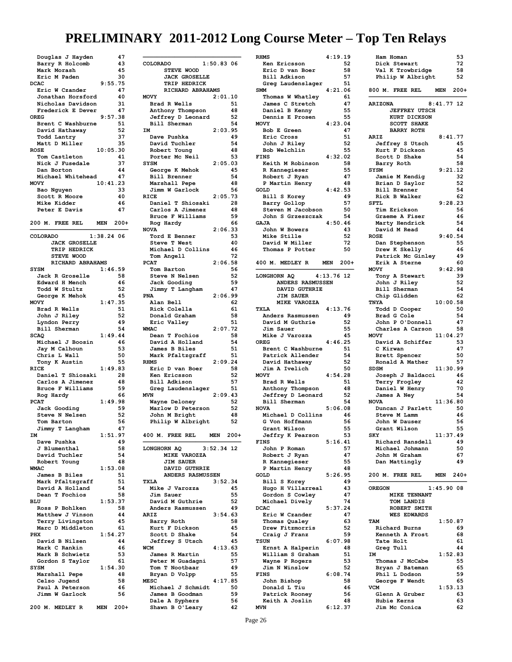| Douglas J Hayden                       |              | 47       |
|----------------------------------------|--------------|----------|
| Barry R Holcomb<br>Mark Morash         |              | 43<br>45 |
| Eric M Paden                           |              | 30       |
| <b>DCAC</b>                            | 9:55.75      |          |
| Eric W Czander                         |              | 47       |
| Jonathan Horsford<br>Nicholas Davidson |              | 40<br>31 |
| Frederick E Dever                      |              | 47       |
| <b>OREG</b>                            | 9:57.38      |          |
| Brent C Washburne<br>David Hathaway    |              | 51<br>52 |
| Todd Lantry                            |              | 37       |
| Matt D Miller                          |              | 35       |
| <b>ROSE</b><br>Tom Castleton           | 10:05.30     | 41       |
| Nick J Fusedale                        |              | 37       |
| Dan Borton                             |              | 44       |
| Michael Whitehead                      |              | 47       |
| <b>MOVY</b><br>Bao Nguyen              | 10:41.23     | 33       |
| Scott R Moore                          |              | 40       |
| Mike Kidder                            |              | 46       |
| Peter E Davis                          |              | 47       |
| 200 M. FREE REL                        | <b>MEN</b>   | $200+$   |
| COLORADO                               | $1:38.24$ 06 |          |
| <b>JACK GROSELLE</b>                   |              |          |
| TRIP HEDRICK<br><b>STEVE WOOD</b>      |              |          |
| RICHARD ABRAHAMS                       |              |          |
| <b>SYSM</b>                            | 1:46.59      |          |
| Jack R Groselle                        |              | 58       |
| <b>Edward H Mench</b><br>Todd W Stultz |              | 46<br>52 |
| George K Mehok                         |              | 45       |
| MOVY                                   | 1:47.35      |          |
| Brad R Wells                           |              | 51<br>52 |
| John J Riley<br>Lyndon Perry           |              | 49       |
| Bill Sherman                           |              | 54       |
| <b>SCAQ</b>                            | 1:49.44      |          |
| Michael J Boosin                       |              | 46       |
|                                        |              |          |
| Jay M Calhoun<br>Chris L Wall          |              | 53<br>50 |
| Tony K Austin                          |              | 55       |
| RICE                                   | 1:49.83      |          |
| Daniel T Shiosaki                      |              | 28       |
| Carlos A Jimenez<br>Bruce F Williams   |              | 48<br>59 |
| Rog Hardy                              |              | 66       |
| <b>PCAT</b>                            | 1:49.98      |          |
| Jack Gooding<br>Steve N Nelsen         |              | 59<br>52 |
| Tom Barton                             |              | 56       |
| Jimmy T Langham                        |              | 47       |
| IΜ                                     | 1:51.97      |          |
| Dave Pushka<br>J Blumenthal            |              | 49<br>58 |
| David Tuchler                          |              | 54       |
| Robert Young                           |              | 48       |
| <b>WMAC</b><br>James B Biles           | 1:53.08      | 51       |
| Mark Pfaltzgraff                       |              | 51       |
| David A Holland                        |              | 54       |
| Dean T Fochios                         |              | 58       |
| <b>BLU</b><br>Ross P Bohlken           | 1:53.37      | 58       |
| Matthew J Vinson                       |              | 44       |
| Terry Livingston                       |              | 45       |
| Marc D Middleton<br>PHX                | 1:54.27      | 61       |
| David B Nilsen                         |              | 44       |
| Mark C Rankin                          |              | 46       |
| Mark B Schwietz                        |              | 53       |
| Gordon S Taylor<br><b>SYSM</b>         | 1:54.30      | 61       |
| Marshall Pepe                          |              | 48       |
| Celso Jugend                           |              | 58       |
| Paul A Peterson                        |              | 46<br>56 |
| Jimm W Garlock<br>200 M. MEDLEY R      | MEN 200+     |          |

| COLORADO                           | $1:50.83$ 06       |
|------------------------------------|--------------------|
| <b>STEVE WOOD</b>                  |                    |
| <b>JACK GROSELLE</b>               |                    |
| TRIP HEDRICK                       |                    |
| RICHARD ABRAHAMS<br>MOVY           |                    |
| Brad R Wells                       | 2:01.10<br>51      |
| Anthony Thompson                   | 48                 |
| Jeffrey D Leonard                  | 52                 |
| Bill Sherman                       | 54                 |
| IМ                                 | 2:03.95            |
| Dave Pushka                        | 49                 |
| David Tuchler<br>Robert Young      | 54<br>48           |
| Porter Mc Neil                     | 53                 |
| <b>SYSM</b>                        | 2:05.03            |
| George K Mehok                     | 45                 |
| Bill Brenner                       | 54                 |
| Marshall Pepe                      | 48                 |
| Jimm W Garlock<br><b>RICE</b>      | 56                 |
| Daniel T Shiosaki                  | 2:05.73<br>28      |
| Carlos A Jimenez                   | 48                 |
| Bruce F Williams                   | 59                 |
| Rog Hardy                          | 66                 |
| <b>NOVA</b>                        | 2:06.33            |
| Tord E Benner                      | 53                 |
| Steve T West                       | 40                 |
| Michael D Collins<br>Tom Angell    | 46<br>72           |
| <b>PCAT</b>                        | 2:06.58            |
| Tom Barton                         | 56                 |
| Steve N Nelsen                     | 52                 |
| Jack Gooding                       | 59                 |
| Jimmy T Langham                    | 47                 |
| <b>PNA</b><br>Alan Bell            | 2:06.99<br>62      |
| Rick Colella                       | 61                 |
| Donald Graham                      | 58                 |
| Eric Valley                        | 51                 |
| <b>WMAC</b>                        | 2:07.72            |
| Dean T Fochios                     | 58                 |
| David A Holland                    | 54                 |
| James B Biles<br>Mark Pfaltzgraff  | 51<br>51           |
| <b>RHMS</b>                        | 2:09.24            |
| Eric D van Boer                    | 58                 |
| Ken Ericsson                       | 52                 |
| Bill Adkison                       | 57                 |
| Greg Laudenslager                  | 51                 |
| <b>MVN</b>                         | 2:09.43            |
| Wayne Deloney<br>Marlow D Peterson | 52<br>52           |
|                                    |                    |
|                                    |                    |
| John M Bright                      | 48<br>52           |
| Philip W Albright                  |                    |
| FREE REL<br>400<br>М.              | <b>MEN</b><br>200+ |
|                                    |                    |
| LONGHORN AQ                        | $3:52.34$ 12       |
| MIKE VAROZZA                       |                    |
| <b>JIM SAUER</b><br>DAVID GUTHRIE  |                    |
| ANDERS RASMUSSEN                   |                    |
| <b>TXLA</b>                        | 3:52.34            |
| Mike J Varozza                     | 45                 |
| Jim Sauer                          | 55                 |
| David M Guthrie                    | 52                 |
| Anders Rasmussen                   | 49                 |
| ARIZ                               | 3:54.63<br>58      |
| Barry Roth<br>Kurt F Dickson       | 45                 |
| Scott D Shake                      | 54                 |
| Jeffrey S Utsch                    | 45                 |
| <b>WCM</b>                         | 4:13.63            |
| James R Martin                     | 55                 |
| Peter M Guadagni                   | 57                 |
| Tom T Nootbaar                     | 49                 |
| Bryan D Volpp<br><b>MESC</b>       | 55<br>4:17.85      |
| Michael J Schmidt                  | 50                 |
| James B Goodman                    | 59                 |
| Dale A Syphers<br>Shawn B O'Leary  | 56<br>42           |

| <b>RHMS</b>       |                      |
|-------------------|----------------------|
|                   | 4:19.19              |
| Ken Ericsson      | 52                   |
| Eric D van Boer   | 58                   |
| Bill Adkison      | 57                   |
| Greg Laudenslager | 51                   |
| <b>SMM</b>        | 4:21.06              |
| Thomas W Whatley  | 61                   |
| James C Stretch   | 47                   |
| Daniel B Kenny    | 55                   |
| Dennis E Prosen   | 55                   |
| MOVY              | 4:23.04              |
|                   |                      |
| Bob E Green       | 47                   |
| Eric Cross        | 51                   |
| John J Riley      | 52                   |
| Bob Welchlin      | 55                   |
| <b>FINS</b>       | 4:32.02              |
| Keith M Robinson  | 58                   |
| R Kannegieser     | 55                   |
| Robert J Ryan     | 47                   |
| P Martin Henry    | 48                   |
|                   |                      |
| GOLD              | 4:42.53              |
| Bill S Korey      | 49                   |
| Barry Gollop      | 57                   |
| Steven M Jacobson | 50                   |
| John S Grzeszczak | 54                   |
| <b>GAJA</b>       | 4:50.46              |
| John W Bowers     | 43                   |
| Mike Stille       | 52                   |
| David W Miller    | 72                   |
|                   |                      |
| Thomas P Potter   | 50                   |
|                   |                      |
| 400 M. MEDLEY R   | <b>MEN</b><br>$200+$ |
|                   |                      |
| LONGHORN AO       | $4:13.76$ 12         |
| ANDERS RASMUSSEN  |                      |
| DAVID GUTHRIE     |                      |
| <b>JIM SAUER</b>  |                      |
| MIKE VAROZZA      |                      |
| <b>TXLA</b>       | 4:13.76              |
|                   | 49                   |
| Anders Rasmussen  |                      |
| David M Guthrie   | 52                   |
|                   |                      |
| Jim Sauer         | 55                   |
| Mike J Varozza    | 45                   |
| OREG              | 4:46.25              |
| Brent C Washburne | 51                   |
| Patrick Allender  | 54                   |
|                   |                      |
| David Hathaway    | 52                   |
| Jim A Ivelich     | 50                   |
| <b>MOVY</b>       | 4:54.28              |
| Brad R Wells      | 51                   |
| Anthony Thompson  | 48                   |
| Jeffrey D Leonard | 52                   |
| Bill Sherman      | 54                   |
| <b>NOVA</b>       | 5:06.08              |
| Michael D Collins | 46                   |
|                   | 56                   |
| G Von Hoffmann    |                      |
| Grant Wilson      | 55                   |
| Jeffry K Pearson  | 53                   |
| <b>FINS</b>       | 5:16.41              |
| John P Roman      | 57                   |
| Robert J Ryan     | 47                   |
| R Kannegieser     | 55                   |
| P Martin Henry    | 48                   |
| GOLD              | 5:26.95              |
|                   | 49                   |
| Bill S Korey      |                      |
| Hugo H Villarreal | 43                   |
| Gordon S Cowley   | 47                   |
| Michael Dively    | 74                   |
| <b>DCAC</b>       | 5:37.24              |
| Eric W Czander    | 47                   |
| Thomas Qualey     | 63                   |
| Drew Fitzmorris   | 52                   |
| Craig J Franz     | 59                   |
| <b>TSUN</b>       | 6:07.98              |
| Ernst A Halperin  | 48                   |
|                   |                      |
| William S Graham  | 51                   |
| Wayne P Rogers    | 53                   |
| Jim N Winslow     | 52                   |
| <b>FINS</b>       | 6:08.74              |
| John Bishop       | 58                   |
| Donald L Tiu      | 46                   |
| Patrick Rooney    | 56                   |
| Keith A Joslin    | 48                   |

| <b>RHMS</b>                                                                                                                                                     |               |                                         |              |          |
|-----------------------------------------------------------------------------------------------------------------------------------------------------------------|---------------|-----------------------------------------|--------------|----------|
|                                                                                                                                                                 | 4:19.19       | Ham Homan                               |              | 53       |
| Ken Ericsson                                                                                                                                                    | 52            | Dick Stewart                            |              | 72       |
| Eric D van Boer                                                                                                                                                 | 58            | Val K Trowbridge                        |              | 58       |
| Bill Adkison                                                                                                                                                    | 57            | Philip W Albright                       |              | 52       |
| Greg Laudenslager 51                                                                                                                                            |               |                                         |              |          |
| SMM                                                                                                                                                             | 4:21.06       | 800 M. FREE REL MEN 200+                |              |          |
| Thomas W Whatley                                                                                                                                                | 61            |                                         |              |          |
| James C Stretch                                                                                                                                                 | 47            | <b>ARIZONA</b>                          | $8:41.77$ 12 |          |
| Daniel B Kenny                                                                                                                                                  | 55            | <b>JEFFREY UTSCH</b>                    |              |          |
|                                                                                                                                                                 |               | KURT DICKSON                            |              |          |
| <b>MOVY</b>                                                                                                                                                     |               | <b>SCOTT SHAKE</b>                      |              |          |
| <b>Bob E Green</b>                                                                                                                                              | 47            | <b>BARRY ROTH</b>                       |              |          |
|                                                                                                                                                                 | 51            |                                         | 8:41.77      |          |
| Eric Cross                                                                                                                                                      |               | ARIZ                                    |              |          |
| John J Riley                                                                                                                                                    | 52            | <b>Jeffrey S Utsch</b>                  |              | 45       |
| Bob Welchlin                                                                                                                                                    | 55            | Kurt F Dickson                          |              | 45       |
| <b>FINS</b>                                                                                                                                                     | 4:32.02       | Scott D Shake                           |              | 54       |
| Keith M Robinson                                                                                                                                                | 58            | Barry Roth                              |              | 58       |
| R Kannegieser                                                                                                                                                   | 55            | SYSM                                    | 9:21.12      |          |
| Robert J Ryan                                                                                                                                                   | 47            | Jamie M Kendig                          |              | -32      |
| P Martin Henry                                                                                                                                                  | 48            | Brian D Saylor                          |              | 52       |
| GOLD                                                                                                                                                            | 4:42.53       | Bill Brenner                            |              | 54       |
| Bill S Korey                                                                                                                                                    | 49            | Rick B Walker                           |              | 62       |
| Barry Gollop                                                                                                                                                    | 57            | SFTL                                    | 9:28.23      |          |
|                                                                                                                                                                 | 50            | Tim Erickson                            |              | 56       |
| Steven M Jacobson                                                                                                                                               |               |                                         |              |          |
| John S Grzeszczak                                                                                                                                               | 54            | Graeme A Fiser                          |              | 46       |
| <b>GAJA</b>                                                                                                                                                     | 4:50.46       | Marty Hendrick                          |              | 54       |
| John W Bowers                                                                                                                                                   | 43            | David M Read                            |              | 44       |
| Mike Stille                                                                                                                                                     | 52            | <b>ROSE</b>                             | 9:40.54      |          |
| David W Miller                                                                                                                                                  | 72            | Dan Stephenson                          |              | 55       |
| Thomas P Potter                                                                                                                                                 | 50            | Drew K Skelly                           |              | 46       |
|                                                                                                                                                                 |               | Patrick Mc Ginley                       |              | 49       |
| 400 M. MEDLEY R MEN 200+                                                                                                                                        |               | Erik A Sterne                           |              | 60       |
|                                                                                                                                                                 |               | <b>MOVY</b>                             | 9:42.98      |          |
| LONGHORN AQ $4:13.76$ 12                                                                                                                                        |               |                                         |              | 39       |
|                                                                                                                                                                 |               | Tony A Stewart                          |              |          |
| ANDERS RASMUSSEN                                                                                                                                                |               | John J Riley                            |              | 52       |
| DAVID GUTHRIE                                                                                                                                                   |               | Bill Sherman                            |              | 54       |
| <b>JIM SAUER</b>                                                                                                                                                |               | Chip Glidden                            |              | 62       |
| MIKE VAROZZA                                                                                                                                                    |               | TNYA                                    | 10:00.58     |          |
| TXLA                                                                                                                                                            | 4:13.76       | Todd D Cooper                           |              | 50       |
| Anders Rasmussen                                                                                                                                                | -49           | Brad G Cole                             |              | 54       |
| David M Guthrie                                                                                                                                                 | 52            | John P O'Donnell                        |              | 47       |
| Jim Sauer                                                                                                                                                       | 55            | Charles A Carson                        |              | 58       |
| Mike J Varozza                                                                                                                                                  | 45            | <b>MOVY</b>                             | 11:04.27     |          |
| OREG                                                                                                                                                            | 4:46.25       | David A Schiffer                        |              | - 53     |
|                                                                                                                                                                 | 51            | C Kirwan                                |              | 47       |
|                                                                                                                                                                 |               |                                         |              |          |
| Brent C Washburne                                                                                                                                               |               |                                         |              |          |
| Patrick Allender                                                                                                                                                | 54            | Brett Spencer                           |              | 50       |
| David Hathaway                                                                                                                                                  | - 52          | Ronald A Mather                         |              | 57       |
|                                                                                                                                                                 | 50            | <b>SDSM</b>                             | 11:30.99     |          |
| Jim A Ivelich<br><b>MOVY</b>                                                                                                                                    | 4:54.28       | Joseph J Baldacci                       |              | 46       |
| Brad R Wells                                                                                                                                                    | 51            |                                         |              | 42       |
| Anthony Thompson                                                                                                                                                | 48            |                                         |              | 70       |
|                                                                                                                                                                 |               | <b>Terry Frogley<br/>Daniel W Henry</b> |              | 54       |
| Jeffrey D Leonard                                                                                                                                               | 52            | James A Ney                             |              |          |
|                                                                                                                                                                 |               | <b>NOVA</b>                             | 11:36.80     |          |
| $\begin{array}{lll} \texttt{Jeltney} & = & & & \\ \texttt{Bill Sherman} & & & \\ & & 5:06.08 & \\ & & & 46.00 & \\ & & & 46.00 & \\ \end{array}$<br><b>NOVA</b> |               | Duncan J Parlett                        |              | 50       |
| Michael D Collins                                                                                                                                               | 46            | Steve M Lamm                            |              | 46       |
| G Von Hoffmann                                                                                                                                                  | 56            | John W Dauser                           |              | 56       |
| Grant Wilson                                                                                                                                                    | 55            | Grant Wilson                            |              | 55       |
| <b>Jeffry K Pearson</b>                                                                                                                                         | 53            | SKY                                     | 11:37.49     |          |
| <b>FINS</b>                                                                                                                                                     | 5:16.41       | Richard Ransdell                        |              | 49       |
| John P Roman                                                                                                                                                    | 57            | Michael Johmann                         |              | 50       |
| Robert J Ryan                                                                                                                                                   | 47            | John M Graham                           |              | 67       |
| R Kannegieser                                                                                                                                                   | 55            | Dan Mattingly                           |              | 49       |
| P Martin Henry                                                                                                                                                  | 48            |                                         |              |          |
|                                                                                                                                                                 | 5:26.95       |                                         | MEN          |          |
| GOLD                                                                                                                                                            |               | 200 M. FREE REL                         |              | $240+$   |
| Bill S Korey                                                                                                                                                    | 49            |                                         |              |          |
| Hugo H Villarreal                                                                                                                                               | 43            | <b>OREGON</b>                           | $1:45.90$ 08 |          |
| Gordon S Cowley                                                                                                                                                 | 47            | <b>MIKE TENNANT</b>                     |              |          |
| Michael Dively                                                                                                                                                  | 74            | TOM LANDIS                              |              |          |
| DCAC                                                                                                                                                            | 5:37.24       | ROBERT SMITH                            |              |          |
| Eric W Czander                                                                                                                                                  | 47            | <b>WES EDWARDS</b>                      |              |          |
| Thomas Qualey                                                                                                                                                   | 63            | TAM                                     | 1:50.87      |          |
| Drew Fitzmorris                                                                                                                                                 | 52            | Richard Burns                           |              | 69       |
| Craig J Franz                                                                                                                                                   | 59            | Kenneth A Frost                         |              | 68       |
| <b>TSUN</b>                                                                                                                                                     | 6:07.98       | Tate Holt                               |              | 61       |
| Ernst A Halperin                                                                                                                                                | 48            | Greg Tull                               |              | 44       |
|                                                                                                                                                                 | 51            | IΜ                                      | 1:52.83      |          |
| William S Graham                                                                                                                                                |               |                                         |              |          |
| Wayne P Rogers                                                                                                                                                  | 53            | Thomas J McCabe                         |              | 55       |
| Jim N Winslow                                                                                                                                                   | 52            | Bryan J Bateman                         |              | 65       |
| <b>FINS</b>                                                                                                                                                     | 6:08.74       | Phil L Dodson                           |              | 59       |
| John Bishop                                                                                                                                                     | 58            | George F Wendt                          |              | 65       |
| Donald L Tiu                                                                                                                                                    | 46            | <b>VCM</b>                              | 1:53.13      |          |
| Patrick Rooney                                                                                                                                                  | 56            | Glenn A Gruber                          |              | 63       |
| Keith A Joslin                                                                                                                                                  | 48<br>6:12.37 | Hubie Kerns                             |              | 63<br>62 |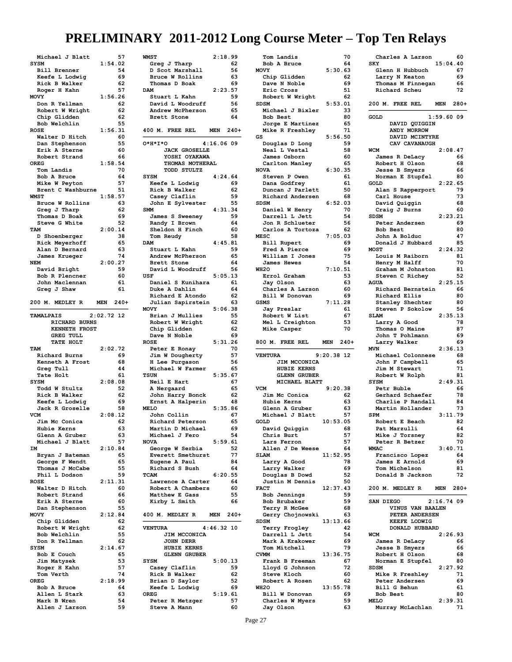| Michael J Blatt                |              | 57       |
|--------------------------------|--------------|----------|
| SYSM                           | 1:54.02      |          |
| <b>Bill Brenner</b>            |              | 54       |
| Keefe L Lodwig                 |              | 69       |
|                                |              |          |
| Rick B Walker                  |              | 62       |
| Roger H Kahn                   |              | 57       |
| MOVY                           | 1:56.26      |          |
|                                |              |          |
| Don R Yellman                  |              | 62       |
| Robert W Wright                |              | 62       |
| Chip Glidden                   |              | 62       |
|                                |              |          |
| Bob Welchlin                   |              | 55       |
| <b>ROSE</b>                    | 1:56.31      |          |
| Walter D Hitch                 |              | 60       |
| Dan Stephenson                 |              | 55       |
|                                |              |          |
| Erik A Sterne                  |              | 60       |
| Robert Strand                  |              | 66       |
| <b>OREG</b>                    | 1:58.54      |          |
|                                |              |          |
| Tom Landis                     |              | 70       |
| Bob A Bruce                    |              | 64       |
| Mike W Peyton                  |              | 57       |
|                                |              |          |
| Brent C Washburne              |              | 51       |
| <b>WMST</b>                    | 1:58.57      |          |
|                                |              | 63       |
| Bruce W Rollins                |              |          |
| Greg J Tharp                   |              | 62       |
| Thomas D Boak                  |              | 69       |
|                                |              |          |
| Steve G White                  |              | 52       |
| TAM                            | 2:00.14      |          |
| D Shoenberger                  |              | 38       |
|                                |              |          |
| Rick Meyerhoff                 |              | 65       |
| Alan D Bernard                 |              | 63       |
| James Krueger                  |              | 74       |
|                                |              |          |
| <b>NEM</b>                     | 2:00.27      |          |
| David Bright                   |              | 59       |
| Bob R Plencner                 |              | 60       |
|                                |              |          |
| John Maclennan                 |              | 61       |
| Greg J Shaw                    |              | 61       |
|                                |              |          |
|                                |              |          |
| 200 M. MEDLEY R                | <b>MEN</b>   | $240+$   |
|                                |              |          |
| <b>TAMALPAIS</b>               | $2:02.72$ 12 |          |
|                                |              |          |
| <b>RICHARD</b><br><b>BURNS</b> |              |          |
| <b>FROST</b><br><b>KENNETH</b> |              |          |
|                                |              |          |
|                                |              |          |
| <b>GREG TULL</b>               |              |          |
| TATE HOLT                      |              |          |
| TAM                            |              |          |
|                                | 2:02.72      |          |
| Richard Burns                  |              | 69       |
| Kenneth A Frost                |              | 68       |
|                                |              | 44       |
| Greg Tull                      |              |          |
| Tate Holt                      |              | 61       |
| <b>SYSM</b>                    | 2:08.08      |          |
|                                |              |          |
| Todd W Stultz                  |              | 52       |
| Rick B Walker                  |              | 62       |
| Keefe L Lodwig                 |              | 69       |
|                                |              |          |
| Jack R Groselle                |              | 58       |
| VCM                            | 2:08.12      |          |
| Jim Mc Conica                  |              | 62       |
|                                |              |          |
| Hubie<br>nerns                 |              | 63       |
| Glenn A Gruber                 |              | 63       |
| Michael J Blatt                |              | 57       |
|                                |              |          |
| IΜ                             | 2:10.84      |          |
| Bryan J Bateman                |              | 65       |
|                                |              | 65       |
| George F Wendt                 |              |          |
| Thomas J McCabe                |              | 55       |
| Phil L Dodson                  |              | 59       |
| <b>ROSE</b>                    |              |          |
|                                | 2:11.31      |          |
| Walter D Hitch                 |              | 60       |
| Robert Strand                  |              | 66       |
|                                |              | 60       |
| Erik A Sterne                  |              |          |
| Dan Stephenson                 |              | 55       |
| <b>MOVY</b>                    | 2:12.84      |          |
|                                |              | 62       |
| Chip Glidden                   |              |          |
| Robert W Wright                |              | 62       |
| Bob Welchlin                   |              | 55       |
| Don R Yellman                  |              | 62       |
|                                |              |          |
| <b>SYSM</b>                    | 2:14.67      |          |
| Bob E Couch                    |              | 65       |
|                                |              | 53       |
| Jim Matysek                    |              |          |
| Roger H Kahn                   |              | 57       |
| Tom Verth                      |              | 74       |
|                                |              |          |
| OREG                           | 2:18.99      |          |
| Bob A Bruce                    |              | 64       |
| Allen L Stark                  |              | 63       |
|                                |              |          |
| Mark B Wren<br>Allen J Larson  |              | 54<br>59 |

| <b>WMST</b>          | 2:18.99              |
|----------------------|----------------------|
| Greg J Tharp         | 62                   |
| D Scot Marshall      | 56                   |
| Bruce W Rollins      | 63                   |
| Thomas D Boak        | 69                   |
| <b>DAM</b>           | 2:23.57              |
| Stuart L Kahn        | 59                   |
| David L Woodruff     | 56                   |
| Andrew McPherson     | 65                   |
| Brett Stone          | 64                   |
| 400 M. FREE REL      | $240+$<br><b>MEN</b> |
| 0*H*I*O              | $4:16.06$ 09         |
| <b>JACK GROSELLE</b> |                      |
| YOSHI OYAKAWA        |                      |
| THOMAS MOTHERAL      |                      |
| TODD STULTZ          |                      |
| <b>SYSM</b>          | 4:24.64              |
| Keefe L Lodwig       | 69                   |
| Rick B Walker        | 62                   |
| Casey Claflin        | 59                   |
| John E Sylvester     | 55                   |
| <b>SMM</b>           | 4:31.34              |
| James S Sweeney      | 59                   |
| Randy I Brown        | 64                   |
| Sheldon H Finch      | 60                   |
| Tom Reudy            | 58                   |
| <b>DAM</b>           | 4:45.81              |
| Stuart L Kahn        | 59                   |
| Andrew McPherson     | 65                   |
| Brett Stone          | 64                   |
| David L Woodruff     | 56                   |
| USF                  | 5:05.13              |
| Daniel S Kunihara    | 61                   |
| Duke A Dahlin        | 64                   |
| Richard E Atondo     | 62                   |
| Julian Sapirstein    | 63                   |
| <b>MOVY</b>          | 5:06.38              |
| Brian J Mullies      | 55                   |
| Robert W Wright      | 62                   |
| Chip Glidden         | 62                   |
| Dave N Noble         | 69                   |
| <b>ROSE</b>          | 5:31.26              |
| Peter E Ronay        | 70                   |
| Jim W Dougherty      | 57                   |
| H Lee Purgason       | 56                   |
| Michael W Farmer     | 65                   |
| <b>TSUN</b>          | 5:35.67              |
| Neil E Hart          | 67                   |
| A Nergaard           | 65                   |
| John Harry Bonck     | 62                   |
| Ernst A Halperin     | 48                   |
| <b>MELO</b>          | 5:35.86              |
| John Collin          | 67                   |
| Richard Peterson     | 65                   |
| Martin D Michael     | 69                   |
| Michael J Fero       | 54                   |
| <b>NOVA</b>          | 5:59.61              |
| George W Serbia      | 52                   |
| Everett Smethurst    | 77                   |
| Eugene A Paul        | 84                   |
| Richard S Bush       | 64                   |
| <b>TCAM</b>          | 6:20.55              |
| Lawrence A Carter    | 64                   |
| Robert A Chambers    | 60                   |
| Matthew E Gass       | 55                   |
| Kirby L Smith        | 66                   |
|                      |                      |
| 400 M. MEDLEY R      | MEN 240+             |
| <b>VENTURA</b>       | $4:46.32$ 10         |
| JIM MCCONICA         |                      |
| <b>JOHN DERR</b>     |                      |
| <b>HUBIE KERNS</b>   |                      |
| <b>GLENN GRUBER</b>  |                      |
| <b>SYSM</b>          | 5:00.13              |
| Casey Claflin        | 59                   |
| Rick B Walker        | 62                   |
| Brian D Saylor       | 52                   |
| Keefe L Lodwig       | 69                   |
| <b>OREG</b>          | 5:19.61              |
| Peter R Metzger      | 57                   |
| Steve A Mann         | 60                   |
|                      |                      |

| Tom Landis          |              | 70     |
|---------------------|--------------|--------|
| Bob A Bruce         |              | 64     |
|                     |              |        |
| <b>MOVY</b>         | 5:30.63      |        |
| Chip Glidden        |              | 62     |
| Dave N Noble        |              | 69     |
|                     |              |        |
| Eric Cross          |              | 51     |
| Robert W Wright     |              | 62     |
| <b>SDSM</b>         | 5:53.01      |        |
| Michael J Bixler    |              | 33     |
|                     |              |        |
| Bob Best            |              | 80     |
| Jorge E Martinez    |              | 65     |
| Mike R Freshley     |              | 71     |
|                     |              |        |
| GS                  | 5:56.50      |        |
| Douglas D Long      |              | 59     |
| Neal L Vestal       |              | 58     |
|                     |              |        |
| James Osborn        |              | 60     |
| Carlton Manley      |              | 65     |
| <b>NOVA</b>         | 6:30.35      |        |
|                     |              | 61     |
| Steven P Owen       |              |        |
| Dana Godfrey        |              | 61     |
| Duncan J Parlett    |              | 50     |
|                     |              | 68     |
| Richard Andersen    |              |        |
| <b>SDSM</b>         | 6:52.03      |        |
| Daniel W Henry      |              | 70     |
| Darrell L Jett      |              | 54     |
|                     |              |        |
| Jon R Schlueter     |              | 56     |
| Carlos A Tortoza    |              | 62     |
| <b>MESC</b>         | 7:05.03      |        |
|                     |              |        |
| Bill Rupert         |              | 69     |
| Fred A Pierce       |              | 69     |
| William I Jones     |              | 75     |
|                     |              |        |
| <b>James Hewes</b>  |              | 54     |
| WH <sub>20</sub>    | 7:10.51      |        |
| Errol Graham        |              | 53     |
|                     |              |        |
| Jay Olson           |              | 63     |
| Charles A Larson    |              | 60     |
| Bill W Donovan      |              | 69     |
|                     |              |        |
| <b>GSMS</b>         | 7:11.28      |        |
| <b>Jay Preslar</b>  |              | 61     |
| Robert W List       |              | 67     |
|                     |              |        |
| Mel L Creighton     |              | 53     |
|                     |              |        |
| Mike Casper         |              | 70     |
|                     |              |        |
|                     |              |        |
| 800 M. FREE REL     | <b>MEN</b>   | $240+$ |
|                     |              |        |
| <b>VENTURA</b>      | $9:20.38$ 12 |        |
|                     |              |        |
| <b>JIM MCCONICA</b> |              |        |
| HUBIE KERNS         |              |        |
| <b>GLENN GRUBER</b> |              |        |
|                     |              |        |
| MICHAEL BLATT       |              |        |
| <b>VCM</b>          | 9:20.38      |        |
| Jim Mc Conica       |              | 62     |
|                     |              |        |
| Hubie Kerns         |              | 63     |
| Glenn A Gruber      |              | 63     |
| Michael J Blatt     |              | 57     |
|                     |              |        |
| GOLD                | 10:53.05     |        |
| David Quiggin       |              | 68     |
| Chris Burt          |              | 57     |
| Lars Ferron         |              | 57     |
|                     |              |        |
| Allen J De Weese    |              | 64     |
| <b>SLAM</b>         | 11:52.95     |        |
|                     |              | 78     |
| Larry A Good        |              |        |
| Larry Walker        |              | 69     |
| Douglas B Dowd      |              | 52     |
|                     |              | 50     |
| Justin M Dennis     |              |        |
| <b>FACT</b>         | 12:37.43     |        |
| <b>Bob Jennings</b> |              | 59     |
| Bob Brubaker        |              | 59     |
|                     |              |        |
| Terry R McGee       |              | 68     |
| Gerry Chojnowski    |              | 63     |
| <b>SDSM</b>         | 13:13.66     |        |
|                     |              |        |
| Terry Frogley       |              | 42     |
| Darrell L Jett      |              | 54     |
| Mark A Krakower     |              | 69     |
|                     |              |        |
| Tom Mitchell        |              | 79     |
| <b>CVMM</b>         | 13:36.75     |        |
| Frank B Freeman     |              | 67     |
|                     |              |        |
| Lloyd G Johnson     |              | 72     |
| Steve Kloch         |              | 60     |
| Robert A Rosen      |              | 62     |
|                     |              |        |
| WH <sub>20</sub>    | 13:55.78     |        |
| Bill W Donovan      |              | 69     |
| Charles W Myers     |              | 59     |
| Jay Olson           |              | 63     |

| Charles A Larson                     |              | 60       |
|--------------------------------------|--------------|----------|
| SKY                                  | 15:04.40     |          |
| Glenn H Hubbuch                      |              | 67       |
| Larry N Keaton                       |              | 69       |
| Thomas M Finnegan                    |              | 66       |
| Richard Scheu                        |              | 72       |
| FREE REL<br>200 M.                   | MEN          | $280+$   |
|                                      |              |          |
| GOLD                                 | 1:59.6009    |          |
| DAVID QUIGGIN                        |              |          |
| ANDY MORROW                          |              |          |
| DAVID MCINTYRE                       |              |          |
| CAV CAVANAUGH                        |              |          |
| <b>WCM</b>                           | 2:08.47      |          |
| James R DeLacy<br>Robert H Olson     |              | 66       |
| Jesse B Smyers                       |              | 68<br>66 |
| Norman E Stupfel                     |              | 80       |
| GOLD                                 | 2:22.65      |          |
| Alan S Rapperport                    |              | 79       |
| Carl House                           |              | 73       |
| David Quiggin                        |              | 68       |
| Craig J Burns                        |              | 60       |
| <b>SDSM</b>                          | 2:23.21      |          |
| Peter Andersen                       |              | 69       |
| Bob Best<br>John A Bolduc            |              | 80       |
| Donald J Hubbard                     |              | 47<br>85 |
| <b>MOST</b>                          | 2:24.32      |          |
| Louis M Raiborn                      |              | 81       |
| Henry M Halff                        |              | 70       |
| Graham M Johnston                    |              | 81       |
| Steven C Richey                      |              | 52       |
| <b>AGUA</b>                          | 2:25.15      |          |
| Richard Bernstein                    |              | 66       |
| Richard Ellis                        |              | 80       |
| Stanley Shechter                     |              | 80       |
| Steven P Sokolow<br><b>SLAM</b>      |              | 56       |
|                                      |              |          |
|                                      | 2:35.13      |          |
| Larry A Good                         |              | 78       |
| Thomas O Maine                       |              | 87       |
| John T Pohlmann                      |              | 69       |
| Larry Walker                         |              | 69       |
| <b>MVN</b>                           | 2:36.13      | 68       |
| Michael Colonnese<br>John F Campbell |              | 65       |
| Jim M Stewart                        |              | 71       |
| Robert W Rolph                       |              | 81       |
| <b>SYSM</b>                          | 2:49.31      |          |
| Petr Buble                           |              | 66       |
| Gerhard Schaefer                     |              | 78       |
| Charlie P Randall                    |              | 84       |
| Martin Hollander                     |              | 73       |
| <b>SPM</b>                           | 3:11.79      |          |
| Robert E Beach                       |              | 82       |
| Pat Marzullı                         |              | 64<br>82 |
| Mike J Torsney<br>Peter R Betzer     |              | 70       |
| WMAC                                 | 3:40.71      |          |
| Francisco Lopez                      |              | 64       |
| James E Arnold                       |              | 69       |
| Tom Michelson                        |              | 81       |
| Donald B Jackson                     |              | 72       |
|                                      |              |          |
| 200 M. MEDLEY R                      | MEN          | $280+$   |
|                                      |              |          |
| SAN DIEGO<br>VINUS VAN BAALEN        | $2:16.74$ 09 |          |
| PETER ANDERSEN                       |              |          |
| <b>KEEFE LODWIG</b>                  |              |          |
| DONALD HUBBARD                       |              |          |
| <b>WCM</b>                           | 2:26.93      |          |
| James R DeLacy                       |              | 66       |
| Jesse B Smyers                       |              | 66       |
| Robert H Olson                       |              | 68       |
| Norman E Stupfel                     |              | 80       |
| SDSM                                 | 2:27.92      |          |
| Mike R Freshley<br>Peter Andersen    |              | 71<br>69 |
| Bill G Behun                         |              | 61       |
| Bob Best                             |              | 80       |
| <b>MELO</b><br>Murray McLachlan      | 2:39.31      | 71       |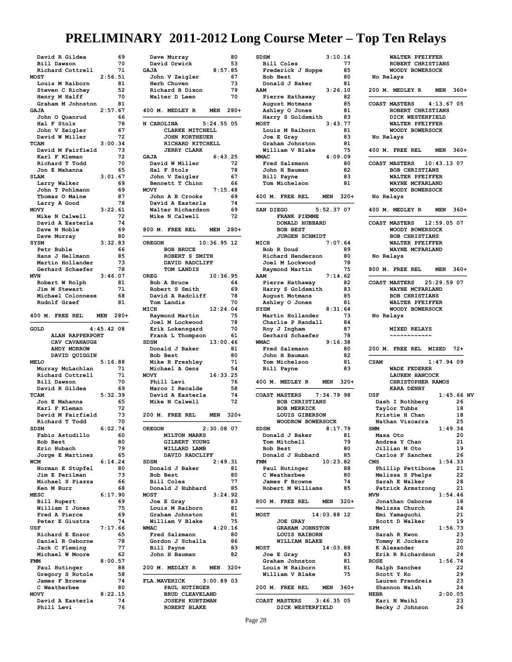| David R Gildea                   |              | 69       |
|----------------------------------|--------------|----------|
| Bill Dawson                      |              | 70       |
| Richard Cottrell                 |              | 71       |
| <b>MOST</b>                      | 2:56.51      |          |
| Louis M Raiborn                  |              | 81       |
| Steven C Richey                  |              | 52       |
| Henry M Halff                    |              | 70       |
| Graham M Johnston                |              | 81       |
| <b>GAJA</b>                      | 2:57.67      |          |
| John O Quanrud                   |              | 66       |
| Hal F Stolz                      |              | 78       |
| John V Zeigler                   |              | 67       |
| David W Miller                   |              | 72       |
| TCAM                             | 3:00.34      |          |
| David M Fairfield                |              | 73       |
| Karl F Kleman                    |              | 72       |
| Richard T Todd                   |              | 70       |
| Jon E Mahanna                    |              | 65       |
| <b>SLAM</b>                      | 3:01.67      |          |
| Larry Walker                     |              | 69       |
|                                  |              |          |
| John T Pohlmann                  |              | 69       |
| Thomas O Maine                   |              | 87       |
| Larry A Good                     |              | 78       |
| <b>MOVY</b>                      | 3:22.61      |          |
| Mike N Calwell                   |              | 72       |
| David A Easterla                 |              | 74       |
| Dave N Noble                     |              | 69       |
| Dave Murray                      |              | 80       |
| <b>SYSM</b>                      | 3:32.83      |          |
| Petr Buble                       |              | 66       |
| Hans J Hellmann                  |              | 85       |
| Martin Hollander                 |              | 73       |
| Gerhard Schaefer                 |              | 78       |
| <b>MVN</b>                       | 3:46.07      |          |
| Robert W Rolph                   |              | 81       |
| Jim M Stewart                    |              | 71       |
| Michael Colonnese                |              | 68       |
| Rudolf Graef                     |              | 81       |
|                                  |              |          |
| 400 M. FREE REL                  | MEN          | $280+$   |
|                                  |              |          |
|                                  |              |          |
| GOLD                             | $4:45.42$ 08 |          |
|                                  |              |          |
| <b>ALAN RAPPERPORT</b>           |              |          |
| CAV CAVANAUGH                    |              |          |
| ANDY MORROW                      |              |          |
| DAVID QUIGGIN                    |              |          |
| <b>MELO</b>                      | 5:16.88      |          |
| Murray McLachlan                 |              | 71       |
| Richard Cottrell                 |              | 71       |
| Bill Dawson                      |              | 70       |
| David R Gildea                   |              | 69       |
| TCAM                             | 5:32.39      |          |
| Jon E Mahanna                    |              | 65       |
| Karl F Kleman                    |              | 72       |
| David M Fairfield                |              | 73       |
| Richard T Todd                   |              | 70       |
| SDSM                             | 6:02         | 74       |
| Fabio Astudillo                  |              | 60       |
| Bob Best                         |              | 80       |
| Eric Hubach                      |              | 79       |
| Jorge E Martinez                 |              | 65       |
| WCM                              | 6:14.24      |          |
| Norman E Stupfel                 |              | 80       |
| Jim E Perilman                   |              | 73       |
| Michael S Piazza                 |              | 66       |
| Ken M Burr                       |              | 68       |
| <b>MESC</b>                      | 6:17.90      |          |
|                                  |              | 69       |
| Bill Rupert                      |              | 75       |
| William I Jones                  |              | 69       |
| Fred A Pierce<br>Peter E Giustra |              | 74       |
| USF                              |              |          |
|                                  | 7:17.66      |          |
| Richard E Ensor                  |              | 65       |
| Daniel R Osborne                 |              | 78       |
| Jack C Fleming                   |              | 77       |
| Michael W Moore                  |              | 62       |
| <b>FMM</b>                       | 8:00.57      |          |
| Paul Hutinger                    |              | 88       |
| Gregory S Rotole                 |              | 58       |
| James F Browne                   |              | 74       |
| C Weatherbee                     |              | 80       |
| <b>MOVY</b>                      | 8:22.15      |          |
| David A Easterla<br>Phill Levi   |              | 74<br>76 |

| David Orwick<br>53                                               |
|------------------------------------------------------------------|
| 8:57.85<br>GAJA                                                  |
| John V Zeigler<br>67                                             |
| Herb Chuven<br>73                                                |
| 79<br>Richard B Dixon<br>Walter D Leen                           |
| 70                                                               |
| 400 M. MEDLEY R<br>MEN 280+                                      |
| 5:24.55 05<br>N CAROLINA                                         |
| CLARKE MITCHELL<br>JOHN KORTHEUER                                |
| RICHARD KITCHELL                                                 |
| <b>JERRY CLARK</b>                                               |
| <b>GAJA</b><br>6:43.25<br>72<br>David W Miller                   |
| Hal F Stolz<br>78                                                |
| John V Zeigler<br>67                                             |
| Bennett T Chinn<br>66<br>7:15.48<br><b>MOVY</b>                  |
| John A B Crooks<br>69                                            |
| David A Easterla<br>74                                           |
| Walter Richardson<br>69<br>Mike N Calwell<br>72                  |
|                                                                  |
| 800 M. FREE REL MEN 280+                                         |
| 10:36.95 12<br><b>OREGON</b>                                     |
| <b>BOB BRUCE</b><br>ROBERT S SMITH                               |
| DAVID RADCLIFF                                                   |
| TOM LANDIS                                                       |
| 10:36.95<br>OREG<br>Bob A Bruce<br>64                            |
| Robert S Smith<br>69                                             |
| David A Radcliff<br>78                                           |
| Tom Landis<br>70<br>12:24.04<br>MICH                             |
| Raymond Martin<br>75                                             |
| Joel M Lockwood<br>78                                            |
| Erik Lokensgard<br>70<br>Frank L Thompson<br>61                  |
| 13:00.46<br>SDSM                                                 |
| Donald J Baker<br>81                                             |
| Bob Best<br>80<br>Mike R Freshley<br>71                          |
| Michael A Genz<br>54                                             |
| <b>MOVY</b><br>16:33.25                                          |
|                                                                  |
| Phill Levi<br>76                                                 |
| Marco I Recalde<br>58<br>74                                      |
| David A Easterla<br>Mike N Calwell<br>72                         |
| 200 M. FREE REL<br>MEN 320+                                      |
|                                                                  |
| 2:30.08 07<br>OREGON<br><b>MILTON MARKS</b>                      |
| GILBERT YOUNG                                                    |
| WILLARD LAMB                                                     |
| DAVID RADCLIFF<br>2:49.31<br><b>SDSM</b>                         |
| Donald J Baker<br>81                                             |
| 80<br>Bob Best                                                   |
| Bill Coles<br>77<br>Donald J Hubbard<br>85                       |
| 3:24.92<br><b>MOST</b>                                           |
| Joe E Gray<br>83                                                 |
| Louis M Raiborn<br>81<br>Graham Johnston<br>81                   |
| William V Blake<br>75                                            |
| <b>WMAC</b><br>4:20.16                                           |
| Fred Salzmann<br>80<br>Gordon J Schalla<br>86                    |
| Bill Payne<br>83                                                 |
| John H Bauman<br>82                                              |
| 200 M. MEDLEY R<br>MEN<br>$320+$                                 |
| $3:00.89$ 03<br><b>FLA.MAVERICK</b>                              |
| PAUL HUTINGER                                                    |
| <b>BRUD CLEAVELAND</b><br><b>JOSEPH KURTZMAN</b><br>ROBERT BLAKE |

| <b>SDSM</b> |                                                |              |          |
|-------------|------------------------------------------------|--------------|----------|
|             |                                                | 3:10.16      |          |
|             | <b>Bill Coles</b>                              |              | 77       |
|             | Frederick J Hoppe                              |              | 85       |
|             | Bob Best                                       |              | 80       |
|             | Donald J Baker                                 |              | 81       |
| AAM         |                                                | 3:26.10      |          |
|             | Pierre Hathaway                                |              | 82       |
|             | August Motmans                                 |              | 85<br>81 |
|             | Ashley O Jones<br>Harry S Goldsmith            |              | 83       |
| <b>MOST</b> |                                                | 3:43.77      |          |
|             | Louis M Raiborn                                |              | 81       |
|             | Joe E Gray                                     |              | 83       |
|             | Graham Johnston                                |              | 81       |
|             | William V Blake                                |              | 75       |
| <b>WMAC</b> |                                                | 4:09.09      |          |
|             | Fred Salzmann                                  |              | 80       |
|             | John H Bauman<br>Bill Payne                    |              | 82<br>83 |
|             | Tom Michelson                                  |              | 81       |
|             |                                                |              |          |
| 400 M.      | FREE REL                                       | MEN          | -320+    |
|             |                                                |              |          |
| SAN DIEGO   |                                                | 5:52.37 07   |          |
|             | FRANK PIEMME                                   |              |          |
|             | DONALD HUBBARD<br><b>BOB BEST</b>              |              |          |
|             | <b>JURGEN SCHMIDT</b>                          |              |          |
| <b>MICH</b> |                                                | 7:07.64      |          |
|             | Bob R Doud                                     |              | 89       |
|             | Richard Henderson                              |              | 80       |
|             | Joel M Lockwood                                |              | 78       |
|             | Raymond Martin                                 |              | 75       |
| AAM         |                                                | 7:14.62      |          |
|             | Pierre Hathaway                                |              | 82       |
|             | Harry S Goldsmith                              |              | 83<br>85 |
|             | August Motmans<br>Ashley O Jones               |              | 81       |
| SYSM        |                                                | 8:31.64      |          |
|             | Martin Hollander                               |              | 73       |
|             | Charlie P Randall                              |              | 84       |
|             | Roy J Ingham                                   |              | 87       |
|             | Gerhard Schaefer                               |              | 78       |
|             |                                                |              |          |
| <b>WMAC</b> |                                                | 9:16.38      |          |
|             | Fred Salzmann                                  |              | 80       |
|             | John H Bauman                                  |              | 82       |
|             | Tom Michelson                                  |              | 81       |
|             | <b>Bill Payne</b>                              |              | 83       |
|             | 400 M. MEDLEY R                                | MEN 320+     |          |
|             |                                                |              |          |
|             | <b>COAST MASTERS</b>                           | 7:34.79 98   |          |
|             | <b>BOB CHRISTIANS</b>                          |              |          |
|             | <b>BOB MERRICK</b>                             |              |          |
|             | LOUIS GIBERSON                                 |              |          |
| <b>SDSM</b> | <b>WOODROW BOWERSOCK</b>                       |              |          |
|             | Donald J Baker                                 | 8:17.79      | 81       |
|             | Tom Mitchell                                   |              | 79       |
|             | Bob Best                                       |              | 80       |
|             | Donald J Hubbard                               |              | 85       |
| <b>FMM</b>  |                                                | 10:23.82     |          |
|             | Paul Hutinger                                  |              | 88       |
|             | C Weatherbee                                   |              | 80       |
|             | James F Browne                                 |              | 74       |
|             | Robert M Williams                              |              | 85       |
|             | 800 M. FREE REL                                | MEN          | $320+$   |
|             |                                                |              |          |
| <b>MOST</b> |                                                | 14:03.88 12  |          |
|             | <b>JOE GRAY</b>                                |              |          |
|             | <b>GRAHAM JOHNSTON</b><br><b>LOUIS RAIBORN</b> |              |          |
|             | WILLIAM BLAKE                                  |              |          |
| <b>MOST</b> |                                                | 14:03.88     |          |
|             | Joe E Gray                                     |              | 83       |
|             | Graham Johnston                                |              | 81       |
|             | Louis M Raiborn                                |              | 81       |
|             | William V Blake                                |              | 75       |
|             |                                                |              |          |
|             | 200 M. FREE REL                                | MEN 360+     |          |
|             | <b>COAST MASTERS</b>                           | $3:46.35$ 05 |          |

|             | ROBERT CHRISTIANS<br>WOODY BOWERSOCK                                                        |                           |  |
|-------------|---------------------------------------------------------------------------------------------|---------------------------|--|
| No Relays   |                                                                                             |                           |  |
|             | 200 M. MEDLEY R                                                                             | MEN 360+                  |  |
|             | ROBERT CHRISTIANS<br>DICK WESTERFIELD<br>WALTER PFEIFFER<br>WOODY BOWERSOCK                 | COAST MASTERS 4:13.67 05  |  |
|             | No Relays                                                                                   |                           |  |
|             | 400 M. FREE REL                                                                             | MEN 360+                  |  |
|             | <b>BOB CHRISTIANS</b><br>WALTER PFEIFFER<br>WAYNE MCFARLAND<br>WOODY BOWERSOCK              | COAST MASTERS 10:43.13 07 |  |
|             | No Relays                                                                                   |                           |  |
|             |                                                                                             | 400 M. MEDLEY R MEN 360+  |  |
| No Relays   | WOODY BOWERSOCK<br><b>BOB CHRISTIANS</b><br>WALTER PFEIFFER<br><b>WAYNE MCFARLAND</b>       | COAST MASTERS 12:59.05 07 |  |
|             |                                                                                             | 800 M. FREE REL MEN 360+  |  |
|             | WAYNE MCFARLAND<br><b>BOB CHRISTIANS</b><br>WALTER PFEIFFER<br>WOODY BOWERSOCK<br>No Relays | COAST MASTERS 25:29.59 07 |  |
|             | <b>MIXED RELAYS</b>                                                                         | 200 M. FREE REL MIXED 72+ |  |
| <b>CSAM</b> | <b>WADE FEDERER</b><br><b>LAUREN HANCOCK</b><br>CHRISTOPHER RAMOS                           | 1:47.94.09                |  |
|             | <b>KARA DENBY</b>                                                                           | $1:45.66$ NV              |  |
| USF         | Dash I Rothberg                                                                             | 26                        |  |
|             | Taylor Tubbs                                                                                | 18                        |  |
|             | Kristie H Chan<br>Nathan Vizcarra                                                           | 18<br>25                  |  |
| <b>SMM</b>  |                                                                                             | 1:49.34                   |  |
| Masa Oto    |                                                                                             | 20                        |  |
|             | Andrea Y Chan<br>Jillian M Oto                                                              | 21<br>19                  |  |
|             | Carlos F Sanchez                                                                            | 26                        |  |
| CMS         |                                                                                             | 1:54.33                   |  |
|             | Phillip Pettibone                                                                           | 21<br>22                  |  |
|             | Melissa S Phelps<br>Sarah E Walker                                                          | 28                        |  |
|             | Patrick Armstrong                                                                           | 21                        |  |
| <b>MVN</b>  |                                                                                             | 1:54.46                   |  |
|             | Jonathan Osborne                                                                            | 18                        |  |
|             | Melissa Church                                                                              | 24                        |  |
|             | Emi Yamaguchi                                                                               | 21                        |  |
| <b>SPM</b>  | Scott D Walker                                                                              | 19<br>1:56.73             |  |
|             | Sarah R Kwon                                                                                | 23                        |  |
|             | Tommy K Jockers                                                                             | 20                        |  |
|             | K Alexander                                                                                 | 20                        |  |
|             | Erik R Richardson                                                                           | 24                        |  |
| <b>ROSE</b> |                                                                                             | 1:56.74                   |  |
|             | Ralph Sanchez                                                                               | 22                        |  |
|             | Scott Y Ko<br>Lauren Frendreis                                                              | 29<br>23                  |  |
|             | Shannon Walsh                                                                               | 24                        |  |
| <b>NEBR</b> |                                                                                             | 2:00.05                   |  |
|             | Kari N Weihl                                                                                | 23                        |  |
|             | Becky J Johnson                                                                             | 26                        |  |

 **WALTER PFEIFFER**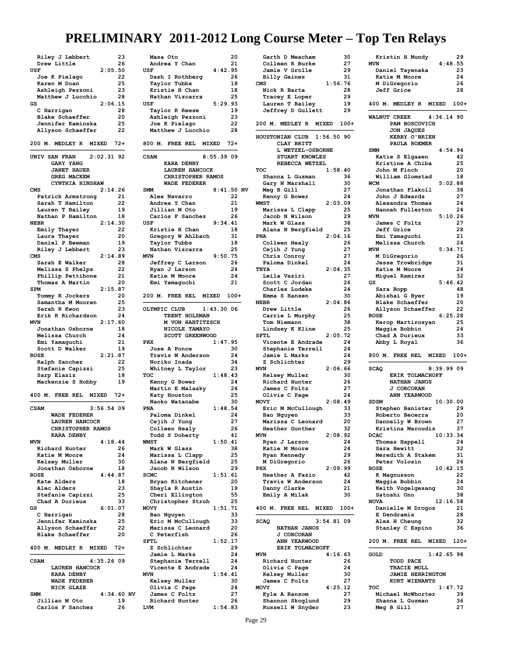| Riley J Lebbert<br>23                         |  |
|-----------------------------------------------|--|
| Drew Little<br>26                             |  |
| 2:05.50<br><b>USF</b>                         |  |
| Joe K Pielago<br>22                           |  |
| 25<br>Karen M Doan                            |  |
| 23<br>Ashleigh Pezzoni                        |  |
| Matthew J Lucchio<br>28                       |  |
| 2:06.15<br>GS                                 |  |
| 28<br>C Harrigan                              |  |
| Blake Schaeffer<br>20                         |  |
| Jennifer Kaminska<br>25                       |  |
| Allyson Schaeffer<br>22                       |  |
|                                               |  |
| 200 M. MEDLEY R MIXED 72+                     |  |
| $2:02.31$ 92<br>UNIV SAN FRAN                 |  |
| GARY YANG                                     |  |
| <b>JANET HAUER</b>                            |  |
| <b>GREG MACKEM</b>                            |  |
| CYNTHIA HINSHAW                               |  |
| 2:14.26<br>CMS                                |  |
| Patrick Armstrong<br>21                       |  |
| Sarah T Hamilton<br>22                        |  |
| Lauren T Bailey<br>19                         |  |
| Nathan P Hamilton<br>18                       |  |
| 2:14.30<br><b>NEBR</b>                        |  |
| Emily Thayer<br>22                            |  |
| Laura Thayer<br>20                            |  |
| Daniel P Beeman<br>19                         |  |
| Riley J Lebbert<br>23                         |  |
| 2:14.89<br>CMS                                |  |
| Sarah E Walker<br>28                          |  |
| Melissa S Phelps<br>22                        |  |
| Phillip Pettibone<br>21                       |  |
| Thomas A Martin<br>20                         |  |
| 2:15.87<br><b>SPM</b>                         |  |
| Tommy K Jockers<br>20                         |  |
| Samantha M Mooren<br>25                       |  |
| 23<br>Sarah R Kwon                            |  |
| Erik R Richardson<br>24                       |  |
| 2:17.60<br><b>MVN</b>                         |  |
| Jonathan Osborne<br>18                        |  |
| Melissa Church<br>24                          |  |
| 21<br>Emi Yamaguchi                           |  |
|                                               |  |
| Scott D Walker<br>19                          |  |
| <b>ROSE</b><br>2:21.87                        |  |
| Ralph Sanchez<br>22                           |  |
| Stefanie Capizzi<br>25                        |  |
| Sarp Elaziz<br>18                             |  |
| Mackenzie S Hobby<br>19                       |  |
|                                               |  |
| 400 M. FREE REL MIXED 72+                     |  |
| <b>CSAM</b>                                   |  |
| $3:56.54$ 09                                  |  |
| <b>WADE FEDERER</b>                           |  |
| <b>LAUREN HANCOCK</b>                         |  |
| CHRISTOPHER RAMOS<br><b>KARA DENBY</b>        |  |
| 4:18.44<br><b>MVN</b>                         |  |
| 26<br>Richard Hunter                          |  |
| 24<br>Katie M Moore                           |  |
| Kelsey Muller<br>30                           |  |
| Jonathan Osborne<br>18                        |  |
| 4:44.87<br><b>ROSE</b>                        |  |
| Kate Alders<br>18                             |  |
| 23<br>Alec Alders                             |  |
| Stefanie Capizzi<br>25                        |  |
| Chad A Durieux<br>33                          |  |
| 6:01.07<br>GS                                 |  |
| 28<br>C Harrigan                              |  |
| 25<br>Jennifer Kaminska                       |  |
| Allyson Schaeffer<br>22                       |  |
| Blake Schaeffer<br>20                         |  |
|                                               |  |
| 400 M. MEDLEY R MIXED<br>72+                  |  |
|                                               |  |
| 4:35.26 09<br><b>CSAM</b>                     |  |
| LAUREN HANCOCK                                |  |
| <b>KARA DENBY</b>                             |  |
| <b>WADE FEDERER</b>                           |  |
| NICK GLAZE                                    |  |
| $4:34.60$ NV<br><b>SMM</b>                    |  |
| 19<br>Jillian M Oto<br>26<br>Carlos F Sanchez |  |

|                                            |              | 20       |
|--------------------------------------------|--------------|----------|
| Andrea Y Chan                              |              | 21       |
| <b>USF</b>                                 | 4:42.95      |          |
| Dash I Rothberg<br>Taylor Tubbs            |              | 26<br>18 |
| Kristie H Chan                             |              | 18       |
| Nathan Vizcarra                            |              | 25       |
| USF                                        | 5:29.93      |          |
| Taylor R Reese                             |              | 19       |
| Ashleigh Pezzoni                           |              | 23       |
| Joe K Pielago                              |              | 22       |
| Matthew J Lucchio                          |              | 28       |
| 800 M. FREE REL MIXED                      | $72+$        |          |
| <b>CSAM</b>                                | 8:55.39 09   |          |
| <b>KARA DENBY</b><br><b>LAUREN HANCOCK</b> |              |          |
| CHRISTOPHER RAMOS                          |              |          |
| <b>WADE FEDERER</b>                        |              |          |
| <b>SMM</b>                                 | $8:41.50$ NV |          |
| Alex Navarro                               |              | 22       |
| Andrea Y Chan                              |              | 21       |
| Jillian M Oto                              |              | 19       |
| Carlos F Sanchez                           |              | 26       |
| USF<br>Kristie H Chan                      | 9:34.41      | 18       |
| Gregory W Ahlbach                          |              | 31       |
| Taylor Tubbs                               |              | 18       |
| Nathan Vizcarra                            |              | 25       |
| <b>MVN</b>                                 | 9:50.75      |          |
| Jeffrey C Larson                           |              | 26       |
| Ryan J Larson                              |              | 24       |
| Katie M Moore                              |              | 24       |
| Emi Yamaguchi                              |              | 21       |
| 200 M. FREE REL MIXED                      |              | $100+$   |
| OLYMPIC CLUB                               | 1:43.3006    |          |
| TRENT HOLSMAN                              |              |          |
| M VON HARTITZSCH                           |              |          |
| NICOLE TAMAYO                              |              |          |
| SCOTT GREENWOOD                            |              |          |
| PHX                                        | 1:47.95      |          |
| Jose A Ponce                               |              | 30       |
|                                            |              |          |
| Travis W Anderson                          |              | 24       |
| Noriko Inada                               |              | 34       |
| Whitney L Taylor                           |              | 23       |
| TOC                                        | 1:48.43      |          |
| Kenny G Bower                              |              | 24<br>24 |
| Martin E Malasky                           |              | 25       |
| Katy Houston<br>Naoko Watanabe             |              | 30       |
|                                            | 1:48.54      |          |
| <b>PNA</b><br>Paloma Dinkel                |              | 24       |
| Cejih J Yung                               |              | 27       |
| <b>Collee</b><br>en Healy                  |              | 26       |
| Todd S Doherty                             |              | 41       |
|                                            | 1:50.41      |          |
| Mark W Glass                               |              | 38       |
| Marissa L Clapp                            |              | 25       |
| Alana N Bergfield                          |              | 25       |
| Jacob N Wilson                             |              | 29       |
| <b>SCMC</b>                                | 1:51.61      |          |
| Bryan Kitchener<br>Shayla R Austin         |              | 20<br>19 |
| Cheri Ellington                            |              | 55       |
| Christopher Stroh                          |              | 25       |
|                                            | 1:51.71      |          |
| Bao Nguyen                                 |              | 33       |
| Eric M McCullough                          |              | 33       |
| Marissa C Leonard                          |              | 20       |
| C Peterfish                                |              | 26       |
| <b>SFTL</b>                                | 1:52.17      |          |
| Z Schlichter                               |              | 29       |
| Jamie L Marks                              |              | 24       |
| Stephanie Terrell                          |              | 24       |
| Vicente E Andrade                          |              | 24       |
| <b>WMST</b><br>MOVY<br><b>MVN</b>          | 1:54.41      |          |
| <b>Kelsey Muller</b><br>Olivia C Page      |              | 30<br>24 |
| James C Foltz                              |              | 27       |
| Richard Hunter                             |              | 26       |

| Garth D Meacham                          |            | 30       |
|------------------------------------------|------------|----------|
| Colleen R Burke                          |            | 27       |
| Jamie V Grolle                           |            | 29<br>31 |
| <b>Billy Gaines</b><br>CMS               | 1:56.76    |          |
| Nick R Barta                             |            | 28       |
| Tracey E Loper                           |            | 29       |
| Lauren T Bailey                          |            | 19       |
| Jeffrey D Gullett                        |            | 29       |
| 200 M. MEDLEY R MIXED                    |            | $100+$   |
| HOUSTONIAN CLUB 1:56.50 90<br>CLAY BRITT |            |          |
| L WETZEL-OSBORNE                         |            |          |
| STUART KNOWLES                           |            |          |
| REBECCA WETZEL                           |            |          |
| TOC<br>Shanna L Guzman                   | 1:58.40    | 36       |
| Gary N Marshall                          |            | 30       |
| Meg B Gill                               |            | 27       |
| Kenny G Bower                            |            | 24       |
| WMST                                     | 2:03.09    |          |
| Marissa L Clapp<br>Jacob N Wilson        |            | 25<br>29 |
| Mark W Glass                             |            | 38       |
| Alana N Bergfield                        |            | 25       |
| PNA                                      | 2:04.16    |          |
| Colleen Healy                            |            | 26       |
| Cejih J Yung                             |            | 27       |
| Chris Conroy<br>Paloma Dinkel            |            | 27<br>24 |
| <b>TNYA</b>                              | 2:04.35    |          |
| Leila Vaziri                             |            | 27       |
| Scott C Jordan                           |            | 26       |
| Charles Ludeke                           |            | 24       |
| Emma S Hansen<br>NEBR                    |            | 30       |
| Drew Little                              | 2:04.86    | 26       |
| Carrie L Murphy                          |            | 25       |
| Tom Niemann                              |            | 38       |
| Lindsey K Kline                          |            | 25       |
| <b>SFTL</b>                              | 2:05.72    |          |
| Vicente E Andrade                        |            | 24       |
|                                          |            |          |
| Stephanie Terrell                        |            | 24       |
| Jamie L Marks<br>Z Schlichter            |            | 24<br>29 |
| MVN                                      | 2:06.66    |          |
| <b>Kelsey Muller</b>                     |            | 30       |
| Richard Hunter                           |            | 26       |
| James C Foltz                            |            | 27       |
| Olivia C Page<br><b>MOVY</b>             | 2:08.49    | 24       |
| Eric M McCullough                        |            | 33       |
| Bao Nguyen                               |            | 33       |
| Marissa C Leonard                        |            | 20       |
| Heather Gunther                          |            | 32       |
| MVN                                      | 2:08.92    |          |
| Ryan J Larson<br>Katie M Moore           |            | 24<br>24 |
| Ryan Kennedy                             |            | 29       |
| M DiGregorio                             |            | 26       |
| PHX                                      | 2:09.99    |          |
| Heather A Fazio                          |            | 42       |
| Travis W Anderson                        |            | 24<br>21 |
| Danny Clarke<br>Emily A Milak            |            | 30       |
|                                          |            |          |
| 400 M. FREE REL MIXED                    |            | 100+     |
|                                          | 3:54.81.09 |          |
| NATHAN JANOS                             |            |          |
| <b>SCAQ</b><br><b>J CORCORAN</b>         |            |          |
| ANN YEARWOOD                             |            |          |
| ERIK TOLMACHOFF<br>MVN                   | 4:16.63    |          |
| Richard Hunter                           |            | 26       |
| Olivia C Page                            |            | 24       |
| Kelsey Muller                            |            | 30       |
| James C Foltz                            |            | 27       |
| <b>MOVY</b><br>Kyle A Ransom             | 4:25.12    | 27       |
| Shannon Skoglund                         |            | 29<br>23 |

| Kristin H Mundy                          | 29       |
|------------------------------------------|----------|
| <b>MVN</b><br>4:48.55                    |          |
| Daniel Tayenaka                          | 23       |
| Katie M Moore                            | 24       |
| M DiGregorio                             | 26       |
| <b>Jeff Grice</b>                        | 28       |
| 400 M. MEDLEY R MIXED                    | $100+$   |
| $4:36.14$ 90<br>WALNUT CREEK             |          |
| PAM BOSCOVICH                            |          |
| JON JAQUES                               |          |
| KERRY O'BRIEN                            |          |
| PAULA ROEMER                             |          |
| 4:54.94<br><b>SMM</b><br>Katie S Elgaaen | 42       |
| Kristine A Chiba                         | 25       |
| John M Finch                             | 20       |
| William Glomstad                         | 18       |
| 5:02.88<br><b>WCM</b>                    |          |
| Jonathan Flakoll                         | 38       |
| John J Edwards                           | 27       |
| Alexandra Thomas                         | 24       |
| Hannah Fullerton                         | 24       |
| <b>MVN</b><br>5:10.26                    | 27       |
| James C Foltz<br><b>Jeff Grice</b>       | 28       |
| Emi Yamaguchi                            | 21       |
| Melissa Church                           | 24       |
| 5:34.71<br><b>MVN</b>                    |          |
| M DiGregorio                             | 26       |
| Jesse Trowbridge                         | 31       |
| Katie M Moore                            | 24       |
| Miguel Ramirez                           | 32       |
| 5:46.42<br>GS                            |          |
| Sara Bopp<br>Abishai G Byer              | 48<br>19 |
| <b>Blake Schaeffer</b>                   | 20       |
| Allyson Schaeffer                        | 22       |
| <b>ROSE</b><br>6:25.28                   |          |
| Kerop Martirosyan                        | 25       |
| Maggie Bobbin                            | 24       |
| Chad A Durieux                           | 33       |
| Abby L Royal                             | 36       |
| 800 M. FREE REL MIXED                    | $100+$   |
| 8:39.99 09<br><b>SCAQ</b>                |          |
| ERIK TOLMACHOFF<br>NATHAN JANOS          |          |
| J CORCORAN                               |          |
| ANN YEARWOOD                             |          |
| 10:30.00<br><b>SDSM</b>                  |          |
| Stephen Banister                         | 29       |
| Roberto Becerra                          | 20       |
| Dannelly W Brown                         | 27       |
| Kristina Maroudis                        |          |
|                                          | 37       |
| 10:33.34<br><b>DCAC</b>                  |          |
| Thomas Happell                           | 24       |
| Sara Hewitt                              | 32       |
| Meredith A Stakem                        | 31       |
| Peter Volosin<br>10:42.15<br><b>ROSE</b> | 26       |
| K Magnusson                              | 22       |
| Maggie Bobbin                            | 24       |
| Keith Vogelgesang                        | 30       |
| Satoshi Ono                              | 38       |
| <b>NOVA</b><br>12:16.58                  |          |
| Danielle M Drogos                        | 21       |
| E Dendramis                              | 28       |
| Alex H Cheung<br>Stanley C Espino        | 32<br>36 |
| 200 M. FREE REL MIXED                    | $120+$   |
|                                          |          |
| $1:42.65$ 98<br>GOLD<br>TODD PACE        |          |
| TRACIE MOLL                              |          |
| <b>JAMIE HERRINGTON</b>                  |          |
| KURT WIENANTS                            |          |
| 1:47.72<br>TOC                           |          |
| Michael McWhorter                        | 39       |
| Shanna L Guzman<br>Meg B Gill            | 36<br>27 |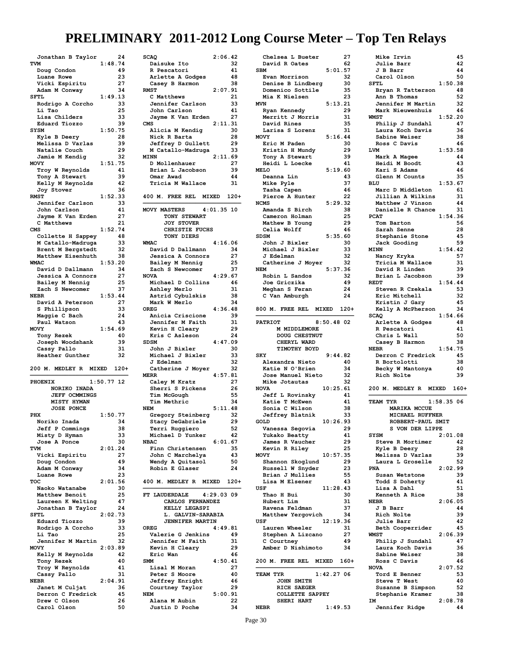| Jonathan B Taylor     |              | 24   |
|-----------------------|--------------|------|
| TVM                   | 1:48.74      |      |
| Doug Condon           |              | 49   |
| Luane Rowe            |              | 23   |
| Vicki Espiritu        |              | 27   |
| Adam M Conway         |              | 34   |
| SFTL                  | 1:49.13      |      |
|                       |              |      |
| Rodrigo A Corcho      |              | 33   |
| Li Tao                |              | 25   |
| Lisa Childers         |              | 33   |
| Eduard Tiozzo         |              | 39   |
| <b>SYSM</b>           | 1:50.75      |      |
| Kyle B Deery          |              | 28   |
|                       |              | 39   |
| Melissa D Varlas      |              |      |
| Natalie Couch         |              | 29   |
| Jamie M Kendig        |              | 32   |
| <b>MOVY</b>           | 1:51.75      |      |
| Troy W Reynolds       |              | 41   |
| Tony A Stewart        |              | 39   |
| Kelly M Reynolds      |              | 42   |
|                       |              |      |
| Joy Stover            |              | 36   |
| <b>RMST</b>           | 1:52.33      |      |
| Jennifer Carlson      |              | 33   |
| John Carlson          |              | 41   |
| Jayme K Van Erden     |              | 27   |
| C Matthews            |              | 21   |
| <b>CMS</b>            | 1:52.74      |      |
|                       |              |      |
| Collette H Sappey     |              | 48   |
| M Catallo-Madruga     |              | 33   |
| Brent M Bergstedt     |              | 32   |
| Matthew Eisenhuth     |              | 38   |
| WMAC                  | 1:53.20      |      |
| David D Dallmann      |              | 34   |
|                       |              |      |
| Jessica A Connors     |              | 27   |
| Bailey M Nennig       |              | 25   |
| Zach S Newcomer       |              | 37   |
| <b>NEBR</b>           | 1:53.44      |      |
| David A Peterson      |              | 27   |
| S Phillipson          |              | 33   |
|                       |              | 24   |
| Maggie C Bach         |              |      |
| Paul Watson           |              | 43   |
| <b>MOVY</b>           |              |      |
|                       | 1:54.69      |      |
| Tony Rezek            |              | 40   |
|                       |              | 39   |
| Joseph Woodshank      |              |      |
| Cassy Pallo           |              | 31   |
| Heather Gunther       |              | 32   |
|                       |              |      |
| 200 M. MEDLEY R       | MIXED        | 120+ |
|                       |              |      |
| <b>PHOENIX</b>        | $1:50.77$ 12 |      |
| NORIKO INADA          |              |      |
| <b>JEFF OCMMINGS</b>  |              |      |
| <b>MISTY HYMAN</b>    |              |      |
|                       |              |      |
| <b>JOSE PONCE</b>     |              |      |
| PHX                   | 1:50.77      |      |
| Noriko Inada          |              | 34   |
| Jeff<br>Commings<br>Р |              | 38   |
| Misty D Hyman         |              | 33   |
| Jose A Ponce          |              | 30   |
| TVM                   | 2:01.24      |      |
|                       |              | 27   |
| Vicki Espiritu        |              | 49   |
| Doug Condon           |              |      |
| Adam M Conway         |              | 34   |
| Luane Rowe            |              | 23   |
| TOC                   | 2:01.56      |      |
| Naoko Watanabe        |              | 30   |
| Matthew Benoit        |              | 25   |
| Laureen K Welting     |              | 47   |
|                       |              |      |
| Jonathan B Taylor     |              | 24   |
| <b>SFTL</b>           | 2:02.73      |      |
| Eduard Tiozzo         |              | 39   |
| Rodrigo A Corcho      |              | 33   |
| Li Tao                |              | 25   |
| Jennifer M Martin     |              | 32   |
| <b>MOVY</b>           | 2:03.89      |      |
|                       |              | 42   |
| Kelly M Reynolds      |              |      |
| Tony Rezek            |              | 40   |
| Troy W Reynolds       |              | 41   |
| Cassy Pallo           |              | 31   |
| <b>NEBR</b>           | 2:04.91      |      |
| Janet M Culjat        |              | 36   |
| Derron C Fredrick     |              | 45   |
| Drew C Olson          |              | 26   |

| <b>SCAQ</b>                           | 2:06.42       |
|---------------------------------------|---------------|
| Daisuke Ito                           | 32            |
| R Pescatori                           | 41            |
| Arlette A Godges                      | 48            |
| Casey B Harmon                        | 38            |
| <b>RMST</b>                           | 2:07.91       |
| C Matthews<br>Jennifer Carlson        | 21<br>33      |
| John Carlson                          | 41            |
| Jayme K Van Erden                     | 27            |
| CMS                                   | 2:11.31       |
| Alicia M Kendig                       | 30            |
| Nick R Barta                          | 28            |
| Jeffrey D Gullett                     | 29            |
| M Catallo-Madruga<br><b>MINN</b>      | 33<br>2:11.69 |
| D Mollenhauer                         | 27            |
| Brian L Jacobson                      | 39            |
| Omar Awad                             | 44            |
| Tricia M Wallace                      | 31            |
|                                       |               |
| 400 M. FREE REL MIXED 120+            |               |
| MOVY MASTERS                          | $4:01.35$ 10  |
| TONY STEWART                          |               |
| <b>JOY STOVER</b>                     |               |
| CHRISTIE FUCHS                        |               |
| TONY DIERS                            |               |
| <b>WMAC</b>                           | 4:16.06       |
| David D Dallmann<br>Jessica A Connors | 34<br>27      |
| Bailey M Nennig                       | 25            |
| Zach S Newcomer                       | 37            |
| <b>NOVA</b>                           | 4:29.67       |
| Michael D Collins                     | 46            |
| Ashley Merlo                          | 31            |
| Astrid Cybulskis                      | 38            |
| Mark W Merlo                          | 34            |
| <b>OREG</b>                           | 4:36.48       |
| Anicia Criscione<br>Jennifer M Faith  | 39<br>31      |
| Kevin H Cleary                        | 29            |
| Kris C Asleson                        | 24            |
|                                       |               |
| <b>SDSM</b>                           | 4:47.09       |
| John J Bixler                         | 30            |
| Michael J Bixler                      | 33            |
| J Edelman                             | 32            |
| Catherine J Moyer                     | 32            |
| <b>MERR</b>                           | 4:57.81       |
| Caley M Kratz                         | 27            |
| Sherri S Pickens<br>Tim McGough       | 26<br>55      |
| Tim Methric                           | 34            |
| <b>NEM</b>                            | 5:11.48       |
| Gregory Steinberg                     | 32            |
| Stacy DeGabriele                      | 29            |
| Terri Ruggiero                        | 52            |
| Michael D Yunker                      | 42            |
| <b>NBAC</b><br>Finn Christensen       | 6:01.67<br>35 |
| John C Marchelya                      | 43            |
| Wendy A Quitasol                      | 50            |
| Robin E Glaser                        | 24            |
|                                       |               |
| 400 M. MEDLEY R MIXED                 | $120+$        |
| FT LAUDERDALE                         | 4:29.03 09    |
| CARLOS FERNANDEZ                      |               |
| <b>KELLY LEGASPI</b>                  |               |
| L. GALVIN-SARABIA                     |               |
| <b>JENNIFER MARTIN</b><br><b>OREG</b> |               |
| Valerie G Jenkins                     | 4:49.81<br>49 |
| Jennifer M Faith                      | 31            |
| Kevin H Cleary                        | 29            |
| Eric Wan                              | 46            |
| <b>SMM</b>                            | 4:50.41       |
| Lisal M Moran                         | 27            |
| Peter S Moore                         | 40            |
| Jeffrey Enright<br>Courtney Taylor    | 46<br>29      |
| <b>NEM</b>                            | 5:00.91       |
| Alana M Aubin                         | 22<br>34      |

| Chelsea L Bueter                          | 27       |
|-------------------------------------------|----------|
| David R Oates<br>5:01.57<br><b>SBM</b>    | 62       |
| Evan Morrison                             | 32       |
| Denise B Lindberg                         | 30       |
| Domenico Sottile                          | 35       |
| Mia K Nielsen                             | 23       |
| 5:13.21<br><b>MVN</b><br>Ryan Kennedy     | 29       |
| Merritt J Morris                          | 31       |
| David Rines                               | 35       |
| Larisa S Lorenz                           | 31       |
| MOVY<br>5:16.44                           |          |
| Eric M Paden<br>Kristin H Mundy           | 30<br>29 |
| Tony A Stewart                            | 39       |
| Heidi L Loecke                            | 41       |
| <b>MELO</b><br>5:19.60                    |          |
| Deanna Lin                                | 43       |
| Mike Pyle<br>Tasha Capen                  | 37<br>46 |
| Pierce A Hunter                           | 22       |
| 5:29.32<br><b>NCMS</b>                    |          |
| Amanda S Birch                            | 38       |
| Cameron Holman                            | 25       |
| Mathew B Young<br>Celia Wolff             | 29<br>46 |
| <b>SDSM</b><br>5:35.60                    |          |
| John J Bixler                             | 30       |
| Michael J Bixler                          | 33       |
| <b>J</b> Edelman                          | 32       |
| Catherine J Moyer<br><b>NEM</b>           | 32       |
| 5:37.36<br>Robin L Sandos                 | 32       |
| Joe Griczika                              | 49       |
| Meghan S Feran                            | 24       |
| C Van Amburgh                             | 24       |
|                                           |          |
| 800 M. FREE REL<br>MIXED 120+             |          |
| <b>PATRIOT</b><br>$8:50.48$ 02            |          |
|                                           |          |
| M MIDDLEMORE                              |          |
| DOUG CHESTNUT                             |          |
| CHERYL WARD                               |          |
| TIMOTHY BOYD                              |          |
| 9:44.82<br><b>SKY</b><br>Alexandra Nieto  | 40       |
| Katie N O'Brien                           | 34       |
| Jose Manuel Nieto                         | 32       |
| Mike Jotautas                             | 32       |
| 10:25.61<br><b>NOVA</b>                   |          |
| Jeff L Rovinsky                           | 41<br>41 |
| Katie T McEwen<br>Sonia C Wilson          | 38       |
| Jeffrey Blatnik                           | 33       |
| 10:26.93<br>GOLD                          |          |
| Var<br>ssa Segovia                        | 29       |
| Yukako Beatty                             | 41       |
| James R Vaucher<br>Kevin R Riley          | 29<br>25 |
| 10:57.35<br><b>MOVY</b>                   |          |
| Shannon Skoglund                          | 29       |
| Russell W Snyder                          | 23       |
| Brian J Mullies                           | 55       |
| Lisa M Elsener<br>USF<br>11:28.43         | 43       |
| Thao H Bui                                | 30       |
| Hubert Lim                                | 31       |
| Ravena Feldman                            | 37       |
| Matthew Yergovich                         | 34       |
| 12:19.36<br>USF<br>Lauren Wheeler         | 31       |
| Stephen A Lizcano                         | 27       |
| C Courtney                                | 49       |
| Amber D Nishimoto                         | 34       |
| 200 M.<br><b>FREE REL</b><br><b>MIXED</b> | $160+$   |
|                                           |          |
| 1:42.27.06<br><b>TEAM TYR</b>             |          |
| JOHN SMITH                                |          |
| RICH SAEGER                               |          |
| COLLETTE SAPPEY<br>SHERI HART<br>1:49.53  |          |

| <b>Mike Irvin</b><br>Julie Barr<br>J B Barr<br>Carol Olson<br><b>SFTL</b><br>1:50.38<br>Bryan R Tatterson<br>Ann B Thomas<br>Jennifer M Martin<br>Mark Nieuwenhuis<br>1:52.20<br><b>WMST</b><br>Philip J Sundahl<br>Laura Koch Davis<br>Sabine Weiser<br>Ross C Davis<br>1:53.58<br>LVM<br>Mark A Magee<br>Heidi M Boodt<br>Kari S Adams<br>Glenn M Counts<br>1:53.67<br>BLU<br>Marc D Middleton<br>Jillian A Wilkins<br>Matthew J Vinson<br>Danielle R Chance<br><b>PCAT</b><br>1:54.36<br>Tom Barton<br>Sarah Senne<br>Stephanie Stone<br>Jack Gooding<br>1:54.42<br><b>MINN</b><br>Nancy Kryka<br>Tricia M Wallace<br>David R Linden<br>Brian L Jacobson<br>1:54.44<br><b>REDT</b><br>Steven R Czekala<br>Eric Mitchell<br>Kristin J Gary<br>Kelly A McPherson<br><b>SCAQ</b><br>1:54.66<br>Arlette A Godges<br>R Pescatori<br>Chris L Wall<br>Casey B Harmon<br>1:54.75<br><b>NEBR</b><br>Derron C Fredrick<br>R Bortolotti<br>Becky W Mantonya<br>Rich Nolte<br>200 M. MEDLEY R<br>MIXED<br>160+<br>1:58.35.06<br>TEAM TYR<br><b>MARIKA MCCUE</b><br>MICHAEL RUFFNER<br>ROBBERT-PAUL SMIT<br>S VON DER LIPPE<br>SYSM<br>2:01.08<br>Steve R Mortimer | 45<br>42<br>44<br>50<br>48<br>52<br>32<br>46<br>47<br>36<br>38<br>46<br>44<br>43<br>46<br>35<br>61<br>31<br>44<br>31<br>56<br>28<br>45<br>59<br>57<br>31<br>39<br>39<br>53<br>32<br>45<br>34<br>48<br>41<br>50<br>38<br>45<br>38<br>40<br>39 |
|----------------------------------------------------------------------------------------------------------------------------------------------------------------------------------------------------------------------------------------------------------------------------------------------------------------------------------------------------------------------------------------------------------------------------------------------------------------------------------------------------------------------------------------------------------------------------------------------------------------------------------------------------------------------------------------------------------------------------------------------------------------------------------------------------------------------------------------------------------------------------------------------------------------------------------------------------------------------------------------------------------------------------------------------------------------------------------------------------------------------------------------------------------|----------------------------------------------------------------------------------------------------------------------------------------------------------------------------------------------------------------------------------------------|
|                                                                                                                                                                                                                                                                                                                                                                                                                                                                                                                                                                                                                                                                                                                                                                                                                                                                                                                                                                                                                                                                                                                                                          |                                                                                                                                                                                                                                              |
|                                                                                                                                                                                                                                                                                                                                                                                                                                                                                                                                                                                                                                                                                                                                                                                                                                                                                                                                                                                                                                                                                                                                                          |                                                                                                                                                                                                                                              |
|                                                                                                                                                                                                                                                                                                                                                                                                                                                                                                                                                                                                                                                                                                                                                                                                                                                                                                                                                                                                                                                                                                                                                          |                                                                                                                                                                                                                                              |
|                                                                                                                                                                                                                                                                                                                                                                                                                                                                                                                                                                                                                                                                                                                                                                                                                                                                                                                                                                                                                                                                                                                                                          |                                                                                                                                                                                                                                              |
|                                                                                                                                                                                                                                                                                                                                                                                                                                                                                                                                                                                                                                                                                                                                                                                                                                                                                                                                                                                                                                                                                                                                                          |                                                                                                                                                                                                                                              |
|                                                                                                                                                                                                                                                                                                                                                                                                                                                                                                                                                                                                                                                                                                                                                                                                                                                                                                                                                                                                                                                                                                                                                          |                                                                                                                                                                                                                                              |
|                                                                                                                                                                                                                                                                                                                                                                                                                                                                                                                                                                                                                                                                                                                                                                                                                                                                                                                                                                                                                                                                                                                                                          |                                                                                                                                                                                                                                              |
|                                                                                                                                                                                                                                                                                                                                                                                                                                                                                                                                                                                                                                                                                                                                                                                                                                                                                                                                                                                                                                                                                                                                                          |                                                                                                                                                                                                                                              |
|                                                                                                                                                                                                                                                                                                                                                                                                                                                                                                                                                                                                                                                                                                                                                                                                                                                                                                                                                                                                                                                                                                                                                          |                                                                                                                                                                                                                                              |
|                                                                                                                                                                                                                                                                                                                                                                                                                                                                                                                                                                                                                                                                                                                                                                                                                                                                                                                                                                                                                                                                                                                                                          |                                                                                                                                                                                                                                              |
|                                                                                                                                                                                                                                                                                                                                                                                                                                                                                                                                                                                                                                                                                                                                                                                                                                                                                                                                                                                                                                                                                                                                                          |                                                                                                                                                                                                                                              |
|                                                                                                                                                                                                                                                                                                                                                                                                                                                                                                                                                                                                                                                                                                                                                                                                                                                                                                                                                                                                                                                                                                                                                          |                                                                                                                                                                                                                                              |
|                                                                                                                                                                                                                                                                                                                                                                                                                                                                                                                                                                                                                                                                                                                                                                                                                                                                                                                                                                                                                                                                                                                                                          |                                                                                                                                                                                                                                              |
|                                                                                                                                                                                                                                                                                                                                                                                                                                                                                                                                                                                                                                                                                                                                                                                                                                                                                                                                                                                                                                                                                                                                                          |                                                                                                                                                                                                                                              |
|                                                                                                                                                                                                                                                                                                                                                                                                                                                                                                                                                                                                                                                                                                                                                                                                                                                                                                                                                                                                                                                                                                                                                          |                                                                                                                                                                                                                                              |
|                                                                                                                                                                                                                                                                                                                                                                                                                                                                                                                                                                                                                                                                                                                                                                                                                                                                                                                                                                                                                                                                                                                                                          |                                                                                                                                                                                                                                              |
|                                                                                                                                                                                                                                                                                                                                                                                                                                                                                                                                                                                                                                                                                                                                                                                                                                                                                                                                                                                                                                                                                                                                                          |                                                                                                                                                                                                                                              |
|                                                                                                                                                                                                                                                                                                                                                                                                                                                                                                                                                                                                                                                                                                                                                                                                                                                                                                                                                                                                                                                                                                                                                          |                                                                                                                                                                                                                                              |
|                                                                                                                                                                                                                                                                                                                                                                                                                                                                                                                                                                                                                                                                                                                                                                                                                                                                                                                                                                                                                                                                                                                                                          |                                                                                                                                                                                                                                              |
|                                                                                                                                                                                                                                                                                                                                                                                                                                                                                                                                                                                                                                                                                                                                                                                                                                                                                                                                                                                                                                                                                                                                                          |                                                                                                                                                                                                                                              |
|                                                                                                                                                                                                                                                                                                                                                                                                                                                                                                                                                                                                                                                                                                                                                                                                                                                                                                                                                                                                                                                                                                                                                          |                                                                                                                                                                                                                                              |
|                                                                                                                                                                                                                                                                                                                                                                                                                                                                                                                                                                                                                                                                                                                                                                                                                                                                                                                                                                                                                                                                                                                                                          |                                                                                                                                                                                                                                              |
|                                                                                                                                                                                                                                                                                                                                                                                                                                                                                                                                                                                                                                                                                                                                                                                                                                                                                                                                                                                                                                                                                                                                                          |                                                                                                                                                                                                                                              |
|                                                                                                                                                                                                                                                                                                                                                                                                                                                                                                                                                                                                                                                                                                                                                                                                                                                                                                                                                                                                                                                                                                                                                          |                                                                                                                                                                                                                                              |
|                                                                                                                                                                                                                                                                                                                                                                                                                                                                                                                                                                                                                                                                                                                                                                                                                                                                                                                                                                                                                                                                                                                                                          |                                                                                                                                                                                                                                              |
|                                                                                                                                                                                                                                                                                                                                                                                                                                                                                                                                                                                                                                                                                                                                                                                                                                                                                                                                                                                                                                                                                                                                                          |                                                                                                                                                                                                                                              |
|                                                                                                                                                                                                                                                                                                                                                                                                                                                                                                                                                                                                                                                                                                                                                                                                                                                                                                                                                                                                                                                                                                                                                          |                                                                                                                                                                                                                                              |
|                                                                                                                                                                                                                                                                                                                                                                                                                                                                                                                                                                                                                                                                                                                                                                                                                                                                                                                                                                                                                                                                                                                                                          |                                                                                                                                                                                                                                              |
|                                                                                                                                                                                                                                                                                                                                                                                                                                                                                                                                                                                                                                                                                                                                                                                                                                                                                                                                                                                                                                                                                                                                                          |                                                                                                                                                                                                                                              |
|                                                                                                                                                                                                                                                                                                                                                                                                                                                                                                                                                                                                                                                                                                                                                                                                                                                                                                                                                                                                                                                                                                                                                          |                                                                                                                                                                                                                                              |
|                                                                                                                                                                                                                                                                                                                                                                                                                                                                                                                                                                                                                                                                                                                                                                                                                                                                                                                                                                                                                                                                                                                                                          |                                                                                                                                                                                                                                              |
|                                                                                                                                                                                                                                                                                                                                                                                                                                                                                                                                                                                                                                                                                                                                                                                                                                                                                                                                                                                                                                                                                                                                                          |                                                                                                                                                                                                                                              |
|                                                                                                                                                                                                                                                                                                                                                                                                                                                                                                                                                                                                                                                                                                                                                                                                                                                                                                                                                                                                                                                                                                                                                          |                                                                                                                                                                                                                                              |
|                                                                                                                                                                                                                                                                                                                                                                                                                                                                                                                                                                                                                                                                                                                                                                                                                                                                                                                                                                                                                                                                                                                                                          |                                                                                                                                                                                                                                              |
|                                                                                                                                                                                                                                                                                                                                                                                                                                                                                                                                                                                                                                                                                                                                                                                                                                                                                                                                                                                                                                                                                                                                                          |                                                                                                                                                                                                                                              |
|                                                                                                                                                                                                                                                                                                                                                                                                                                                                                                                                                                                                                                                                                                                                                                                                                                                                                                                                                                                                                                                                                                                                                          |                                                                                                                                                                                                                                              |
|                                                                                                                                                                                                                                                                                                                                                                                                                                                                                                                                                                                                                                                                                                                                                                                                                                                                                                                                                                                                                                                                                                                                                          |                                                                                                                                                                                                                                              |
|                                                                                                                                                                                                                                                                                                                                                                                                                                                                                                                                                                                                                                                                                                                                                                                                                                                                                                                                                                                                                                                                                                                                                          |                                                                                                                                                                                                                                              |
|                                                                                                                                                                                                                                                                                                                                                                                                                                                                                                                                                                                                                                                                                                                                                                                                                                                                                                                                                                                                                                                                                                                                                          |                                                                                                                                                                                                                                              |
|                                                                                                                                                                                                                                                                                                                                                                                                                                                                                                                                                                                                                                                                                                                                                                                                                                                                                                                                                                                                                                                                                                                                                          |                                                                                                                                                                                                                                              |
|                                                                                                                                                                                                                                                                                                                                                                                                                                                                                                                                                                                                                                                                                                                                                                                                                                                                                                                                                                                                                                                                                                                                                          |                                                                                                                                                                                                                                              |
|                                                                                                                                                                                                                                                                                                                                                                                                                                                                                                                                                                                                                                                                                                                                                                                                                                                                                                                                                                                                                                                                                                                                                          |                                                                                                                                                                                                                                              |
|                                                                                                                                                                                                                                                                                                                                                                                                                                                                                                                                                                                                                                                                                                                                                                                                                                                                                                                                                                                                                                                                                                                                                          |                                                                                                                                                                                                                                              |
|                                                                                                                                                                                                                                                                                                                                                                                                                                                                                                                                                                                                                                                                                                                                                                                                                                                                                                                                                                                                                                                                                                                                                          |                                                                                                                                                                                                                                              |
|                                                                                                                                                                                                                                                                                                                                                                                                                                                                                                                                                                                                                                                                                                                                                                                                                                                                                                                                                                                                                                                                                                                                                          |                                                                                                                                                                                                                                              |
|                                                                                                                                                                                                                                                                                                                                                                                                                                                                                                                                                                                                                                                                                                                                                                                                                                                                                                                                                                                                                                                                                                                                                          |                                                                                                                                                                                                                                              |
|                                                                                                                                                                                                                                                                                                                                                                                                                                                                                                                                                                                                                                                                                                                                                                                                                                                                                                                                                                                                                                                                                                                                                          |                                                                                                                                                                                                                                              |
|                                                                                                                                                                                                                                                                                                                                                                                                                                                                                                                                                                                                                                                                                                                                                                                                                                                                                                                                                                                                                                                                                                                                                          |                                                                                                                                                                                                                                              |
|                                                                                                                                                                                                                                                                                                                                                                                                                                                                                                                                                                                                                                                                                                                                                                                                                                                                                                                                                                                                                                                                                                                                                          |                                                                                                                                                                                                                                              |
|                                                                                                                                                                                                                                                                                                                                                                                                                                                                                                                                                                                                                                                                                                                                                                                                                                                                                                                                                                                                                                                                                                                                                          |                                                                                                                                                                                                                                              |
|                                                                                                                                                                                                                                                                                                                                                                                                                                                                                                                                                                                                                                                                                                                                                                                                                                                                                                                                                                                                                                                                                                                                                          |                                                                                                                                                                                                                                              |
|                                                                                                                                                                                                                                                                                                                                                                                                                                                                                                                                                                                                                                                                                                                                                                                                                                                                                                                                                                                                                                                                                                                                                          |                                                                                                                                                                                                                                              |
|                                                                                                                                                                                                                                                                                                                                                                                                                                                                                                                                                                                                                                                                                                                                                                                                                                                                                                                                                                                                                                                                                                                                                          |                                                                                                                                                                                                                                              |
|                                                                                                                                                                                                                                                                                                                                                                                                                                                                                                                                                                                                                                                                                                                                                                                                                                                                                                                                                                                                                                                                                                                                                          |                                                                                                                                                                                                                                              |
|                                                                                                                                                                                                                                                                                                                                                                                                                                                                                                                                                                                                                                                                                                                                                                                                                                                                                                                                                                                                                                                                                                                                                          |                                                                                                                                                                                                                                              |
|                                                                                                                                                                                                                                                                                                                                                                                                                                                                                                                                                                                                                                                                                                                                                                                                                                                                                                                                                                                                                                                                                                                                                          |                                                                                                                                                                                                                                              |
|                                                                                                                                                                                                                                                                                                                                                                                                                                                                                                                                                                                                                                                                                                                                                                                                                                                                                                                                                                                                                                                                                                                                                          |                                                                                                                                                                                                                                              |
|                                                                                                                                                                                                                                                                                                                                                                                                                                                                                                                                                                                                                                                                                                                                                                                                                                                                                                                                                                                                                                                                                                                                                          |                                                                                                                                                                                                                                              |
|                                                                                                                                                                                                                                                                                                                                                                                                                                                                                                                                                                                                                                                                                                                                                                                                                                                                                                                                                                                                                                                                                                                                                          |                                                                                                                                                                                                                                              |
|                                                                                                                                                                                                                                                                                                                                                                                                                                                                                                                                                                                                                                                                                                                                                                                                                                                                                                                                                                                                                                                                                                                                                          |                                                                                                                                                                                                                                              |
|                                                                                                                                                                                                                                                                                                                                                                                                                                                                                                                                                                                                                                                                                                                                                                                                                                                                                                                                                                                                                                                                                                                                                          |                                                                                                                                                                                                                                              |
|                                                                                                                                                                                                                                                                                                                                                                                                                                                                                                                                                                                                                                                                                                                                                                                                                                                                                                                                                                                                                                                                                                                                                          |                                                                                                                                                                                                                                              |
|                                                                                                                                                                                                                                                                                                                                                                                                                                                                                                                                                                                                                                                                                                                                                                                                                                                                                                                                                                                                                                                                                                                                                          |                                                                                                                                                                                                                                              |
|                                                                                                                                                                                                                                                                                                                                                                                                                                                                                                                                                                                                                                                                                                                                                                                                                                                                                                                                                                                                                                                                                                                                                          |                                                                                                                                                                                                                                              |
|                                                                                                                                                                                                                                                                                                                                                                                                                                                                                                                                                                                                                                                                                                                                                                                                                                                                                                                                                                                                                                                                                                                                                          |                                                                                                                                                                                                                                              |
|                                                                                                                                                                                                                                                                                                                                                                                                                                                                                                                                                                                                                                                                                                                                                                                                                                                                                                                                                                                                                                                                                                                                                          |                                                                                                                                                                                                                                              |
|                                                                                                                                                                                                                                                                                                                                                                                                                                                                                                                                                                                                                                                                                                                                                                                                                                                                                                                                                                                                                                                                                                                                                          |                                                                                                                                                                                                                                              |
|                                                                                                                                                                                                                                                                                                                                                                                                                                                                                                                                                                                                                                                                                                                                                                                                                                                                                                                                                                                                                                                                                                                                                          |                                                                                                                                                                                                                                              |
|                                                                                                                                                                                                                                                                                                                                                                                                                                                                                                                                                                                                                                                                                                                                                                                                                                                                                                                                                                                                                                                                                                                                                          |                                                                                                                                                                                                                                              |
|                                                                                                                                                                                                                                                                                                                                                                                                                                                                                                                                                                                                                                                                                                                                                                                                                                                                                                                                                                                                                                                                                                                                                          |                                                                                                                                                                                                                                              |
|                                                                                                                                                                                                                                                                                                                                                                                                                                                                                                                                                                                                                                                                                                                                                                                                                                                                                                                                                                                                                                                                                                                                                          |                                                                                                                                                                                                                                              |
|                                                                                                                                                                                                                                                                                                                                                                                                                                                                                                                                                                                                                                                                                                                                                                                                                                                                                                                                                                                                                                                                                                                                                          |                                                                                                                                                                                                                                              |
|                                                                                                                                                                                                                                                                                                                                                                                                                                                                                                                                                                                                                                                                                                                                                                                                                                                                                                                                                                                                                                                                                                                                                          |                                                                                                                                                                                                                                              |
|                                                                                                                                                                                                                                                                                                                                                                                                                                                                                                                                                                                                                                                                                                                                                                                                                                                                                                                                                                                                                                                                                                                                                          |                                                                                                                                                                                                                                              |
|                                                                                                                                                                                                                                                                                                                                                                                                                                                                                                                                                                                                                                                                                                                                                                                                                                                                                                                                                                                                                                                                                                                                                          |                                                                                                                                                                                                                                              |
| Kyle B Deery                                                                                                                                                                                                                                                                                                                                                                                                                                                                                                                                                                                                                                                                                                                                                                                                                                                                                                                                                                                                                                                                                                                                             | 42                                                                                                                                                                                                                                           |
| Melissa D Varlas                                                                                                                                                                                                                                                                                                                                                                                                                                                                                                                                                                                                                                                                                                                                                                                                                                                                                                                                                                                                                                                                                                                                         | 28                                                                                                                                                                                                                                           |
| Laura L Groselle                                                                                                                                                                                                                                                                                                                                                                                                                                                                                                                                                                                                                                                                                                                                                                                                                                                                                                                                                                                                                                                                                                                                         | 39                                                                                                                                                                                                                                           |
| PNA                                                                                                                                                                                                                                                                                                                                                                                                                                                                                                                                                                                                                                                                                                                                                                                                                                                                                                                                                                                                                                                                                                                                                      |                                                                                                                                                                                                                                              |
|                                                                                                                                                                                                                                                                                                                                                                                                                                                                                                                                                                                                                                                                                                                                                                                                                                                                                                                                                                                                                                                                                                                                                          | 52                                                                                                                                                                                                                                           |
| Susan Wetstone                                                                                                                                                                                                                                                                                                                                                                                                                                                                                                                                                                                                                                                                                                                                                                                                                                                                                                                                                                                                                                                                                                                                           | 2:02.99                                                                                                                                                                                                                                      |
| Todd S Doherty                                                                                                                                                                                                                                                                                                                                                                                                                                                                                                                                                                                                                                                                                                                                                                                                                                                                                                                                                                                                                                                                                                                                           | 39                                                                                                                                                                                                                                           |
| Lisa A Dahl                                                                                                                                                                                                                                                                                                                                                                                                                                                                                                                                                                                                                                                                                                                                                                                                                                                                                                                                                                                                                                                                                                                                              | 41                                                                                                                                                                                                                                           |
|                                                                                                                                                                                                                                                                                                                                                                                                                                                                                                                                                                                                                                                                                                                                                                                                                                                                                                                                                                                                                                                                                                                                                          |                                                                                                                                                                                                                                              |
| Kenneth A Rice                                                                                                                                                                                                                                                                                                                                                                                                                                                                                                                                                                                                                                                                                                                                                                                                                                                                                                                                                                                                                                                                                                                                           | 51                                                                                                                                                                                                                                           |
| <b>NEBR</b>                                                                                                                                                                                                                                                                                                                                                                                                                                                                                                                                                                                                                                                                                                                                                                                                                                                                                                                                                                                                                                                                                                                                              | 38                                                                                                                                                                                                                                           |
| J B Barr                                                                                                                                                                                                                                                                                                                                                                                                                                                                                                                                                                                                                                                                                                                                                                                                                                                                                                                                                                                                                                                                                                                                                 | 2:06.05                                                                                                                                                                                                                                      |
| Rich Nolte                                                                                                                                                                                                                                                                                                                                                                                                                                                                                                                                                                                                                                                                                                                                                                                                                                                                                                                                                                                                                                                                                                                                               | 44                                                                                                                                                                                                                                           |
|                                                                                                                                                                                                                                                                                                                                                                                                                                                                                                                                                                                                                                                                                                                                                                                                                                                                                                                                                                                                                                                                                                                                                          |                                                                                                                                                                                                                                              |
| <b>Julie Barr</b>                                                                                                                                                                                                                                                                                                                                                                                                                                                                                                                                                                                                                                                                                                                                                                                                                                                                                                                                                                                                                                                                                                                                        | 39                                                                                                                                                                                                                                           |
|                                                                                                                                                                                                                                                                                                                                                                                                                                                                                                                                                                                                                                                                                                                                                                                                                                                                                                                                                                                                                                                                                                                                                          | 42                                                                                                                                                                                                                                           |
| Beth Cooperrider                                                                                                                                                                                                                                                                                                                                                                                                                                                                                                                                                                                                                                                                                                                                                                                                                                                                                                                                                                                                                                                                                                                                         | 45                                                                                                                                                                                                                                           |
| <b>WMST</b><br>2:06.39                                                                                                                                                                                                                                                                                                                                                                                                                                                                                                                                                                                                                                                                                                                                                                                                                                                                                                                                                                                                                                                                                                                                   |                                                                                                                                                                                                                                              |
|                                                                                                                                                                                                                                                                                                                                                                                                                                                                                                                                                                                                                                                                                                                                                                                                                                                                                                                                                                                                                                                                                                                                                          |                                                                                                                                                                                                                                              |
| Philip J Sundahl                                                                                                                                                                                                                                                                                                                                                                                                                                                                                                                                                                                                                                                                                                                                                                                                                                                                                                                                                                                                                                                                                                                                         | 47                                                                                                                                                                                                                                           |
| Laura Koch Davis                                                                                                                                                                                                                                                                                                                                                                                                                                                                                                                                                                                                                                                                                                                                                                                                                                                                                                                                                                                                                                                                                                                                         | 36                                                                                                                                                                                                                                           |
| Sabine Weiser                                                                                                                                                                                                                                                                                                                                                                                                                                                                                                                                                                                                                                                                                                                                                                                                                                                                                                                                                                                                                                                                                                                                            | 38                                                                                                                                                                                                                                           |
|                                                                                                                                                                                                                                                                                                                                                                                                                                                                                                                                                                                                                                                                                                                                                                                                                                                                                                                                                                                                                                                                                                                                                          |                                                                                                                                                                                                                                              |
| Ross C Davis                                                                                                                                                                                                                                                                                                                                                                                                                                                                                                                                                                                                                                                                                                                                                                                                                                                                                                                                                                                                                                                                                                                                             | 46                                                                                                                                                                                                                                           |
| 2:07.52<br><b>NOVA</b>                                                                                                                                                                                                                                                                                                                                                                                                                                                                                                                                                                                                                                                                                                                                                                                                                                                                                                                                                                                                                                                                                                                                   |                                                                                                                                                                                                                                              |
| Tord E Benner                                                                                                                                                                                                                                                                                                                                                                                                                                                                                                                                                                                                                                                                                                                                                                                                                                                                                                                                                                                                                                                                                                                                            | 53                                                                                                                                                                                                                                           |
| Steve T West                                                                                                                                                                                                                                                                                                                                                                                                                                                                                                                                                                                                                                                                                                                                                                                                                                                                                                                                                                                                                                                                                                                                             | 40                                                                                                                                                                                                                                           |
|                                                                                                                                                                                                                                                                                                                                                                                                                                                                                                                                                                                                                                                                                                                                                                                                                                                                                                                                                                                                                                                                                                                                                          |                                                                                                                                                                                                                                              |
| Susanne B Simpson                                                                                                                                                                                                                                                                                                                                                                                                                                                                                                                                                                                                                                                                                                                                                                                                                                                                                                                                                                                                                                                                                                                                        | 52                                                                                                                                                                                                                                           |
| Stephanie Kramer                                                                                                                                                                                                                                                                                                                                                                                                                                                                                                                                                                                                                                                                                                                                                                                                                                                                                                                                                                                                                                                                                                                                         | 38                                                                                                                                                                                                                                           |
| 2:08.78<br>IM<br>Jennifer Ridge                                                                                                                                                                                                                                                                                                                                                                                                                                                                                                                                                                                                                                                                                                                                                                                                                                                                                                                                                                                                                                                                                                                          | 44                                                                                                                                                                                                                                           |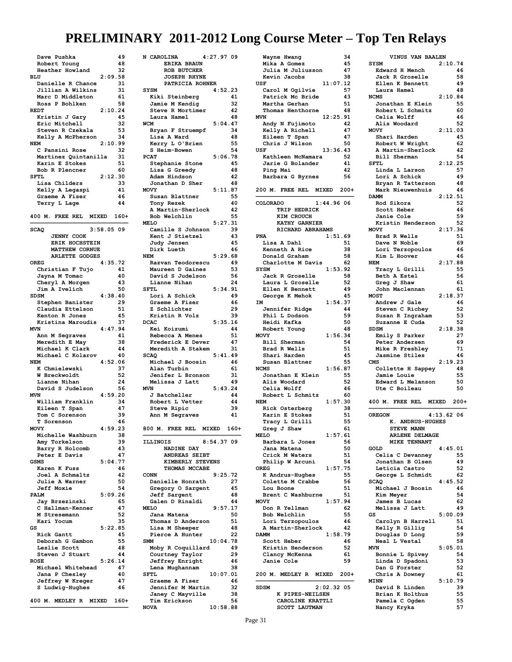| Dave Pushka                                    | 49       |
|------------------------------------------------|----------|
| Robert Young                                   | 48       |
| Heather Howland                                | 32       |
| 2:09.58<br>BLU                                 |          |
| Danielle R Chance                              | 31       |
| Jillian A Wilkins                              | 31<br>61 |
| Marc D Middleton<br>Ross P Bohlken             | 58       |
| <b>REDT</b><br>2:10.24                         |          |
| Kristin J Gary                                 | 45       |
| Eric Mitchell                                  | 32       |
| Steven R Czekala                               | 53       |
| Kelly A McPherson                              | 34       |
| 2:10.99<br><b>NEM</b>                          |          |
| C Pansini Rose                                 | 32       |
| Martinez Quintanilla                           | 31       |
| Karin E Stokes                                 | 51       |
| Bob R Plencner<br><b>SFTL</b><br>2:12.30       | 60       |
| Lisa Childers                                  | 33       |
| Kelly A Legaspi                                | 41       |
| Graeme A Fiser                                 | 46       |
| Terry L Lage                                   | 44       |
|                                                |          |
| 400 M. FREE REL<br>MIXED                       | $160+$   |
|                                                |          |
| 3:58.0509<br><b>SCAQ</b>                       |          |
| <b>JENNY COOK</b>                              |          |
| ERIK HOCHSTEIN                                 |          |
| <b>MATTHEW CORNUE</b><br><b>ARLETTE GODGES</b> |          |
| 4:35.72<br><b>OREG</b>                         |          |
| Christian F Tujo                               | 41       |
| Jayna M Tomac                                  | 40       |
| Cheryl A Morgen                                | 43       |
| Jim A Ivelich                                  | 50       |
| <b>SDSM</b><br>4:38.40                         |          |
| Stephen Banister                               | 29       |
| Claudia Ettelson                               | 51       |
| Kenton R Jones                                 | 45       |
| Kristina Maroudis                              | 37       |
| 4:47.94<br><b>MVN</b><br>Ann M Segraves        | 41       |
| Meredith E May                                 | 38       |
| Michael K Clark                                | 44       |
| Michael C Kolarov                              | 40       |
| 4:52.06<br><b>NEM</b>                          |          |
| K Chmielewski                                  | 37       |
| W Breckwoldt                                   | 52       |
| Lianne Nihan                                   | 24       |
| David S Judelson                               | 56       |
| 4:59.20<br><b>MVN</b>                          |          |
| William Franklin<br>Eileen T Span              | 34<br>47 |
| Tom C Sorenson                                 | 39       |
| T Sorenson                                     | 46       |
| 4:59.23<br><b>MOVY</b>                         |          |
| Michelle Washburn                              | 38       |
| Amy Torkelson                                  | 39       |
| Barry R Holcomb                                | 43       |
| Peter E Davis                                  |          |
|                                                | 47       |
| 5:04.77<br><b>GSMS</b>                         |          |
| Karen K Fuss                                   | 46       |
| Joel A Schmaltz                                | 42       |
| <b>Julie A Warner</b>                          | 50       |
| <b>Jeff Moxie</b>                              | 54       |
| PALM<br>5:09.26                                | 65       |
| Jay Brzezinski                                 | 47       |
| C Hallman-Kenner<br>M Stresemann               | 52       |
| Kari Yocum                                     | 35       |
| GS<br>5:22.85                                  |          |
| Rick Gantt                                     | 45       |
| Deborah G Gambon                               | 55       |
| Leslie Scott                                   | 48       |
| Steven J Stuart                                | 44       |
| 5:26.14<br><b>ROSE</b><br>Michael Whitehead    | 47       |
| Jana P Chesley                                 | 40       |
| Jeffrey W Kreger                               | 47       |
| S Ludwig-Hughes                                | 46       |
|                                                |          |
| 400 M. MEDLEY R MIXED                          | $160+$   |

| N CAROLINA<br>4:27.97 09        |          |          |
|---------------------------------|----------|----------|
| <b>ERIKA BRAUN</b>              |          |          |
| ROB BUTCHER                     |          |          |
| <b>JOSEPH RHYNE</b>             |          |          |
| PATRICIA ROHNER                 |          |          |
| SYSM                            | 4:52.23  |          |
| Kiki Steinberg                  |          | 41       |
| Jamie M Kendig                  |          | 32       |
| Steve R Mortimer                |          | 42       |
| Laura Hamel                     |          | 48       |
| <b>WCM</b>                      | 5:04.47  |          |
| Bryan F Struempf<br>Lisa A Ward |          | 34<br>48 |
|                                 |          |          |
| Kerry L O'Brien                 |          | 55       |
| S Heim-Bowen                    |          | 54       |
| <b>PCAT</b>                     | 5:06.78  |          |
| Stephanie Stone                 |          | 45       |
| Lisa G Greedy                   |          | 48       |
| Adam Hindson                    |          | 42       |
| Jonathan D Sher                 |          | 48       |
| <b>MOVY</b>                     | 5:11.87  |          |
| Susan Blattner                  |          | 55       |
| Tony Rezek                      |          | 40       |
| A Martin-Sherlock               |          | 42       |
| Bob Welchlin                    |          | 55       |
| <b>MELO</b>                     | 5:27.31  |          |
| Camille S Johnson               |          | 39       |
| Kent J Stietzel                 |          | 43       |
| Judy Jensen                     |          | 45       |
| Dirk Lueth                      |          | 46       |
| <b>NEM</b>                      | 5:29.68  |          |
| Razvan Teodorescu               |          | 49       |
| Maureen D Gaines                |          | 53       |
| David S Judelson                |          | 56       |
| Lianne Nihan                    |          | 24       |
| <b>SFTL</b>                     | 5:34.91  |          |
| Lori A Schick                   |          | 49       |
| Graeme A Fiser                  |          | 46       |
| Z Schlichter                    |          | 29       |
| Kristin R Volz                  |          | 39       |
| <b>DCAC</b>                     | 5:35.16  |          |
| Kei Koizumi                     |          | 44       |
| Rebecca A Menes                 |          | 51       |
| Frederick E Dever               |          | 47       |
| Meredith A Stakem               |          | 31       |
| <b>SCAQ</b>                     | 5:41.49  |          |
| Michael J Boosin                |          | 46       |
| Alan Turbin                     |          | 61       |
| Jenifer L Bronson               |          | 31       |
| Melissa J Latt                  |          | 49       |
| MVN                             | 5:43.24  |          |
| J Batcheller                    |          | 44       |
| Robert L Vetter                 |          | 44       |
| Steve Ripic                     |          | 39       |
| Ann M Segraves                  |          | 41       |
|                                 |          |          |
| 800 M. FREE REL MIXED 160+      |          |          |
|                                 |          |          |
| 8:54.37.09<br><b>ILLINOIS</b>   |          |          |
| NADINE DAY                      |          |          |
| ANDREAS SEIBT                   |          |          |
| KIMBERLY STEVENS                |          |          |
| THOMAS MCCABE                   |          |          |
| <b>CONN</b>                     | 9:25.72  |          |
| Danielle Honrath                |          | 27       |
| Gregory O Sargent               |          | 45       |
| <b>Jeff Sargent</b>             |          | 48       |
| Galen D Rinaldi                 |          | 44       |
| <b>MELO</b>                     | 9:57.17  |          |
| Jana Matena                     |          | 50       |
| Thomas D Anderson               |          | 51       |
| Lisa M Sheeper                  |          | 48       |
| Pierce A Hunter                 |          | 22       |
| SMM                             | 10:04.78 |          |
| Moby R Coquillard               |          | 49       |
| Courtney Taylor                 |          | 29       |
| <b>Jeffrey Enright</b>          |          | 46       |
|                                 |          | 38       |
| Lena Mughannam<br><b>SFTL</b>   |          |          |
|                                 | 10:07.01 | 46       |
| Graeme A Fiser                  |          |          |
|                                 |          |          |
| Jennifer M Martin               |          | 32       |
| Janey C Mayville                |          | 38       |
| Tim Erickson<br><b>NOVA</b>     | 10:58.88 | 56       |

| Wayne Hwang                         | 34       |
|-------------------------------------|----------|
| Mika A Gomez                        | 45       |
| Julia M Juliusson                   | 47       |
| Kevin Jacobs                        | 38       |
| USF<br>11:07.12                     |          |
| Carol M Ogilvie                     | 57       |
| Patrick Mc Bride                    | 43       |
| Martha Gerhan<br>Thomas Henthorne   | 51<br>48 |
| 12:25.91<br><b>MVN</b>              |          |
| Andy N Fujimoto                     | 42       |
| Kelly A Richell                     | 47       |
| Eileen T Span                       | 47       |
| Chris J Wilson                      | 50       |
| USF<br>13:36.43                     |          |
| Kathleen McNamara                   | 52       |
| Jarie G Bolander                    | 41       |
| Ping Mai                            | 42       |
| Barbara G Byrnes                    | 56       |
| 200 M. FREE REL<br><b>MIXED</b>     | $200+$   |
|                                     |          |
| 1:44.9606<br>COLORADO               |          |
| TRIP HEDRICK                        |          |
| KIM CROUCH                          |          |
| KATHY GARNIER                       |          |
| RICHARD ABRAHAMS                    |          |
| 1:51.69<br><b>PNA</b>               |          |
| Lisa A Dahl                         | 51       |
| Kenneth A Rice                      | 38       |
| Donald Graham                       | 58       |
| Charlotte M Davis                   | 62       |
| SYSM<br>1:53.92                     | 58       |
| Jack R Groselle<br>Laura L Groselle | 52       |
| Ellen K Bennett                     | 49       |
| George K Mehok                      | 45       |
| 1:54.37<br>IM                       |          |
| Jennifer Ridge                      | 44       |
| Phil L Dodson                       | 59       |
| Heidi Kafka                         | 50       |
| Robert Young                        | 48       |
| 1:56.34<br><b>MOVY</b>              |          |
| Bill Sherman                        | 54       |
| Brad R Wells                        | 51       |
| Shari Harden                        | 45       |
| Susan Blattner<br><b>NCMS</b>       | 55       |
| 1:56.87<br>Jonathan E Klein         | 55       |
| Alis Woodard                        | 52       |
| Celia Wolff                         | 46       |
| Robert L Schmitz                    | 60       |
| 1:57.30<br><b>NEM</b>               |          |
| Rick Osterberg                      | 38       |
| Karin E Stokes                      | 51       |
| Tracy L Grilli                      | 55       |
| Greg J Shaw                         | 61       |
| 1:57.61<br><b>MELO</b>              |          |
| Barbara L Jones                     | 56       |
| Jana Matena<br>Crick M Waters       | 50<br>51 |
| Philip W Arcuni                     | 54       |
| 1:57.75<br>OREG                     |          |
| K Andrus-Hughes                     | 55       |
| Colette M Crabbe                    | 56       |
| Lou Boone                           | 51       |
| Brent C Washburne                   | 51       |
| <b>MOVY</b><br>1:57.94              |          |
| Don R Yellman                       | 62       |
| Bob Welchlin                        | 55       |
| Lori Terzopoulos                    | 46       |
| A Martin-Sherlock                   | 42       |
| 1:58.79<br><b>DAMM</b>              |          |
| Scott Heber<br>Kristin Henderson    | 46<br>52 |
| Clancy McKenna                      | 61       |
| Janie Cole                          | 59       |
|                                     |          |
| 200 M. MEDLEY R MIXED               | $200+$   |
|                                     |          |
| 2:02.32.05<br><b>SDSM</b>           |          |
| K PIPES-NEILSEN                     |          |
| CAROLINE KRATTLI                    |          |
| SCOTT LAUTMAN                       |          |

| VINUS VAN BAALEN                             |               |
|----------------------------------------------|---------------|
| SYSM                                         | 2:10.74       |
| Edward H Mench<br>Jack R Groselle            | 46<br>58      |
| Ellen K Bennett                              | 49            |
| Laura Hamel                                  | 48            |
| <b>NCMS</b>                                  | 2:10.84       |
| Jonathan E Klein<br>Robert L Schmitz         | 55<br>60      |
| Celia Wolff                                  | 46            |
| Alis Woodard                                 | 52            |
| MOVY<br>Shari Harden                         | 2:11.03<br>45 |
| Robert W Wright                              | 62            |
| A Martin-Sherlock                            | 42            |
| Bill Sherman                                 | 54            |
| SFTL                                         | 2:12.25<br>57 |
| Linda L Larson<br>Lori A Schick              | 49            |
| Bryan R Tatterson                            | 48            |
| Mark Nieuwenhuis                             | 46            |
| <b>DAMM</b>                                  | 2:12.51       |
| Rod Sikora<br>Scott Heber                    | 52<br>46      |
| Janie Cole                                   | 59            |
| Kristin Henderson                            | 52            |
| MOVY                                         | 2:17.36       |
| Brad R Wells<br>Dave N Noble                 | 51<br>69      |
| Lori Terzopoulos                             | 46            |
| Kim L Hoover                                 | 46            |
| <b>NEM</b>                                   | 2:17.88       |
| Tracy L Grilli<br>Beth A Estel               | 55<br>56      |
| Greg J Shaw                                  | 61            |
| John Maclennan                               | 61            |
| <b>MOST</b>                                  | 2:18.37       |
| Andrew J Gale<br>Steven C Richey             | 46<br>52      |
| Susan R Ingraham                             | 53            |
| Suzanne E Cuda                               | 52            |
| SDSM                                         | 2:18.38       |
| Emily S Parker                               | 27            |
|                                              |               |
| Peter Andersen                               | 69            |
| Mike R Freshley<br>Jasmine Stiles            | 71<br>46      |
| CMS                                          | 2:19.23       |
| Collette H Sappey                            | 48            |
| Jamie Louie                                  | 55<br>50      |
| Edward L Melanson<br>Ute C Boileau           | 50            |
|                                              |               |
| 400 M. FREE REL MIXED                        | $200+$        |
| <b>OREGON</b>                                | 4:13.62.06    |
| K. ANDRUS-HUGHES                             |               |
| STEVE<br><b>MANN</b>                         |               |
| <b>ARLENE DELMAGE</b><br><b>MIKE TENNANT</b> |               |
| GOLD                                         | 4:45.01       |
| Celia C Devanney                             | 55            |
| Jonathan B Olsen                             | 49            |
| Leticia Castro                               | 52            |
| George L Schmidt<br><b>SCAQ</b>              | 62<br>4:45.52 |
| Michael J Boosin                             | 46            |
| Kim Meyer                                    | 54            |
| James B Lucas                                | 62            |
| Melissa J Latt<br>GS                         | 49<br>5:00.09 |
| Carolyn B Harrell                            | 51            |
| Kelly R Gillig                               | 54            |
| Douglas D Long                               | 59            |
| Neal L Vestal<br><b>MVN</b>                  | 58<br>5:05.01 |
| Bonnie L Spivey                              | 54            |
| Linda D Spadoni                              | 53            |
| Dan G Forster                                | 52            |
| Chris A Downey<br><b>MINN</b>                | 61<br>5:10.79 |
| David R Linden                               | 39            |
| Brian K Holthus                              | 55            |
| Pamela C Ogden<br>Nancy Kryka                | 55<br>57      |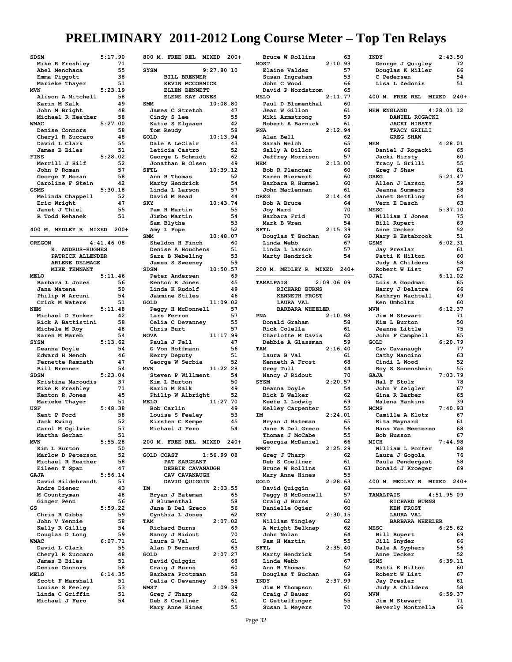| <b>SDSM</b>                           | 5:17.90      |          |
|---------------------------------------|--------------|----------|
| Mike R Freshley                       |              | 71       |
| Abel Menchaca                         |              | 55       |
| Emma Piggott<br>Marieke Thayer        |              | 38<br>51 |
| <b>MVN</b>                            | 5:23.19      |          |
| Alison A Mitchell                     |              | 58       |
| Karin M Kalk                          |              | 49       |
| John M Bright                         |              | 48       |
| Michael R Heather<br><b>WMAC</b>      | 5:27.00      | 58       |
| Denise Connors                        |              | 58       |
| Cheryl R Zuccaro                      |              | 48       |
| David L Clark                         |              | 55       |
| James B Biles<br><b>FINS</b>          |              | 51       |
| Merrill J Hilf                        | 5:28.02      | 52       |
| John P Roman                          |              | 57       |
| George T Horan                        |              | 58       |
| Caroline F Stein                      |              | 42       |
| <b>GSMS</b>                           | 5:30.18      |          |
| Melinda Chappell<br>Eric Wright       |              | 52<br>47 |
| Janet J Thiel                         |              | 55       |
| R Todd Rehanek                        |              | 51       |
|                                       |              |          |
| MEDLEY R<br>400 M.<br><b>MIXED</b>    |              | $200+$   |
| <b>OREGON</b>                         | $4:41.46$ 08 |          |
| K. ANDRUS-HUGHES                      |              |          |
| PATRICK ALLENDER                      |              |          |
| <b>ARLENE DELMAGE</b>                 |              |          |
| MIKE TENNANT                          |              |          |
| <b>MELO</b><br>Barbara L Jones        | 5:11.46      | 56       |
| Jana Matena                           |              | 50       |
| Philip W Arcuni                       |              | 54       |
| Crick M Waters                        |              | 51       |
| <b>NEM</b>                            | 5:11.48      |          |
| Michael D Yunker<br>Rick A Battistini |              | 42<br>58 |
| Michele M Roy                         |              | 48       |
|                                       |              |          |
| Karen M Mareb                         |              | 54       |
| SYSM                                  | 5:13.62      |          |
| Deanna Doyle                          |              | 54       |
| Edward H Mench                        |              | 46       |
| Fernette Ramnath                      |              | 47       |
| <b>Bill Brenner</b><br><b>SDSM</b>    | 5:23.04      | 54       |
| Kristina Maroudis                     |              | 37       |
| Mike R Freshley                       |              | 71       |
| Kenton R Jones                        |              | 45       |
| Marieke Thayer                        |              | 51       |
| USF<br>Kent P Ford                    | 5:48.38      | 58       |
| Jack Ewing                            |              | 52       |
| Carol M Ogilvie                       |              | זכ       |
| Martha Gerhan                         |              | 51       |
| <b>MVN</b>                            | 5:55.28      |          |
| Kim L Burton<br>Marlow D Peterson     |              | 50<br>52 |
| Michael R Heather                     |              | 58       |
| Eileen T Span                         |              | 47       |
| GAJA                                  | 5:56.14      |          |
| David Hildebrandt                     |              | 57       |
| Andre Diener<br>M Countryman          |              | 43<br>48 |
| Ginger Penn                           |              | 56       |
| GS                                    | 5:59.22      |          |
| Chris R Gibbs                         |              | 59       |
| John V Yennie                         |              | 58       |
| Kelly R Gillig<br>Douglas D Long      |              | 54<br>59 |
| WMAC                                  | 6:07.71      |          |
| David L Clark                         |              | 55       |
| Cheryl R Zuccaro                      |              | 48       |
| James B Biles                         |              | 51       |
| Denise Connors<br><b>MELO</b>         | 6:14.35      | 58       |
| Scott F Marshall                      |              | 51       |
| Louise S Feeley                       |              | 53       |
| Linda C Griffin<br>Michael J Fero     |              | 51<br>54 |

| 800 M.<br>FREE REL MIXED 200+        |              |               |
|--------------------------------------|--------------|---------------|
| <b>SYSM</b><br><b>BILL BRENNER</b>   | 9:27.80      | 10            |
| KEVIN MCCORMICK                      |              |               |
| ELLEN BENNETT<br>ELENE KAY JONES     |              |               |
| <b>SMM</b>                           | 10:08.80     |               |
| James C Stretch                      |              | 47            |
| Cindy S Lee                          |              | 55<br>42      |
| Katie S Elgaaen<br>Tom Reudy         |              | 58            |
| GOLD                                 | 10:13.94     |               |
| Dale A LeClair<br>Leticia Castro     |              | 43<br>52      |
| George L Schmidt                     |              | 62            |
| Jonathan B Olsen                     |              | 49            |
| <b>SFTL</b><br>Ann B Thomas          | 10:39.12     | 52            |
| Marty Hendrick                       |              | 54            |
| Linda L Larson                       |              | 57            |
| David M Read<br><b>SKY</b>           | 10:43.74     | 44            |
| Pam H Martin                         |              | 55            |
| Jimbo Martin                         |              | 54            |
| Sam Blythe<br>Amy L Pope             |              | 53<br>52      |
| <b>SMM</b>                           | 10:48.07     |               |
| Sheldon H Finch                      |              | 60            |
| Denise A Houchens<br>Sara B Nebeling |              | 51<br>53      |
| James S Sweeney                      |              | 59            |
| <b>SDSM</b>                          | 10:50.57     |               |
| Peter Andersen<br>Kenton R Jones     |              | 69<br>45      |
| Linda K Rudolf                       |              | 49            |
| Jasmine Stiles                       |              | 46            |
| <b>GOLD</b><br>Peggy H McDonnell     | 11:09.02     | 57            |
| Lars Ferron                          |              | 57            |
| Celia C Devanney                     |              | 55            |
| Chris Burt<br><b>NOVA</b>            | 11:17.99     | 57            |
| Paula J Fell                         |              | 47            |
| G Von Hoffmann                       |              | 56            |
| Kerry Deputy<br>George W Serbia      |              | 51<br>52      |
| <b>MVN</b>                           | 11:22.28     |               |
| Steven P Willment<br>Kim L Burton    |              | 54<br>50      |
| Karin M Kalk                         |              | 49            |
| Philip W Albright                    |              | 52            |
| <b>MELO</b><br>Bob Carlin            | 11:27.70     | 49            |
| Louise S Feeley                      |              | 53            |
| Kirsten C Kempe                      |              | 45            |
| Michael J Fero                       |              | 54            |
| 200 M. FREE REL                      | <b>MIXED</b> | $240+$        |
| <b>GOLD COAST</b>                    | $1:56.99$ 08 |               |
| PAT SARGEANT                         |              |               |
| DEBBIE CAVANAUGH<br>CAV CAVANAUGH    |              |               |
| DAVID QUIGGIN                        |              |               |
| IM                                   |              | 2:03.55       |
| Bryan J Bateman<br>J Blumenthal      |              | 65<br>58      |
| Jane B Del Greco                     |              | 56            |
| Cynthia L Jones                      |              | 62            |
| TAM<br>Richard Burns                 |              | 2:07.02<br>69 |
| Nancy J Ridout                       |              | 70            |
| Laura B Val                          |              | 61            |
| Alan D Bernard<br>GOLD               |              | 63<br>2:07.27 |
| David Quiggin                        |              | 68            |
| Craig J Burns                        |              | 60            |
| Barbara Protzman<br>Celia C Devanney |              | 58<br>55      |
| <b>WMST</b>                          |              | 2:09.39       |
| Greg J Tharp                         |              | 62            |
| Deb S Coellner                       |              | 61<br>55      |
| Mary Anne Hines                      |              |               |

| Bruce W Rollins                     |           | 63       |
|-------------------------------------|-----------|----------|
| <b>MOST</b>                         | 2:10.93   |          |
| Elaine Valdez<br>Susan Ingraham     |           | 57<br>53 |
| John C Wood                         |           | 66       |
| David P Nordstrom                   |           | 65       |
| <b>MELO</b>                         | 2:11.77   |          |
| Paul D Blumenthal                   |           | 60       |
| Jean W Gillon                       |           | 61       |
| Miki Armstrong                      |           | 59       |
| Robert A Barnick                    |           | 61       |
| <b>PNA</b>                          | 2:12.94   |          |
| Alan Bell                           |           | 62       |
| Sarah Welch                         |           | 65       |
| Sally A Dillon                      |           | 66<br>57 |
| Jeffrey Morrison<br><b>NEM</b>      | 2:13.00   |          |
| Bob R Plencner                      |           | 60       |
| Karen Bierwert                      |           | 60       |
| Barbara R Hummel                    |           | 60       |
| John Maclennan                      |           | 61       |
| OREG                                | 2:14.44   |          |
| Bob A Bruce                         |           | 64       |
| Joy Ward                            |           | 70       |
| Barbara Frid                        |           | 70       |
| Mark B Wren                         |           | 54       |
| SFTL                                | 2:15.39   |          |
| Douglas T Buchan                    |           | 69       |
| Linda Webb                          |           | 67       |
| Linda L Larson<br>Marty Hendrick    |           | 57<br>54 |
|                                     |           |          |
| 200 M. MEDLEY R MIXED               |           | $240+$   |
|                                     |           |          |
| <b>TAMALPAIS</b>                    | 2:09.0609 |          |
| RICHARD BURNS                       |           |          |
| <b>KENNETH FROST</b>                |           |          |
| LAURA VAL                           |           |          |
| <b>BARBARA WHEELER</b>              |           |          |
| <b>PNA</b><br>Donald Graham         | 2:10.98   | 58       |
| Rick Colella                        |           | 61       |
|                                     |           |          |
|                                     |           |          |
| Charlotte M Davis                   |           | 62       |
| Debbie A Glassman<br>TAM            |           | 59       |
| Laura B Val                         | 2:16.40   | 61       |
| Kenneth A Frost                     |           | 68       |
| Greg Tull                           |           | 44       |
| Nancy J Ridout                      |           | 70       |
| SYSM                                | 2:20.57   |          |
| Deanna Doyle                        |           | 54       |
| Rick B Walker                       |           | 62       |
| Keefe L Lodwig                      |           | 69       |
| Kelley Carpenter                    |           | 55       |
| <b>IM</b>                           | 2:24.01   |          |
| Bryan J Bateman                     |           | 65       |
| Jane B Del Greco                    |           | 56<br>55 |
| Thomas J McCabe<br>Georgia McDaniel |           | 66       |
| <b>WMST</b>                         | 2:25.29   |          |
| Greg J Tharp                        |           | 62       |
| Deb S Coellner                      |           | 61       |
| Bruce W Rollins                     |           | 63       |
| Mary Anne Hines                     |           | 55       |
| GOLD                                | 2:28.63   |          |
| David Quiggin                       |           | 68       |
| Peggy H McDonnell                   |           | 57       |
| Craig J Burns                       |           | 60       |
| Danielle Ogier                      |           | 60       |
| <b>SKY</b><br>William Tingley       | 2:30.15   | 62       |
| A Wright Belknap                    |           | 62       |
| John Nolan                          |           | 64       |
| Pam H Martin                        |           | 55       |
| <b>SFTL</b>                         | 2:35.40   |          |
| Marty Hendrick                      |           | 54       |
| Linda Webb                          |           | 67       |
| Ann B Thomas                        |           | 52       |
| Douglas T Buchan                    |           | 69       |
| INDY                                | 2:37.99   |          |
| Jim M Thompson                      |           | 61       |
| Craig J Bauer<br>C Gettelfinger     |           | 60<br>55 |

| INDY                              | 2:43.50      |          |
|-----------------------------------|--------------|----------|
| George J Quigley                  |              | 72       |
| Douglas K Miller<br>C Pedersen    |              | 66<br>54 |
| Lisa L Zedonis                    |              | 51       |
| 400 M. FREE REL                   | MIXED        | $240+$   |
| <b>NEW ENGLAND</b>                | $4:28.01$ 12 |          |
| DANIEL ROGACKI                    |              |          |
| <b>JACKI HIRSTY</b>               |              |          |
| TRACY GRILLI<br><b>GREG SHAW</b>  |              |          |
| <b>NEM</b>                        | 4:28.01      |          |
| Daniel J Rogacki                  |              | 65       |
| Jacki Hirsty                      |              | 60       |
| Tracy L Grilli                    |              | 55       |
| Greg J Shaw<br><b>OREG</b>        | 5:21.47      | 61       |
| Allen J Larson                    |              | 59       |
| Jeanna Summers                    |              | 58       |
| Janet Gettling                    |              | 64       |
| Vern E Dasch                      |              | 63       |
| <b>MESC</b>                       | 5:37.10      |          |
| William I Jones<br>Bill Rupert    |              | 75<br>69 |
| Anne Uecker                       |              | 52       |
| Mary B Estabrook                  |              | 51       |
| <b>GSMS</b>                       | 6:02.31      |          |
| Jay Preslar                       |              | 61       |
| Patti K Hilton                    |              | 60       |
| Judy A Childers                   |              | 58       |
| Robert W List<br>OJAI             | 6:11.02      | 67       |
| Lois A Goodman                    |              | 65       |
| Harry J Delatre                   |              | 66       |
| Kathryn Wachtell                  |              | 49       |
| Ken Umholtz                       |              | 60       |
| <b>MVN</b>                        | 6:12.37      |          |
| Jim M Stewart<br>Kim L Burton     |              | 71<br>50 |
| Jeanne Little                     |              | 75       |
| John F Campbell                   |              | 65       |
| GOLD                              | 6:20.79      |          |
| Cav Cavanaugh                     |              | 77       |
| Cathy Mancino                     |              | 63       |
| Cindi L Wood                      |              | 52       |
| Roy S Sonenshein<br><b>GAJA</b>   | 7:03.79      | 55       |
| Hal F Stolz                       |              | 78       |
| John V Zeigler                    |              | 67       |
| Gina R Barber                     |              | 65       |
| Malena Hankins                    |              | 39       |
| <b>NCMS</b>                       | 7:40.93      |          |
| Camille A Klotz<br>Rita Maynard   |              | 67<br>61 |
| Hans<br>Van Meeteren              |              | 68       |
| Bob Husson                        |              | 67       |
| MICH                              | 7:44.98      |          |
| William L Porter                  |              | 68       |
| Laura J Gogola                    |              | 76       |
| Paula Pendergast                  |              | 58       |
| Donald J Kroeger                  |              | 69       |
| 400 M. MEDLEY R MIXED 240+        |              |          |
|                                   |              |          |
| <b>TAMALPAIS</b><br>RICHARD BURNS | 4:51.95.09   |          |
| <b>KEN FROST</b>                  |              |          |
| LAURA VAL                         |              |          |
| <b>BARBARA WHEELER</b>            |              |          |
| <b>MESC</b>                       | 6:25.62      |          |
| Bill Rupert                       |              | 69       |
| Jill Snyder<br>Dale A Syphers     |              | 66<br>56 |
| Anne Uecker                       |              |          |
| <b>GSMS</b>                       |              | 52       |
|                                   | 6:39.11      |          |
| Patti K Hilton                    |              | 60       |
| Robert W List                     |              | 67       |
| <b>Jay Preslar</b>                |              | 61       |
| Judy A Childers                   |              | 58       |
| <b>MVN</b><br>Jim M Stewart       | 6:59.37      | 71       |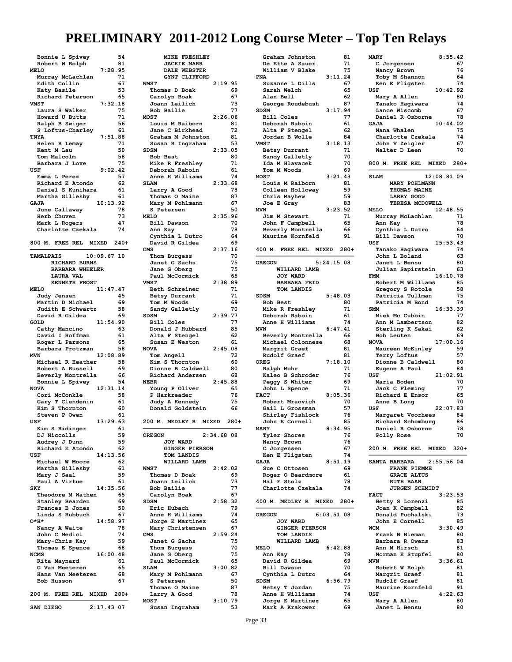| Bonnie L Spivey                    | 54     |
|------------------------------------|--------|
| Robert W Rolph                     | 81     |
| 7:28.95<br><b>MELO</b>             |        |
| Murray McLachlan                   | 71     |
| Edith Collin                       | 67     |
| Katy Basile                        | 53     |
| Richard Peterson                   | 65     |
| 7:32.18<br><b>VMST</b>             |        |
| Laura S Walker                     | 75     |
| Howard U Butts                     | 71     |
| Ralph B Swiger                     | 56     |
| S Loftus-Charley                   | 61     |
| TNYA<br>7:51.88                    |        |
| Helen R Lemay                      | 71     |
| Kent M Lau                         | 50     |
| Tom Malcolm                        | 58     |
|                                    | 75     |
| Barbara J Love                     |        |
| 9:02.42<br>USF                     |        |
| Emma L Perez                       | 57     |
| Richard E Atondo                   | 62     |
| Daniel S Kunihara                  | 61     |
| Martha Gillesby                    | 61     |
| 10:13.92<br>GAJA                   |        |
| June Callaway                      | 78     |
| Herb Chuven                        | 73     |
| Mark L Rogers                      | 47     |
| Charlotte Czekala                  | 74     |
|                                    |        |
| FREE REL MIXED<br>800 M.           | $240+$ |
|                                    |        |
| <b>TAMALPAIS</b><br>$10:09.67$ 10  |        |
| <b>RICHARD BURNS</b>               |        |
| <b>BARBARA WHEELER</b>             |        |
| LAURA VAL                          |        |
| <b>KENNETH FROST</b>               |        |
| <b>MELO</b><br>11:47.47            |        |
|                                    | 45     |
| Judy Jensen                        |        |
| Martin D Michael                   | 69     |
| Judith E Schwartz                  | 58     |
| David R Gildea                     | 69     |
| 11:54.90<br>GOLD                   |        |
| Cathy Mancino                      | 63     |
|                                    |        |
| David I Hoffman                    | 61     |
| Roger L Parsons                    | 65     |
| Barbara Protzman                   | 58     |
| 12:08.89<br><b>MVN</b>             |        |
| Michael R Heather                  | 58     |
| Robert A Russell                   | 69     |
|                                    | 66     |
| Beverly Montrella                  | 54     |
| Bonnie L Spivey<br><b>NOVA</b>     |        |
| 12:31.14                           |        |
| Cori McConkle                      | 58     |
| Gary T Clendenin                   | 61     |
| Kim S Thornton                     | 60     |
| Steven P Owen                      | 61     |
| 13:29.63<br>USF                    |        |
| Kim S Ridinger                     | 61     |
| DJ Niccolls                        | 59     |
| Audrey J Dunn                      | 59     |
| Richard E Atondo                   | 62     |
| 14:13.56<br>USF                    |        |
| Michael W Moore                    | 62     |
| Martha Gillesby                    | 61     |
| Mary J Saal                        | 59     |
| Paul A Virtue                      | 61     |
| 14:35.56<br><b>SKY</b>             |        |
| Theodore M Wathen                  | 65     |
| <b>Stanley Bearden</b>             | 69     |
| Frances B Jones                    | 50     |
| Linda S Hubbuch                    | 67     |
| 0*H*<br>14:58.97                   |        |
|                                    | 78     |
| Nancy A Waite                      | 74     |
| John C Medici                      |        |
| Mary-Chris Kay                     | 59     |
| Thomas E Spence                    | 68     |
| 16:00.48<br><b>NCMS</b>            |        |
| Rita Maynard                       | 61     |
| G Van Meeteren                     | 65     |
| Hans Van Meeteren                  | 68     |
| Bob Husson                         | 67     |
|                                    |        |
| 200 M.<br>FREE REL<br><b>MIXED</b> | $280+$ |
| $2:17.43$ 07<br>SAN DIEGO          |        |

| MIKE FRESHLEY                        |               |
|--------------------------------------|---------------|
| <b>JACKIE MARR</b>                   |               |
| <b>DALE WEBSTER</b><br>GYNT CLIFFORD |               |
| <b>WMST</b>                          | 2:19.95       |
| Thomas D Boak                        | 69            |
| Carolyn Boak                         | 67            |
| Joann Leilich                        | 73            |
| Bob Bailie<br><b>MOST</b>            | 77<br>2:26.06 |
| Louis M Raiborn                      | 81            |
| Jane C Birkhead                      | 72            |
| Graham M Johnston                    | 81            |
| Susan R Ingraham                     | 53            |
| <b>SDSM</b><br><b>Bob Best</b>       | 2:33.05<br>80 |
| Mike R Freshley                      | 71            |
| Deborah Raboin                       | 61            |
| Anne H Williams                      | 74            |
| <b>SLAM</b>                          | 2:33.68       |
| Larry A Good                         | 78            |
| Thomas O Maine<br>Mary M Pohlmann    | 87<br>67      |
| S Petersen                           | 50            |
| <b>MELO</b>                          | 2:35.96       |
| Bill Dawson                          | 70            |
| Ann Kay                              | 78            |
| Cynthia L Dutro<br>David R Gildea    | 64            |
| <b>CMS</b>                           | 69<br>2:37.16 |
| Thom Burgess                         | 70            |
| Janet G Sachs                        | 75            |
| Jane G Oberg                         | 75            |
| Paul McCormick                       | 65            |
| <b>VMST</b><br>Beth Schreiner        | 2:38.89<br>71 |
| Betsy Durrant                        | 71            |
| Tom M Woods                          | 69            |
| Sandy Galletly                       | 70            |
| SDSM                                 | 2:39.77       |
| Bill Coles                           | 77            |
| Donald J Hubbard                     | 85            |
|                                      |               |
| Alta F Stengel                       | 62            |
| Susan E Weston<br><b>NOVA</b>        | 61            |
| Tom Angell                           | 2:45.08<br>72 |
| Kim S Thornton                       | 60            |
| Dionne B Caldwell                    | 80            |
| Richard Andersen                     | 68            |
| <b>NEBR</b>                          | 2:45.88<br>65 |
| Young P Oliver<br>P Harkreader       | 76            |
| Judy A Kennedy                       | 75            |
| Donald Goldstein                     | 66            |
|                                      |               |
| 200 M. MEDLEY R MIXED 280+           |               |
| <b>OREGON</b>                        | 2:34.68 08    |
| <b>JOY WARD</b>                      |               |
| GINGER PIERSON                       |               |
| TOM LANDIS                           |               |
| WILLARD LAMB                         |               |
| <b>WMST</b><br>Thomas D Boak         | 2:42.02<br>69 |
| Joann Leilich                        | 73            |
| Bob Bailie                           | 77            |
| Carolyn Boak                         | 67            |
| SDSM                                 | 2:58.32       |
| Eric Hubach<br>Anne H Williams       | 79<br>74      |
| Jorge E Martinez                     | 65            |
| Mary Christensen                     | 67            |
| CMS                                  | 2:59.24       |
| Janet G Sachs                        | 75            |
| Thom Burgess<br>Jane G Oberg         | 70<br>75      |
| Paul McCormick                       | 65            |
| <b>SLAM</b>                          | 3:00.82       |
| Mary M Pohlmann                      | 67            |
| S Petersen                           | 50            |
| Thomas O Maine<br>Larry A Good       | 87<br>78      |

 **Susan Ingraham 53**

| Graham Johnston                        |              | 81       |
|----------------------------------------|--------------|----------|
| De Ette A Sauer<br>William V Blake     |              | 71<br>75 |
| <b>PNA</b>                             | 3:11.24      |          |
| Suzanne L Dills                        |              | 67       |
| Sarah Welch                            |              | 65       |
| Alan Bell                              |              | 62       |
| George Roudebush<br>SDSM               | 3:17.94      | 87       |
| <b>Bill Coles</b>                      |              | 77       |
| Deborah Raboin                         |              | 61       |
| Alta F Stengel                         |              | 62       |
| Jordan B Wolle                         |              | 84       |
| <b>VMST</b>                            | 3:18.13      | 71       |
| Betsy Durrant<br>Sandy Galletly        |              | 70       |
| Ida M Hlavacek                         |              | 70       |
| Tom M Woods                            |              | 69       |
| <b>MOST</b>                            | 3:21.43      |          |
| Louis M Raiborn                        |              | 81       |
| Colleen Holloway<br>Chris Mayhew       |              | 59<br>59 |
| Joe E Gray                             |              | 83       |
| <b>MVN</b>                             | 3:23.52      |          |
| Jim M Stewart                          |              | 71       |
| John F Campbell                        |              | 65       |
| Beverly Montrella                      |              | 66       |
| Maurine Kornfeld                       |              | 91       |
| 400 M. FREE REL<br><b>MIXED</b>        |              | $280+$   |
|                                        |              |          |
| <b>OREGON</b>                          | 5:24.15.08   |          |
| WILLARD LAMB<br><b>JOY WARD</b>        |              |          |
| <b>BARBARA FRID</b>                    |              |          |
| TOM LANDIS                             |              |          |
| SDSM                                   | 5:48.03      |          |
| Bob Best                               |              | 80       |
| Mike R Freshley                        |              | 71       |
| Deborah Raboin<br>Anne H Williams      |              | 61<br>74 |
| <b>MVN</b>                             | 6:47.41      |          |
|                                        |              |          |
|                                        |              | 66       |
| Beverly Montrella<br>Michael Colonnese |              | 68       |
| Margrit Graef                          |              | 81       |
| Rudolf Graef                           |              | 81       |
| OREG                                   | 7:18.10      |          |
| Ralph Mohr                             |              | 71       |
| Kaleo B Schroder                       |              | 76<br>69 |
| Peggy S Whiter<br>John L Spence        |              | 71       |
| <b>FACT</b>                            | 8:05.36      |          |
| Robert Mraovich                        |              | 70       |
| Gail L Grossman                        |              | 57       |
| Shirley Fishlock                       |              | 76<br>85 |
| John E Cornell<br><b>RY</b>            | 8:34         | 95       |
| Tyler Shores                           |              | 76       |
| Nancy Brown                            |              | 76       |
| C Jorgensen                            |              | 67       |
| Ken E Fligsten                         |              | 74       |
| <b>GAJA</b><br>Sue C Ottosen           | 8:51.19      | 69       |
| Roger O Beardmore                      |              | 61       |
| Hal F Stolz                            |              | 78       |
| Charlotte Czekala                      |              | 74       |
| 400 M. MEDLEY R MIXED                  |              | $280+$   |
|                                        |              |          |
| <b>OREGON</b>                          | $6:03.51$ 08 |          |
| <b>JOY WARD</b>                        |              |          |
| <b>GINGER PIERSON</b><br>TOM LANDIS    |              |          |
| WILLARD LAMB                           |              |          |
| <b>MELO</b>                            | 6:42.88      |          |
| Ann Kay                                |              | 78       |
| David R Gildea                         |              | 69       |
| Bill Dawson                            |              | 70<br>64 |
| Cynthia L Dutro<br><b>SDSM</b>         | 6:56.79      |          |
| Betsy T Jordan                         |              | 75       |
| Anne H Williams                        |              | 74       |
| Jorge E Martinez<br>Mark A Krakower    |              | 65<br>69 |

| <b>MARY</b>                            | 8:55.42     |          |
|----------------------------------------|-------------|----------|
| C Jorgensen                            |             | 67       |
| Nancy Brown                            |             | 76       |
| Toby M Shannon                         |             | 64       |
| Ken E Fligsten                         |             | 74       |
| USF<br>Mary A Allen                    | 10:42.92    | 80       |
| Tanako Hagiwara                        |             | 74       |
| Lance Wiscomb                          |             | 67       |
| Daniel R Osborne                       |             | 78       |
| <b>GAJA</b>                            | 10:44.02    |          |
| Nana Whalen                            |             | 75       |
| Charlotte Czekala                      |             | 74       |
| John V Zeigler                         |             | 67       |
| Walter D Leen                          |             | 70       |
| 800 M. FREE REL MIXED                  |             | $280+$   |
| <b>SLAM</b>                            | 12:08.81 09 |          |
| MARY POHLMANN                          |             |          |
| THOMAS MAINE                           |             |          |
| LARRY GOOD                             |             |          |
| TERESA MCDOWELL                        |             |          |
| <b>MELO</b>                            | 12:48.55    | 71       |
| Murray McLachlan<br>Ann Kay            |             | 78       |
| Cynthia L Dutro                        |             | 64       |
| Bill Dawson                            |             | 70       |
| USF                                    | 15:53.43    |          |
| Tanako Hagiwara                        |             | 74       |
| John L Boland                          |             | 63       |
| Janet L Bensu                          |             | 80       |
| Julian Sapirstein<br><b>FMM</b>        |             | 63       |
| Robert M Williams                      | 16:10.78    | 85       |
| Gregory S Rotole                       |             | 58       |
| Patricia Tullman                       |             | 75       |
| Patricia M Bond                        |             | 74       |
| <b>SMM</b>                             | 16:33.39    |          |
| Miek Mc Cubbin                         |             | 77       |
| Ann M Lambertson                       |             | 82       |
| Sterling K Sakai                       |             | 62       |
| Bob Leuten                             |             | 69       |
|                                        |             |          |
| <b>NOVA</b>                            | 17:00.16    |          |
| Maureen McKinley                       |             | 59<br>57 |
| Terry Loftus<br>Dionne B Caldwell      |             | 80       |
| Eugene A Paul                          |             | 84       |
| USF                                    | 21:02.91    |          |
| Maria Boden                            |             | 70       |
| Jack C Fleming                         |             | 77       |
| Richard E Ensor                        |             | 65       |
| Anne B Long<br>USF                     | 22:07.83    | 70       |
| Margaret Voorhees                      |             | 84       |
| Richard Schomburg                      |             | 86       |
| Daniel R Osborne                       |             | 78       |
| Polly Rose                             |             | 70       |
| 200 M. FREE REL MIXED                  |             | $320+$   |
|                                        |             |          |
| SANTA BARBARA                          | 2:55.56 04  |          |
| FRANK PIEMME                           |             |          |
| <b>GRACE ALTUS</b><br><b>RUTH BAAR</b> |             |          |
| <b>JURGEN SCHMIDT</b>                  |             |          |
| <b>FACT</b>                            | 3:23.53     |          |
| Betty S Lorenzi                        |             | 85       |
| Joan K Campbell                        |             | 82       |
| Donald Puchalski                       |             | 73       |
| John E Cornell                         |             | 85       |
| <b>WCM</b><br>Frank B Nieman           | 3:30.49     | 80       |
| Barbara R Owens                        |             | 83       |
| Ann M Hirsch                           |             | 81       |
| Norman E Stupfel                       |             | 80       |
| <b>MVN</b>                             | 3:36.61     |          |
| Robert W Rolph                         |             | 81       |
| Margrit Graef                          |             | 81       |
| Rudolf Graef                           |             | 81       |
| Maurine Kornfeld<br>USF                | 4:22.63     | 91       |
| Mary A Allen                           |             | 80       |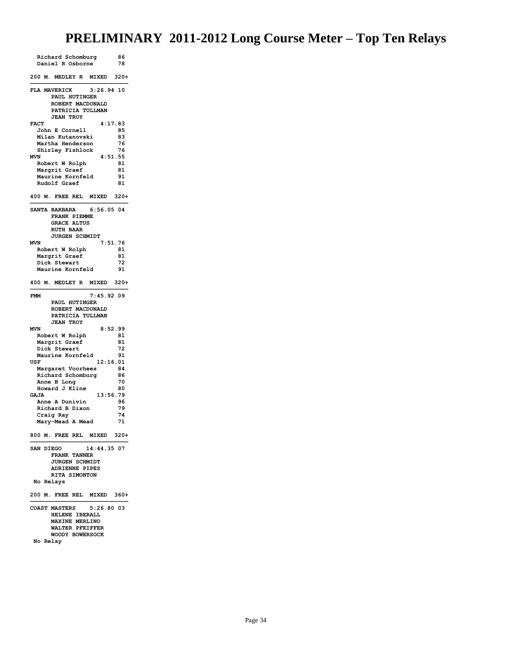| Richard Schomburg                                    | 86            |
|------------------------------------------------------|---------------|
| Daniel R Osborne                                     | 78            |
| 200 M. MEDLEY R MIXED                                | $320+$        |
| FLA MAVERICK<br>$3:26.94$ 10                         |               |
| PAUL HUTINGER                                        |               |
| ROBERT MACDONALD<br>PATRICIA TULLMAN                 |               |
| <b>JEAN TROY</b>                                     |               |
| <b>FACT</b>                                          | 4:17.83       |
| John E Cornell                                       | 85            |
| Milan Kutanovski                                     | 83            |
| Martha Henderson                                     | 76            |
| Shirley Fishlock<br><b>MVN</b>                       | 76<br>4:51.55 |
| Robert W Rolph                                       | 81            |
| Margrit Graef                                        | 81            |
| Maurine Kornfeld                                     | 91            |
| Rudolf Graef                                         | 81            |
|                                                      |               |
| 400 M. FREE REL MIXED                                | $320+$        |
| <b>SANTA BARBARA</b><br>$6:56.05$ 04<br>FRANK PIEMME |               |
| <b>GRACE ALTUS</b>                                   |               |
| <b>RUTH BAAR</b>                                     |               |
| JURGEN SCHMIDT                                       |               |
| <b>MVN</b>                                           | 7:51.76       |
| Robert W Rolph                                       | 81            |
| Margrit Graef<br>Dick Stewart                        | 81<br>72      |
| Maurine Kornfeld                                     | 91            |
|                                                      |               |
| 400 M. MEDLEY R MIXED                                | $320+$        |
| $7:45.92$ 09<br><b>FMM</b>                           |               |
| PAUL HUTINGER                                        |               |
| ROBERT MACDONALD                                     |               |
| PATRICIA TULLMAN<br><b>JEAN TROY</b>                 |               |
| <b>MVN</b>                                           | 8:52.99       |
| Robert W Rolph                                       | 81            |
| Margrit Graef                                        | 81            |
| Dick Stewart                                         | 72            |
| Maurine Kornfeld                                     | 91            |
| 12:16.01<br>USF                                      |               |
| Margaret Voorhees<br>Richard Schomburg               | 84<br>86      |
| Anne B Long                                          | 70            |
| Howard J Kline                                       | 80            |
| <b>GAJA</b><br>13:56.79                              |               |
| Anne A Dunivin                                       | 96            |
| Richard B Dixon                                      | 79            |
| Craig Ray                                            | 74<br>71      |
| Mary-Mead A Mead<br>800 M. FREE REL MIXED            | $320+$        |
|                                                      |               |
| 14:44.35 07<br>SAN DIEGO                             |               |
| <b>FRANK TANNER</b>                                  |               |
| <b>JURGEN SCHMIDT</b>                                |               |
| <b>ADRIENNE PIPES</b><br>RITA SIMONTON               |               |
| No Relays                                            |               |
| 200 M. FREE REL<br><b>MIXED</b>                      | 360+          |
| COAST MASTERS<br>5:26.80 03                          |               |
| HELENE IBERALL                                       |               |
|                                                      |               |
| <b>MAXINE MERLINO</b>                                |               |
| WALTER PFEIFFER<br>WOODY BOWERSOCK                   |               |

**No Relay**